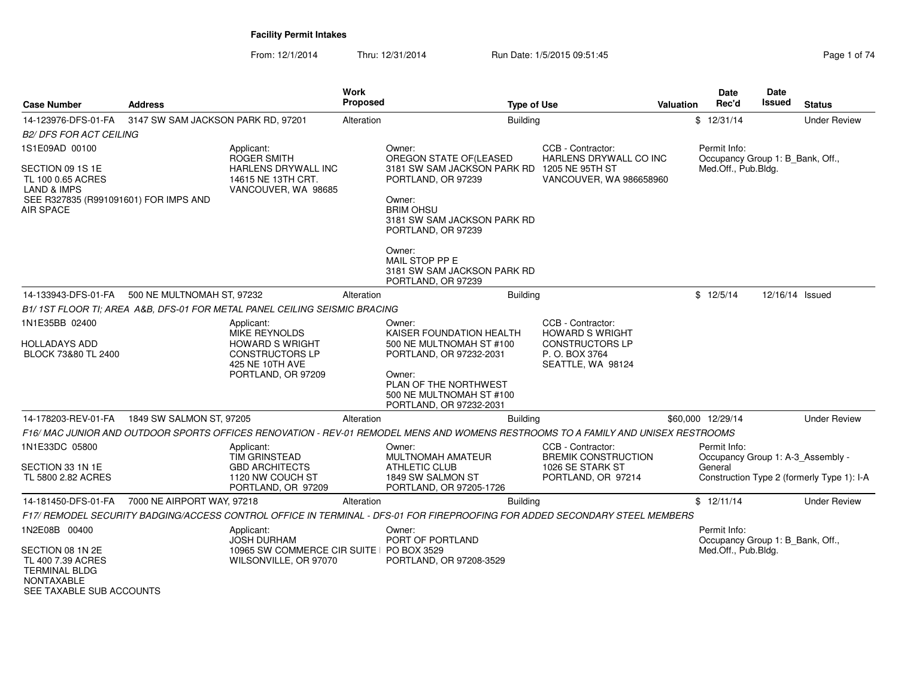| <b>Case Number</b>                                                                                                | <b>Address</b>                     |                                                                                      | Work<br>Proposed | <b>Type of Use</b>                                                                                                                                                               |                                                                                         | <b>Valuation</b> | Date<br>Rec'd                                    | Date<br>Issued  | <b>Status</b>                              |
|-------------------------------------------------------------------------------------------------------------------|------------------------------------|--------------------------------------------------------------------------------------|------------------|----------------------------------------------------------------------------------------------------------------------------------------------------------------------------------|-----------------------------------------------------------------------------------------|------------------|--------------------------------------------------|-----------------|--------------------------------------------|
| 14-123976-DFS-01-FA                                                                                               | 3147 SW SAM JACKSON PARK RD, 97201 |                                                                                      | Alteration       | <b>Building</b>                                                                                                                                                                  |                                                                                         |                  | \$12/31/14                                       |                 | <b>Under Review</b>                        |
| <i>B2/ DFS FOR ACT CEILING</i>                                                                                    |                                    |                                                                                      |                  |                                                                                                                                                                                  |                                                                                         |                  |                                                  |                 |                                            |
| 1S1E09AD 00100                                                                                                    |                                    | Applicant:<br>ROGER SMITH                                                            |                  | Owner:<br>OREGON STATE OF (LEASED                                                                                                                                                | CCB - Contractor:<br>HARLENS DRYWALL CO INC                                             |                  | Permit Info:<br>Occupancy Group 1: B_Bank, Off., |                 |                                            |
| SECTION 09 1S 1E<br>TL 100 0.65 ACRES<br>LAND & IMPS<br>SEE R327835 (R991091601) FOR IMPS AND<br><b>AIR SPACE</b> |                                    | HARLENS DRYWALL INC<br>14615 NE 13TH CRT.<br>VANCOUVER, WA 98685                     |                  | 3181 SW SAM JACKSON PARK RD 1205 NE 95TH ST<br>PORTLAND, OR 97239<br>Owner:<br><b>BRIM OHSU</b><br>3181 SW SAM JACKSON PARK RD<br>PORTLAND, OR 97239<br>Owner:<br>MAIL STOP PP E | VANCOUVER, WA 986658960                                                                 |                  | Med.Off., Pub.Bldg.                              |                 |                                            |
|                                                                                                                   |                                    |                                                                                      |                  | 3181 SW SAM JACKSON PARK RD<br>PORTLAND, OR 97239                                                                                                                                |                                                                                         |                  |                                                  |                 |                                            |
| 14-133943-DFS-01-FA                                                                                               | 500 NE MULTNOMAH ST, 97232         |                                                                                      | Alteration       | <b>Building</b>                                                                                                                                                                  |                                                                                         |                  | \$12/5/14                                        | 12/16/14 Issued |                                            |
|                                                                                                                   |                                    | B1/1ST FLOOR TI; AREA A&B, DFS-01 FOR METAL PANEL CEILING SEISMIC BRACING            |                  |                                                                                                                                                                                  |                                                                                         |                  |                                                  |                 |                                            |
| 1N1E35BB 02400                                                                                                    |                                    | Applicant:                                                                           |                  | Owner:                                                                                                                                                                           | CCB - Contractor:                                                                       |                  |                                                  |                 |                                            |
| HOLLADAYS ADD<br>BLOCK 73&80 TL 2400                                                                              |                                    | MIKE REYNOLDS<br><b>HOWARD S WRIGHT</b><br><b>CONSTRUCTORS LP</b><br>425 NE 10TH AVE |                  | KAISER FOUNDATION HEALTH<br>500 NE MULTNOMAH ST #100<br>PORTLAND, OR 97232-2031                                                                                                  | <b>HOWARD S WRIGHT</b><br><b>CONSTRUCTORS LP</b><br>P. O. BOX 3764<br>SEATTLE, WA 98124 |                  |                                                  |                 |                                            |
|                                                                                                                   |                                    | PORTLAND, OR 97209                                                                   |                  | Owner:<br>PLAN OF THE NORTHWEST<br>500 NE MULTNOMAH ST #100<br>PORTLAND, OR 97232-2031                                                                                           |                                                                                         |                  |                                                  |                 |                                            |
| 14-178203-REV-01-FA                                                                                               | 1849 SW SALMON ST, 97205           |                                                                                      | Alteration       | <b>Building</b>                                                                                                                                                                  |                                                                                         |                  | \$60,000 12/29/14                                |                 | <b>Under Review</b>                        |
|                                                                                                                   |                                    |                                                                                      |                  | F16/ MAC JUNIOR AND OUTDOOR SPORTS OFFICES RENOVATION - REV-01 REMODEL MENS AND WOMENS RESTROOMS TO A FAMILY AND UNISEX RESTROOMS                                                |                                                                                         |                  |                                                  |                 |                                            |
| 1N1E33DC 05800                                                                                                    |                                    | Applicant:<br><b>TIM GRINSTEAD</b>                                                   |                  | Owner:<br><b>MULTNOMAH AMATEUR</b>                                                                                                                                               | CCB - Contractor:<br><b>BREMIK CONSTRUCTION</b>                                         |                  | Permit Info:                                     |                 | Occupancy Group 1: A-3 Assembly -          |
| SECTION 33 1N 1E<br>TL 5800 2.82 ACRES                                                                            |                                    | <b>GBD ARCHITECTS</b><br>1120 NW COUCH ST<br>PORTLAND, OR 97209                      |                  | <b>ATHLETIC CLUB</b><br>1849 SW SALMON ST<br>PORTLAND, OR 97205-1726                                                                                                             | 1026 SE STARK ST<br>PORTLAND, OR 97214                                                  |                  | General                                          |                 | Construction Type 2 (formerly Type 1): I-A |
| 14-181450-DFS-01-FA                                                                                               | 7000 NE AIRPORT WAY, 97218         |                                                                                      | Alteration       | <b>Building</b>                                                                                                                                                                  |                                                                                         |                  | \$12/11/14                                       |                 | <b>Under Review</b>                        |
|                                                                                                                   |                                    |                                                                                      |                  | F17/ REMODEL SECURITY BADGING/ACCESS CONTROL OFFICE IN TERMINAL - DFS-01 FOR FIREPROOFING FOR ADDED SECONDARY STEEL MEMBERS                                                      |                                                                                         |                  |                                                  |                 |                                            |
| 1N2E08B 00400                                                                                                     |                                    | Applicant:<br><b>JOSH DURHAM</b>                                                     |                  | Owner:<br>PORT OF PORTLAND                                                                                                                                                       |                                                                                         |                  | Permit Info:<br>Occupancy Group 1: B_Bank, Off., |                 |                                            |
| SECTION 08 1N 2E<br>TL 400 7.39 ACRES<br><b>TERMINAL BLDG</b><br><b>NONTAXABLE</b><br>SEE TAXABLE SUB ACCOUNTS    |                                    | 10965 SW COMMERCE CIR SUITE   PO BOX 3529<br>WILSONVILLE, OR 97070                   |                  | PORTLAND, OR 97208-3529                                                                                                                                                          |                                                                                         |                  | Med.Off., Pub.Bldg.                              |                 |                                            |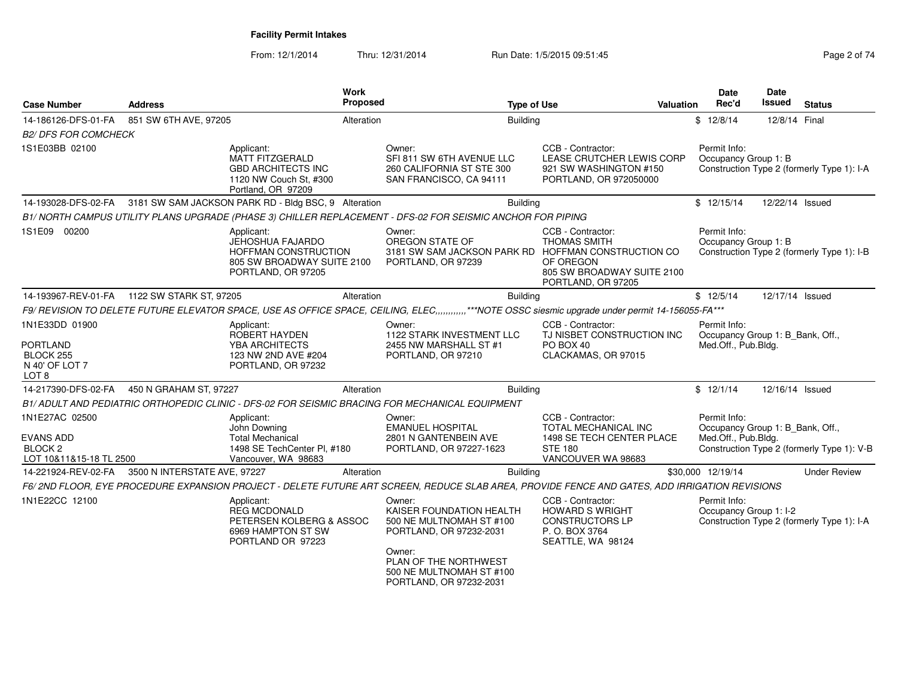| <b>Case Number</b>                                                                  | <b>Address</b>                                       | Work<br><b>Proposed</b>                                                                             | <b>Type of Use</b>                                                                                                                                                                  | <b>Valuation</b>                                                                                               | Date<br>Rec'd                          | Date<br><b>Issued</b><br><b>Status</b>                                         |
|-------------------------------------------------------------------------------------|------------------------------------------------------|-----------------------------------------------------------------------------------------------------|-------------------------------------------------------------------------------------------------------------------------------------------------------------------------------------|----------------------------------------------------------------------------------------------------------------|----------------------------------------|--------------------------------------------------------------------------------|
| 14-186126-DFS-01-FA                                                                 | 851 SW 6TH AVE, 97205                                | Alteration                                                                                          | <b>Building</b>                                                                                                                                                                     |                                                                                                                | \$12/8/14                              | 12/8/14 Final                                                                  |
| <b>B2/ DFS FOR COMCHECK</b>                                                         |                                                      |                                                                                                     |                                                                                                                                                                                     |                                                                                                                |                                        |                                                                                |
| 1S1E03BB 02100                                                                      | Applicant:                                           | MATT FITZGERALD<br><b>GBD ARCHITECTS INC</b><br>1120 NW Couch St, #300<br>Portland, OR 97209        | Owner:<br>SFI 811 SW 6TH AVENUE LLC<br>260 CALIFORNIA ST STE 300<br>SAN FRANCISCO, CA 94111                                                                                         | CCB - Contractor:<br>LEASE CRUTCHER LEWIS CORP<br>921 SW WASHINGTON #150<br>PORTLAND, OR 972050000             | Permit Info:<br>Occupancy Group 1: B   | Construction Type 2 (formerly Type 1): I-A                                     |
| 14-193028-DFS-02-FA                                                                 | 3181 SW SAM JACKSON PARK RD - Bldg BSC, 9 Alteration |                                                                                                     | <b>Building</b>                                                                                                                                                                     |                                                                                                                | \$12/15/14                             | 12/22/14 Issued                                                                |
|                                                                                     |                                                      |                                                                                                     | B1/ NORTH CAMPUS UTILITY PLANS UPGRADE (PHASE 3) CHILLER REPLACEMENT - DFS-02 FOR SEISMIC ANCHOR FOR PIPING                                                                         |                                                                                                                |                                        |                                                                                |
| 1S1E09 00200                                                                        | Applicant:                                           | JEHOSHUA FAJARDO<br><b>HOFFMAN CONSTRUCTION</b><br>805 SW BROADWAY SUITE 2100<br>PORTLAND, OR 97205 | Owner:<br>OREGON STATE OF<br>3181 SW SAM JACKSON PARK RD HOFFMAN CONSTRUCTION CO<br>PORTLAND, OR 97239                                                                              | CCB - Contractor:<br><b>THOMAS SMITH</b><br>OF OREGON<br>805 SW BROADWAY SUITE 2100<br>PORTLAND, OR 97205      | Permit Info:<br>Occupancy Group 1: B   | Construction Type 2 (formerly Type 1): I-B                                     |
|                                                                                     | 14-193967-REV-01-FA   1122 SW STARK ST, 97205        | Alteration                                                                                          | <b>Building</b>                                                                                                                                                                     |                                                                                                                | \$12/5/14                              | 12/17/14 Issued                                                                |
|                                                                                     |                                                      |                                                                                                     | F9/ REVISION TO DELETE FUTURE ELEVATOR SPACE, USE AS OFFICE SPACE, CEILING, ELEC,,,,,,,,,,,,,***NOTE OSSC siesmic upgrade under permit 14-156055-FA***                              |                                                                                                                |                                        |                                                                                |
| 1N1E33DD 01900<br><b>PORTLAND</b><br>BLOCK 255<br>N 40' OF LOT 7<br>LOT 8           | Applicant:                                           | <b>ROBERT HAYDEN</b><br>YBA ARCHITECTS<br>123 NW 2ND AVE #204<br>PORTLAND, OR 97232                 | Owner:<br><b>1122 STARK INVESTMENT LLC</b><br>2455 NW MARSHALL ST #1<br>PORTLAND, OR 97210                                                                                          | CCB - Contractor:<br>TJ NISBET CONSTRUCTION INC<br>PO BOX 40<br>CLACKAMAS, OR 97015                            | Permit Info:<br>Med.Off., Pub.Bldg.    | Occupancy Group 1: B Bank, Off.,                                               |
| 14-217390-DFS-02-FA                                                                 | 450 N GRAHAM ST, 97227                               | Alteration                                                                                          | <b>Building</b>                                                                                                                                                                     |                                                                                                                | \$12/1/14                              | 12/16/14 Issued                                                                |
|                                                                                     |                                                      |                                                                                                     | B1/ADULT AND PEDIATRIC ORTHOPEDIC CLINIC - DFS-02 FOR SEISMIC BRACING FOR MECHANICAL EQUIPMENT                                                                                      |                                                                                                                |                                        |                                                                                |
| 1N1E27AC 02500<br><b>EVANS ADD</b><br>BLOCK <sub>2</sub><br>LOT 10&11&15-18 TL 2500 | Applicant:<br>John Downing                           | <b>Total Mechanical</b><br>1498 SE TechCenter PI, #180<br>Vancouver, WA 98683                       | Owner:<br><b>EMANUEL HOSPITAL</b><br>2801 N GANTENBEIN AVE<br>PORTLAND, OR 97227-1623                                                                                               | CCB - Contractor:<br>TOTAL MECHANICAL INC<br>1498 SE TECH CENTER PLACE<br><b>STE 180</b><br>VANCOUVER WA 98683 | Permit Info:<br>Med.Off., Pub.Bldg.    | Occupancy Group 1: B_Bank, Off.,<br>Construction Type 2 (formerly Type 1): V-B |
| 14-221924-REV-02-FA                                                                 | 3500 N INTERSTATE AVE, 97227                         | Alteration                                                                                          | <b>Building</b>                                                                                                                                                                     |                                                                                                                | \$30,000 12/19/14                      | <b>Under Review</b>                                                            |
|                                                                                     |                                                      |                                                                                                     | F6/2ND FLOOR, EYE PROCEDURE EXPANSION PROJECT - DELETE FUTURE ART SCREEN, REDUCE SLAB AREA, PROVIDE FENCE AND GATES, ADD IRRIGATION REVISIONS                                       |                                                                                                                |                                        |                                                                                |
| 1N1E22CC 12100                                                                      | Applicant:                                           | <b>REG MCDONALD</b><br>PETERSEN KOLBERG & ASSOC<br>6969 HAMPTON ST SW<br>PORTLAND OR 97223          | Owner:<br>KAISER FOUNDATION HEALTH<br>500 NE MULTNOMAH ST #100<br>PORTLAND, OR 97232-2031<br>Owner:<br>PLAN OF THE NORTHWEST<br>500 NE MULTNOMAH ST #100<br>PORTLAND, OR 97232-2031 | CCB - Contractor:<br><b>HOWARD S WRIGHT</b><br><b>CONSTRUCTORS LP</b><br>P.O. BOX 3764<br>SEATTLE, WA 98124    | Permit Info:<br>Occupancy Group 1: I-2 | Construction Type 2 (formerly Type 1): I-A                                     |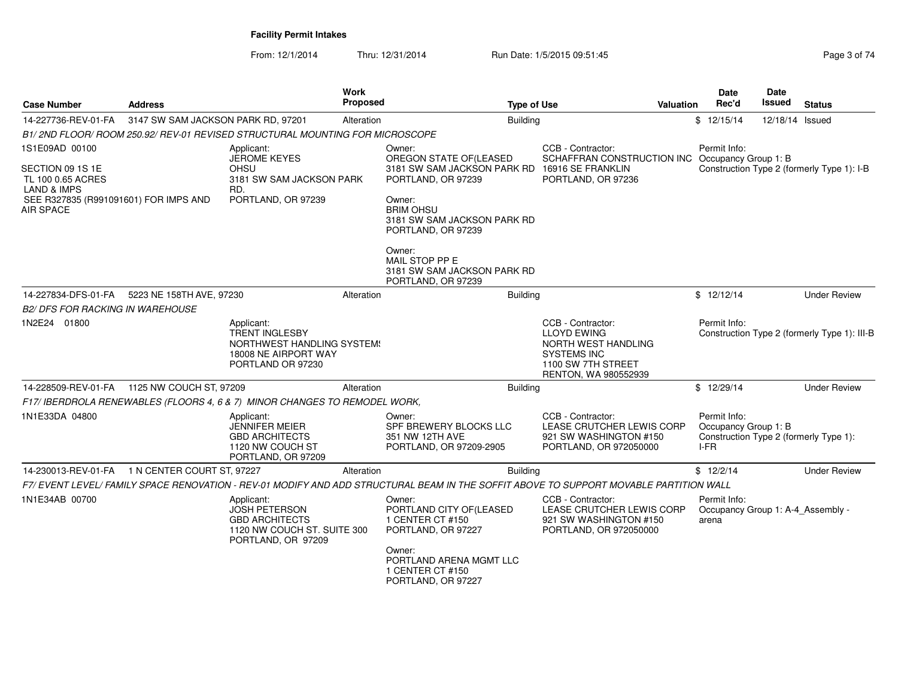| <b>Case Number</b>                                                       | <b>Address</b>                     |                                                                                                                  | Work<br>Proposed | <b>Type of Use</b>                                                                                                                     | <b>Valuation</b>                                                                                                                   | <b>Date</b><br>Rec'd                                       | Date<br>Issued  | <b>Status</b>                                |
|--------------------------------------------------------------------------|------------------------------------|------------------------------------------------------------------------------------------------------------------|------------------|----------------------------------------------------------------------------------------------------------------------------------------|------------------------------------------------------------------------------------------------------------------------------------|------------------------------------------------------------|-----------------|----------------------------------------------|
| 14-227736-REV-01-FA                                                      | 3147 SW SAM JACKSON PARK RD, 97201 |                                                                                                                  | Alteration       | <b>Building</b>                                                                                                                        |                                                                                                                                    | \$12/15/14                                                 | 12/18/14 Issued |                                              |
|                                                                          |                                    | B1/2ND FLOOR/ROOM 250.92/REV-01 REVISED STRUCTURAL MOUNTING FOR MICROSCOPE                                       |                  |                                                                                                                                        |                                                                                                                                    |                                                            |                 |                                              |
| 1S1E09AD 00100<br>SECTION 09 1S 1E<br>TL 100 0.65 ACRES                  |                                    | Applicant:<br><b>JEROME KEYES</b><br><b>OHSU</b><br>3181 SW SAM JACKSON PARK                                     |                  | Owner:<br>OREGON STATE OF(LEASED<br>3181 SW SAM JACKSON PARK RD 16916 SE FRANKLIN<br>PORTLAND, OR 97239                                | CCB - Contractor:<br>SCHAFFRAN CONSTRUCTION INC Occupancy Group 1: B<br>PORTLAND, OR 97236                                         | Permit Info:                                               |                 | Construction Type 2 (formerly Type 1): I-B   |
| LAND & IMPS<br>SEE R327835 (R991091601) FOR IMPS AND<br><b>AIR SPACE</b> |                                    | RD.<br>PORTLAND, OR 97239                                                                                        |                  | Owner:<br><b>BRIM OHSU</b><br>3181 SW SAM JACKSON PARK RD<br>PORTLAND, OR 97239                                                        |                                                                                                                                    |                                                            |                 |                                              |
|                                                                          |                                    |                                                                                                                  |                  | Owner:<br>MAIL STOP PP E<br>3181 SW SAM JACKSON PARK RD<br>PORTLAND, OR 97239                                                          |                                                                                                                                    |                                                            |                 |                                              |
| 14-227834-DFS-01-FA                                                      | 5223 NE 158TH AVE, 97230           |                                                                                                                  | Alteration       | <b>Building</b>                                                                                                                        |                                                                                                                                    | \$12/12/14                                                 |                 | <b>Under Review</b>                          |
| <b>B2/ DFS FOR RACKING IN WAREHOUSE</b>                                  |                                    |                                                                                                                  |                  |                                                                                                                                        |                                                                                                                                    |                                                            |                 |                                              |
| 1N2E24 01800                                                             |                                    | Applicant:<br><b>TRENT INGLESBY</b><br>NORTHWEST HANDLING SYSTEM!<br>18008 NE AIRPORT WAY<br>PORTLAND OR 97230   |                  |                                                                                                                                        | CCB - Contractor:<br><b>LLOYD EWING</b><br>NORTH WEST HANDLING<br><b>SYSTEMS INC</b><br>1100 SW 7TH STREET<br>RENTON, WA 980552939 | Permit Info:                                               |                 | Construction Type 2 (formerly Type 1): III-B |
| 14-228509-REV-01-FA 1125 NW COUCH ST, 97209                              |                                    |                                                                                                                  | Alteration       | <b>Building</b>                                                                                                                        |                                                                                                                                    | \$12/29/14                                                 |                 | <b>Under Review</b>                          |
|                                                                          |                                    | F17/ IBERDROLA RENEWABLES (FLOORS 4, 6 & 7) MINOR CHANGES TO REMODEL WORK,                                       |                  |                                                                                                                                        |                                                                                                                                    |                                                            |                 |                                              |
| 1N1E33DA 04800                                                           |                                    | Applicant:<br><b>JENNIFER MEIER</b><br><b>GBD ARCHITECTS</b><br>1120 NW COUCH ST<br>PORTLAND, OR 97209           |                  | Owner:<br>SPF BREWERY BLOCKS LLC<br>351 NW 12TH AVE<br>PORTLAND, OR 97209-2905                                                         | CCB - Contractor:<br>LEASE CRUTCHER LEWIS CORP<br>921 SW WASHINGTON #150<br>PORTLAND, OR 972050000                                 | Permit Info:<br>Occupancy Group 1: B<br>$I-FR$             |                 | Construction Type 2 (formerly Type 1):       |
| 14-230013-REV-01-FA 1 N CENTER COURT ST, 97227                           |                                    |                                                                                                                  | Alteration       | <b>Building</b>                                                                                                                        |                                                                                                                                    | \$12/2/14                                                  |                 | <b>Under Review</b>                          |
|                                                                          |                                    |                                                                                                                  |                  | F7/ EVENT LEVEL/ FAMILY SPACE RENOVATION - REV-01 MODIFY AND ADD STRUCTURAL BEAM IN THE SOFFIT ABOVE TO SUPPORT MOVABLE PARTITION WALL |                                                                                                                                    |                                                            |                 |                                              |
| 1N1E34AB 00700                                                           |                                    | Applicant:<br><b>JOSH PETERSON</b><br><b>GBD ARCHITECTS</b><br>1120 NW COUCH ST. SUITE 300<br>PORTLAND, OR 97209 |                  | Owner:<br>PORTLAND CITY OF (LEASED<br>1 CENTER CT #150<br>PORTLAND, OR 97227<br>Owner:                                                 | CCB - Contractor:<br>LEASE CRUTCHER LEWIS CORP<br>921 SW WASHINGTON #150<br>PORTLAND, OR 972050000                                 | Permit Info:<br>Occupancy Group 1: A-4_Assembly -<br>arena |                 |                                              |
|                                                                          |                                    |                                                                                                                  |                  | PORTLAND ARENA MGMT LLC<br>1 CENTER CT #150<br>PORTLAND, OR 97227                                                                      |                                                                                                                                    |                                                            |                 |                                              |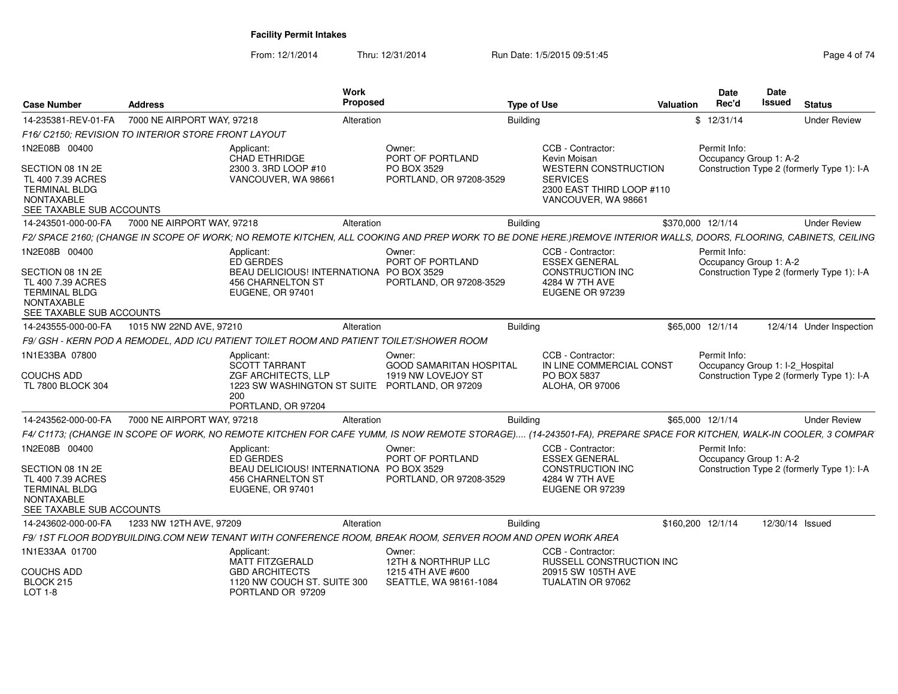| Case Number                                                                                                                     | <b>Address</b>                                                                           |                                                                                                                            | Work<br>Proposed |                                                                                                                                                                   | <b>Type of Use</b> |                                                                                                                                         | Valuation | Date<br>Rec'd                          | <b>Date</b><br>Issued | <b>Status</b>                              |
|---------------------------------------------------------------------------------------------------------------------------------|------------------------------------------------------------------------------------------|----------------------------------------------------------------------------------------------------------------------------|------------------|-------------------------------------------------------------------------------------------------------------------------------------------------------------------|--------------------|-----------------------------------------------------------------------------------------------------------------------------------------|-----------|----------------------------------------|-----------------------|--------------------------------------------|
| 14-235381-REV-01-FA                                                                                                             | 7000 NE AIRPORT WAY, 97218                                                               |                                                                                                                            | Alteration       |                                                                                                                                                                   | <b>Building</b>    |                                                                                                                                         |           | \$12/31/14                             |                       | <b>Under Review</b>                        |
|                                                                                                                                 | F16/ C2150; REVISION TO INTERIOR STORE FRONT LAYOUT                                      |                                                                                                                            |                  |                                                                                                                                                                   |                    |                                                                                                                                         |           |                                        |                       |                                            |
| 1N2E08B 00400<br>SECTION 08 1N 2E<br>TL 400 7.39 ACRES<br><b>TERMINAL BLDG</b><br>NONTAXABLE<br>SEE TAXABLE SUB ACCOUNTS        |                                                                                          | Applicant:<br>CHAD ETHRIDGE<br>2300 3. 3RD LOOP #10<br>VANCOUVER, WA 98661                                                 |                  | Owner:<br>PORT OF PORTLAND<br>PO BOX 3529<br>PORTLAND, OR 97208-3529                                                                                              |                    | CCB - Contractor:<br>Kevin Moisan<br><b>WESTERN CONSTRUCTION</b><br><b>SERVICES</b><br>2300 EAST THIRD LOOP #110<br>VANCOUVER, WA 98661 |           | Permit Info:<br>Occupancy Group 1: A-2 |                       | Construction Type 2 (formerly Type 1): I-A |
| 14-243501-000-00-FA                                                                                                             | 7000 NE AIRPORT WAY, 97218                                                               |                                                                                                                            | Alteration       |                                                                                                                                                                   | <b>Building</b>    |                                                                                                                                         |           | \$370,000 12/1/14                      |                       | <b>Under Review</b>                        |
|                                                                                                                                 |                                                                                          |                                                                                                                            |                  | F2/ SPACE 2160; (CHANGE IN SCOPE OF WORK; NO REMOTE KITCHEN, ALL COOKING AND PREP WORK TO BE DONE HERE.)REMOVE INTERIOR WALLS, DOORS, FLOORING, CABINETS, CEILING |                    |                                                                                                                                         |           |                                        |                       |                                            |
| 1N2E08B 00400<br>SECTION 08 1N 2E<br>TL 400 7.39 ACRES<br><b>TERMINAL BLDG</b><br>NONTAXABLE<br>SEE TAXABLE SUB ACCOUNTS        |                                                                                          | Applicant:<br>ED GERDES<br>BEAU DELICIOUS! INTERNATIONA PO BOX 3529<br><b>456 CHARNELTON ST</b><br><b>EUGENE, OR 97401</b> |                  | Owner:<br>PORT OF PORTLAND<br>PORTLAND, OR 97208-3529                                                                                                             |                    | CCB - Contractor:<br><b>ESSEX GENERAL</b><br><b>CONSTRUCTION INC</b><br>4284 W 7TH AVE<br>EUGENE OR 97239                               |           | Permit Info:<br>Occupancy Group 1: A-2 |                       | Construction Type 2 (formerly Type 1): I-A |
| 14-243555-000-00-FA                                                                                                             | 1015 NW 22ND AVE, 97210                                                                  |                                                                                                                            | Alteration       |                                                                                                                                                                   | Building           |                                                                                                                                         |           | \$65,000 12/1/14                       |                       | 12/4/14 Under Inspection                   |
|                                                                                                                                 | F9/ GSH - KERN POD A REMODEL, ADD ICU PATIENT TOILET ROOM AND PATIENT TOILET/SHOWER ROOM |                                                                                                                            |                  |                                                                                                                                                                   |                    |                                                                                                                                         |           |                                        |                       |                                            |
| 1N1E33BA 07800                                                                                                                  |                                                                                          | Applicant:                                                                                                                 |                  | Owner:                                                                                                                                                            |                    | CCB - Contractor:                                                                                                                       |           | Permit Info:                           |                       |                                            |
| <b>COUCHS ADD</b><br>TL 7800 BLOCK 304                                                                                          |                                                                                          | <b>SCOTT TARRANT</b><br>ZGF ARCHITECTS, LLP<br>1223 SW WASHINGTON ST SUITE PORTLAND, OR 97209<br>200<br>PORTLAND, OR 97204 |                  | <b>GOOD SAMARITAN HOSPITAL</b><br>1919 NW LOVEJOY ST                                                                                                              |                    | IN LINE COMMERCIAL CONST<br>PO BOX 5837<br><b>ALOHA, OR 97006</b>                                                                       |           | Occupancy Group 1: I-2_Hospital        |                       | Construction Type 2 (formerly Type 1): I-A |
| 14-243562-000-00-FA                                                                                                             | 7000 NE AIRPORT WAY, 97218                                                               |                                                                                                                            | Alteration       |                                                                                                                                                                   | <b>Building</b>    |                                                                                                                                         |           | \$65,000 12/1/14                       |                       | <b>Under Review</b>                        |
|                                                                                                                                 |                                                                                          |                                                                                                                            |                  | F4/ C1173; (CHANGE IN SCOPE OF WORK, NO REMOTE KITCHEN FOR CAFE YUMM, IS NOW REMOTE STORAGE) (14-243501-FA), PREPARE SPACE FOR KITCHEN, WALK-IN COOLER, 3 COMPAR  |                    |                                                                                                                                         |           |                                        |                       |                                            |
| 1N2E08B 00400<br>SECTION 08 1N 2E<br>TL 400 7.39 ACRES<br><b>TERMINAL BLDG</b><br><b>NONTAXABLE</b><br>SEE TAXABLE SUB ACCOUNTS |                                                                                          | Applicant:<br>ED GERDES<br>BEAU DELICIOUS! INTERNATIONA PO BOX 3529<br>456 CHARNELTON ST<br>EUGENE, OR 97401               |                  | Owner:<br>PORT OF PORTLAND<br>PORTLAND, OR 97208-3529                                                                                                             |                    | CCB - Contractor:<br><b>ESSEX GENERAL</b><br><b>CONSTRUCTION INC</b><br>4284 W 7TH AVE<br>EUGENE OR 97239                               |           | Permit Info:<br>Occupancy Group 1: A-2 |                       | Construction Type 2 (formerly Type 1): I-A |
| 14-243602-000-00-FA                                                                                                             | 1233 NW 12TH AVE, 97209                                                                  |                                                                                                                            | Alteration       |                                                                                                                                                                   | <b>Building</b>    |                                                                                                                                         |           | \$160,200 12/1/14                      |                       | 12/30/14 Issued                            |
|                                                                                                                                 |                                                                                          |                                                                                                                            |                  | F9/1ST FLOOR BODYBUILDING.COM NEW TENANT WITH CONFERENCE ROOM, BREAK ROOM, SERVER ROOM AND OPEN WORK AREA                                                         |                    |                                                                                                                                         |           |                                        |                       |                                            |
| 1N1E33AA 01700                                                                                                                  |                                                                                          | Applicant:                                                                                                                 |                  | Owner:                                                                                                                                                            |                    | CCB - Contractor:                                                                                                                       |           |                                        |                       |                                            |
| <b>COUCHS ADD</b><br>BLOCK 215<br>LOT 1-8                                                                                       |                                                                                          | MATT FITZGERALD<br><b>GBD ARCHITECTS</b><br>1120 NW COUCH ST. SUITE 300<br>PORTLAND OR 97209                               |                  | 12TH & NORTHRUP LLC<br>1215 4TH AVE #600<br>SEATTLE, WA 98161-1084                                                                                                |                    | <b>RUSSELL CONSTRUCTION INC</b><br>20915 SW 105TH AVE<br>TUALATIN OR 97062                                                              |           |                                        |                       |                                            |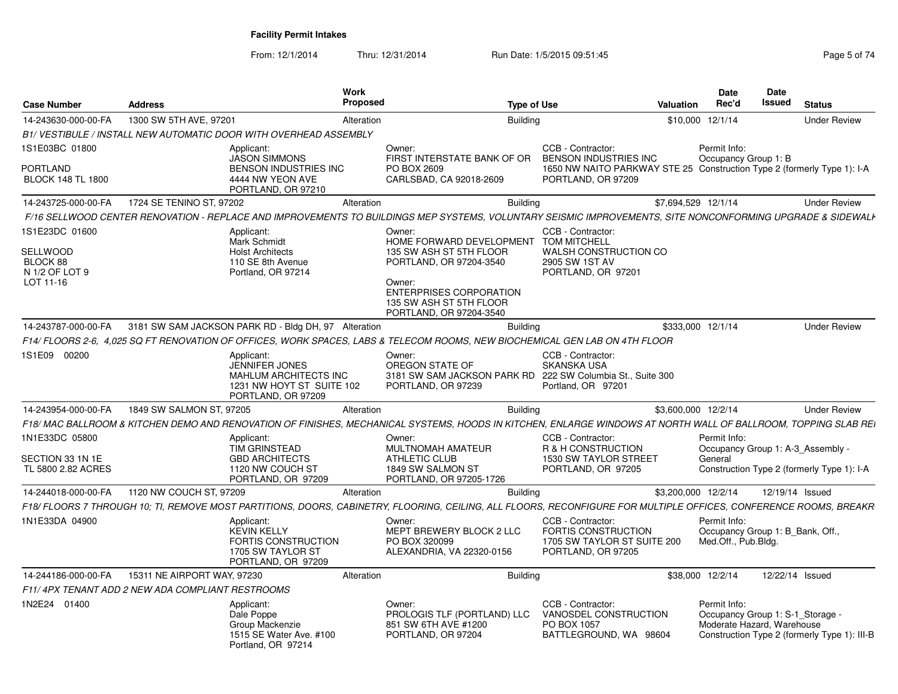| <b>Case Number</b>                                                    | <b>Address</b>                                   |                                                                                                          | <b>Work</b><br>Proposed |                                                                                                                                                                                                         | <b>Type of Use</b> |                                                                                                                                                    | Valuation           | Date<br>Rec'd                                                                                                                | <b>Date</b><br><b>Issued</b> | <b>Status</b>       |  |
|-----------------------------------------------------------------------|--------------------------------------------------|----------------------------------------------------------------------------------------------------------|-------------------------|---------------------------------------------------------------------------------------------------------------------------------------------------------------------------------------------------------|--------------------|----------------------------------------------------------------------------------------------------------------------------------------------------|---------------------|------------------------------------------------------------------------------------------------------------------------------|------------------------------|---------------------|--|
| 14-243630-000-00-FA                                                   | 1300 SW 5TH AVE, 97201                           |                                                                                                          | Alteration              | <b>Building</b>                                                                                                                                                                                         |                    |                                                                                                                                                    |                     | \$10,000 12/1/14                                                                                                             |                              | <b>Under Review</b> |  |
|                                                                       |                                                  | B1/VESTIBULE / INSTALL NEW AUTOMATIC DOOR WITH OVERHEAD ASSEMBLY                                         |                         |                                                                                                                                                                                                         |                    |                                                                                                                                                    |                     |                                                                                                                              |                              |                     |  |
| 1S1E03BC 01800<br><b>PORTLAND</b><br><b>BLOCK 148 TL 1800</b>         |                                                  | Applicant:<br><b>JASON SIMMONS</b><br>BENSON INDUSTRIES INC<br>4444 NW YEON AVE                          |                         | Owner:<br>FIRST INTERSTATE BANK OF OR<br>PO BOX 2609<br>CARLSBAD, CA 92018-2609                                                                                                                         |                    | CCB - Contractor:<br><b>BENSON INDUSTRIES INC</b><br>1650 NW NAITO PARKWAY STE 25 Construction Type 2 (formerly Type 1): I-A<br>PORTLAND, OR 97209 |                     | Permit Info:<br>Occupancy Group 1: B                                                                                         |                              |                     |  |
|                                                                       | 1724 SE TENINO ST, 97202                         | PORTLAND, OR 97210                                                                                       | Alteration              | <b>Building</b>                                                                                                                                                                                         |                    |                                                                                                                                                    | \$7,694,529 12/1/14 |                                                                                                                              |                              | <b>Under Review</b> |  |
| 14-243725-000-00-FA                                                   |                                                  |                                                                                                          |                         |                                                                                                                                                                                                         |                    |                                                                                                                                                    |                     |                                                                                                                              |                              |                     |  |
|                                                                       |                                                  |                                                                                                          |                         | F/16 SELLWOOD CENTER RENOVATION - REPLACE AND IMPROVEMENTS TO BUILDINGS MEP SYSTEMS. VOLUNTARY SEISMIC IMPROVEMENTS. SITE NONCONFORMING UPGRADE & SIDEWALI                                              |                    |                                                                                                                                                    |                     |                                                                                                                              |                              |                     |  |
| 1S1E23DC 01600<br>SELLWOOD<br>BLOCK 88<br>N 1/2 OF LOT 9<br>LOT 11-16 |                                                  | Applicant:<br><b>Mark Schmidt</b><br><b>Holst Architects</b><br>110 SE 8th Avenue<br>Portland, OR 97214  |                         | Owner:<br>HOME FORWARD DEVELOPMENT TOM MITCHELL<br>135 SW ASH ST 5TH FLOOR<br>PORTLAND, OR 97204-3540<br>Owner:<br><b>ENTERPRISES CORPORATION</b><br>135 SW ASH ST 5TH FLOOR<br>PORTLAND, OR 97204-3540 |                    | CCB - Contractor:<br>WALSH CONSTRUCTION CO<br>2905 SW 1ST AV<br>PORTLAND, OR 97201                                                                 |                     |                                                                                                                              |                              |                     |  |
| 14-243787-000-00-FA                                                   |                                                  | 3181 SW SAM JACKSON PARK RD - Bldg DH, 97 Alteration                                                     |                         | <b>Building</b>                                                                                                                                                                                         |                    |                                                                                                                                                    | \$333,000 12/1/14   |                                                                                                                              |                              | <b>Under Review</b> |  |
|                                                                       |                                                  |                                                                                                          |                         | F14/ FLOORS 2-6, 4.025 SQ FT RENOVATION OF OFFICES, WORK SPACES, LABS & TELECOM ROOMS, NEW BIOCHEMICAL GEN LAB ON 4TH FLOOR                                                                             |                    |                                                                                                                                                    |                     |                                                                                                                              |                              |                     |  |
| 1S1E09 00200                                                          |                                                  | Applicant:<br>JENNIFER JONES<br>MAHLUM ARCHITECTS INC<br>1231 NW HOYT ST SUITE 102<br>PORTLAND, OR 97209 |                         | Owner:<br>OREGON STATE OF<br>3181 SW SAM JACKSON PARK RD<br>PORTLAND, OR 97239                                                                                                                          |                    | CCB - Contractor:<br>SKANSKA USA<br>222 SW Columbia St., Suite 300<br>Portland, OR 97201                                                           |                     |                                                                                                                              |                              |                     |  |
| 14-243954-000-00-FA                                                   | 1849 SW SALMON ST, 97205                         |                                                                                                          | Alteration              | <b>Building</b>                                                                                                                                                                                         |                    |                                                                                                                                                    | \$3,600,000 12/2/14 |                                                                                                                              |                              | <b>Under Review</b> |  |
|                                                                       |                                                  |                                                                                                          |                         | F18/ MAC BALLROOM & KITCHEN DEMO AND RENOVATION OF FINISHES, MECHANICAL SYSTEMS, HOODS IN KITCHEN, ENLARGE WINDOWS AT NORTH WALL OF BALLROOM, TOPPING SLAB REI                                          |                    |                                                                                                                                                    |                     |                                                                                                                              |                              |                     |  |
| 1N1E33DC 05800                                                        |                                                  | Applicant:<br><b>TIM GRINSTEAD</b>                                                                       |                         | Owner:<br>MULTNOMAH AMATEUR                                                                                                                                                                             |                    | CCB - Contractor:<br>R & H CONSTRUCTION                                                                                                            |                     | Permit Info:<br>Occupancy Group 1: A-3 Assembly -                                                                            |                              |                     |  |
| SECTION 33 1N 1E<br>TL 5800 2.82 ACRES                                |                                                  | <b>GBD ARCHITECTS</b><br>1120 NW COUCH ST<br>PORTLAND, OR 97209                                          |                         | <b>ATHLETIC CLUB</b><br>1849 SW SALMON ST<br>PORTLAND, OR 97205-1726                                                                                                                                    |                    | <b>1530 SW TAYLOR STREET</b><br>PORTLAND, OR 97205                                                                                                 |                     | General<br>Construction Type 2 (formerly Type 1): I-A                                                                        |                              |                     |  |
| 14-244018-000-00-FA                                                   | 1120 NW COUCH ST, 97209                          |                                                                                                          | Alteration              | <b>Building</b>                                                                                                                                                                                         |                    |                                                                                                                                                    | \$3,200,000 12/2/14 |                                                                                                                              | 12/19/14 Issued              |                     |  |
|                                                                       |                                                  |                                                                                                          |                         | F18/FLOORS 7 THROUGH 10: TI, REMOVE MOST PARTITIONS, DOORS, CABINETRY, FLOORING, CEILING, ALL FLOORS, RECONFIGURE FOR MULTIPLE OFFICES, CONFERENCE ROOMS, BREAKR                                        |                    |                                                                                                                                                    |                     |                                                                                                                              |                              |                     |  |
| 1N1E33DA 04900                                                        |                                                  | Applicant:<br><b>KEVIN KELLY</b><br>FORTIS CONSTRUCTION<br>1705 SW TAYLOR ST<br>PORTLAND, OR 97209       |                         | Owner:<br>MEPT BREWERY BLOCK 2 LLC<br>PO BOX 320099<br>ALEXANDRIA, VA 22320-0156                                                                                                                        |                    | CCB - Contractor:<br><b>FORTIS CONSTRUCTION</b><br>1705 SW TAYLOR ST SUITE 200<br>PORTLAND, OR 97205                                               |                     | Permit Info:<br>Occupancy Group 1: B Bank, Off.<br>Med.Off., Pub.Bldg.                                                       |                              |                     |  |
| 14-244186-000-00-FA                                                   | 15311 NE AIRPORT WAY, 97230                      |                                                                                                          | Alteration              | <b>Building</b>                                                                                                                                                                                         |                    |                                                                                                                                                    |                     | \$38,000 12/2/14                                                                                                             | 12/22/14 Issued              |                     |  |
|                                                                       | F11/4PX TENANT ADD 2 NEW ADA COMPLIANT RESTROOMS |                                                                                                          |                         |                                                                                                                                                                                                         |                    |                                                                                                                                                    |                     |                                                                                                                              |                              |                     |  |
| 1N2E24 01400                                                          |                                                  | Applicant:<br>Dale Poppe<br>Group Mackenzie<br>1515 SE Water Ave. #100<br>Portland, OR 97214             |                         | Owner:<br>PROLOGIS TLF (PORTLAND) LLC<br>851 SW 6TH AVE #1200<br>PORTLAND, OR 97204                                                                                                                     |                    | CCB - Contractor:<br>VANOSDEL CONSTRUCTION<br>PO BOX 1057<br>BATTLEGROUND, WA 98604                                                                |                     | Permit Info:<br>Occupancy Group 1: S-1 Storage<br>Moderate Hazard, Warehouse<br>Construction Type 2 (formerly Type 1): III-B |                              |                     |  |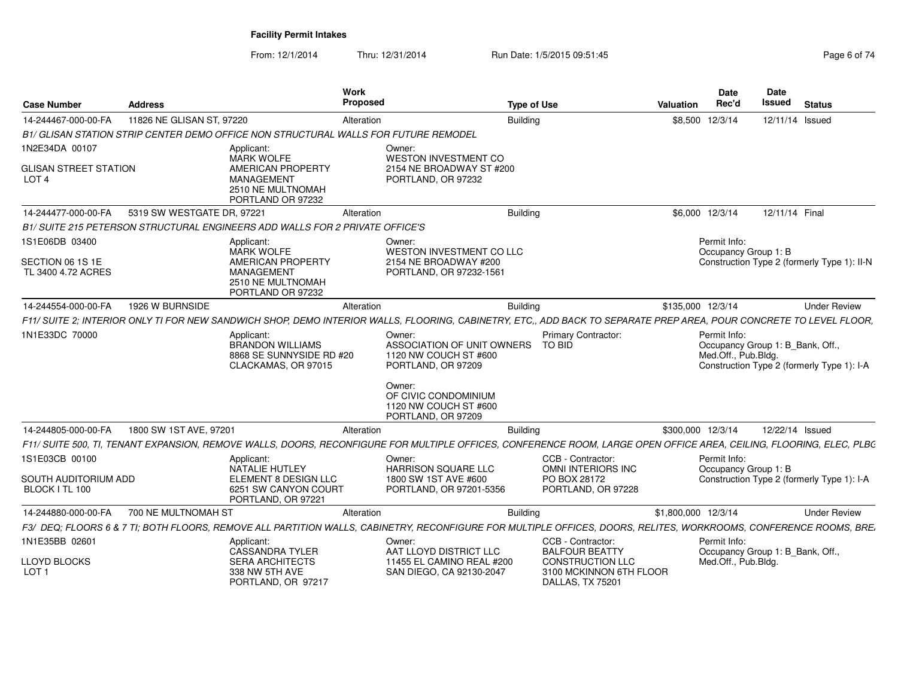| <b>Case Number</b>                               | <b>Address</b>             |                                                                                                              | Work<br>Proposed |                                                                                                                                                                     | <b>Type of Use</b>                                                                              | <b>Valuation</b>    | <b>Date</b><br>Rec'd                                                    | Date<br><b>Issued</b> | <b>Status</b>                               |
|--------------------------------------------------|----------------------------|--------------------------------------------------------------------------------------------------------------|------------------|---------------------------------------------------------------------------------------------------------------------------------------------------------------------|-------------------------------------------------------------------------------------------------|---------------------|-------------------------------------------------------------------------|-----------------------|---------------------------------------------|
| 14-244467-000-00-FA                              | 11826 NE GLISAN ST, 97220  |                                                                                                              | Alteration       | <b>Building</b>                                                                                                                                                     |                                                                                                 |                     | \$8,500 12/3/14                                                         | 12/11/14 Issued       |                                             |
|                                                  |                            | B1/ GLISAN STATION STRIP CENTER DEMO OFFICE NON STRUCTURAL WALLS FOR FUTURE REMODEL                          |                  |                                                                                                                                                                     |                                                                                                 |                     |                                                                         |                       |                                             |
| 1N2E34DA 00107                                   |                            | Applicant:                                                                                                   |                  | Owner:                                                                                                                                                              |                                                                                                 |                     |                                                                         |                       |                                             |
| <b>GLISAN STREET STATION</b><br>LOT <sub>4</sub> |                            | <b>MARK WOLFE</b><br><b>AMERICAN PROPERTY</b><br><b>MANAGEMENT</b><br>2510 NE MULTNOMAH<br>PORTLAND OR 97232 |                  | <b>WESTON INVESTMENT CO</b><br>2154 NE BROADWAY ST #200<br>PORTLAND, OR 97232                                                                                       |                                                                                                 |                     |                                                                         |                       |                                             |
| 14-244477-000-00-FA                              | 5319 SW WESTGATE DR, 97221 |                                                                                                              | Alteration       | <b>Building</b>                                                                                                                                                     |                                                                                                 |                     | \$6,000 12/3/14                                                         | 12/11/14 Final        |                                             |
|                                                  |                            | B1/ SUITE 215 PETERSON STRUCTURAL ENGINEERS ADD WALLS FOR 2 PRIVATE OFFICE'S                                 |                  |                                                                                                                                                                     |                                                                                                 |                     |                                                                         |                       |                                             |
| 1S1E06DB 03400                                   |                            | Applicant:                                                                                                   |                  | Owner:                                                                                                                                                              |                                                                                                 |                     | Permit Info:                                                            |                       |                                             |
| SECTION 06 1S 1E<br>TL 3400 4.72 ACRES           |                            | <b>MARK WOLFE</b><br><b>AMERICAN PROPERTY</b><br><b>MANAGEMENT</b><br>2510 NE MULTNOMAH<br>PORTLAND OR 97232 |                  | WESTON INVESTMENT CO LLC<br>2154 NE BROADWAY #200<br>PORTLAND, OR 97232-1561                                                                                        |                                                                                                 |                     | Occupancy Group 1: B                                                    |                       | Construction Type 2 (formerly Type 1): II-N |
| 14-244554-000-00-FA                              | 1926 W BURNSIDE            |                                                                                                              | Alteration       | <b>Building</b>                                                                                                                                                     |                                                                                                 | \$135,000 12/3/14   |                                                                         |                       | <b>Under Review</b>                         |
|                                                  |                            |                                                                                                              |                  | F11/ SUITE 2: INTERIOR ONLY TI FOR NEW SANDWICH SHOP, DEMO INTERIOR WALLS, FLOORING, CABINETRY, ETC., ADD BACK TO SEPARATE PREP AREA, POUR CONCRETE TO LEVEL FLOOR, |                                                                                                 |                     |                                                                         |                       |                                             |
| 1N1E33DC 70000                                   |                            | Applicant:<br><b>BRANDON WILLIAMS</b><br>8868 SE SUNNYSIDE RD #20<br>CLACKAMAS, OR 97015                     |                  | Owner:<br>ASSOCIATION OF UNIT OWNERS<br>1120 NW COUCH ST #600<br>PORTLAND, OR 97209                                                                                 | <b>Primary Contractor:</b><br><b>TO BID</b>                                                     |                     | Permit Info:<br>Occupancy Group 1: B_Bank, Off.,<br>Med.Off., Pub.Bldg. |                       | Construction Type 2 (formerly Type 1): I-A  |
|                                                  |                            |                                                                                                              |                  | Owner:<br>OF CIVIC CONDOMINIUM<br>1120 NW COUCH ST #600<br>PORTLAND, OR 97209                                                                                       |                                                                                                 |                     |                                                                         |                       |                                             |
| 14-244805-000-00-FA                              | 1800 SW 1ST AVE, 97201     |                                                                                                              | Alteration       | <b>Building</b>                                                                                                                                                     |                                                                                                 | \$300,000 12/3/14   |                                                                         | 12/22/14 Issued       |                                             |
|                                                  |                            |                                                                                                              |                  | F11/ SUITE 500, TI, TENANT EXPANSION, REMOVE WALLS, DOORS, RECONFIGURE FOR MULTIPLE OFFICES, CONFERENCE ROOM, LARGE OPEN OFFICE AREA, CEILING, FLOORING, ELEC, PLBC |                                                                                                 |                     |                                                                         |                       |                                             |
| 1S1E03CB 00100                                   |                            | Applicant:                                                                                                   |                  | Owner:                                                                                                                                                              | CCB - Contractor:                                                                               |                     | Permit Info:                                                            |                       |                                             |
| SOUTH AUDITORIUM ADD<br>BLOCK I TL 100           |                            | NATALIE HUTLEY<br>ELEMENT 8 DESIGN LLC<br>6251 SW CANYON COURT<br>PORTLAND, OR 97221                         |                  | <b>HARRISON SQUARE LLC</b><br>1800 SW 1ST AVE #600<br>PORTLAND, OR 97201-5356                                                                                       | OMNI INTERIORS INC<br>PO BOX 28172<br>PORTLAND, OR 97228                                        |                     | Occupancy Group 1: B                                                    |                       | Construction Type 2 (formerly Type 1): I-A  |
| 14-244880-000-00-FA                              | 700 NE MULTNOMAH ST        |                                                                                                              | Alteration       | Building                                                                                                                                                            |                                                                                                 | \$1,800,000 12/3/14 |                                                                         |                       | <b>Under Review</b>                         |
|                                                  |                            |                                                                                                              |                  | F3/ DEQ; FLOORS 6 & 7 TI; BOTH FLOORS, REMOVE ALL PARTITION WALLS, CABINETRY, RECONFIGURE FOR MULTIPLE OFFICES, DOORS, RELITES, WORKROOMS, CONFERENCE ROOMS, BRE.   |                                                                                                 |                     |                                                                         |                       |                                             |
| 1N1E35BB 02601                                   |                            | Applicant:                                                                                                   |                  | Owner:                                                                                                                                                              | CCB - Contractor:                                                                               |                     | Permit Info:                                                            |                       |                                             |
| <b>LLOYD BLOCKS</b><br>LOT <sub>1</sub>          |                            | <b>CASSANDRA TYLER</b><br><b>SERA ARCHITECTS</b><br>338 NW 5TH AVE<br>PORTLAND, OR 97217                     |                  | AAT LLOYD DISTRICT LLC<br>11455 EL CAMINO REAL #200<br>SAN DIEGO, CA 92130-2047                                                                                     | <b>BALFOUR BEATTY</b><br><b>CONSTRUCTION LLC</b><br>3100 MCKINNON 6TH FLOOR<br>DALLAS, TX 75201 |                     | Occupancy Group 1: B_Bank, Off.,<br>Med.Off., Pub.Bldg.                 |                       |                                             |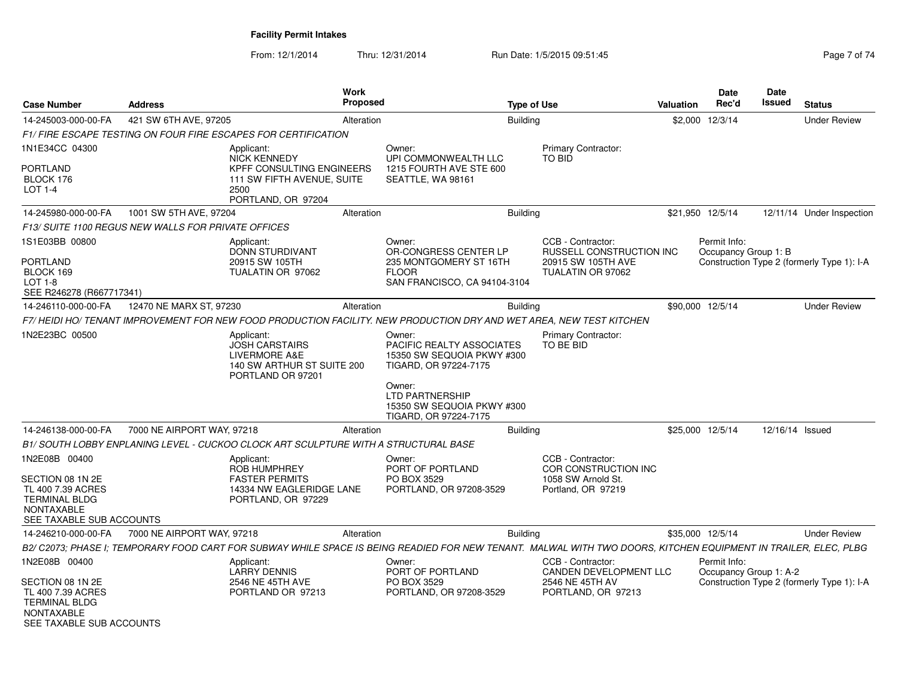| <b>Case Number</b>                                                                                             | <b>Address</b>                                                                      |                                                                                                         | <b>Work</b><br><b>Proposed</b> |                                                                                                                                                                 | <b>Type of Use</b> |                                               | Valuation | Date<br>Rec'd                          | <b>Date</b><br><b>Issued</b> | <b>Status</b>                              |
|----------------------------------------------------------------------------------------------------------------|-------------------------------------------------------------------------------------|---------------------------------------------------------------------------------------------------------|--------------------------------|-----------------------------------------------------------------------------------------------------------------------------------------------------------------|--------------------|-----------------------------------------------|-----------|----------------------------------------|------------------------------|--------------------------------------------|
| 14-245003-000-00-FA                                                                                            | 421 SW 6TH AVE, 97205                                                               |                                                                                                         | Alteration                     |                                                                                                                                                                 | <b>Building</b>    |                                               |           | \$2,000 12/3/14                        |                              | <b>Under Review</b>                        |
|                                                                                                                | F1/FIRE ESCAPE TESTING ON FOUR FIRE ESCAPES FOR CERTIFICATION                       |                                                                                                         |                                |                                                                                                                                                                 |                    |                                               |           |                                        |                              |                                            |
| 1N1E34CC 04300                                                                                                 |                                                                                     | Applicant:<br><b>NICK KENNEDY</b>                                                                       |                                | Owner:<br>UPI COMMONWEALTH LLC                                                                                                                                  |                    | Primary Contractor:<br><b>TO BID</b>          |           |                                        |                              |                                            |
| <b>PORTLAND</b><br>BLOCK 176<br>$LOT 1-4$                                                                      |                                                                                     | <b>KPFF CONSULTING ENGINEERS</b><br>111 SW FIFTH AVENUE, SUITE<br>2500<br>PORTLAND, OR 97204            |                                | 1215 FOURTH AVE STE 600<br>SEATTLE, WA 98161                                                                                                                    |                    |                                               |           |                                        |                              |                                            |
| 14-245980-000-00-FA                                                                                            | 1001 SW 5TH AVE, 97204                                                              |                                                                                                         | Alteration                     |                                                                                                                                                                 | Building           |                                               |           | \$21,950 12/5/14                       |                              | 12/11/14 Under Inspection                  |
|                                                                                                                | F13/ SUITE 1100 REGUS NEW WALLS FOR PRIVATE OFFICES                                 |                                                                                                         |                                |                                                                                                                                                                 |                    |                                               |           |                                        |                              |                                            |
| 1S1E03BB 00800                                                                                                 |                                                                                     | Applicant:<br><b>DONN STURDIVANT</b>                                                                    |                                | Owner:<br>OR-CONGRESS CENTER LP                                                                                                                                 |                    | CCB - Contractor:<br>RUSSELL CONSTRUCTION INC |           | Permit Info:<br>Occupancy Group 1: B   |                              |                                            |
| <b>PORTLAND</b><br>BLOCK 169<br><b>LOT 1-8</b><br>SEE R246278 (R667717341)                                     |                                                                                     | 20915 SW 105TH<br>TUALATIN OR 97062                                                                     |                                | 235 MONTGOMERY ST 16TH<br><b>FLOOR</b><br>SAN FRANCISCO, CA 94104-3104                                                                                          |                    | 20915 SW 105TH AVE<br>TUALATIN OR 97062       |           |                                        |                              | Construction Type 2 (formerly Type 1): I-A |
| 14-246110-000-00-FA                                                                                            | 12470 NE MARX ST, 97230                                                             |                                                                                                         | Alteration                     |                                                                                                                                                                 | <b>Building</b>    |                                               |           | \$90,000 12/5/14                       |                              | <b>Under Review</b>                        |
|                                                                                                                |                                                                                     |                                                                                                         |                                | F7/HEIDI HO/TENANT IMPROVEMENT FOR NEW FOOD PRODUCTION FACILITY. NEW PRODUCTION DRY AND WET AREA, NEW TEST KITCHEN                                              |                    |                                               |           |                                        |                              |                                            |
| 1N2E23BC 00500                                                                                                 |                                                                                     | Applicant:<br><b>JOSH CARSTAIRS</b><br>LIVERMORE A&E<br>140 SW ARTHUR ST SUITE 200<br>PORTLAND OR 97201 |                                | Owner:<br>PACIFIC REALTY ASSOCIATES<br>15350 SW SEQUOIA PKWY #300<br>TIGARD, OR 97224-7175                                                                      |                    | Primary Contractor:<br>TO BE BID              |           |                                        |                              |                                            |
|                                                                                                                |                                                                                     |                                                                                                         |                                | Owner:<br><b>LTD PARTNERSHIP</b><br>15350 SW SEQUOIA PKWY #300<br>TIGARD, OR 97224-7175                                                                         |                    |                                               |           |                                        |                              |                                            |
| 14-246138-000-00-FA                                                                                            | 7000 NE AIRPORT WAY, 97218                                                          |                                                                                                         | Alteration                     |                                                                                                                                                                 | Building           |                                               |           | \$25,000 12/5/14                       | 12/16/14 Issued              |                                            |
|                                                                                                                | B1/ SOUTH LOBBY ENPLANING LEVEL - CUCKOO CLOCK ART SCULPTURE WITH A STRUCTURAL BASE |                                                                                                         |                                |                                                                                                                                                                 |                    |                                               |           |                                        |                              |                                            |
| 1N2E08B 00400                                                                                                  |                                                                                     | Applicant:<br><b>ROB HUMPHREY</b>                                                                       |                                | Owner:<br>PORT OF PORTLAND                                                                                                                                      |                    | CCB - Contractor:<br>COR CONSTRUCTION INC     |           |                                        |                              |                                            |
| SECTION 08 1N 2E<br>TL 400 7.39 ACRES<br><b>TERMINAL BLDG</b><br><b>NONTAXABLE</b><br>SEE TAXABLE SUB ACCOUNTS |                                                                                     | <b>FASTER PERMITS</b><br>14334 NW EAGLERIDGE LANE<br>PORTLAND, OR 97229                                 |                                | PO BOX 3529<br>PORTLAND, OR 97208-3529                                                                                                                          |                    | 1058 SW Arnold St.<br>Portland, OR 97219      |           |                                        |                              |                                            |
| 14-246210-000-00-FA                                                                                            | 7000 NE AIRPORT WAY, 97218                                                          |                                                                                                         | Alteration                     |                                                                                                                                                                 | Building           |                                               |           | \$35,000 12/5/14                       |                              | <b>Under Review</b>                        |
|                                                                                                                |                                                                                     |                                                                                                         |                                | B2/ C2073; PHASE I; TEMPORARY FOOD CART FOR SUBWAY WHILE SPACE IS BEING READIED FOR NEW TENANT. MALWAL WITH TWO DOORS, KITCHEN EQUIPMENT IN TRAILER, ELEC, PLBG |                    |                                               |           |                                        |                              |                                            |
| 1N2E08B 00400                                                                                                  |                                                                                     | Applicant:<br><b>LARRY DENNIS</b>                                                                       |                                | Owner:<br>PORT OF PORTLAND                                                                                                                                      |                    | CCB - Contractor:<br>CANDEN DEVELOPMENT LLC   |           | Permit Info:<br>Occupancy Group 1: A-2 |                              |                                            |
| SECTION 08 1N 2E<br>TL 400 7.39 ACRES<br><b>TERMINAL BLDG</b><br><b>NONTAXABLE</b><br>SEE TAXABLE SUB ACCOUNTS |                                                                                     | 2546 NE 45TH AVE<br>PORTLAND OR 97213                                                                   |                                | PO BOX 3529<br>PORTLAND, OR 97208-3529                                                                                                                          |                    | 2546 NE 45TH AV<br>PORTLAND, OR 97213         |           |                                        |                              | Construction Type 2 (formerly Type 1): I-A |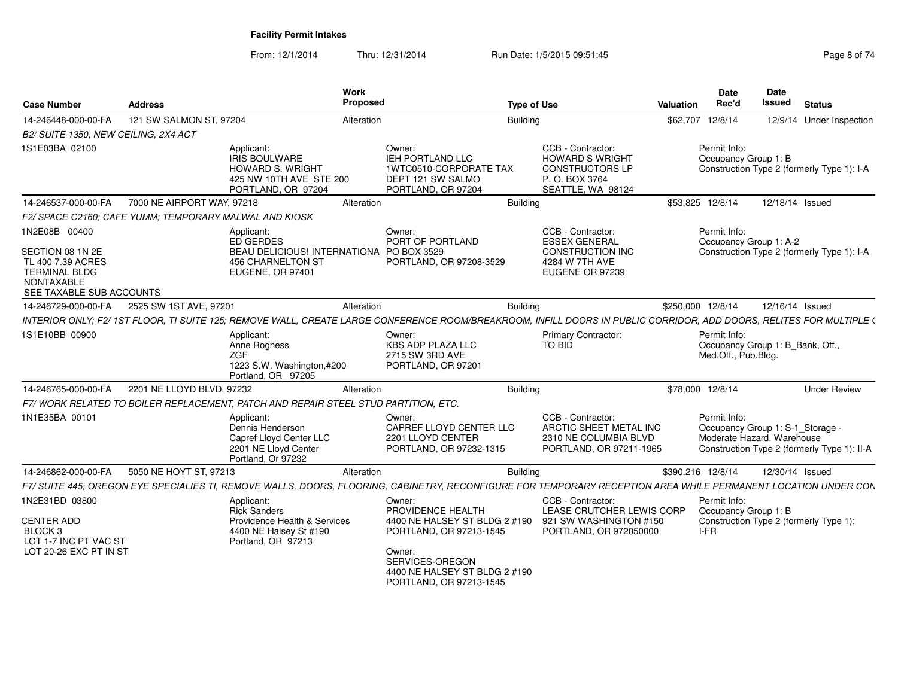| <b>Case Number</b>                                                                                                              | <b>Address</b>                                         |                                                                                                                     | Work<br>Proposed |                                                                                                                                                                    | <b>Type of Use</b>                                                                                          | Valuation | <b>Date</b><br>Rec'd                         | <b>Date</b><br><b>Issued</b><br><b>Status</b>                                                                 |                     |
|---------------------------------------------------------------------------------------------------------------------------------|--------------------------------------------------------|---------------------------------------------------------------------------------------------------------------------|------------------|--------------------------------------------------------------------------------------------------------------------------------------------------------------------|-------------------------------------------------------------------------------------------------------------|-----------|----------------------------------------------|---------------------------------------------------------------------------------------------------------------|---------------------|
| 14-246448-000-00-FA                                                                                                             | 121 SW SALMON ST, 97204                                |                                                                                                                     | Alteration       |                                                                                                                                                                    | <b>Building</b>                                                                                             | \$62,707  | 12/8/14                                      | 12/9/14 Under Inspection                                                                                      |                     |
| B2/ SUITE 1350, NEW CEILING, 2X4 ACT                                                                                            |                                                        |                                                                                                                     |                  |                                                                                                                                                                    |                                                                                                             |           |                                              |                                                                                                               |                     |
| 1S1E03BA 02100                                                                                                                  |                                                        | Applicant:<br><b>IRIS BOULWARE</b><br><b>HOWARD S. WRIGHT</b><br>425 NW 10TH AVE STE 200<br>PORTLAND, OR 97204      |                  | Owner:<br><b>IEH PORTLAND LLC</b><br>1WTC0510-CORPORATE TAX<br>DEPT 121 SW SALMO<br>PORTLAND, OR 97204                                                             | CCB - Contractor:<br><b>HOWARD S WRIGHT</b><br><b>CONSTRUCTORS LP</b><br>P.O. BOX 3764<br>SEATTLE, WA 98124 |           | Permit Info:<br>Occupancy Group 1: B         | Construction Type 2 (formerly Type 1): I-A                                                                    |                     |
| 14-246537-000-00-FA                                                                                                             | 7000 NE AIRPORT WAY, 97218                             |                                                                                                                     | Alteration       |                                                                                                                                                                    | Building                                                                                                    |           | \$53,825 12/8/14                             | 12/18/14 Issued                                                                                               |                     |
|                                                                                                                                 | F2/ SPACE C2160: CAFE YUMM: TEMPORARY MALWAL AND KIOSK |                                                                                                                     |                  |                                                                                                                                                                    |                                                                                                             |           |                                              |                                                                                                               |                     |
| 1N2E08B 00400<br>SECTION 08 1N 2E<br>TL 400 7.39 ACRES<br><b>TERMINAL BLDG</b><br><b>NONTAXABLE</b><br>SEE TAXABLE SUB ACCOUNTS |                                                        | Applicant:<br>ED GERDES<br>BEAU DELICIOUS! INTERNATIONA PO BOX 3529<br><b>456 CHARNELTON ST</b><br>EUGENE, OR 97401 |                  | Owner:<br>PORT OF PORTLAND<br>PORTLAND, OR 97208-3529                                                                                                              | CCB - Contractor:<br><b>ESSEX GENERAL</b><br><b>CONSTRUCTION INC</b><br>4284 W 7TH AVE<br>EUGENE OR 97239   |           | Permit Info:<br>Occupancy Group 1: A-2       | Construction Type 2 (formerly Type 1): I-A                                                                    |                     |
| 14-246729-000-00-FA                                                                                                             | 2525 SW 1ST AVE, 97201                                 |                                                                                                                     | Alteration       |                                                                                                                                                                    | Building                                                                                                    |           | \$250,000 12/8/14                            | 12/16/14 Issued                                                                                               |                     |
|                                                                                                                                 |                                                        |                                                                                                                     |                  | INTERIOR ONLY; F2/1ST FLOOR, TI SUITE 125; REMOVE WALL, CREATE LARGE CONFERENCE ROOM/BREAKROOM, INFILL DOORS IN PUBLIC CORRIDOR, ADD DOORS, RELITES FOR MULTIPLE ( |                                                                                                             |           |                                              |                                                                                                               |                     |
| 1S1E10BB 00900                                                                                                                  |                                                        | Applicant:<br>Anne Rogness<br>ZGF<br>1223 S.W. Washington,#200<br>Portland, OR 97205                                |                  | Owner:<br><b>KBS ADP PLAZA LLC</b><br>2715 SW 3RD AVE<br>PORTLAND, OR 97201                                                                                        | Primary Contractor:<br>TO BID                                                                               |           | Permit Info:<br>Med.Off., Pub.Bldg.          | Occupancy Group 1: B_Bank, Off.,                                                                              |                     |
| 14-246765-000-00-FA                                                                                                             | 2201 NE LLOYD BLVD, 97232                              |                                                                                                                     | Alteration       |                                                                                                                                                                    | Building                                                                                                    |           | \$78,000 12/8/14                             |                                                                                                               | <b>Under Review</b> |
|                                                                                                                                 |                                                        | F7/WORK RELATED TO BOILER REPLACEMENT. PATCH AND REPAIR STEEL STUD PARTITION. ETC.                                  |                  |                                                                                                                                                                    |                                                                                                             |           |                                              |                                                                                                               |                     |
| 1N1E35BA 00101                                                                                                                  |                                                        | Applicant:<br>Dennis Henderson<br>Capref Lloyd Center LLC<br>2201 NE Lloyd Center<br>Portland, Or 97232             |                  | Owner:<br>CAPREF LLOYD CENTER LLC<br>2201 LLOYD CENTER<br>PORTLAND, OR 97232-1315                                                                                  | CCB - Contractor:<br>ARCTIC SHEET METAL INC<br>2310 NE COLUMBIA BLVD<br>PORTLAND, OR 97211-1965             |           | Permit Info:                                 | Occupancy Group 1: S-1_Storage -<br>Moderate Hazard, Warehouse<br>Construction Type 2 (formerly Type 1): II-A |                     |
| 14-246862-000-00-FA                                                                                                             | 5050 NE HOYT ST, 97213                                 |                                                                                                                     | Alteration       |                                                                                                                                                                    | Building                                                                                                    |           | \$390.216 12/8/14                            | 12/30/14 Issued                                                                                               |                     |
|                                                                                                                                 |                                                        |                                                                                                                     |                  | F7/ SUITE 445; OREGON EYE SPECIALIES TI, REMOVE WALLS, DOORS, FLOORING, CABINETRY, RECONFIGURE FOR TEMPORARY RECEPTION AREA WHILE PERMANENT LOCATION UNDER CON     |                                                                                                             |           |                                              |                                                                                                               |                     |
| 1N2E31BD 03800<br><b>CENTER ADD</b><br>BLOCK 3<br>LOT 1-7 INC PT VAC ST                                                         |                                                        | Applicant:<br><b>Rick Sanders</b><br>Providence Health & Services<br>4400 NE Halsey St #190<br>Portland, OR 97213   |                  | Owner:<br>PROVIDENCE HEALTH<br>4400 NE HALSEY ST BLDG 2 #190<br>PORTLAND, OR 97213-1545                                                                            | CCB - Contractor:<br>LEASE CRUTCHER LEWIS CORP<br>921 SW WASHINGTON #150<br>PORTLAND, OR 972050000          |           | Permit Info:<br>Occupancy Group 1: B<br>I-FR | Construction Type 2 (formerly Type 1):                                                                        |                     |
| LOT 20-26 EXC PT IN ST                                                                                                          |                                                        |                                                                                                                     |                  | Owner:<br>SERVICES-OREGON<br>4400 NE HALSEY ST BLDG 2 #190<br>PORTLAND, OR 97213-1545                                                                              |                                                                                                             |           |                                              |                                                                                                               |                     |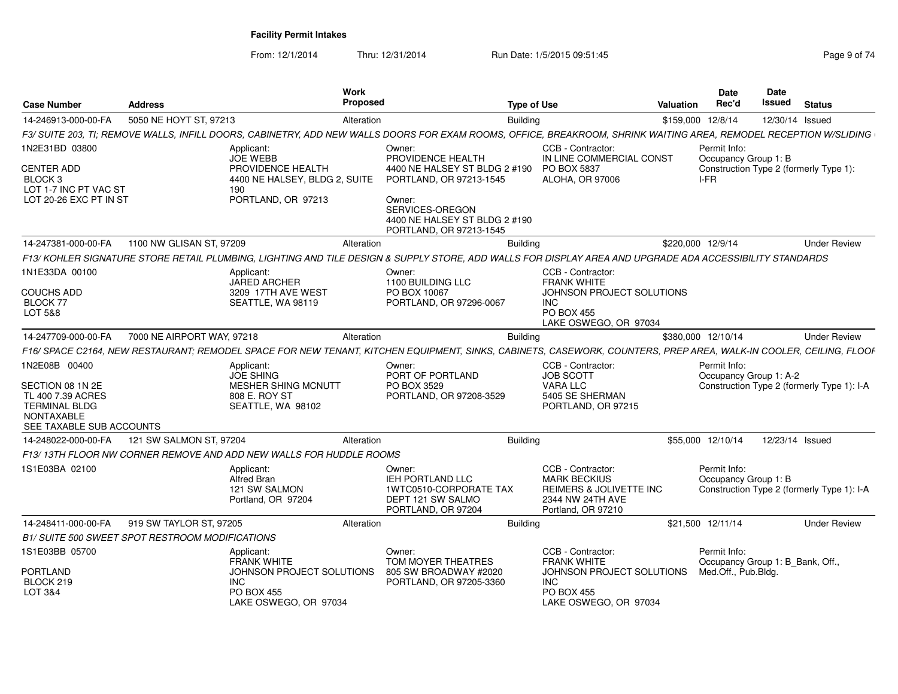| <b>Case Number</b>                                               | <b>Address</b>                                         | Work<br>Proposed                                                                                                                                                  |                                                                                       | Type of Use                                    | Valuation         | Date<br>Rec'd                                    | <b>Date</b><br>Issued | <b>Status</b>                              |
|------------------------------------------------------------------|--------------------------------------------------------|-------------------------------------------------------------------------------------------------------------------------------------------------------------------|---------------------------------------------------------------------------------------|------------------------------------------------|-------------------|--------------------------------------------------|-----------------------|--------------------------------------------|
| 14-246913-000-00-FA                                              | 5050 NE HOYT ST, 97213                                 | Alteration                                                                                                                                                        | <b>Building</b>                                                                       |                                                | \$159,000 12/8/14 |                                                  | 12/30/14 Issued       |                                            |
|                                                                  |                                                        | F3/ SUITE 203, TI; REMOVE WALLS, INFILL DOORS, CABINETRY, ADD NEW WALLS DOORS FOR EXAM ROOMS, OFFICE, BREAKROOM, SHRINK WAITING AREA, REMODEL RECEPTION W/SLIDING |                                                                                       |                                                |                   |                                                  |                       |                                            |
| 1N2E31BD 03800                                                   |                                                        | Applicant:<br><b>JOE WEBB</b>                                                                                                                                     | Owner:<br>PROVIDENCE HEALTH                                                           | CCB - Contractor:<br>IN LINE COMMERCIAL CONST  |                   | Permit Info:<br>Occupancy Group 1: B             |                       |                                            |
| <b>CENTER ADD</b><br>BLOCK <sub>3</sub><br>LOT 1-7 INC PT VAC ST |                                                        | PROVIDENCE HEALTH<br>4400 NE HALSEY, BLDG 2, SUITE<br>190                                                                                                         | 4400 NE HALSEY ST BLDG 2 #190<br>PORTLAND, OR 97213-1545                              | PO BOX 5837<br><b>ALOHA, OR 97006</b>          |                   | I-FR                                             |                       | Construction Type 2 (formerly Type 1):     |
| LOT 20-26 EXC PT IN ST                                           |                                                        | PORTLAND, OR 97213                                                                                                                                                | Owner:<br>SERVICES-OREGON<br>4400 NE HALSEY ST BLDG 2 #190<br>PORTLAND, OR 97213-1545 |                                                |                   |                                                  |                       |                                            |
| 14-247381-000-00-FA                                              | 1100 NW GLISAN ST, 97209                               | Alteration                                                                                                                                                        |                                                                                       | <b>Building</b>                                | \$220,000 12/9/14 |                                                  |                       | <b>Under Review</b>                        |
|                                                                  |                                                        | F13/KOHLER SIGNATURE STORE RETAIL PLUMBING, LIGHTING AND TILE DESIGN & SUPPLY STORE, ADD WALLS FOR DISPLAY AREA AND UPGRADE ADA ACCESSIBILITY STANDARDS           |                                                                                       |                                                |                   |                                                  |                       |                                            |
| 1N1E33DA 00100                                                   |                                                        | Applicant:<br><b>JARED ARCHER</b>                                                                                                                                 | Owner:<br>1100 BUILDING LLC                                                           | CCB - Contractor:<br><b>FRANK WHITE</b>        |                   |                                                  |                       |                                            |
| <b>COUCHS ADD</b>                                                |                                                        | 3209 17TH AVE WEST                                                                                                                                                | PO BOX 10067                                                                          | JOHNSON PROJECT SOLUTIONS                      |                   |                                                  |                       |                                            |
| BLOCK 77<br>LOT 5&8                                              |                                                        | SEATTLE, WA 98119                                                                                                                                                 | PORTLAND, OR 97296-0067                                                               | <b>INC</b><br><b>PO BOX 455</b>                |                   |                                                  |                       |                                            |
|                                                                  |                                                        |                                                                                                                                                                   |                                                                                       | LAKE OSWEGO, OR 97034                          |                   |                                                  |                       |                                            |
| 14-247709-000-00-FA                                              | 7000 NE AIRPORT WAY, 97218                             | Alteration                                                                                                                                                        | Building                                                                              |                                                |                   | \$380,000 12/10/14                               |                       | <b>Under Review</b>                        |
|                                                                  |                                                        | F16/ SPACE C2164, NEW RESTAURANT; REMODEL SPACE FOR NEW TENANT, KITCHEN EQUIPMENT, SINKS, CABINETS, CASEWORK, COUNTERS, PREP AREA, WALK-IN COOLER, CEILING, FLOOF |                                                                                       |                                                |                   |                                                  |                       |                                            |
| 1N2E08B 00400                                                    |                                                        | Applicant:                                                                                                                                                        | Owner:                                                                                | CCB - Contractor:                              |                   | Permit Info:                                     |                       |                                            |
| SECTION 08 1N 2E                                                 |                                                        | <b>JOE SHING</b><br><b>MESHER SHING MCNUTT</b>                                                                                                                    | PORT OF PORTLAND<br>PO BOX 3529                                                       | <b>JOB SCOTT</b><br><b>VARA LLC</b>            |                   | Occupancy Group 1: A-2                           |                       | Construction Type 2 (formerly Type 1): I-A |
| TL 400 7.39 ACRES                                                |                                                        | 808 E. ROY ST                                                                                                                                                     | PORTLAND, OR 97208-3529                                                               | 5405 SE SHERMAN                                |                   |                                                  |                       |                                            |
| <b>TERMINAL BLDG</b>                                             |                                                        | SEATTLE, WA 98102                                                                                                                                                 |                                                                                       | PORTLAND, OR 97215                             |                   |                                                  |                       |                                            |
| <b>NONTAXABLE</b><br>SEE TAXABLE SUB ACCOUNTS                    |                                                        |                                                                                                                                                                   |                                                                                       |                                                |                   |                                                  |                       |                                            |
| 14-248022-000-00-FA                                              | 121 SW SALMON ST, 97204                                | Alteration                                                                                                                                                        |                                                                                       | <b>Building</b>                                |                   | \$55,000 12/10/14                                | 12/23/14 Issued       |                                            |
|                                                                  |                                                        | F13/13TH FLOOR NW CORNER REMOVE AND ADD NEW WALLS FOR HUDDLE ROOMS                                                                                                |                                                                                       |                                                |                   |                                                  |                       |                                            |
| 1S1E03BA 02100                                                   |                                                        | Applicant:                                                                                                                                                        | Owner:                                                                                | CCB - Contractor:                              |                   | Permit Info:                                     |                       |                                            |
|                                                                  |                                                        | <b>Alfred Bran</b><br>121 SW SALMON                                                                                                                               | IEH PORTLAND LLC<br>1WTC0510-CORPORATE TAX                                            | <b>MARK BECKIUS</b><br>REIMERS & JOLIVETTE INC |                   | Occupancy Group 1: B                             |                       | Construction Type 2 (formerly Type 1): I-A |
|                                                                  |                                                        | Portland, OR 97204                                                                                                                                                | DEPT 121 SW SALMO<br>PORTLAND, OR 97204                                               | 2344 NW 24TH AVE<br>Portland, OR 97210         |                   |                                                  |                       |                                            |
| 14-248411-000-00-FA                                              | 919 SW TAYLOR ST, 97205                                | Alteration                                                                                                                                                        | Building                                                                              |                                                |                   | \$21,500 12/11/14                                |                       | <b>Under Review</b>                        |
|                                                                  | <b>B1/ SUITE 500 SWEET SPOT RESTROOM MODIFICATIONS</b> |                                                                                                                                                                   |                                                                                       |                                                |                   |                                                  |                       |                                            |
| 1S1E03BB 05700                                                   |                                                        | Applicant:<br><b>FRANK WHITE</b>                                                                                                                                  | Owner:<br>TOM MOYER THEATRES                                                          | CCB - Contractor:<br><b>FRANK WHITE</b>        |                   | Permit Info:<br>Occupancy Group 1: B_Bank, Off., |                       |                                            |
| PORTLAND                                                         |                                                        | JOHNSON PROJECT SOLUTIONS                                                                                                                                         | 805 SW BROADWAY #2020                                                                 | JOHNSON PROJECT SOLUTIONS                      |                   | Med.Off., Pub.Bldg.                              |                       |                                            |
| BLOCK 219                                                        |                                                        | <b>INC</b>                                                                                                                                                        | PORTLAND, OR 97205-3360                                                               | INC.                                           |                   |                                                  |                       |                                            |
| LOT 3&4                                                          |                                                        | <b>PO BOX 455</b><br>LAKE OSWEGO, OR 97034                                                                                                                        |                                                                                       | <b>PO BOX 455</b><br>LAKE OSWEGO, OR 97034     |                   |                                                  |                       |                                            |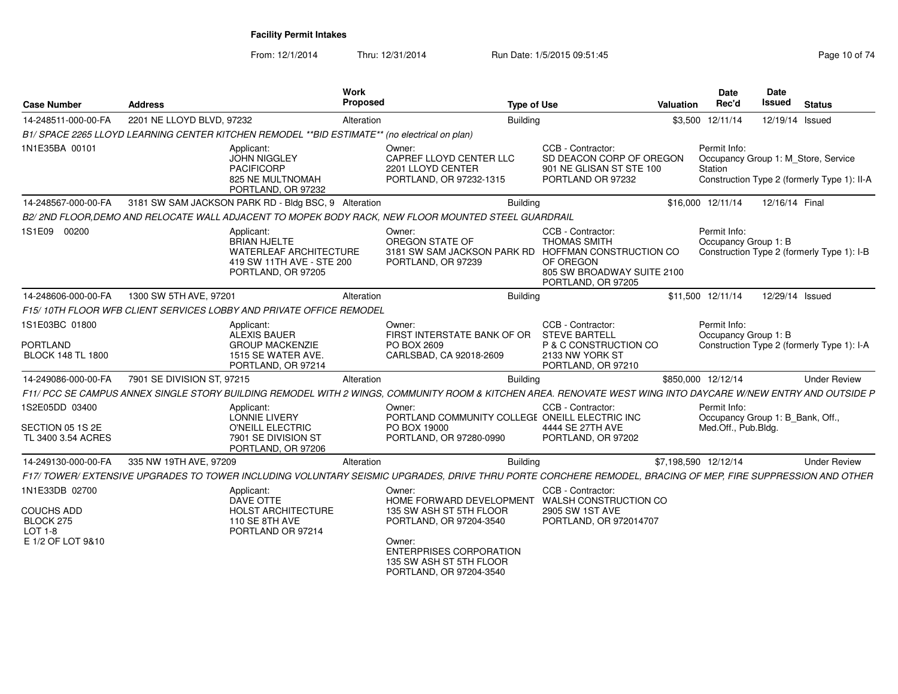| <b>Case Number</b>                                            | <b>Address</b>             |                                                                                                                | Work<br>Proposed |                                                                                                                                                               | <b>Type of Use</b>                                                                                                                   | <b>Valuation</b>     | <b>Date</b><br>Rec'd                                           | <b>Date</b><br><b>Issued</b> | <b>Status</b>                               |
|---------------------------------------------------------------|----------------------------|----------------------------------------------------------------------------------------------------------------|------------------|---------------------------------------------------------------------------------------------------------------------------------------------------------------|--------------------------------------------------------------------------------------------------------------------------------------|----------------------|----------------------------------------------------------------|------------------------------|---------------------------------------------|
| 14-248511-000-00-FA                                           | 2201 NE LLOYD BLVD, 97232  |                                                                                                                | Alteration       | <b>Building</b>                                                                                                                                               |                                                                                                                                      |                      | \$3,500 12/11/14                                               | 12/19/14 Issued              |                                             |
|                                                               |                            | B1/ SPACE 2265 LLOYD LEARNING CENTER KITCHEN REMODEL ** BID ESTIMATE** (no electrical on plan)                 |                  |                                                                                                                                                               |                                                                                                                                      |                      |                                                                |                              |                                             |
| 1N1E35BA 00101                                                |                            | Applicant:<br><b>JOHN NIGGLEY</b><br><b>PACIFICORP</b><br>825 NE MULTNOMAH<br>PORTLAND, OR 97232               |                  | Owner:<br>CAPREF LLOYD CENTER LLC<br>2201 LLOYD CENTER<br>PORTLAND, OR 97232-1315                                                                             | CCB - Contractor:<br>SD DEACON CORP OF OREGON<br>901 NE GLISAN ST STE 100<br>PORTLAND OR 97232                                       |                      | Permit Info:<br>Occupancy Group 1: M_Store, Service<br>Station |                              | Construction Type 2 (formerly Type 1): II-A |
| 14-248567-000-00-FA                                           |                            | 3181 SW SAM JACKSON PARK RD - Bldg BSC, 9 Alteration                                                           |                  | <b>Building</b>                                                                                                                                               |                                                                                                                                      |                      | \$16,000 12/11/14                                              | 12/16/14 Final               |                                             |
|                                                               |                            |                                                                                                                |                  | B2/ 2ND FLOOR.DEMO AND RELOCATE WALL ADJACENT TO MOPEK BODY RACK. NEW FLOOR MOUNTED STEEL GUARDRAIL                                                           |                                                                                                                                      |                      |                                                                |                              |                                             |
| 1S1E09 00200                                                  |                            | Applicant:<br>BRIAN HJELTE<br><b>WATERLEAF ARCHITECTURE</b><br>419 SW 11TH AVE - STE 200<br>PORTLAND, OR 97205 |                  | Owner:<br>OREGON STATE OF<br>3181 SW SAM JACKSON PARK RD<br>PORTLAND, OR 97239                                                                                | CCB - Contractor:<br><b>THOMAS SMITH</b><br>HOFFMAN CONSTRUCTION CO<br>OF OREGON<br>805 SW BROADWAY SUITE 2100<br>PORTLAND, OR 97205 |                      | Permit Info:<br>Occupancy Group 1: B                           |                              | Construction Type 2 (formerly Type 1): I-B  |
| 14-248606-000-00-FA                                           | 1300 SW 5TH AVE, 97201     |                                                                                                                | Alteration       | <b>Building</b>                                                                                                                                               |                                                                                                                                      |                      | \$11.500 12/11/14                                              | 12/29/14 Issued              |                                             |
|                                                               |                            | F15/10TH FLOOR WFB CLIENT SERVICES LOBBY AND PRIVATE OFFICE REMODEL                                            |                  |                                                                                                                                                               |                                                                                                                                      |                      |                                                                |                              |                                             |
| 1S1E03BC 01800<br><b>PORTLAND</b><br><b>BLOCK 148 TL 1800</b> |                            | Applicant:<br>ALEXIS BAUER<br><b>GROUP MACKENZIE</b><br>1515 SE WATER AVE.<br>PORTLAND, OR 97214               |                  | Owner:<br>FIRST INTERSTATE BANK OF OR<br>PO BOX 2609<br>CARLSBAD, CA 92018-2609                                                                               | CCB - Contractor:<br><b>STEVE BARTELL</b><br>P & C CONSTRUCTION CO<br>2133 NW YORK ST<br>PORTLAND, OR 97210                          |                      | Permit Info:<br>Occupancy Group 1: B                           |                              | Construction Type 2 (formerly Type 1): I-A  |
| 14-249086-000-00-FA                                           | 7901 SE DIVISION ST, 97215 |                                                                                                                | Alteration       | <b>Building</b>                                                                                                                                               |                                                                                                                                      |                      | \$850,000 12/12/14                                             |                              | <b>Under Review</b>                         |
|                                                               |                            |                                                                                                                |                  | F11/ PCC SE CAMPUS ANNEX SINGLE STORY BUILDING REMODEL WITH 2 WINGS, COMMUNITY ROOM & KITCHEN AREA. RENOVATE WEST WING INTO DAYCARE W/NEW ENTRY AND OUTSIDE P |                                                                                                                                      |                      |                                                                |                              |                                             |
| 1S2E05DD 03400                                                |                            | Applicant:<br>LONNIE LIVERY                                                                                    |                  | Owner:<br>PORTLAND COMMUNITY COLLEGE ONEILL ELECTRIC INC                                                                                                      | CCB - Contractor:                                                                                                                    |                      | Permit Info:<br>Occupancy Group 1: B_Bank, Off.,               |                              |                                             |
| SECTION 05 1S 2E<br>TL 3400 3.54 ACRES                        |                            | O'NEILL ELECTRIC<br>7901 SE DIVISION ST<br>PORTLAND, OR 97206                                                  |                  | PO BOX 19000<br>PORTLAND, OR 97280-0990                                                                                                                       | 4444 SE 27TH AVE<br>PORTLAND, OR 97202                                                                                               |                      | Med.Off., Pub.Bldg.                                            |                              |                                             |
| 14-249130-000-00-FA                                           | 335 NW 19TH AVE, 97209     |                                                                                                                | Alteration       | <b>Building</b>                                                                                                                                               |                                                                                                                                      | \$7,198,590 12/12/14 |                                                                |                              | <b>Under Review</b>                         |
|                                                               |                            |                                                                                                                |                  | F17/ TOWER/ EXTENSIVE UPGRADES TO TOWER INCLUDING VOLUNTARY SEISMIC UPGRADES. DRIVE THRU PORTE CORCHERE REMODEL. BRACING OF MEP, FIRE SUPPRESSION AND OTHER   |                                                                                                                                      |                      |                                                                |                              |                                             |
| 1N1E33DB 02700                                                |                            | Applicant:<br>DAVE OTTE                                                                                        |                  | Owner:<br>HOME FORWARD DEVELOPMENT WALSH CONSTRUCTION CO                                                                                                      | CCB - Contractor:                                                                                                                    |                      |                                                                |                              |                                             |
| <b>COUCHS ADD</b><br>BLOCK 275<br><b>LOT 1-8</b>              |                            | HOLST ARCHITECTURE<br>110 SE 8TH AVE<br>PORTLAND OR 97214                                                      |                  | 135 SW ASH ST 5TH FLOOR<br>PORTLAND, OR 97204-3540                                                                                                            | 2905 SW 1ST AVE<br>PORTLAND, OR 972014707                                                                                            |                      |                                                                |                              |                                             |
| E 1/2 OF LOT 9&10                                             |                            |                                                                                                                |                  | Owner:<br><b>ENTERPRISES CORPORATION</b><br>135 SW ASH ST 5TH FLOOR<br>PORTLAND, OR 97204-3540                                                                |                                                                                                                                      |                      |                                                                |                              |                                             |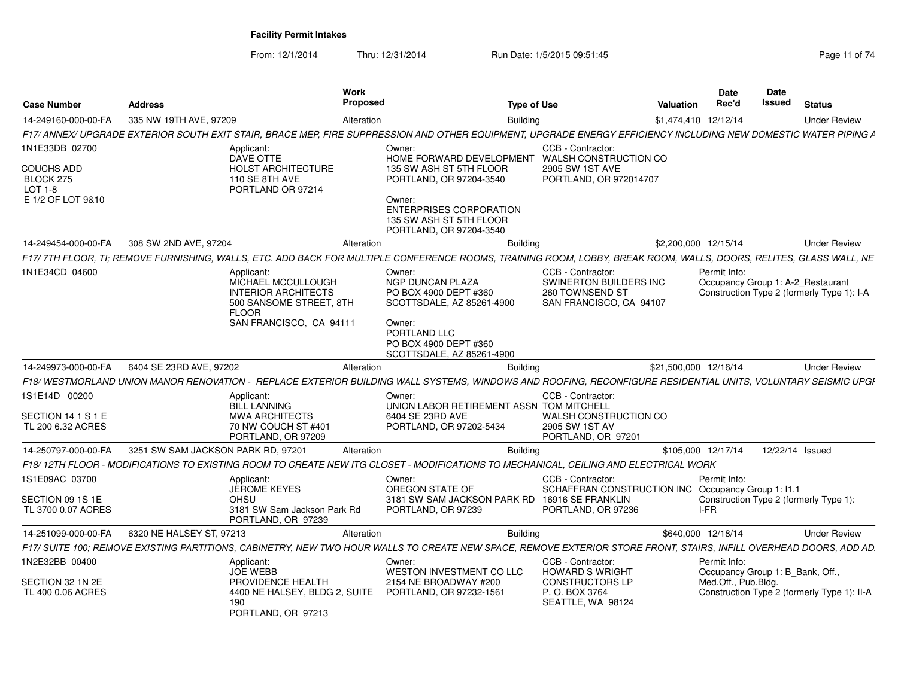| <b>Case Number</b>                        | <b>Address</b>                              |                                                                                                                                      | Work<br>Proposed                                                                                                                                                        | <b>Type of Use</b> |                                                                                           | <b>Date</b><br>Rec'd<br>Valuation | Date<br>Issued | <b>Status</b>                                                                   |
|-------------------------------------------|---------------------------------------------|--------------------------------------------------------------------------------------------------------------------------------------|-------------------------------------------------------------------------------------------------------------------------------------------------------------------------|--------------------|-------------------------------------------------------------------------------------------|-----------------------------------|----------------|---------------------------------------------------------------------------------|
| 14-249160-000-00-FA                       | 335 NW 19TH AVE, 97209                      |                                                                                                                                      | Alteration                                                                                                                                                              | Building           |                                                                                           | \$1,474,410 12/12/14              |                | <b>Under Review</b>                                                             |
|                                           |                                             |                                                                                                                                      | F17/ ANNEX/ UPGRADE EXTERIOR SOUTH EXIT STAIR. BRACE MEP. FIRE SUPPRESSION AND OTHER EQUIPMENT. UPGRADE ENERGY EFFICIENCY INCLUDING NEW DOMESTIC WATER PIPING A         |                    |                                                                                           |                                   |                |                                                                                 |
| 1N1E33DB 02700                            |                                             | Applicant:<br>DAVE OTTE                                                                                                              | Owner:                                                                                                                                                                  |                    | CCB - Contractor:<br>HOME FORWARD DEVELOPMENT WALSH CONSTRUCTION CO                       |                                   |                |                                                                                 |
| <b>COUCHS ADD</b><br>BLOCK 275<br>LOT 1-8 |                                             | <b>HOLST ARCHITECTURE</b><br>110 SE 8TH AVE<br>PORTLAND OR 97214                                                                     | 135 SW ASH ST 5TH FLOOR<br>PORTLAND, OR 97204-3540                                                                                                                      |                    | 2905 SW 1ST AVE<br>PORTLAND, OR 972014707                                                 |                                   |                |                                                                                 |
| E 1/2 OF LOT 9&10                         |                                             |                                                                                                                                      | Owner:<br><b>ENTERPRISES CORPORATION</b><br>135 SW ASH ST 5TH FLOOR<br>PORTLAND, OR 97204-3540                                                                          |                    |                                                                                           |                                   |                |                                                                                 |
|                                           | 14-249454-000-00-FA 308 SW 2ND AVE, 97204   |                                                                                                                                      | Alteration                                                                                                                                                              | <b>Building</b>    |                                                                                           | \$2,200,000 12/15/14              |                | <b>Under Review</b>                                                             |
|                                           |                                             |                                                                                                                                      | F17/ 7TH FLOOR, TI; REMOVE FURNISHING, WALLS, ETC. ADD BACK FOR MULTIPLE CONFERENCE ROOMS, TRAINING ROOM, LOBBY, BREAK ROOM, WALLS, DOORS, RELITES, GLASS WALL, NE      |                    |                                                                                           |                                   |                |                                                                                 |
| 1N1E34CD 04600                            |                                             | Applicant:<br>MICHAEL MCCULLOUGH<br><b>INTERIOR ARCHITECTS</b><br>500 SANSOME STREET, 8TH<br><b>FLOOR</b><br>SAN FRANCISCO, CA 94111 | Owner:<br><b>NGP DUNCAN PLAZA</b><br>PO BOX 4900 DEPT #360<br>SCOTTSDALE, AZ 85261-4900<br>Owner:<br>PORTLAND LLC<br>PO BOX 4900 DEPT #360<br>SCOTTSDALE, AZ 85261-4900 |                    | CCB - Contractor:<br>SWINERTON BUILDERS INC<br>260 TOWNSEND ST<br>SAN FRANCISCO, CA 94107 | Permit Info:                      |                | Occupancy Group 1: A-2 Restaurant<br>Construction Type 2 (formerly Type 1): I-A |
|                                           | 14-249973-000-00-FA 6404 SE 23RD AVE, 97202 |                                                                                                                                      | Alteration                                                                                                                                                              | <b>Building</b>    |                                                                                           | \$21,500,000 12/16/14             |                | <b>Under Review</b>                                                             |
|                                           |                                             |                                                                                                                                      | F18/WESTMORLAND UNION MANOR RENOVATION - REPLACE EXTERIOR BUILDING WALL SYSTEMS, WINDOWS AND ROOFING, RECONFIGURE RESIDENTIAL UNITS, VOLUNTARY SEISMIC UPGI             |                    |                                                                                           |                                   |                |                                                                                 |
| 1S1E14D 00200                             |                                             | Applicant:                                                                                                                           | Owner:                                                                                                                                                                  |                    | CCB - Contractor:                                                                         |                                   |                |                                                                                 |
|                                           |                                             | <b>BILL LANNING</b>                                                                                                                  | UNION LABOR RETIREMENT ASSN TOM MITCHELL                                                                                                                                |                    |                                                                                           |                                   |                |                                                                                 |
| SECTION 14 1 S 1 E<br>TL 200 6.32 ACRES   |                                             | <b>MWA ARCHITECTS</b><br>70 NW COUCH ST #401                                                                                         | 6404 SE 23RD AVE<br>PORTLAND, OR 97202-5434                                                                                                                             |                    | WALSH CONSTRUCTION CO<br>2905 SW 1ST AV                                                   |                                   |                |                                                                                 |
|                                           |                                             | PORTLAND, OR 97209                                                                                                                   |                                                                                                                                                                         |                    | PORTLAND, OR 97201                                                                        |                                   |                |                                                                                 |
| 14-250797-000-00-FA                       | 3251 SW SAM JACKSON PARK RD. 97201          |                                                                                                                                      | Alteration                                                                                                                                                              | Building           |                                                                                           | \$105,000 12/17/14                |                | 12/22/14 Issued                                                                 |
|                                           |                                             |                                                                                                                                      | F18/12TH FLOOR - MODIFICATIONS TO EXISTING ROOM TO CREATE NEW ITG CLOSET - MODIFICATIONS TO MECHANICAL, CEILING AND ELECTRICAL WORK                                     |                    |                                                                                           |                                   |                |                                                                                 |
| 1S1E09AC 03700                            |                                             | Applicant:<br>JEROME KEYES                                                                                                           | Owner:                                                                                                                                                                  |                    | CCB - Contractor:<br>SCHAFFRAN CONSTRUCTION INC Occupancy Group 1: 11.1                   | Permit Info:                      |                |                                                                                 |
| SECTION 09 1S 1E                          |                                             | <b>OHSU</b>                                                                                                                          | OREGON STATE OF                                                                                                                                                         |                    | 3181 SW SAM JACKSON PARK RD 16916 SE FRANKLIN                                             |                                   |                | Construction Type 2 (formerly Type 1):                                          |
| TL 3700 0.07 ACRES                        |                                             | 3181 SW Sam Jackson Park Rd<br>PORTLAND, OR 97239                                                                                    | PORTLAND, OR 97239                                                                                                                                                      |                    | PORTLAND, OR 97236                                                                        | I-FR                              |                |                                                                                 |
| 14-251099-000-00-FA                       | 6320 NE HALSEY ST, 97213                    |                                                                                                                                      | Alteration                                                                                                                                                              | <b>Building</b>    |                                                                                           | \$640,000 12/18/14                |                | <b>Under Review</b>                                                             |
|                                           |                                             |                                                                                                                                      | F17/ SUITE 100; REMOVE EXISTING PARTITIONS, CABINETRY, NEW TWO HOUR WALLS TO CREATE NEW SPACE, REMOVE EXTERIOR STORE FRONT, STAIRS, INFILL OVERHEAD DOORS, ADD AD.      |                    |                                                                                           |                                   |                |                                                                                 |
| 1N2E32BB 00400                            |                                             | Applicant:                                                                                                                           | Owner:                                                                                                                                                                  |                    | CCB - Contractor:                                                                         | Permit Info:                      |                |                                                                                 |
| SECTION 32 1N 2E                          |                                             | <b>JOE WEBB</b><br>PROVIDENCE HEALTH                                                                                                 | WESTON INVESTMENT CO LLC<br>2154 NE BROADWAY #200                                                                                                                       |                    | <b>HOWARD S WRIGHT</b><br><b>CONSTRUCTORS LP</b>                                          | Med.Off., Pub.Bldg.               |                | Occupancy Group 1: B_Bank, Off.,                                                |
| TL 400 0.06 ACRES                         |                                             | 190<br>PORTLAND, OR 97213                                                                                                            | 4400 NE HALSEY, BLDG 2, SUITE PORTLAND, OR 97232-1561                                                                                                                   |                    | P. O. BOX 3764<br>SEATTLE, WA 98124                                                       |                                   |                | Construction Type 2 (formerly Type 1): II-A                                     |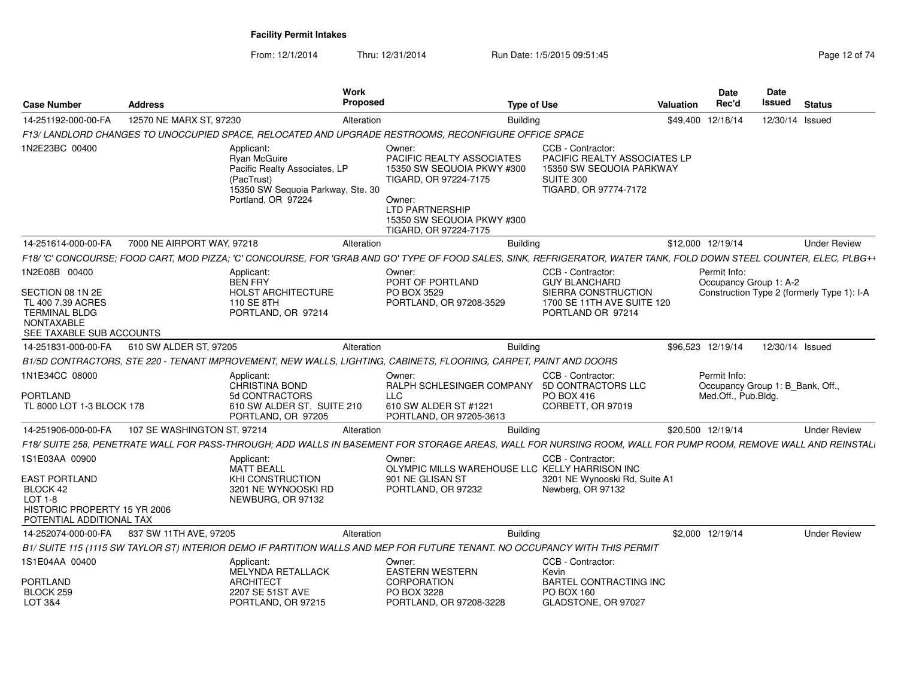| <b>Case Number</b>                                                                                                              | <b>Address</b>              |                                                                                                                                             | Work<br><b>Proposed</b> | <b>Type of Use</b>                                                                                                                                                                    |                                                                                                                     | Valuation | Date<br>Rec'd                                                           | <b>Date</b><br>Issued | <b>Status</b>                              |
|---------------------------------------------------------------------------------------------------------------------------------|-----------------------------|---------------------------------------------------------------------------------------------------------------------------------------------|-------------------------|---------------------------------------------------------------------------------------------------------------------------------------------------------------------------------------|---------------------------------------------------------------------------------------------------------------------|-----------|-------------------------------------------------------------------------|-----------------------|--------------------------------------------|
| 14-251192-000-00-FA                                                                                                             | 12570 NE MARX ST, 97230     |                                                                                                                                             | Alteration              | <b>Building</b>                                                                                                                                                                       |                                                                                                                     |           | \$49.400 12/18/14                                                       | 12/30/14 Issued       |                                            |
|                                                                                                                                 |                             |                                                                                                                                             |                         | F13/LANDLORD CHANGES TO UNOCCUPIED SPACE, RELOCATED AND UPGRADE RESTROOMS, RECONFIGURE OFFICE SPACE                                                                                   |                                                                                                                     |           |                                                                         |                       |                                            |
| 1N2E23BC 00400                                                                                                                  |                             | Applicant:<br><b>Ryan McGuire</b><br>Pacific Realty Associates, LP<br>(PacTrust)<br>15350 SW Sequoia Parkway, Ste. 30<br>Portland, OR 97224 |                         | Owner:<br><b>PACIFIC REALTY ASSOCIATES</b><br>15350 SW SEQUOIA PKWY #300<br>TIGARD, OR 97224-7175<br>Owner:<br>LTD PARTNERSHIP<br>15350 SW SEQUOIA PKWY #300<br>TIGARD, OR 97224-7175 | CCB - Contractor:<br>PACIFIC REALTY ASSOCIATES LP<br>15350 SW SEQUOIA PARKWAY<br>SUITE 300<br>TIGARD, OR 97774-7172 |           |                                                                         |                       |                                            |
| 14-251614-000-00-FA                                                                                                             | 7000 NE AIRPORT WAY, 97218  |                                                                                                                                             | Alteration              | <b>Building</b>                                                                                                                                                                       |                                                                                                                     |           | \$12,000 12/19/14                                                       |                       | <b>Under Review</b>                        |
|                                                                                                                                 |                             |                                                                                                                                             |                         | F18/'C' CONCOURSE: FOOD CART, MOD PIZZA: 'C' CONCOURSE, FOR 'GRAB AND GO' TYPE OF FOOD SALES, SINK, REFRIGERATOR, WATER TANK, FOLD DOWN STEEL COUNTER, ELEC, PLBG++                   |                                                                                                                     |           |                                                                         |                       |                                            |
| 1N2E08B 00400<br>SECTION 08 1N 2E<br>TL 400 7.39 ACRES<br><b>TERMINAL BLDG</b><br><b>NONTAXABLE</b><br>SEE TAXABLE SUB ACCOUNTS |                             | Applicant:<br><b>BEN FRY</b><br><b>HOLST ARCHITECTURE</b><br>110 SE 8TH<br>PORTLAND, OR 97214                                               |                         | Owner:<br>PORT OF PORTLAND<br>PO BOX 3529<br>PORTLAND, OR 97208-3529                                                                                                                  | CCB - Contractor:<br><b>GUY BLANCHARD</b><br>SIERRA CONSTRUCTION<br>1700 SE 11TH AVE SUITE 120<br>PORTLAND OR 97214 |           | Permit Info:<br>Occupancy Group 1: A-2                                  |                       | Construction Type 2 (formerly Type 1): I-A |
| 14-251831-000-00-FA                                                                                                             | 610 SW ALDER ST, 97205      |                                                                                                                                             | Alteration              | <b>Building</b>                                                                                                                                                                       |                                                                                                                     |           | \$96,523 12/19/14                                                       | 12/30/14 Issued       |                                            |
|                                                                                                                                 |                             |                                                                                                                                             |                         | B1/5D CONTRACTORS, STE 220 - TENANT IMPROVEMENT, NEW WALLS, LIGHTING, CABINETS, FLOORING, CARPET, PAINT AND DOORS                                                                     |                                                                                                                     |           |                                                                         |                       |                                            |
| 1N1E34CC 08000<br>PORTLAND<br>TL 8000 LOT 1-3 BLOCK 178                                                                         |                             | Applicant:<br><b>CHRISTINA BOND</b><br>5d CONTRACTORS<br>610 SW ALDER ST. SUITE 210<br>PORTLAND, OR 97205                                   |                         | Owner:<br>RALPH SCHLESINGER COMPANY<br><b>LLC</b><br>610 SW ALDER ST #1221<br>PORTLAND, OR 97205-3613                                                                                 | CCB - Contractor:<br>5D CONTRACTORS LLC<br><b>PO BOX 416</b><br>CORBETT, OR 97019                                   |           | Permit Info:<br>Occupancy Group 1: B_Bank, Off.,<br>Med.Off., Pub.Bldg. |                       |                                            |
| 14-251906-000-00-FA                                                                                                             | 107 SE WASHINGTON ST, 97214 |                                                                                                                                             | Alteration              | <b>Building</b>                                                                                                                                                                       |                                                                                                                     |           | \$20.500 12/19/14                                                       |                       | <b>Under Review</b>                        |
|                                                                                                                                 |                             |                                                                                                                                             |                         | F18/SUITE 258, PENETRATE WALL FOR PASS-THROUGH; ADD WALLS IN BASEMENT FOR STORAGE AREAS, WALL FOR NURSING ROOM, WALL FOR PUMP ROOM, REMOVE WALL AND REINSTALI                         |                                                                                                                     |           |                                                                         |                       |                                            |
| 1S1E03AA 00900<br>EAST PORTLAND<br>BLOCK 42<br>$LOT 1-8$<br>HISTORIC PROPERTY 15 YR 2006<br>POTENTIAL ADDITIONAL TAX            |                             | Applicant:<br><b>MATT BEALL</b><br>KHI CONSTRUCTION<br>3201 NE WYNOOSKI RD<br>NEWBURG, OR 97132                                             |                         | Owner:<br>OLYMPIC MILLS WAREHOUSE LLC KELLY HARRISON INC<br>901 NE GLISAN ST<br>PORTLAND, OR 97232                                                                                    | CCB - Contractor:<br>3201 NE Wynooski Rd, Suite A1<br>Newberg, OR 97132                                             |           |                                                                         |                       |                                            |
| 14-252074-000-00-FA                                                                                                             | 837 SW 11TH AVE, 97205      |                                                                                                                                             | Alteration              | <b>Building</b>                                                                                                                                                                       |                                                                                                                     |           | \$2,000 12/19/14                                                        |                       | <b>Under Review</b>                        |
|                                                                                                                                 |                             |                                                                                                                                             |                         | B1/ SUITE 115 (1115 SW TAYLOR ST) INTERIOR DEMO IF PARTITION WALLS AND MEP FOR FUTURE TENANT. NO OCCUPANCY WITH THIS PERMIT                                                           |                                                                                                                     |           |                                                                         |                       |                                            |
| 1S1E04AA 00400                                                                                                                  |                             | Applicant:<br><b>MELYNDA RETALLACK</b>                                                                                                      |                         | Owner:<br><b>EASTERN WESTERN</b>                                                                                                                                                      | CCB - Contractor:<br>Kevin                                                                                          |           |                                                                         |                       |                                            |
| PORTLAND<br>BLOCK 259<br>LOT 3&4                                                                                                |                             | <b>ARCHITECT</b><br>2207 SE 51ST AVE<br>PORTLAND, OR 97215                                                                                  |                         | <b>CORPORATION</b><br>PO BOX 3228<br>PORTLAND, OR 97208-3228                                                                                                                          | <b>BARTEL CONTRACTING INC</b><br>PO BOX 160<br>GLADSTONE, OR 97027                                                  |           |                                                                         |                       |                                            |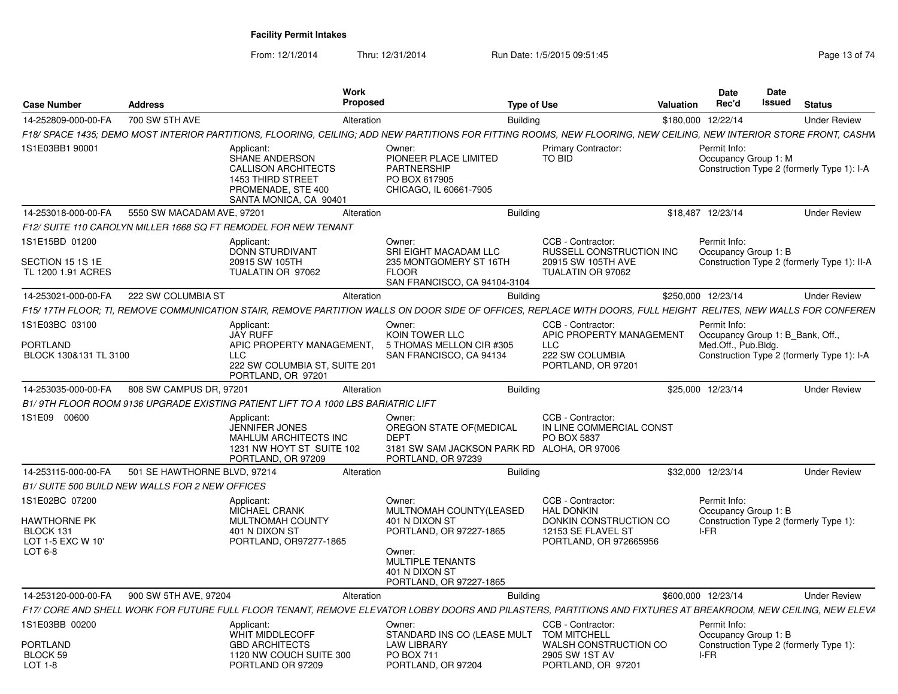| <b>Case Number</b>                                                          | <b>Address</b>               |                                                                                                                                        | <b>Work</b><br><b>Proposed</b>                                                                                                                                      | <b>Type of Use</b> |                                                                                                                  | Valuation | <b>Date</b><br>Rec'd | Date<br>Issued                   | <b>Status</b>                               |  |
|-----------------------------------------------------------------------------|------------------------------|----------------------------------------------------------------------------------------------------------------------------------------|---------------------------------------------------------------------------------------------------------------------------------------------------------------------|--------------------|------------------------------------------------------------------------------------------------------------------|-----------|----------------------|----------------------------------|---------------------------------------------|--|
|                                                                             | 700 SW 5TH AVE               |                                                                                                                                        | Alteration                                                                                                                                                          | <b>Building</b>    |                                                                                                                  |           | \$180,000 12/22/14   |                                  | <b>Under Review</b>                         |  |
| 14-252809-000-00-FA                                                         |                              |                                                                                                                                        | F18/ SPACE 1435; DEMO MOST INTERIOR PARTITIONS, FLOORING, CEILING; ADD NEW PARTITIONS FOR FITTING ROOMS, NEW FLOORING, NEW CEILING, NEW INTERIOR STORE FRONT, CASHW |                    |                                                                                                                  |           |                      |                                  |                                             |  |
| 1S1E03BB1 90001                                                             |                              | Applicant:<br>SHANE ANDERSON<br><b>CALLISON ARCHITECTS</b><br><b>1453 THIRD STREET</b><br>PROMENADE, STE 400<br>SANTA MONICA, CA 90401 | Owner:<br>PIONEER PLACE LIMITED<br><b>PARTNERSHIP</b><br>PO BOX 617905<br>CHICAGO, IL 60661-7905                                                                    |                    | <b>Primary Contractor:</b><br>TO BID                                                                             |           | Permit Info:         | Occupancy Group 1: M             | Construction Type 2 (formerly Type 1): I-A  |  |
| 14-253018-000-00-FA                                                         | 5550 SW MACADAM AVE, 97201   |                                                                                                                                        | Alteration                                                                                                                                                          | Buildina           |                                                                                                                  |           | \$18.487 12/23/14    |                                  | <b>Under Review</b>                         |  |
|                                                                             |                              | F12/ SUITE 110 CAROLYN MILLER 1668 SQ FT REMODEL FOR NEW TENANT                                                                        |                                                                                                                                                                     |                    |                                                                                                                  |           |                      |                                  |                                             |  |
| 1S1E15BD 01200<br>SECTION 15 1S 1E<br>TL 1200 1.91 ACRES                    |                              | Applicant:<br><b>DONN STURDIVANT</b><br>20915 SW 105TH<br>TUALATIN OR 97062                                                            | Owner:<br><b>SRI EIGHT MACADAM LLC</b><br>235 MONTGOMERY ST 16TH<br><b>FLOOR</b><br>SAN FRANCISCO, CA 94104-3104                                                    |                    | CCB - Contractor:<br>RUSSELL CONSTRUCTION INC<br>20915 SW 105TH AVE<br>TUALATIN OR 97062                         |           | Permit Info:         | Occupancy Group 1: B             | Construction Type 2 (formerly Type 1): II-A |  |
| 14-253021-000-00-FA                                                         | 222 SW COLUMBIA ST           |                                                                                                                                        | Alteration                                                                                                                                                          | <b>Building</b>    |                                                                                                                  |           | \$250,000 12/23/14   |                                  | <b>Under Review</b>                         |  |
|                                                                             |                              |                                                                                                                                        | F15/17TH FLOOR; TI, REMOVE COMMUNICATION STAIR, REMOVE PARTITION WALLS ON DOOR SIDE OF OFFICES, REPLACE WITH DOORS, FULL HEIGHT RELITES, NEW WALLS FOR CONFEREN     |                    |                                                                                                                  |           |                      |                                  |                                             |  |
| 1S1E03BC 03100                                                              |                              | Applicant:<br><b>JAY RUFF</b>                                                                                                          | Owner:<br>KOIN TOWER LLC                                                                                                                                            |                    | CCB - Contractor:<br>APIC PROPERTY MANAGEMENT                                                                    |           | Permit Info:         | Occupancy Group 1: B_Bank, Off., |                                             |  |
| <b>PORTLAND</b><br>BLOCK 130&131 TL 3100                                    |                              | APIC PROPERTY MANAGEMENT.<br><b>LLC</b><br>222 SW COLUMBIA ST, SUITE 201<br>PORTLAND, OR 97201                                         | 5 THOMAS MELLON CIR #305<br>SAN FRANCISCO, CA 94134                                                                                                                 |                    | <b>LLC</b><br>222 SW COLUMBIA<br>PORTLAND, OR 97201                                                              |           | Med.Off., Pub.Bldg.  |                                  | Construction Type 2 (formerly Type 1): I-A  |  |
| 14-253035-000-00-FA                                                         | 808 SW CAMPUS DR. 97201      |                                                                                                                                        | Alteration                                                                                                                                                          | <b>Building</b>    |                                                                                                                  |           | \$25,000 12/23/14    |                                  | <b>Under Review</b>                         |  |
|                                                                             |                              | B1/9TH FLOOR ROOM 9136 UPGRADE EXISTING PATIENT LIFT TO A 1000 LBS BARIATRIC LIFT                                                      |                                                                                                                                                                     |                    |                                                                                                                  |           |                      |                                  |                                             |  |
| 1S1E09 00600                                                                |                              | Applicant:<br>JENNIFER JONES<br><b>MAHLUM ARCHITECTS INC</b><br>1231 NW HOYT ST SUITE 102<br>PORTLAND, OR 97209                        | Owner:<br>OREGON STATE OF (MEDICAL<br><b>DEPT</b><br>3181 SW SAM JACKSON PARK RD ALOHA, OR 97006<br>PORTLAND, OR 97239                                              |                    | CCB - Contractor:<br>IN LINE COMMERCIAL CONST<br>PO BOX 5837                                                     |           |                      |                                  |                                             |  |
| 14-253115-000-00-FA                                                         | 501 SE HAWTHORNE BLVD, 97214 |                                                                                                                                        | Alteration                                                                                                                                                          | <b>Building</b>    |                                                                                                                  |           | \$32,000 12/23/14    |                                  | <b>Under Review</b>                         |  |
| B1/ SUITE 500 BUILD NEW WALLS FOR 2 NEW OFFICES                             |                              |                                                                                                                                        |                                                                                                                                                                     |                    |                                                                                                                  |           |                      |                                  |                                             |  |
| 1S1E02BC 07200<br>HAWTHORNE PK<br>BLOCK 131<br>LOT 1-5 EXC W 10'<br>LOT 6-8 |                              | Applicant:<br><b>MICHAEL CRANK</b><br>MULTNOMAH COUNTY<br>401 N DIXON ST<br>PORTLAND, OR97277-1865                                     | Owner:<br>MULTNOMAH COUNTY(LEASED<br>401 N DIXON ST<br>PORTLAND, OR 97227-1865<br>Owner:<br>MULTIPLE TENANTS<br>401 N DIXON ST<br>PORTLAND, OR 97227-1865           |                    | CCB - Contractor:<br><b>HAL DONKIN</b><br>DONKIN CONSTRUCTION CO<br>12153 SE FLAVEL ST<br>PORTLAND, OR 972665956 |           | Permit Info:<br>I-FR | Occupancy Group 1: B             | Construction Type 2 (formerly Type 1):      |  |
| 14-253120-000-00-FA                                                         | 900 SW 5TH AVE, 97204        |                                                                                                                                        | Alteration                                                                                                                                                          | <b>Building</b>    |                                                                                                                  |           | \$600,000 12/23/14   |                                  | <b>Under Review</b>                         |  |
|                                                                             |                              |                                                                                                                                        | F17/ CORE AND SHELL WORK FOR FUTURE FULL FLOOR TENANT, REMOVE ELEVATOR LOBBY DOORS AND PILASTERS, PARTITIONS AND FIXTURES AT BREAKROOM, NEW CEILING, NEW ELEVA      |                    |                                                                                                                  |           |                      |                                  |                                             |  |
| 1S1E03BB 00200                                                              |                              | Applicant:<br>WHIT MIDDLECOFF                                                                                                          | Owner:<br>STANDARD INS CO (LEASE MULT                                                                                                                               |                    | CCB - Contractor:<br><b>TOM MITCHELL</b>                                                                         |           | Permit Info:         | Occupancy Group 1: B             |                                             |  |
| PORTLAND<br>BLOCK 59<br>$LOT 1-8$                                           |                              | <b>GBD ARCHITECTS</b><br>1120 NW COUCH SUITE 300<br>PORTLAND OR 97209                                                                  | <b>LAW LIBRARY</b><br>PO BOX 711<br>PORTLAND, OR 97204                                                                                                              |                    | WALSH CONSTRUCTION CO<br>2905 SW 1ST AV<br>PORTLAND, OR 97201                                                    |           | I-FR                 |                                  | Construction Type 2 (formerly Type 1):      |  |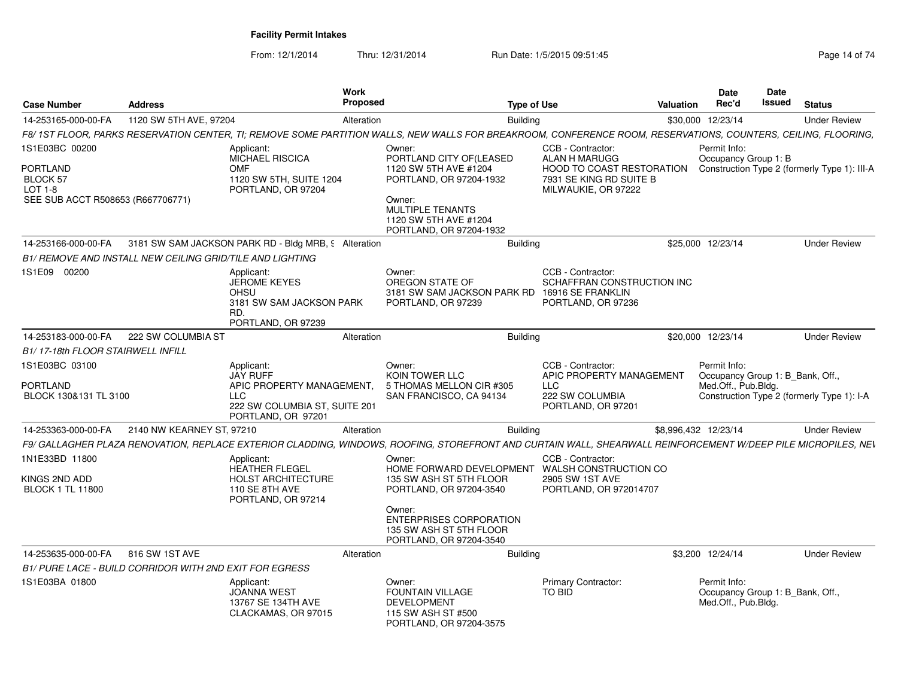| <b>Case Number</b>                                                                       | <b>Address</b>            | Work                                                                                                                      | Proposed                                                                                                                                                                | <b>Type of Use</b>                                                                                                       | Valuation            | <b>Date</b><br>Rec'd                                                    | Date<br>Issued | <b>Status</b>                                |
|------------------------------------------------------------------------------------------|---------------------------|---------------------------------------------------------------------------------------------------------------------------|-------------------------------------------------------------------------------------------------------------------------------------------------------------------------|--------------------------------------------------------------------------------------------------------------------------|----------------------|-------------------------------------------------------------------------|----------------|----------------------------------------------|
| 14-253165-000-00-FA                                                                      | 1120 SW 5TH AVE, 97204    |                                                                                                                           | Alteration                                                                                                                                                              | <b>Building</b>                                                                                                          |                      | \$30,000 12/23/14                                                       |                | <b>Under Review</b>                          |
|                                                                                          |                           |                                                                                                                           | F8/1ST FLOOR, PARKS RESERVATION CENTER, TI; REMOVE SOME PARTITION WALLS, NEW WALLS FOR BREAKROOM, CONFERENCE ROOM, RESERVATIONS, COUNTERS, CEILING, FLOORING,           |                                                                                                                          |                      |                                                                         |                |                                              |
| 1S1E03BC 00200<br>PORTLAND<br>BLOCK 57<br>$LOT 1-8$<br>SEE SUB ACCT R508653 (R667706771) |                           | Applicant:<br>MICHAEL RISCICA<br>OMF<br>1120 SW 5TH, SUITE 1204<br>PORTLAND, OR 97204                                     | Owner:<br>PORTLAND CITY OF(LEASED<br>1120 SW 5TH AVE #1204<br>PORTLAND, OR 97204-1932<br>Owner:<br>MULTIPLE TENANTS<br>1120 SW 5TH AVE #1204<br>PORTLAND, OR 97204-1932 | CCB - Contractor:<br>ALAN H MARUGG<br><b>HOOD TO COAST RESTORATION</b><br>7931 SE KING RD SUITE B<br>MILWAUKIE, OR 97222 |                      | Permit Info:<br>Occupancy Group 1: B                                    |                | Construction Type 2 (formerly Type 1): III-A |
| 14-253166-000-00-FA                                                                      |                           | 3181 SW SAM JACKSON PARK RD - Bldg MRB, 9 Alteration                                                                      |                                                                                                                                                                         | <b>Building</b>                                                                                                          |                      | \$25,000 12/23/14                                                       |                | <b>Under Review</b>                          |
| B1/ REMOVE AND INSTALL NEW CEILING GRID/TILE AND LIGHTING                                |                           |                                                                                                                           |                                                                                                                                                                         |                                                                                                                          |                      |                                                                         |                |                                              |
| 1S1E09 00200                                                                             |                           | Applicant:<br><b>JEROME KEYES</b><br>OHSU<br>3181 SW SAM JACKSON PARK<br>RD.<br>PORTLAND, OR 97239                        | Owner:<br>OREGON STATE OF<br>3181 SW SAM JACKSON PARK RD<br>PORTLAND, OR 97239                                                                                          | CCB - Contractor:<br>SCHAFFRAN CONSTRUCTION INC<br>16916 SE FRANKLIN<br>PORTLAND, OR 97236                               |                      |                                                                         |                |                                              |
| 14-253183-000-00-FA                                                                      | 222 SW COLUMBIA ST        |                                                                                                                           | Alteration                                                                                                                                                              | <b>Building</b>                                                                                                          |                      | \$20,000 12/23/14                                                       |                | <b>Under Review</b>                          |
| B1/17-18th FLOOR STAIRWELL INFILL                                                        |                           |                                                                                                                           |                                                                                                                                                                         |                                                                                                                          |                      |                                                                         |                |                                              |
| 1S1E03BC 03100<br>PORTLAND<br>BLOCK 130&131 TL 3100                                      |                           | Applicant:<br><b>JAY RUFF</b><br>APIC PROPERTY MANAGEMENT.<br>LLC.<br>222 SW COLUMBIA ST, SUITE 201<br>PORTLAND, OR 97201 | Owner:<br>KOIN TOWER LLC<br>5 THOMAS MELLON CIR #305<br>SAN FRANCISCO, CA 94134                                                                                         | CCB - Contractor:<br>APIC PROPERTY MANAGEMENT<br><b>LLC</b><br>222 SW COLUMBIA<br>PORTLAND, OR 97201                     |                      | Permit Info:<br>Occupancy Group 1: B_Bank, Off.,<br>Med.Off., Pub.Bldg. |                | Construction Type 2 (formerly Type 1): I-A   |
| 14-253363-000-00-FA                                                                      | 2140 NW KEARNEY ST, 97210 |                                                                                                                           | Alteration                                                                                                                                                              | <b>Building</b>                                                                                                          | \$8,996,432 12/23/14 |                                                                         |                | <b>Under Review</b>                          |
|                                                                                          |                           |                                                                                                                           | F9/ GALLAGHER PLAZA RENOVATION, REPLACE EXTERIOR CLADDING, WINDOWS, ROOFING, STOREFRONT AND CURTAIN WALL, SHEARWALL REINFORCEMENT W/DEEP PILE MICROPILES, NEV           |                                                                                                                          |                      |                                                                         |                |                                              |
| 1N1E33BD 11800<br>KINGS 2ND ADD<br><b>BLOCK 1 TL 11800</b>                               |                           | Applicant:<br><b>HEATHER FLEGEL</b><br><b>HOLST ARCHITECTURE</b><br>110 SE 8TH AVE<br>PORTLAND, OR 97214                  | Owner:<br>135 SW ASH ST 5TH FLOOR<br>PORTLAND, OR 97204-3540<br>Owner:<br><b>ENTERPRISES CORPORATION</b><br>135 SW ASH ST 5TH FLOOR<br>PORTLAND, OR 97204-3540          | CCB - Contractor:<br>HOME FORWARD DEVELOPMENT WALSH CONSTRUCTION CO<br>2905 SW 1ST AVE<br>PORTLAND, OR 972014707         |                      |                                                                         |                |                                              |
| 14-253635-000-00-FA                                                                      | 816 SW 1ST AVE            |                                                                                                                           | Alteration                                                                                                                                                              | Building                                                                                                                 |                      | \$3,200 12/24/14                                                        |                | <b>Under Review</b>                          |
| B1/ PURE LACE - BUILD CORRIDOR WITH 2ND EXIT FOR EGRESS                                  |                           |                                                                                                                           |                                                                                                                                                                         |                                                                                                                          |                      |                                                                         |                |                                              |
| 1S1E03BA 01800                                                                           |                           | Applicant:<br><b>JOANNA WEST</b><br>13767 SE 134TH AVE<br>CLACKAMAS, OR 97015                                             | Owner:<br><b>FOUNTAIN VILLAGE</b><br><b>DEVELOPMENT</b><br>115 SW ASH ST #500<br>PORTLAND, OR 97204-3575                                                                | <b>Primary Contractor:</b><br>TO BID                                                                                     |                      | Permit Info:<br>Occupancy Group 1: B_Bank, Off.,<br>Med.Off., Pub.Bldg. |                |                                              |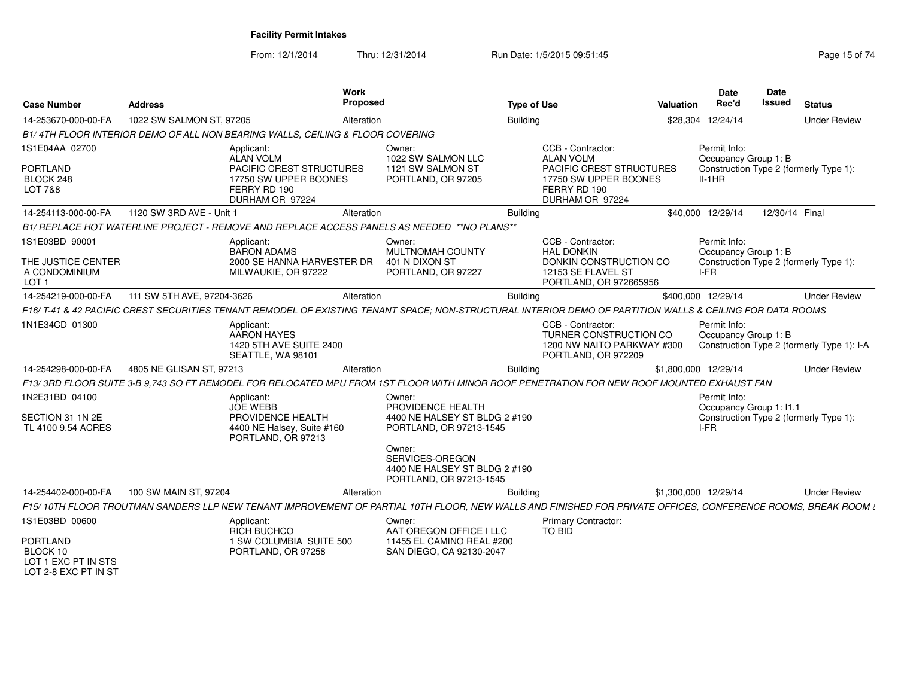From: 12/1/2014Thru: 12/31/2014 Run Date: 1/5/2015 09:51:45

| <b>Case Number</b>                                                        | <b>Address</b>             | Work<br>Proposed                                                                                                                                             |                                                                                                                                                       | <b>Type of Use</b> |                                                                                                                               | <b>Valuation</b> | Date<br>Rec'd                                    | Date<br>Issued | <b>Status</b>                              |
|---------------------------------------------------------------------------|----------------------------|--------------------------------------------------------------------------------------------------------------------------------------------------------------|-------------------------------------------------------------------------------------------------------------------------------------------------------|--------------------|-------------------------------------------------------------------------------------------------------------------------------|------------------|--------------------------------------------------|----------------|--------------------------------------------|
| 14-253670-000-00-FA                                                       | 1022 SW SALMON ST, 97205   | Alteration                                                                                                                                                   |                                                                                                                                                       | <b>Building</b>    |                                                                                                                               |                  | \$28,304 12/24/14                                |                | <b>Under Review</b>                        |
|                                                                           |                            | B1/4TH FLOOR INTERIOR DEMO OF ALL NON BEARING WALLS, CEILING & FLOOR COVERING                                                                                |                                                                                                                                                       |                    |                                                                                                                               |                  |                                                  |                |                                            |
| 1S1E04AA 02700<br><b>PORTLAND</b><br>BLOCK 248<br><b>LOT 7&amp;8</b>      |                            | Applicant:<br>ALAN VOLM<br>PACIFIC CREST STRUCTURES<br>17750 SW UPPER BOONES<br>FERRY RD 190<br>DURHAM OR 97224                                              | Owner:<br>1022 SW SALMON LLC<br>1121 SW SALMON ST<br>PORTLAND, OR 97205                                                                               |                    | CCB - Contractor:<br><b>ALAN VOLM</b><br>PACIFIC CREST STRUCTURES<br>17750 SW UPPER BOONES<br>FERRY RD 190<br>DURHAM OR 97224 |                  | Permit Info:<br>Occupancy Group 1: B<br>$II-1HR$ |                | Construction Type 2 (formerly Type 1):     |
| 14-254113-000-00-FA                                                       | 1120 SW 3RD AVE - Unit 1   | Alteration                                                                                                                                                   |                                                                                                                                                       | Building           |                                                                                                                               |                  | \$40,000 12/29/14                                | 12/30/14 Final |                                            |
|                                                                           |                            | B1/ REPLACE HOT WATERLINE PROJECT - REMOVE AND REPLACE ACCESS PANELS AS NEEDED **NO PLANS**                                                                  |                                                                                                                                                       |                    |                                                                                                                               |                  |                                                  |                |                                            |
| 1S1E03BD 90001<br>THE JUSTICE CENTER<br>A CONDOMINIUM<br>LOT <sub>1</sub> |                            | Applicant:<br><b>BARON ADAMS</b><br>2000 SE HANNA HARVESTER DR<br>MILWAUKIE, OR 97222                                                                        | Owner:<br>MULTNOMAH COUNTY<br>401 N DIXON ST<br>PORTLAND, OR 97227                                                                                    |                    | CCB - Contractor:<br><b>HAL DONKIN</b><br>DONKIN CONSTRUCTION CO<br>12153 SE FLAVEL ST<br>PORTLAND, OR 972665956              |                  | Permit Info:<br>Occupancy Group 1: B<br>I-FR     |                | Construction Type 2 (formerly Type 1):     |
| 14-254219-000-00-FA                                                       | 111 SW 5TH AVE, 97204-3626 | Alteration                                                                                                                                                   |                                                                                                                                                       | <b>Building</b>    |                                                                                                                               |                  | \$400,000 12/29/14                               |                | <b>Under Review</b>                        |
|                                                                           |                            | F16/T-41 & 42 PACIFIC CREST SECURITIES TENANT REMODEL OF EXISTING TENANT SPACE: NON-STRUCTURAL INTERIOR DEMO OF PARTITION WALLS & CEILING FOR DATA ROOMS     |                                                                                                                                                       |                    |                                                                                                                               |                  |                                                  |                |                                            |
| 1N1E34CD 01300                                                            |                            | Applicant:<br>AARON HAYES<br>1420 5TH AVE SUITE 2400<br>SEATTLE, WA 98101                                                                                    |                                                                                                                                                       |                    | CCB - Contractor:<br>TURNER CONSTRUCTION CO<br>1200 NW NAITO PARKWAY #300<br>PORTLAND, OR 972209                              |                  | Permit Info:<br>Occupancy Group 1: B             |                | Construction Type 2 (formerly Type 1): I-A |
| 14-254298-000-00-FA                                                       | 4805 NE GLISAN ST, 97213   | Alteration                                                                                                                                                   |                                                                                                                                                       | Building           |                                                                                                                               |                  | \$1,800,000 12/29/14                             |                | <b>Under Review</b>                        |
|                                                                           |                            | F13/ 3RD FLOOR SUITE 3-B 9.743 SQ FT REMODEL FOR RELOCATED MPU FROM 1ST FLOOR WITH MINOR ROOF PENETRATION FOR NEW ROOF MOUNTED EXHAUST FAN                   |                                                                                                                                                       |                    |                                                                                                                               |                  |                                                  |                |                                            |
| 1N2E31BD 04100<br>SECTION 31 1N 2E<br>TL 4100 9.54 ACRES                  |                            | Applicant:<br><b>JOE WEBB</b><br>PROVIDENCE HEALTH<br>4400 NE Halsey, Suite #160<br>PORTLAND, OR 97213                                                       | Owner:<br>PROVIDENCE HEALTH<br>4400 NE HALSEY ST BLDG 2 #190<br>PORTLAND, OR 97213-1545<br>Owner:<br>SERVICES-OREGON<br>4400 NE HALSEY ST BLDG 2 #190 |                    |                                                                                                                               |                  | Permit Info:<br>Occupancy Group 1: I1.1<br>I-FR  |                | Construction Type 2 (formerly Type 1):     |
|                                                                           |                            |                                                                                                                                                              | PORTLAND, OR 97213-1545                                                                                                                               |                    |                                                                                                                               |                  |                                                  |                |                                            |
| 14-254402-000-00-FA                                                       | 100 SW MAIN ST, 97204      | Alteration                                                                                                                                                   |                                                                                                                                                       | <b>Building</b>    |                                                                                                                               |                  | \$1,300,000 12/29/14                             |                | <b>Under Review</b>                        |
|                                                                           |                            | F15/10TH FLOOR TROUTMAN SANDERS LLP NEW TENANT IMPROVEMENT OF PARTIAL 10TH FLOOR, NEW WALLS AND FINISHED FOR PRIVATE OFFICES, CONFERENCE ROOMS, BREAK ROOM & |                                                                                                                                                       |                    |                                                                                                                               |                  |                                                  |                |                                            |
| 1S1E03BD 00600<br><b>PORTLAND</b><br>BLOCK 10<br>LOT 1 EXC PT IN STS      |                            | Applicant:<br>RICH BUCHCO<br>1 SW COLUMBIA SUITE 500<br>PORTLAND, OR 97258                                                                                   | Owner:<br>AAT OREGON OFFICE I LLC<br>11455 EL CAMINO REAL #200<br>SAN DIEGO, CA 92130-2047                                                            |                    | <b>Primary Contractor:</b><br>TO BID                                                                                          |                  |                                                  |                |                                            |

LOT 1 EXC PT IN STS LOT 2-8 EXC PT IN ST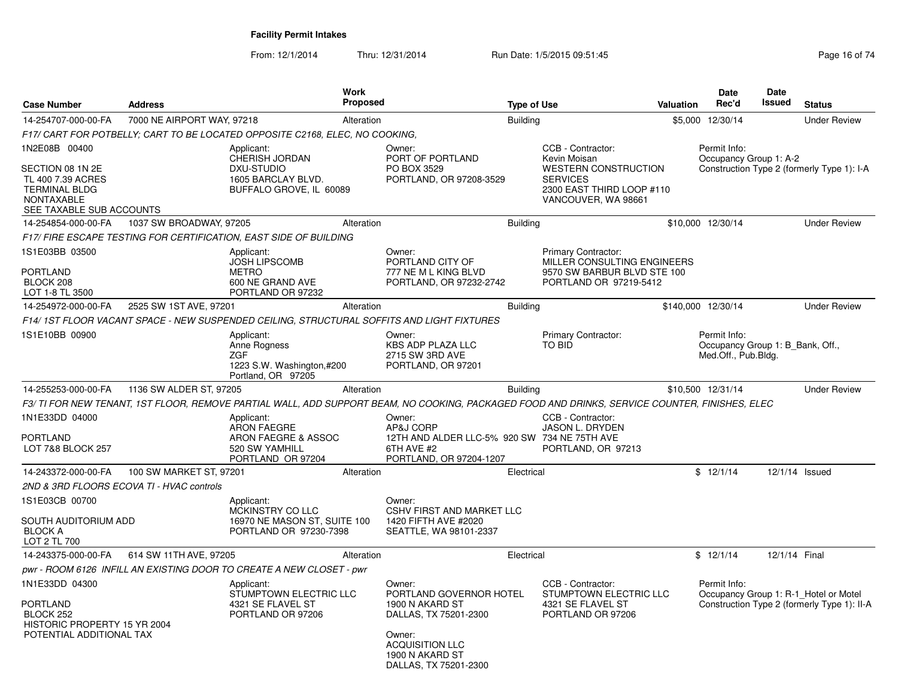| <b>Case Number</b>                                                                                                       | <b>Address</b>                            |                                                                                                    | <b>Work</b><br>Proposed |                                                                                                                                                               | <b>Type of Use</b> |                                                                                                                                         | <b>Valuation</b> | <b>Date</b><br>Rec'd                                                    | Date<br><b>Issued</b> | <b>Status</b>                                                                        |
|--------------------------------------------------------------------------------------------------------------------------|-------------------------------------------|----------------------------------------------------------------------------------------------------|-------------------------|---------------------------------------------------------------------------------------------------------------------------------------------------------------|--------------------|-----------------------------------------------------------------------------------------------------------------------------------------|------------------|-------------------------------------------------------------------------|-----------------------|--------------------------------------------------------------------------------------|
| 14-254707-000-00-FA                                                                                                      | 7000 NE AIRPORT WAY, 97218                |                                                                                                    | Alteration              |                                                                                                                                                               | <b>Building</b>    |                                                                                                                                         |                  | \$5,000 12/30/14                                                        |                       | <b>Under Review</b>                                                                  |
|                                                                                                                          |                                           | F17/ CART FOR POTBELLY: CART TO BE LOCATED OPPOSITE C2168, ELEC, NO COOKING,                       |                         |                                                                                                                                                               |                    |                                                                                                                                         |                  |                                                                         |                       |                                                                                      |
| 1N2E08B 00400<br>SECTION 08 1N 2E<br>TL 400 7.39 ACRES<br><b>TERMINAL BLDG</b><br>NONTAXABLE<br>SEE TAXABLE SUB ACCOUNTS |                                           | Applicant:<br><b>CHERISH JORDAN</b><br>DXU-STUDIO<br>1605 BARCLAY BLVD.<br>BUFFALO GROVE, IL 60089 |                         | Owner:<br>PORT OF PORTLAND<br>PO BOX 3529<br>PORTLAND, OR 97208-3529                                                                                          |                    | CCB - Contractor:<br>Kevin Moisan<br><b>WESTERN CONSTRUCTION</b><br><b>SERVICES</b><br>2300 EAST THIRD LOOP #110<br>VANCOUVER, WA 98661 |                  | Permit Info:<br>Occupancy Group 1: A-2                                  |                       | Construction Type 2 (formerly Type 1): I-A                                           |
| 14-254854-000-00-FA                                                                                                      | 1037 SW BROADWAY, 97205                   |                                                                                                    | Alteration              |                                                                                                                                                               | <b>Building</b>    |                                                                                                                                         |                  | \$10,000 12/30/14                                                       |                       | <b>Under Review</b>                                                                  |
|                                                                                                                          |                                           | F17/ FIRE ESCAPE TESTING FOR CERTIFICATION, EAST SIDE OF BUILDING                                  |                         |                                                                                                                                                               |                    |                                                                                                                                         |                  |                                                                         |                       |                                                                                      |
| 1S1E03BB 03500<br><b>PORTLAND</b><br>BLOCK 208<br>LOT 1-8 TL 3500                                                        |                                           | Applicant:<br><b>JOSH LIPSCOMB</b><br><b>METRO</b><br>600 NE GRAND AVE<br>PORTLAND OR 97232        |                         | Owner:<br>PORTLAND CITY OF<br>777 NE M L KING BLVD<br>PORTLAND, OR 97232-2742                                                                                 |                    | <b>Primary Contractor:</b><br>MILLER CONSULTING ENGINEERS<br>9570 SW BARBUR BLVD STE 100<br>PORTLAND OR 97219-5412                      |                  |                                                                         |                       |                                                                                      |
| 14-254972-000-00-FA                                                                                                      | 2525 SW 1ST AVE, 97201                    |                                                                                                    | Alteration              |                                                                                                                                                               | <b>Building</b>    |                                                                                                                                         |                  | \$140,000 12/30/14                                                      |                       | <b>Under Review</b>                                                                  |
|                                                                                                                          |                                           |                                                                                                    |                         | F14/1ST FLOOR VACANT SPACE - NEW SUSPENDED CEILING, STRUCTURAL SOFFITS AND LIGHT FIXTURES                                                                     |                    |                                                                                                                                         |                  |                                                                         |                       |                                                                                      |
| 1S1E10BB 00900                                                                                                           |                                           | Applicant:<br>Anne Rogness<br><b>ZGF</b><br>1223 S.W. Washington,#200<br>Portland, OR 97205        |                         | Owner:<br><b>KBS ADP PLAZA LLC</b><br>2715 SW 3RD AVE<br>PORTLAND, OR 97201                                                                                   |                    | <b>Primary Contractor:</b><br>TO BID                                                                                                    |                  | Permit Info:<br>Occupancy Group 1: B_Bank, Off.,<br>Med.Off., Pub.Bldg. |                       |                                                                                      |
| 14-255253-000-00-FA                                                                                                      | 1136 SW ALDER ST, 97205                   |                                                                                                    | Alteration              |                                                                                                                                                               | <b>Building</b>    |                                                                                                                                         |                  | \$10,500 12/31/14                                                       |                       | <b>Under Review</b>                                                                  |
|                                                                                                                          |                                           |                                                                                                    |                         | F3/ TI FOR NEW TENANT, 1ST FLOOR, REMOVE PARTIAL WALL, ADD SUPPORT BEAM, NO COOKING, PACKAGED FOOD AND DRINKS, SERVICE COUNTER, FINISHES, ELEC                |                    |                                                                                                                                         |                  |                                                                         |                       |                                                                                      |
| 1N1E33DD 04000<br><b>PORTLAND</b><br>LOT 7&8 BLOCK 257                                                                   |                                           | Applicant:<br><b>ARON FAEGRE</b><br>ARON FAEGRE & ASSOC<br>520 SW YAMHILL<br>PORTLAND OR 97204     |                         | Owner:<br>AP&J CORP<br>12TH AND ALDER LLC-5% 920 SW 734 NE 75TH AVE<br>6TH AVE #2<br>PORTLAND, OR 97204-1207                                                  |                    | CCB - Contractor:<br><b>JASON L. DRYDEN</b><br>PORTLAND, OR 97213                                                                       |                  |                                                                         |                       |                                                                                      |
| 14-243372-000-00-FA                                                                                                      | 100 SW MARKET ST, 97201                   |                                                                                                    | Alteration              |                                                                                                                                                               | Electrical         |                                                                                                                                         |                  | \$12/1/14                                                               |                       | 12/1/14 Issued                                                                       |
|                                                                                                                          | 2ND & 3RD FLOORS ECOVA TI - HVAC controls |                                                                                                    |                         |                                                                                                                                                               |                    |                                                                                                                                         |                  |                                                                         |                       |                                                                                      |
| 1S1E03CB 00700<br>SOUTH AUDITORIUM ADD<br><b>BLOCK A</b><br>LOT 2 TL 700                                                 |                                           | Applicant:<br><b>MCKINSTRY CO LLC</b><br>16970 NE MASON ST, SUITE 100<br>PORTLAND OR 97230-7398    |                         | Owner:<br>CSHV FIRST AND MARKET LLC<br>1420 FIFTH AVE #2020<br>SEATTLE, WA 98101-2337                                                                         |                    |                                                                                                                                         |                  |                                                                         |                       |                                                                                      |
| 14-243375-000-00-FA                                                                                                      | 614 SW 11TH AVE, 97205                    |                                                                                                    | Alteration              |                                                                                                                                                               | Electrical         |                                                                                                                                         |                  | \$12/1/14                                                               | 12/1/14 Final         |                                                                                      |
|                                                                                                                          |                                           | pwr - ROOM 6126 INFILL AN EXISTING DOOR TO CREATE A NEW CLOSET - pwr                               |                         |                                                                                                                                                               |                    |                                                                                                                                         |                  |                                                                         |                       |                                                                                      |
| 1N1E33DD 04300<br><b>PORTLAND</b><br><b>BLOCK 252</b><br>HISTORIC PROPERTY 15 YR 2004<br>POTENTIAL ADDITIONAL TAX        |                                           | Applicant:<br>STUMPTOWN ELECTRIC LLC<br>4321 SE FLAVEL ST<br>PORTLAND OR 97206                     |                         | Owner:<br>PORTLAND GOVERNOR HOTEL<br>1900 N AKARD ST<br>DALLAS, TX 75201-2300<br>Owner:<br><b>ACQUISITION LLC</b><br>1900 N AKARD ST<br>DALLAS, TX 75201-2300 |                    | CCB - Contractor:<br>STUMPTOWN ELECTRIC LLC<br>4321 SE FLAVEL ST<br>PORTLAND OR 97206                                                   |                  | Permit Info:                                                            |                       | Occupancy Group 1: R-1_Hotel or Motel<br>Construction Type 2 (formerly Type 1): II-A |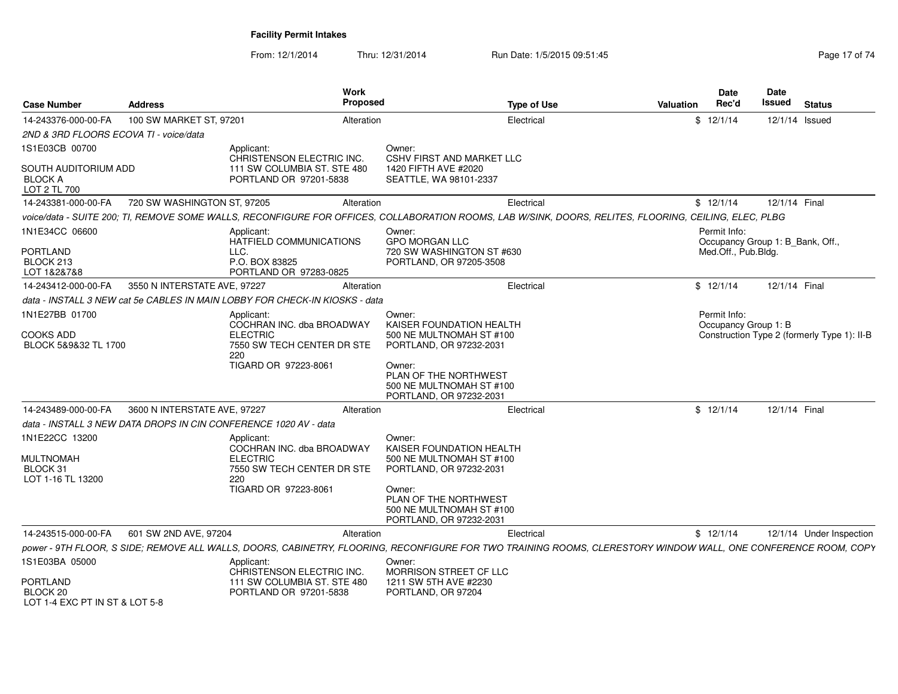| <b>Case Number</b>                                            | <b>Address</b>               | <b>Work</b><br><b>Proposed</b>                                                                                                                                 |                                                                                           | <b>Type of Use</b> | <b>Valuation</b>                     | <b>Date</b><br>Rec'd                | <b>Date</b><br><b>Issued</b>                | <b>Status</b>            |
|---------------------------------------------------------------|------------------------------|----------------------------------------------------------------------------------------------------------------------------------------------------------------|-------------------------------------------------------------------------------------------|--------------------|--------------------------------------|-------------------------------------|---------------------------------------------|--------------------------|
| 14-243376-000-00-FA                                           | 100 SW MARKET ST, 97201      | Alteration                                                                                                                                                     |                                                                                           | Electrical         |                                      | \$12/1/14                           |                                             | 12/1/14 Issued           |
| 2ND & 3RD FLOORS ECOVA TI - voice/data                        |                              |                                                                                                                                                                |                                                                                           |                    |                                      |                                     |                                             |                          |
| 1S1E03CB 00700                                                |                              | Applicant:<br>CHRISTENSON ELECTRIC INC.                                                                                                                        | Owner:<br><b>CSHV FIRST AND MARKET LLC</b>                                                |                    |                                      |                                     |                                             |                          |
| SOUTH AUDITORIUM ADD<br><b>BLOCK A</b><br>LOT 2 TL 700        |                              | 111 SW COLUMBIA ST. STE 480<br>PORTLAND OR 97201-5838                                                                                                          | 1420 FIFTH AVE #2020<br>SEATTLE, WA 98101-2337                                            |                    |                                      |                                     |                                             |                          |
| 14-243381-000-00-FA                                           | 720 SW WASHINGTON ST, 97205  | Alteration                                                                                                                                                     |                                                                                           | Electrical         |                                      | \$12/1/14                           | 12/1/14 Final                               |                          |
|                                                               |                              | voice/data - SUITE 200; TI, REMOVE SOME WALLS, RECONFIGURE FOR OFFICES, COLLABORATION ROOMS, LAB W/SINK, DOORS, RELITES, FLOORING, CEILING, ELEC, PLBG         |                                                                                           |                    |                                      |                                     |                                             |                          |
| 1N1E34CC 06600<br><b>PORTLAND</b>                             |                              | Applicant:<br>HATFIELD COMMUNICATIONS<br>LLC.                                                                                                                  | Owner:<br><b>GPO MORGAN LLC</b><br>720 SW WASHINGTON ST #630                              |                    |                                      | Permit Info:<br>Med.Off., Pub.Bldg. | Occupancy Group 1: B Bank, Off.,            |                          |
| BLOCK 213<br>LOT 1&2&7&8                                      |                              | P.O. BOX 83825<br>PORTLAND OR 97283-0825                                                                                                                       | PORTLAND, OR 97205-3508                                                                   |                    |                                      |                                     |                                             |                          |
| 14-243412-000-00-FA                                           | 3550 N INTERSTATE AVE, 97227 | Alteration                                                                                                                                                     |                                                                                           | Electrical         |                                      | \$12/1/14                           | 12/1/14 Final                               |                          |
|                                                               |                              | data - INSTALL 3 NEW cat 5e CABLES IN MAIN LOBBY FOR CHECK-IN KIOSKS - data                                                                                    |                                                                                           |                    |                                      |                                     |                                             |                          |
| 1N1E27BB 01700<br><b>COOKS ADD</b><br>BLOCK 5&9&32 TL 1700    |                              | Applicant:<br>COCHRAN INC. dba BROADWAY<br><b>ELECTRIC</b><br>7550 SW TECH CENTER DR STE                                                                       | Owner:<br>KAISER FOUNDATION HEALTH<br>500 NE MULTNOMAH ST #100<br>PORTLAND, OR 97232-2031 |                    | Permit Info:<br>Occupancy Group 1: B |                                     | Construction Type 2 (formerly Type 1): II-B |                          |
|                                                               |                              | 220<br>TIGARD OR 97223-8061                                                                                                                                    | Owner:<br>PLAN OF THE NORTHWEST<br>500 NE MULTNOMAH ST #100<br>PORTLAND, OR 97232-2031    |                    |                                      |                                     |                                             |                          |
| 14-243489-000-00-FA                                           | 3600 N INTERSTATE AVE, 97227 | Alteration                                                                                                                                                     |                                                                                           | Electrical         |                                      | \$12/1/14                           | 12/1/14 Final                               |                          |
|                                                               |                              | data - INSTALL 3 NEW DATA DROPS IN CIN CONFERENCE 1020 AV - data                                                                                               |                                                                                           |                    |                                      |                                     |                                             |                          |
| 1N1E22CC 13200<br><b>MULTNOMAH</b><br>BLOCK 31                |                              | Applicant:<br>COCHRAN INC. dba BROADWAY<br><b>ELECTRIC</b><br>7550 SW TECH CENTER DR STE                                                                       | Owner:<br>KAISER FOUNDATION HEALTH<br>500 NE MULTNOMAH ST #100<br>PORTLAND, OR 97232-2031 |                    |                                      |                                     |                                             |                          |
| LOT 1-16 TL 13200                                             |                              | 220<br>TIGARD OR 97223-8061                                                                                                                                    | Owner:<br>PLAN OF THE NORTHWEST<br>500 NE MULTNOMAH ST #100<br>PORTLAND, OR 97232-2031    |                    |                                      |                                     |                                             |                          |
| 14-243515-000-00-FA                                           | 601 SW 2ND AVE, 97204        | Alteration                                                                                                                                                     |                                                                                           | Electrical         |                                      | \$12/1/14                           |                                             | 12/1/14 Under Inspection |
|                                                               |                              | power - 9TH FLOOR, S SIDE; REMOVE ALL WALLS, DOORS, CABINETRY, FLOORING, RECONFIGURE FOR TWO TRAINING ROOMS, CLERESTORY WINDOW WALL, ONE CONFERENCE ROOM, COPY |                                                                                           |                    |                                      |                                     |                                             |                          |
| 1S1E03BA 05000                                                |                              | Applicant:<br>CHRISTENSON ELECTRIC INC.                                                                                                                        | Owner:<br>MORRISON STREET CF LLC                                                          |                    |                                      |                                     |                                             |                          |
| <b>PORTLAND</b><br>BLOCK 20<br>LOT 1-4 EXC PT IN ST & LOT 5-8 |                              | 111 SW COLUMBIA ST. STE 480<br>PORTLAND OR 97201-5838                                                                                                          | 1211 SW 5TH AVE #2230<br>PORTLAND, OR 97204                                               |                    |                                      |                                     |                                             |                          |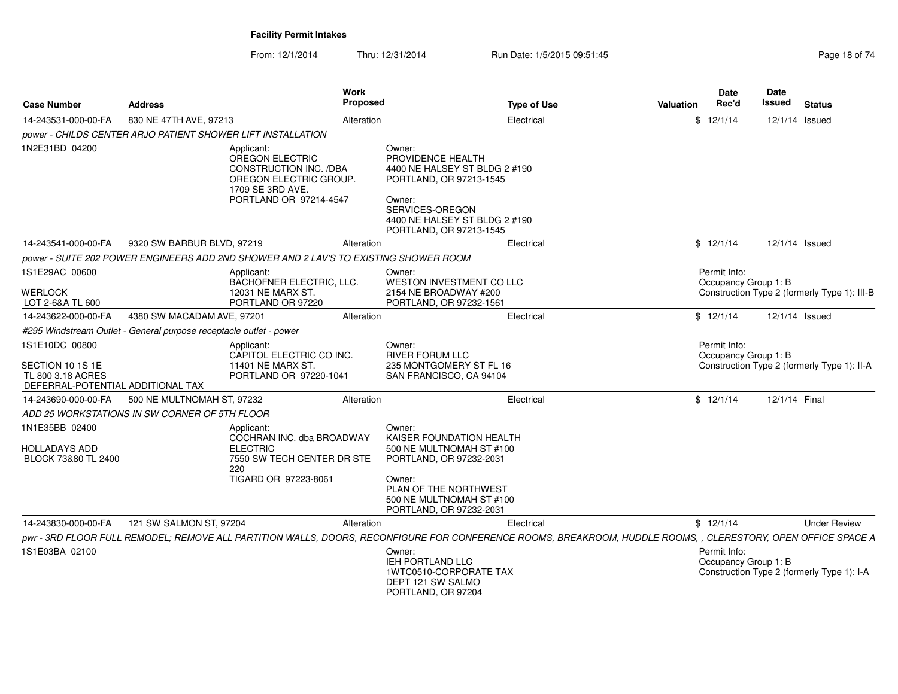**S** Proposed

**Work** 

**Case Number**

**Address**

From: 12/1/2014Thru: 12/31/2014 Run Date: 1/5/2015 09:51:45 Run Date: 1/5/2015 09:51:45

**Type of Use**

**Status**

**DateIssued** 

**Date**

**Valuation**

 **Rec'd Issued** *power - CHILDS CENTER ARJO PATIENT SHOWER LIFT INSTALLATION* 14-243531-000-00-FAA 830 NE 47TH AVE, 97213 Alteration Alteration Christian Electrical Christian Christian Annual Studies Alternation Christian Lateration Christian Christian Alternation Christian Lateration Christian Christian Alternation C 1N2E31BD 04200 Applicant: OREGON ELECTRIC CONSTRUCTION INC. /DBA OREGON ELECTRIC GROUP.1709 SE 3RD AVE. PORTLAND OR 97214-4547Owner: PROVIDENCE HEALTH 4400 NE HALSEY ST BLDG 2 #190PORTLAND, OR 97213-1545Owner: SERVICES-OREGON 4400 NE HALSEY ST BLDG 2 #190PORTLAND, OR 97213-1545830 NE 47TH AVE, 972133 Alteration Electrical 5 12/1/14 12/1/14 *power - SUITE 202 POWER ENGINEERS ADD 2ND SHOWER AND 2 LAV'S TO EXISTING SHOWER ROOM*14-243541-000-00-FA Issued 9320 SW BARBUR BLVD, 972191S1E29AC 00600**WERLOCK**  LOT 2-6&A TL 600 14-243622-000-00-FAApplicant: BACHOFNER ELECTRIC, LLC.12031 NE MARX ST. PORTLAND OR 97220Owner: WESTON INVESTMENT CO LLC2154 NE BROADWAY #200 PORTLAND, OR 97232-1561Permit Info: Occupancy Group 1: B Construction Type 2 (formerly Type 1): III-B9 Alteration **Electrical** Electrical \$ 12/1/14 12/1/14 *#295 Windstream Outlet - General purpose receptacle outlet - power*A 4380 SW MACADAM AVE, 97201 **Example 2018** Alteration **Number 2018** Electrical Electrical States And America And States And 12/1/14 Issued 1S1E10DC 00800SECTION 10 1S 1E TL 800 3.18 ACRES DEFERRAL-POTENTIAL ADDITIONAL TAXA 500 NE MULTNOMAH ST, 97232 **Electrical** Electrical Electrical State Attacks Attending the State of the Attending State Attending State Attending State 3 and the State State Attending State Attending State 3 and the State Applicant: CAPITOL ELECTRIC CO INC.11401 NE MARX ST. PORTLAND OR 97220-1041Owner: RIVER FORUM LLC 235 MONTGOMERY ST FL 16 SAN FRANCISCO, CA 94104Permit Info: Occupancy Group 1: B Construction Type 2 (formerly Type 1): II-A4380 SW MACADAM AVE, 97201 Alteration Electrical \$ 12/1/14 12/1/14 *ADD 25 WORKSTATIONS IN SW CORNER OF 5TH FLOOR* Applicant:14-243690-000-00-FA1N1E35BB 02400HOLLADAYS ADD BLOCK 73&80 TL 2400 COCHRAN INC. dba BROADWAYELECTRIC 7550 SW TECH CENTER DR STE220 TIGARD OR 97223-8061Owner: KAISER FOUNDATION HEALTH 500 NE MULTNOMAH ST #100PORTLAND, OR 97232-2031Owner: PLAN OF THE NORTHWEST 500 NE MULTNOMAH ST #100PORTLAND, OR 97232-2031 Alteration Electrical \$ 12/1/14 12/1/14 pwr - 3RD FLOOR FULL REMODEL; REMOVE ALL PARTITION WALLS, DOORS, RECONFIGURE FOR CONFERENCE ROOMS, BREAKROOM, HUDDLE ROOMS, , CLERESTORY, OPEN OFFICE SPACE A 14-243830-000-00-FAA 121 SW SALMON ST, 97204 **Metal According Alteration** Christ Electrical Christian Christ Christ Christ Christ Christ Christ Christ Christ Christ Christ Christ Christ Christ Christ Christ Christ Christ Christ Christ Christ 1S1E03BA 021000 IEH PORTLAND LLC 1WTC0510-CORPORATE TAXDEPT 121 SW SALMO PORTLAND, OR 97204Permit Info: Occupancy Group 1: B Construction Type 2 (formerly Type 1): I-A121 SW SALMON ST, 972044 **Alteration Alteration Electrical** Electrical **3** 12/1/14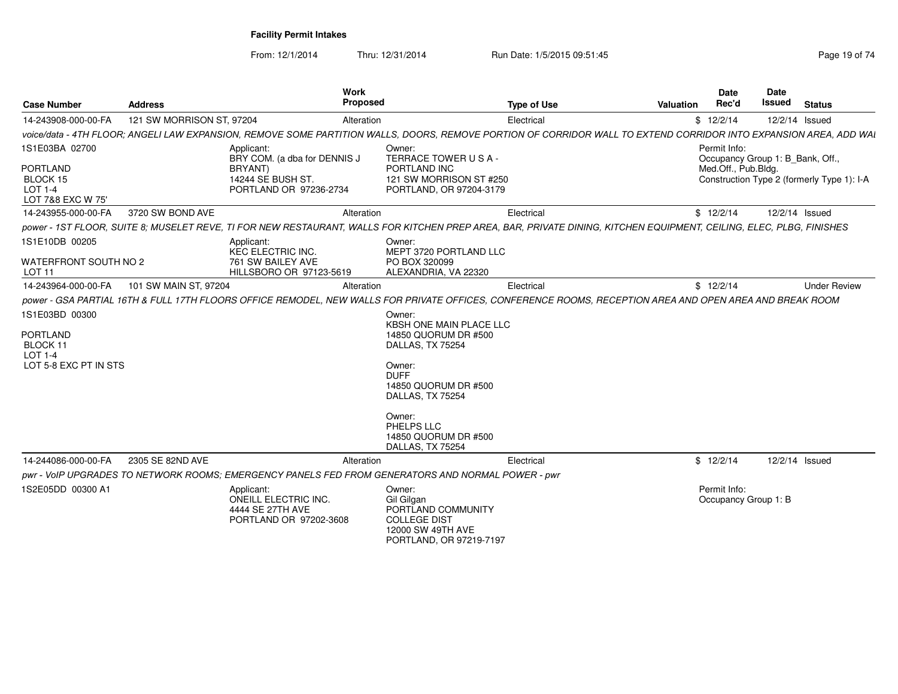| <b>Case Number</b>                                                                | <b>Address</b>            | Work<br><b>Proposed</b>                                                                              |                                                                                                                                                                                                                        | <b>Type of Use</b><br><b>Valuation</b>                                                                                                                              | <b>Date</b><br>Rec'd                                                    | <b>Date</b><br><b>Issued</b> | <b>Status</b>                              |
|-----------------------------------------------------------------------------------|---------------------------|------------------------------------------------------------------------------------------------------|------------------------------------------------------------------------------------------------------------------------------------------------------------------------------------------------------------------------|---------------------------------------------------------------------------------------------------------------------------------------------------------------------|-------------------------------------------------------------------------|------------------------------|--------------------------------------------|
| 14-243908-000-00-FA                                                               | 121 SW MORRISON ST, 97204 | Alteration                                                                                           |                                                                                                                                                                                                                        | Electrical                                                                                                                                                          | \$12/2/14                                                               |                              | 12/2/14 Issued                             |
|                                                                                   |                           |                                                                                                      |                                                                                                                                                                                                                        | voice/data - 4TH FLOOR; ANGELI LAW EXPANSION, REMOVE SOME PARTITION WALLS, DOORS, REMOVE PORTION OF CORRIDOR WALL TO EXTEND CORRIDOR INTO EXPANSION AREA, ADD WAI   |                                                                         |                              |                                            |
| 1S1E03BA 02700<br><b>PORTLAND</b><br>BLOCK 15<br>LOT 1-4<br>LOT 7&8 EXC W 75'     |                           | Applicant:<br>BRY COM. (a dba for DENNIS J<br>BRYANT)<br>14244 SE BUSH ST.<br>PORTLAND OR 97236-2734 | Owner:<br>TERRACE TOWER USA-<br>PORTLAND INC<br>121 SW MORRISON ST #250<br>PORTLAND, OR 97204-3179                                                                                                                     |                                                                                                                                                                     | Permit Info:<br>Occupancy Group 1: B_Bank, Off.,<br>Med.Off., Pub.Bldg. |                              | Construction Type 2 (formerly Type 1): I-A |
| 14-243955-000-00-FA                                                               | 3720 SW BOND AVE          | Alteration                                                                                           |                                                                                                                                                                                                                        | Electrical                                                                                                                                                          | \$12/2/14                                                               |                              | 12/2/14 Issued                             |
|                                                                                   |                           |                                                                                                      |                                                                                                                                                                                                                        | power - 1ST FLOOR, SUITE 8; MUSELET REVE, TI FOR NEW RESTAURANT, WALLS FOR KITCHEN PREP AREA, BAR, PRIVATE DINING, KITCHEN EQUIPMENT, CEILING, ELEC, PLBG, FINISHES |                                                                         |                              |                                            |
| 1S1E10DB 00205<br>WATERFRONT SOUTH NO 2<br>LOT <sub>11</sub>                      |                           | Applicant:<br>KEC ELECTRIC INC.<br>761 SW BAILEY AVE<br>HILLSBORO OR 97123-5619                      | Owner:<br>MEPT 3720 PORTLAND LLC<br>PO BOX 320099<br>ALEXANDRIA, VA 22320                                                                                                                                              |                                                                                                                                                                     |                                                                         |                              |                                            |
| 14-243964-000-00-FA                                                               | 101 SW MAIN ST, 97204     | Alteration                                                                                           |                                                                                                                                                                                                                        | Electrical                                                                                                                                                          | \$12/2/14                                                               |                              | <b>Under Review</b>                        |
|                                                                                   |                           |                                                                                                      |                                                                                                                                                                                                                        | power - GSA PARTIAL 16TH & FULL 17TH FLOORS OFFICE REMODEL, NEW WALLS FOR PRIVATE OFFICES, CONFERENCE ROOMS, RECEPTION AREA AND OPEN AREA AND BREAK ROOM            |                                                                         |                              |                                            |
| 1S1E03BD 00300<br><b>PORTLAND</b><br>BLOCK 11<br>LOT 1-4<br>LOT 5-8 EXC PT IN STS |                           |                                                                                                      | Owner:<br>KBSH ONE MAIN PLACE LLC<br>14850 QUORUM DR #500<br>DALLAS, TX 75254<br>Owner:<br><b>DUFF</b><br>14850 QUORUM DR #500<br>DALLAS, TX 75254<br>Owner:<br>PHELPS LLC<br>14850 QUORUM DR #500<br>DALLAS, TX 75254 |                                                                                                                                                                     |                                                                         |                              |                                            |
| 14-244086-000-00-FA                                                               | 2305 SE 82ND AVE          | Alteration                                                                                           |                                                                                                                                                                                                                        | Electrical                                                                                                                                                          | \$12/2/14                                                               |                              | 12/2/14 Issued                             |
|                                                                                   |                           | pwr - VoIP UPGRADES TO NETWORK ROOMS: EMERGENCY PANELS FED FROM GENERATORS AND NORMAL POWER - pwr    |                                                                                                                                                                                                                        |                                                                                                                                                                     |                                                                         |                              |                                            |
| 1S2E05DD 00300 A1                                                                 |                           | Applicant:<br><b>ONEILL ELECTRIC INC.</b><br>4444 SE 27TH AVE<br>PORTLAND OR 97202-3608              | Owner:<br>Gil Gilgan<br>PORTLAND COMMUNITY<br><b>COLLEGE DIST</b><br>12000 SW 49TH AVE<br>PORTLAND, OR 97219-7197                                                                                                      |                                                                                                                                                                     | Permit Info:<br>Occupancy Group 1: B                                    |                              |                                            |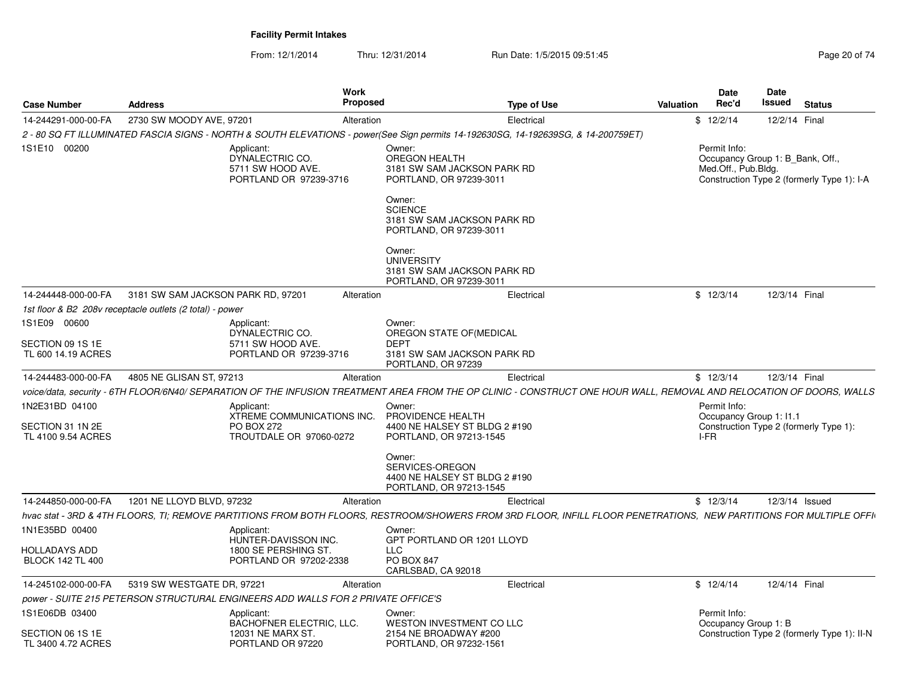| <b>Case Number</b>                                       | <b>Address</b>                                           |                                                                                          | <b>Work</b><br>Proposed | <b>Type of Use</b>                                                                                                                                                    | Valuation | Date<br>Rec'd                                                                             | Date<br>Issued | <b>Status</b>  |                                             |
|----------------------------------------------------------|----------------------------------------------------------|------------------------------------------------------------------------------------------|-------------------------|-----------------------------------------------------------------------------------------------------------------------------------------------------------------------|-----------|-------------------------------------------------------------------------------------------|----------------|----------------|---------------------------------------------|
| 14-244291-000-00-FA                                      | 2730 SW MOODY AVE, 97201                                 |                                                                                          | Alteration              | Electrical                                                                                                                                                            |           | \$12/2/14                                                                                 |                | 12/2/14 Final  |                                             |
|                                                          |                                                          |                                                                                          |                         | 2 - 80 SQ FT ILLUMINATED FASCIA SIGNS - NORTH & SOUTH ELEVATIONS - power(See Sign permits 14-192630SG, 14-192639SG, & 14-200759ET)                                    |           |                                                                                           |                |                |                                             |
| 1S1E10 00200                                             |                                                          | Applicant:<br>DYNALECTRIC CO.<br>5711 SW HOOD AVE.<br>PORTLAND OR 97239-3716             |                         | Owner:<br><b>OREGON HEALTH</b><br>3181 SW SAM JACKSON PARK RD<br>PORTLAND, OR 97239-3011                                                                              |           | Permit Info:<br>Occupancy Group 1: B_Bank, Off.,<br>Med.Off., Pub.Bldg.                   |                |                | Construction Type 2 (formerly Type 1): I-A  |
|                                                          |                                                          |                                                                                          |                         | Owner:<br><b>SCIENCE</b><br>3181 SW SAM JACKSON PARK RD<br>PORTLAND, OR 97239-3011                                                                                    |           |                                                                                           |                |                |                                             |
|                                                          |                                                          |                                                                                          |                         | Owner:<br><b>UNIVERSITY</b><br>3181 SW SAM JACKSON PARK RD<br>PORTLAND, OR 97239-3011                                                                                 |           |                                                                                           |                |                |                                             |
| 14-244448-000-00-FA                                      | 3181 SW SAM JACKSON PARK RD, 97201                       |                                                                                          | Alteration              | Electrical                                                                                                                                                            |           | \$12/3/14                                                                                 |                | 12/3/14 Final  |                                             |
|                                                          | 1st floor & B2 208v receptacle outlets (2 total) - power |                                                                                          |                         |                                                                                                                                                                       |           |                                                                                           |                |                |                                             |
| 1S1E09 00600                                             |                                                          | Applicant:<br>DYNALECTRIC CO.                                                            |                         | Owner:<br>OREGON STATE OF (MEDICAL                                                                                                                                    |           |                                                                                           |                |                |                                             |
| SECTION 09 1S 1E                                         |                                                          | 5711 SW HOOD AVE.                                                                        |                         | <b>DEPT</b>                                                                                                                                                           |           |                                                                                           |                |                |                                             |
| TL 600 14.19 ACRES                                       |                                                          | PORTLAND OR 97239-3716                                                                   |                         | 3181 SW SAM JACKSON PARK RD<br>PORTLAND, OR 97239                                                                                                                     |           |                                                                                           |                |                |                                             |
| 14-244483-000-00-FA                                      | 4805 NE GLISAN ST, 97213                                 |                                                                                          | Alteration              | Electrical                                                                                                                                                            |           | \$12/3/14                                                                                 |                | 12/3/14 Final  |                                             |
|                                                          |                                                          |                                                                                          |                         | voice/data. security - 6TH FLOOR/6N40/ SEPARATION OF THE INFUSION TREATMENT AREA FROM THE OP CLINIC - CONSTRUCT ONE HOUR WALL. REMOVAL AND RELOCATION OF DOORS. WALLS |           |                                                                                           |                |                |                                             |
| 1N2E31BD 04100<br>SECTION 31 1N 2E<br>TL 4100 9.54 ACRES |                                                          | Applicant:<br>XTREME COMMUNICATIONS INC.<br><b>PO BOX 272</b><br>TROUTDALE OR 97060-0272 |                         | Owner:<br>PROVIDENCE HEALTH<br>4400 NE HALSEY ST BLDG 2 #190<br>PORTLAND, OR 97213-1545                                                                               |           | Permit Info:<br>Occupancy Group 1: I1.1<br>Construction Type 2 (formerly Type 1):<br>I-FR |                |                |                                             |
|                                                          |                                                          |                                                                                          |                         | Owner:<br>SERVICES-OREGON<br>4400 NE HALSEY ST BLDG 2 #190<br>PORTLAND, OR 97213-1545                                                                                 |           |                                                                                           |                |                |                                             |
| 14-244850-000-00-FA                                      | 1201 NE LLOYD BLVD, 97232                                |                                                                                          | Alteration              | Electrical                                                                                                                                                            |           | \$12/3/14                                                                                 |                | 12/3/14 Issued |                                             |
|                                                          |                                                          |                                                                                          |                         | hvac stat - 3RD & 4TH FLOORS, TI; REMOVE PARTITIONS FROM BOTH FLOORS, RESTROOM/SHOWERS FROM 3RD FLOOR, INFILL FLOOR PENETRATIONS, NEW PARTITIONS FOR MULTIPLE OFFI    |           |                                                                                           |                |                |                                             |
| 1N1E35BD 00400                                           |                                                          | Applicant:<br>HUNTER-DAVISSON INC.                                                       |                         | Owner:<br>GPT PORTLAND OR 1201 LLOYD                                                                                                                                  |           |                                                                                           |                |                |                                             |
| <b>HOLLADAYS ADD</b><br><b>BLOCK 142 TL 400</b>          |                                                          | 1800 SE PERSHING ST.<br>PORTLAND OR 97202-2338                                           |                         | LLC<br><b>PO BOX 847</b><br>CARLSBAD, CA 92018                                                                                                                        |           |                                                                                           |                |                |                                             |
| 14-245102-000-00-FA                                      | 5319 SW WESTGATE DR, 97221                               |                                                                                          | Alteration              | Electrical                                                                                                                                                            |           | \$12/4/14                                                                                 |                | 12/4/14 Final  |                                             |
|                                                          |                                                          | power - SUITE 215 PETERSON STRUCTURAL ENGINEERS ADD WALLS FOR 2 PRIVATE OFFICE'S         |                         |                                                                                                                                                                       |           |                                                                                           |                |                |                                             |
| 1S1E06DB 03400                                           |                                                          | Applicant:<br><b>BACHOFNER ELECTRIC, LLC.</b>                                            |                         | Owner:<br>WESTON INVESTMENT CO LLC                                                                                                                                    |           | Permit Info:<br>Occupancy Group 1: B                                                      |                |                |                                             |
| SECTION 06 1S 1E<br>TL 3400 4.72 ACRES                   |                                                          | 12031 NE MARX ST.<br>PORTLAND OR 97220                                                   |                         | 2154 NE BROADWAY #200<br>PORTLAND, OR 97232-1561                                                                                                                      |           |                                                                                           |                |                | Construction Type 2 (formerly Type 1): II-N |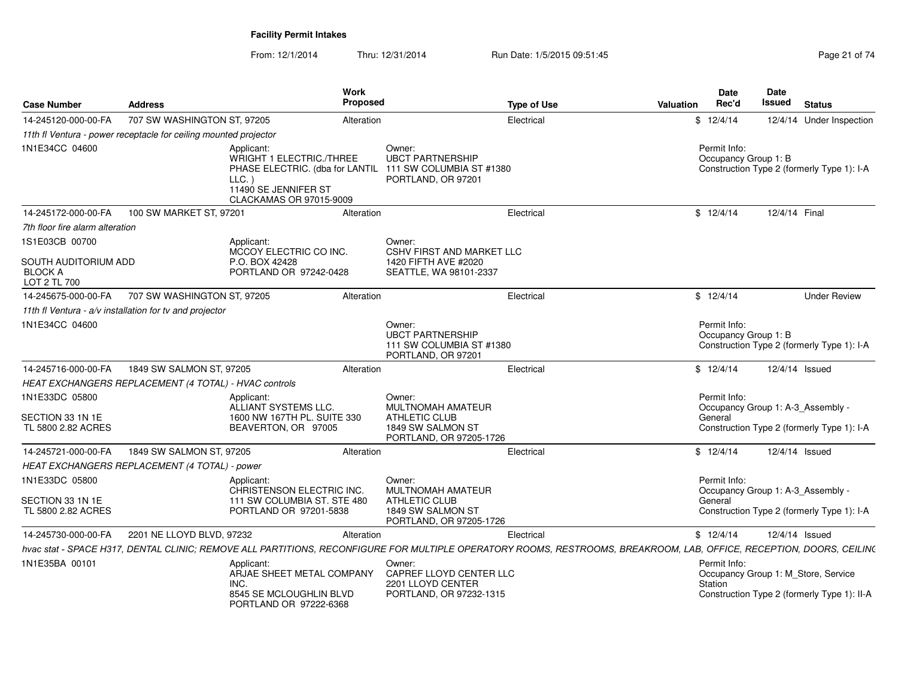| <b>Case Number</b>                                     | <b>Address</b>                                                   | Work<br>Proposed                                                                                                                                                     |                                                                                     | <b>Type of Use</b> | <b>Valuation</b> | <b>Date</b><br>Rec'd                 | <b>Date</b><br><b>Issued</b> | <b>Status</b>                                                                      |
|--------------------------------------------------------|------------------------------------------------------------------|----------------------------------------------------------------------------------------------------------------------------------------------------------------------|-------------------------------------------------------------------------------------|--------------------|------------------|--------------------------------------|------------------------------|------------------------------------------------------------------------------------|
| 14-245120-000-00-FA                                    | 707 SW WASHINGTON ST, 97205                                      | Alteration                                                                                                                                                           |                                                                                     | Electrical         |                  | \$12/4/14                            |                              | 12/4/14 Under Inspection                                                           |
|                                                        | 11th fl Ventura - power receptacle for ceiling mounted projector |                                                                                                                                                                      |                                                                                     |                    |                  |                                      |                              |                                                                                    |
| 1N1E34CC 04600                                         | LLC.                                                             | Applicant:<br>WRIGHT 1 ELECTRIC./THREE<br>PHASE ELECTRIC. (dba for LANTIL<br>11490 SE JENNIFER ST<br>CLACKAMAS OR 97015-9009                                         | Owner:<br><b>UBCT PARTNERSHIP</b><br>111 SW COLUMBIA ST #1380<br>PORTLAND, OR 97201 |                    |                  | Permit Info:<br>Occupancy Group 1: B |                              | Construction Type 2 (formerly Type 1): I-A                                         |
| 14-245172-000-00-FA                                    | 100 SW MARKET ST, 97201                                          | Alteration                                                                                                                                                           |                                                                                     | Electrical         |                  | \$12/4/14                            | 12/4/14 Final                |                                                                                    |
| 7th floor fire alarm alteration                        |                                                                  |                                                                                                                                                                      |                                                                                     |                    |                  |                                      |                              |                                                                                    |
| 1S1E03CB 00700                                         |                                                                  | Applicant:<br>MCCOY ELECTRIC CO INC.                                                                                                                                 | Owner:<br><b>CSHV FIRST AND MARKET LLC</b>                                          |                    |                  |                                      |                              |                                                                                    |
| SOUTH AUDITORIUM ADD<br><b>BLOCK A</b><br>LOT 2 TL 700 |                                                                  | P.O. BOX 42428<br>PORTLAND OR 97242-0428                                                                                                                             | 1420 FIFTH AVE #2020<br>SEATTLE, WA 98101-2337                                      |                    |                  |                                      |                              |                                                                                    |
| 14-245675-000-00-FA                                    | 707 SW WASHINGTON ST, 97205                                      | Alteration                                                                                                                                                           |                                                                                     | Electrical         |                  | \$12/4/14                            |                              | <b>Under Review</b>                                                                |
|                                                        | 11th fl Ventura - $a/v$ installation for tv and projector        |                                                                                                                                                                      |                                                                                     |                    |                  |                                      |                              |                                                                                    |
| 1N1E34CC 04600                                         |                                                                  |                                                                                                                                                                      | Owner:<br><b>UBCT PARTNERSHIP</b><br>111 SW COLUMBIA ST #1380<br>PORTLAND, OR 97201 |                    |                  | Permit Info:<br>Occupancy Group 1: B |                              | Construction Type 2 (formerly Type 1): I-A                                         |
| 14-245716-000-00-FA                                    | 1849 SW SALMON ST, 97205                                         | Alteration                                                                                                                                                           |                                                                                     | Electrical         |                  | \$12/4/14                            |                              | 12/4/14 Issued                                                                     |
|                                                        | HEAT EXCHANGERS REPLACEMENT (4 TOTAL) - HVAC controls            |                                                                                                                                                                      |                                                                                     |                    |                  |                                      |                              |                                                                                    |
| 1N1E33DC 05800                                         |                                                                  | Applicant:<br>ALLIANT SYSTEMS LLC.                                                                                                                                   | Owner:<br>MULTNOMAH AMATEUR                                                         |                    |                  | Permit Info:                         |                              | Occupancy Group 1: A-3 Assembly -                                                  |
| SECTION 33 1N 1E<br>TL 5800 2.82 ACRES                 |                                                                  | 1600 NW 167TH PL. SUITE 330<br>BEAVERTON, OR 97005                                                                                                                   | <b>ATHLETIC CLUB</b><br>1849 SW SALMON ST<br>PORTLAND, OR 97205-1726                |                    |                  | General                              |                              | Construction Type 2 (formerly Type 1): I-A                                         |
| 14-245721-000-00-FA                                    | 1849 SW SALMON ST, 97205                                         | Alteration                                                                                                                                                           |                                                                                     | Electrical         |                  | \$12/4/14                            |                              | 12/4/14 Issued                                                                     |
|                                                        | HEAT EXCHANGERS REPLACEMENT (4 TOTAL) - power                    |                                                                                                                                                                      |                                                                                     |                    |                  |                                      |                              |                                                                                    |
| 1N1E33DC 05800                                         |                                                                  | Applicant:<br>CHRISTENSON ELECTRIC INC.                                                                                                                              | Owner:<br><b>MULTNOMAH AMATEUR</b>                                                  |                    |                  | Permit Info:                         |                              | Occupancy Group 1: A-3 Assembly -                                                  |
| SECTION 33 1N 1E<br>TL 5800 2.82 ACRES                 |                                                                  | 111 SW COLUMBIA ST. STE 480<br>PORTLAND OR 97201-5838                                                                                                                | ATHLETIC CLUB<br>1849 SW SALMON ST<br>PORTLAND, OR 97205-1726                       |                    |                  | General                              |                              | Construction Type 2 (formerly Type 1): I-A                                         |
| 14-245730-000-00-FA                                    | 2201 NE LLOYD BLVD, 97232                                        | Alteration                                                                                                                                                           |                                                                                     | Electrical         |                  | \$12/4/14                            |                              | 12/4/14 Issued                                                                     |
|                                                        |                                                                  | hvac stat - SPACE H317, DENTAL CLINIC; REMOVE ALL PARTITIONS, RECONFIGURE FOR MULTIPLE OPERATORY ROOMS, RESTROOMS, BREAKROOM, LAB, OFFICE, RECEPTION, DOORS, CEILIN( |                                                                                     |                    |                  |                                      |                              |                                                                                    |
| 1N1E35BA 00101                                         | INC.                                                             | Applicant:<br>ARJAE SHEET METAL COMPANY<br>8545 SE MCLOUGHLIN BLVD<br>PORTLAND OR 97222-6368                                                                         | Owner:<br>CAPREF LLOYD CENTER LLC<br>2201 LLOYD CENTER<br>PORTLAND, OR 97232-1315   |                    |                  | Permit Info:<br>Station              |                              | Occupancy Group 1: M_Store, Service<br>Construction Type 2 (formerly Type 1): II-A |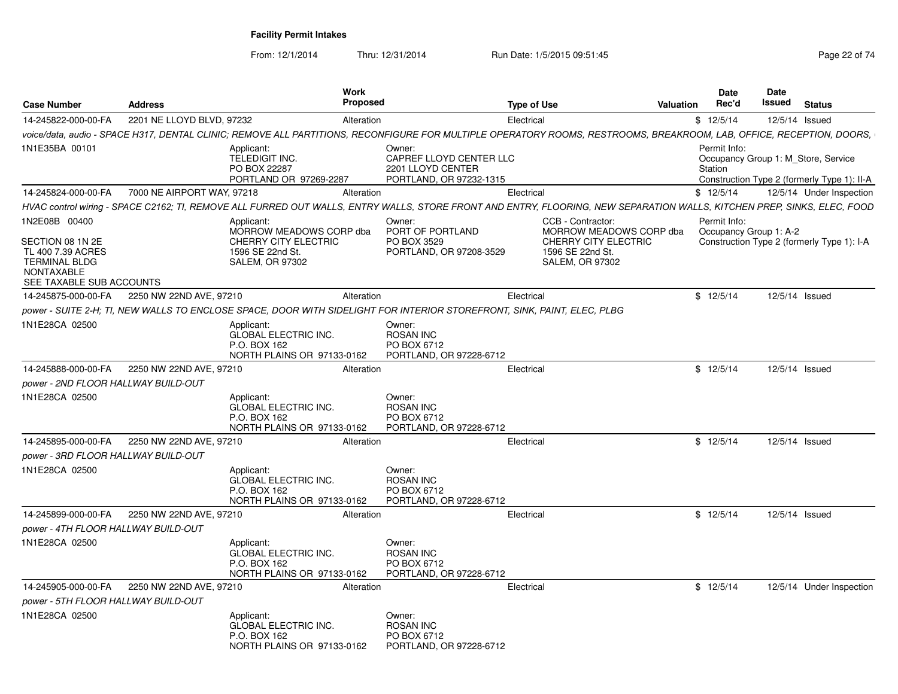| <b>Case Number</b>                                                                                                              | <b>Address</b>                              |                                                                                                             | Work<br>Proposed |                                                                                                                                                                         | <b>Type of Use</b> |                                                                                                                    | Valuation | <b>Date</b><br>Rec'd                                                                                                                                                                                                                                      | Date<br>Issued | <b>Status</b>            |
|---------------------------------------------------------------------------------------------------------------------------------|---------------------------------------------|-------------------------------------------------------------------------------------------------------------|------------------|-------------------------------------------------------------------------------------------------------------------------------------------------------------------------|--------------------|--------------------------------------------------------------------------------------------------------------------|-----------|-----------------------------------------------------------------------------------------------------------------------------------------------------------------------------------------------------------------------------------------------------------|----------------|--------------------------|
| 14-245822-000-00-FA                                                                                                             | 2201 NE LLOYD BLVD, 97232                   |                                                                                                             | Alteration       |                                                                                                                                                                         | Electrical         |                                                                                                                    |           | \$12/5/14<br>Permit Info:<br>Occupancy Group 1: M Store, Service<br>Station<br>Construction Type 2 (formerly Type 1): II-A<br>\$12/5/14<br>Permit Info:<br>Occupancy Group 1: A-2<br>Construction Type 2 (formerly Type 1): I-A<br>\$12/5/14<br>\$12/5/14 |                | 12/5/14 Issued           |
|                                                                                                                                 |                                             |                                                                                                             |                  | voice/data, audio - SPACE H317, DENTAL CLINIC; REMOVE ALL PARTITIONS, RECONFIGURE FOR MULTIPLE OPERATORY ROOMS, RESTROOMS, BREAKROOM, LAB, OFFICE, RECEPTION, DOORS,    |                    |                                                                                                                    |           |                                                                                                                                                                                                                                                           |                |                          |
| 1N1E35BA 00101                                                                                                                  |                                             | Applicant:<br><b>TELEDIGIT INC.</b><br>PO BOX 22287<br>PORTLAND OR 97269-2287                               |                  | Owner:<br>CAPREF LLOYD CENTER LLC<br>2201 LLOYD CENTER<br>PORTLAND, OR 97232-1315                                                                                       |                    |                                                                                                                    |           |                                                                                                                                                                                                                                                           |                |                          |
| 14-245824-000-00-FA                                                                                                             | 7000 NE AIRPORT WAY, 97218                  |                                                                                                             | Alteration       |                                                                                                                                                                         | Electrical         |                                                                                                                    |           |                                                                                                                                                                                                                                                           |                | 12/5/14 Under Inspection |
|                                                                                                                                 |                                             |                                                                                                             |                  | HVAC control wiring - SPACE C2162; TI, REMOVE ALL FURRED OUT WALLS, ENTRY WALLS, STORE FRONT AND ENTRY, FLOORING, NEW SEPARATION WALLS, KITCHEN PREP, SINKS, ELEC, FOOD |                    |                                                                                                                    |           |                                                                                                                                                                                                                                                           |                |                          |
| 1N2E08B 00400<br>SECTION 08 1N 2E<br>TL 400 7.39 ACRES<br><b>TERMINAL BLDG</b><br><b>NONTAXABLE</b><br>SEE TAXABLE SUB ACCOUNTS |                                             | Applicant:<br>MORROW MEADOWS CORP dba<br>CHERRY CITY ELECTRIC<br>1596 SE 22nd St.<br><b>SALEM, OR 97302</b> |                  | Owner:<br>PORT OF PORTLAND<br>PO BOX 3529<br>PORTLAND, OR 97208-3529                                                                                                    |                    | CCB - Contractor:<br>MORROW MEADOWS CORP dba<br>CHERRY CITY ELECTRIC<br>1596 SE 22nd St.<br><b>SALEM, OR 97302</b> |           |                                                                                                                                                                                                                                                           |                |                          |
| 14-245875-000-00-FA                                                                                                             | 2250 NW 22ND AVE, 97210                     |                                                                                                             | Alteration       |                                                                                                                                                                         | Electrical         |                                                                                                                    |           |                                                                                                                                                                                                                                                           |                | 12/5/14 Issued           |
|                                                                                                                                 |                                             |                                                                                                             |                  | power - SUITE 2-H; TI, NEW WALLS TO ENCLOSE SPACE, DOOR WITH SIDELIGHT FOR INTERIOR STOREFRONT, SINK, PAINT, ELEC, PLBG                                                 |                    |                                                                                                                    |           |                                                                                                                                                                                                                                                           |                |                          |
| 1N1E28CA 02500                                                                                                                  |                                             | Applicant:<br><b>GLOBAL ELECTRIC INC.</b><br>P.O. BOX 162<br>NORTH PLAINS OR 97133-0162                     |                  | Owner:<br><b>ROSAN INC</b><br>PO BOX 6712<br>PORTLAND, OR 97228-6712                                                                                                    |                    |                                                                                                                    |           |                                                                                                                                                                                                                                                           |                |                          |
| 14-245888-000-00-FA                                                                                                             | 2250 NW 22ND AVE, 97210                     |                                                                                                             | Alteration       |                                                                                                                                                                         | Electrical         |                                                                                                                    |           |                                                                                                                                                                                                                                                           |                | 12/5/14 Issued           |
| power - 2ND FLOOR HALLWAY BUILD-OUT                                                                                             |                                             |                                                                                                             |                  |                                                                                                                                                                         |                    |                                                                                                                    |           |                                                                                                                                                                                                                                                           |                |                          |
| 1N1E28CA 02500                                                                                                                  |                                             | Applicant:<br><b>GLOBAL ELECTRIC INC.</b><br>P.O. BOX 162<br>NORTH PLAINS OR 97133-0162                     |                  | Owner:<br><b>ROSAN INC</b><br>PO BOX 6712<br>PORTLAND, OR 97228-6712                                                                                                    |                    |                                                                                                                    |           |                                                                                                                                                                                                                                                           |                |                          |
| 14-245895-000-00-FA                                                                                                             | 2250 NW 22ND AVE, 97210                     |                                                                                                             | Alteration       |                                                                                                                                                                         | Electrical         |                                                                                                                    |           | \$12/5/14                                                                                                                                                                                                                                                 |                | 12/5/14 Issued           |
| power - 3RD FLOOR HALLWAY BUILD-OUT                                                                                             |                                             |                                                                                                             |                  |                                                                                                                                                                         |                    |                                                                                                                    |           |                                                                                                                                                                                                                                                           |                |                          |
| 1N1E28CA 02500                                                                                                                  |                                             | Applicant:<br><b>GLOBAL ELECTRIC INC.</b><br>P.O. BOX 162<br>NORTH PLAINS OR 97133-0162                     |                  | Owner:<br><b>ROSAN INC</b><br>PO BOX 6712<br>PORTLAND, OR 97228-6712                                                                                                    |                    |                                                                                                                    |           |                                                                                                                                                                                                                                                           |                |                          |
|                                                                                                                                 | 14-245899-000-00-FA 2250 NW 22ND AVE, 97210 |                                                                                                             | Alteration       |                                                                                                                                                                         | Electrical         |                                                                                                                    |           | \$12/5/14                                                                                                                                                                                                                                                 |                | 12/5/14 Issued           |
| power - 4TH FLOOR HALLWAY BUILD-OUT                                                                                             |                                             |                                                                                                             |                  |                                                                                                                                                                         |                    |                                                                                                                    |           |                                                                                                                                                                                                                                                           |                |                          |
| 1N1E28CA 02500                                                                                                                  |                                             | Applicant:<br><b>GLOBAL ELECTRIC INC.</b><br>P.O. BOX 162<br>NORTH PLAINS OR 97133-0162                     |                  | Owner:<br><b>ROSAN INC</b><br>PO BOX 6712<br>PORTLAND, OR 97228-6712                                                                                                    |                    |                                                                                                                    |           |                                                                                                                                                                                                                                                           |                |                          |
| 14-245905-000-00-FA                                                                                                             | 2250 NW 22ND AVE, 97210                     |                                                                                                             | Alteration       |                                                                                                                                                                         | Electrical         |                                                                                                                    |           | \$12/5/14                                                                                                                                                                                                                                                 |                | 12/5/14 Under Inspection |
| power - 5TH FLOOR HALLWAY BUILD-OUT                                                                                             |                                             |                                                                                                             |                  |                                                                                                                                                                         |                    |                                                                                                                    |           |                                                                                                                                                                                                                                                           |                |                          |
| 1N1E28CA 02500                                                                                                                  |                                             | Applicant:<br><b>GLOBAL ELECTRIC INC.</b><br>P.O. BOX 162<br>NORTH PLAINS OR 97133-0162                     |                  | Owner:<br><b>ROSAN INC</b><br>PO BOX 6712<br>PORTLAND, OR 97228-6712                                                                                                    |                    |                                                                                                                    |           |                                                                                                                                                                                                                                                           |                |                          |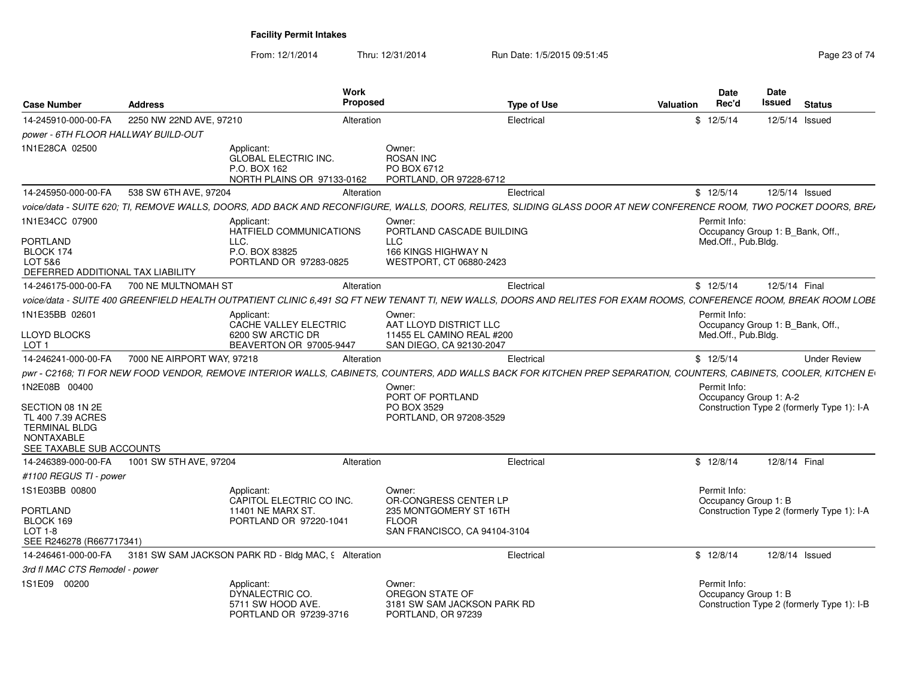| <b>Case Number</b>                                                                                                              | <b>Address</b>                                                                                                                                                      | Work<br>Proposed                                                                                          | <b>Type of Use</b> | Valuation | <b>Date</b><br>Rec'd                 | <b>Date</b><br><b>Issued</b>     | <b>Status</b>                              |
|---------------------------------------------------------------------------------------------------------------------------------|---------------------------------------------------------------------------------------------------------------------------------------------------------------------|-----------------------------------------------------------------------------------------------------------|--------------------|-----------|--------------------------------------|----------------------------------|--------------------------------------------|
| 14-245910-000-00-FA                                                                                                             | 2250 NW 22ND AVE, 97210                                                                                                                                             | Alteration                                                                                                | Electrical         |           | \$12/5/14                            | 12/5/14 Issued                   |                                            |
| power - 6TH FLOOR HALLWAY BUILD-OUT                                                                                             |                                                                                                                                                                     |                                                                                                           |                    |           |                                      |                                  |                                            |
| 1N1E28CA 02500                                                                                                                  | Applicant:<br><b>GLOBAL ELECTRIC INC.</b><br>P.O. BOX 162                                                                                                           | Owner:<br><b>ROSAN INC</b><br>PO BOX 6712<br>NORTH PLAINS OR 97133-0162<br>PORTLAND, OR 97228-6712        |                    |           |                                      |                                  |                                            |
| 14-245950-000-00-FA                                                                                                             | 538 SW 6TH AVE, 97204                                                                                                                                               | Alteration                                                                                                | Electrical         |           | \$12/5/14                            | 12/5/14 Issued                   |                                            |
|                                                                                                                                 | voice/data - SUITE 620; TI, REMOVE WALLS, DOORS, ADD BACK AND RECONFIGURE, WALLS, DOORS, RELITES, SLIDING GLASS DOOR AT NEW CONFERENCE ROOM, TWO POCKET DOORS, BREI |                                                                                                           |                    |           |                                      |                                  |                                            |
| 1N1E34CC 07900<br><b>PORTLAND</b><br>BLOCK 174<br>LOT 5&6<br>DEFERRED ADDITIONAL TAX LIABILITY                                  | Applicant:<br>HATFIELD COMMUNICATIONS<br>LLC.<br>P.O. BOX 83825<br>PORTLAND OR 97283-0825                                                                           | Owner:<br>PORTLAND CASCADE BUILDING<br><b>LLC</b><br>166 KINGS HIGHWAY N<br>WESTPORT, CT 06880-2423       |                    |           | Permit Info:<br>Med.Off., Pub.Bldg.  | Occupancy Group 1: B_Bank, Off., |                                            |
| 14-246175-000-00-FA                                                                                                             | 700 NE MULTNOMAH ST                                                                                                                                                 | Alteration                                                                                                | Electrical         |           | \$12/5/14                            | 12/5/14 Final                    |                                            |
|                                                                                                                                 | voice/data - SUITE 400 GREENFIELD HEALTH OUTPATIENT CLINIC 6.491 SQ FT NEW TENANT TI, NEW WALLS, DOORS AND RELITES FOR EXAM ROOMS, CONFERENCE ROOM, BREAK ROOM LOBE |                                                                                                           |                    |           |                                      |                                  |                                            |
| 1N1E35BB 02601                                                                                                                  | Applicant:<br>CACHE VALLEY ELECTRIC                                                                                                                                 | Owner:<br>AAT LLOYD DISTRICT LLC                                                                          |                    |           | Permit Info:                         | Occupancy Group 1: B Bank, Off., |                                            |
| <b>LLOYD BLOCKS</b><br>LOT <sub>1</sub>                                                                                         | 6200 SW ARCTIC DR<br>BEAVERTON OR 97005-9447                                                                                                                        | 11455 EL CAMINO REAL #200<br>SAN DIEGO, CA 92130-2047                                                     |                    |           | Med.Off., Pub.Bldg.                  |                                  |                                            |
| 14-246241-000-00-FA                                                                                                             | 7000 NE AIRPORT WAY, 97218                                                                                                                                          | Alteration                                                                                                | Electrical         |           | \$12/5/14                            |                                  | <b>Under Review</b>                        |
|                                                                                                                                 | pwr - C2168; TI FOR NEW FOOD VENDOR, REMOVE INTERIOR WALLS, CABINETS, COUNTERS, ADD WALLS BACK FOR KITCHEN PREP SEPARATION, COUNTERS, CABINETS, COOLER, KITCHEN E   |                                                                                                           |                    |           |                                      |                                  |                                            |
| 1N2E08B 00400<br>SECTION 08 1N 2E<br>TL 400 7.39 ACRES<br><b>TERMINAL BLDG</b><br><b>NONTAXABLE</b><br>SEE TAXABLE SUB ACCOUNTS |                                                                                                                                                                     | Owner:<br>PORT OF PORTLAND<br>PO BOX 3529<br>PORTLAND, OR 97208-3529                                      |                    |           | Permit Info:                         | Occupancy Group 1: A-2           | Construction Type 2 (formerly Type 1): I-A |
| 14-246389-000-00-FA                                                                                                             | 1001 SW 5TH AVE, 97204                                                                                                                                              | Alteration                                                                                                | Electrical         |           | \$12/8/14                            | 12/8/14 Final                    |                                            |
| #1100 REGUS TI - power                                                                                                          |                                                                                                                                                                     |                                                                                                           |                    |           |                                      |                                  |                                            |
| 1S1E03BB 00800<br><b>PORTLAND</b><br>BLOCK 169<br>$LOT 1-8$<br>SEE R246278 (R667717341)                                         | Applicant:<br>CAPITOL ELECTRIC CO INC.<br>11401 NE MARX ST.<br>PORTLAND OR 97220-1041                                                                               | Owner:<br>OR-CONGRESS CENTER LP<br>235 MONTGOMERY ST 16TH<br><b>FLOOR</b><br>SAN FRANCISCO, CA 94104-3104 |                    |           | Permit Info:<br>Occupancy Group 1: B |                                  | Construction Type 2 (formerly Type 1): I-A |
| 14-246461-000-00-FA                                                                                                             | 3181 SW SAM JACKSON PARK RD - Bldg MAC, 9 Alteration                                                                                                                |                                                                                                           | Electrical         |           | \$12/8/14                            | 12/8/14 Issued                   |                                            |
| 3rd fl MAC CTS Remodel - power                                                                                                  |                                                                                                                                                                     |                                                                                                           |                    |           |                                      |                                  |                                            |
| 1S1E09 00200                                                                                                                    | Applicant:<br>DYNALECTRIC CO.<br>5711 SW HOOD AVE.<br>PORTLAND OR 97239-3716                                                                                        | Owner:<br>OREGON STATE OF<br>3181 SW SAM JACKSON PARK RD<br>PORTLAND, OR 97239                            |                    |           | Permit Info:<br>Occupancy Group 1: B |                                  | Construction Type 2 (formerly Type 1): I-B |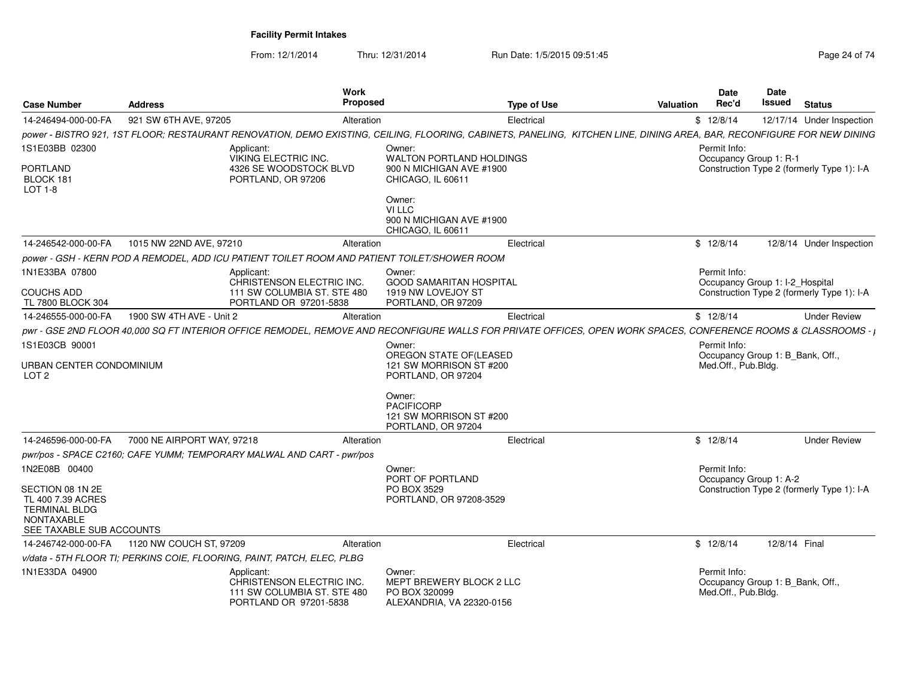| <b>Case Number</b>                                                                                             | <b>Address</b>             | <b>Work</b><br><b>Proposed</b>                                                                                                                                         |                                                                                  | <b>Type of Use</b> | <b>Valuation</b> | <b>Date</b><br>Rec'd                                                    | Date<br>Issued | <b>Status</b>                              |
|----------------------------------------------------------------------------------------------------------------|----------------------------|------------------------------------------------------------------------------------------------------------------------------------------------------------------------|----------------------------------------------------------------------------------|--------------------|------------------|-------------------------------------------------------------------------|----------------|--------------------------------------------|
| 14-246494-000-00-FA                                                                                            | 921 SW 6TH AVE, 97205      | Alteration                                                                                                                                                             |                                                                                  | Electrical         |                  | \$12/8/14                                                               |                | 12/17/14 Under Inspection                  |
|                                                                                                                |                            | power - BISTRO 921, 1ST FLOOR; RESTAURANT RENOVATION, DEMO EXISTING, CEILING, FLOORING, CABINETS, PANELING, KITCHEN LINE, DINING AREA, BAR, RECONFIGURE FOR NEW DINING |                                                                                  |                    |                  |                                                                         |                |                                            |
| 1S1E03BB 02300                                                                                                 |                            | Applicant:<br>VIKING ELECTRIC INC.                                                                                                                                     | Owner:<br><b>WALTON PORTLAND HOLDINGS</b>                                        |                    |                  | Permit Info:<br>Occupancy Group 1: R-1                                  |                |                                            |
| <b>PORTLAND</b><br>BLOCK 181<br>LOT 1-8                                                                        |                            | 4326 SE WOODSTOCK BLVD<br>PORTLAND, OR 97206                                                                                                                           | 900 N MICHIGAN AVE #1900<br>CHICAGO, IL 60611                                    |                    |                  |                                                                         |                | Construction Type 2 (formerly Type 1): I-A |
|                                                                                                                |                            |                                                                                                                                                                        | Owner:<br>VI LLC<br>900 N MICHIGAN AVE #1900<br>CHICAGO. IL 60611                |                    |                  |                                                                         |                |                                            |
| 14-246542-000-00-FA                                                                                            | 1015 NW 22ND AVE, 97210    | Alteration                                                                                                                                                             |                                                                                  | Electrical         |                  | \$12/8/14                                                               |                | 12/8/14 Under Inspection                   |
|                                                                                                                |                            | power - GSH - KERN POD A REMODEL, ADD ICU PATIENT TOILET ROOM AND PATIENT TOILET/SHOWER ROOM                                                                           |                                                                                  |                    |                  |                                                                         |                |                                            |
| 1N1E33BA 07800                                                                                                 |                            | Applicant:<br>CHRISTENSON ELECTRIC INC.                                                                                                                                | Owner:<br><b>GOOD SAMARITAN HOSPITAL</b>                                         |                    |                  | Permit Info:<br>Occupancy Group 1: I-2_Hospital                         |                |                                            |
| <b>COUCHS ADD</b><br>TL 7800 BLOCK 304                                                                         |                            | 111 SW COLUMBIA ST. STE 480<br>PORTLAND OR 97201-5838                                                                                                                  | 1919 NW LOVEJOY ST<br>PORTLAND, OR 97209                                         |                    |                  |                                                                         |                | Construction Type 2 (formerly Type 1): I-A |
| 14-246555-000-00-FA                                                                                            | 1900 SW 4TH AVE - Unit 2   | Alteration                                                                                                                                                             |                                                                                  | Electrical         |                  | \$12/8/14                                                               |                | <b>Under Review</b>                        |
|                                                                                                                |                            | pwr - GSE 2ND FLOOR 40,000 SQ FT INTERIOR OFFICE REMODEL, REMOVE AND RECONFIGURE WALLS FOR PRIVATE OFFICES, OPEN WORK SPACES, CONFERENCE ROOMS & CLASSROOMS - I        |                                                                                  |                    |                  |                                                                         |                |                                            |
| 1S1E03CB 90001                                                                                                 |                            |                                                                                                                                                                        | Owner:                                                                           |                    |                  | Permit Info:                                                            |                |                                            |
| URBAN CENTER CONDOMINIUM<br>LOT <sub>2</sub>                                                                   |                            |                                                                                                                                                                        | OREGON STATE OF(LEASED<br>121 SW MORRISON ST #200<br>PORTLAND, OR 97204          |                    |                  | Occupancy Group 1: B Bank, Off.,<br>Med.Off., Pub.Bldg.                 |                |                                            |
|                                                                                                                |                            |                                                                                                                                                                        | Owner:<br><b>PACIFICORP</b><br>121 SW MORRISON ST #200<br>PORTLAND, OR 97204     |                    |                  |                                                                         |                |                                            |
| 14-246596-000-00-FA                                                                                            | 7000 NE AIRPORT WAY, 97218 | Alteration                                                                                                                                                             |                                                                                  | Electrical         |                  | \$12/8/14                                                               |                | <b>Under Review</b>                        |
|                                                                                                                |                            | pwr/pos - SPACE C2160; CAFE YUMM; TEMPORARY MALWAL AND CART - pwr/pos                                                                                                  |                                                                                  |                    |                  |                                                                         |                |                                            |
| 1N2E08B 00400                                                                                                  |                            |                                                                                                                                                                        | Owner:<br>PORT OF PORTLAND                                                       |                    |                  | Permit Info:<br>Occupancy Group 1: A-2                                  |                |                                            |
| SECTION 08 1N 2E<br>TL 400 7.39 ACRES<br><b>TERMINAL BLDG</b><br><b>NONTAXABLE</b><br>SEE TAXABLE SUB ACCOUNTS |                            |                                                                                                                                                                        | PO BOX 3529<br>PORTLAND, OR 97208-3529                                           |                    |                  |                                                                         |                | Construction Type 2 (formerly Type 1): I-A |
| 14-246742-000-00-FA                                                                                            | 1120 NW COUCH ST, 97209    | Alteration                                                                                                                                                             |                                                                                  | Electrical         |                  | \$12/8/14                                                               | 12/8/14 Final  |                                            |
|                                                                                                                |                            | v/data - 5TH FLOOR TI: PERKINS COIE, FLOORING, PAINT, PATCH, ELEC, PLBG                                                                                                |                                                                                  |                    |                  |                                                                         |                |                                            |
| 1N1E33DA 04900                                                                                                 |                            | Applicant:<br>CHRISTENSON ELECTRIC INC.<br>111 SW COLUMBIA ST. STE 480<br>PORTLAND OR 97201-5838                                                                       | Owner:<br>MEPT BREWERY BLOCK 2 LLC<br>PO BOX 320099<br>ALEXANDRIA, VA 22320-0156 |                    |                  | Permit Info:<br>Occupancy Group 1: B Bank, Off.,<br>Med.Off., Pub.Bldg. |                |                                            |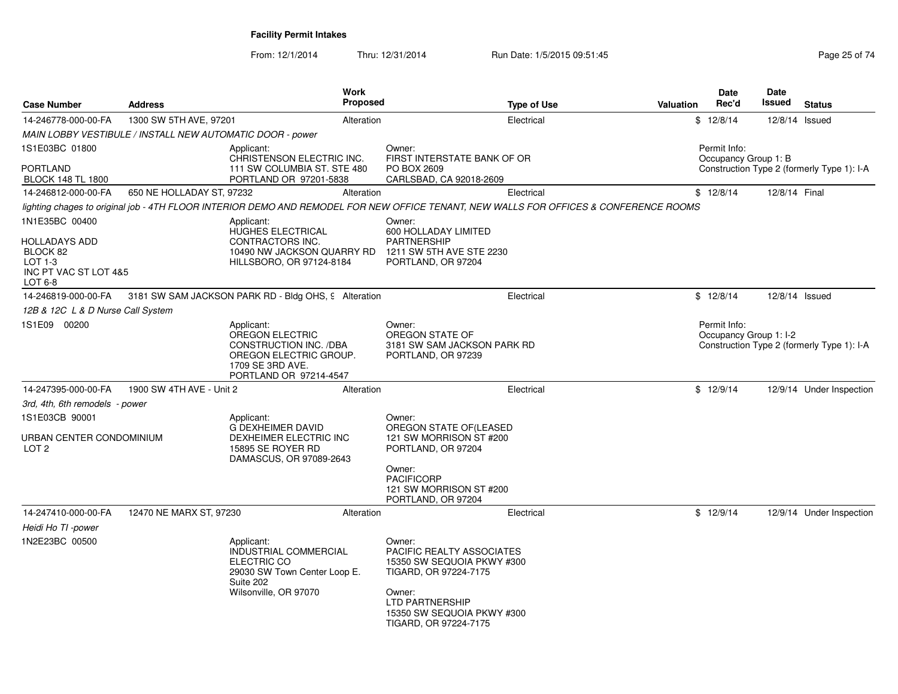| <b>Case Number</b>                                                                | <b>Address</b>                                            | <b>Work</b>                                                                                                                            | Proposed   | <b>Type of Use</b>                                                                                                                    | <b>Valuation</b> | <b>Date</b><br>Rec'd                 | <b>Date</b><br>Issued  | <b>Status</b>                              |
|-----------------------------------------------------------------------------------|-----------------------------------------------------------|----------------------------------------------------------------------------------------------------------------------------------------|------------|---------------------------------------------------------------------------------------------------------------------------------------|------------------|--------------------------------------|------------------------|--------------------------------------------|
| 14-246778-000-00-FA                                                               | 1300 SW 5TH AVE, 97201                                    |                                                                                                                                        | Alteration | Electrical                                                                                                                            |                  | \$12/8/14                            |                        | 12/8/14 Issued                             |
|                                                                                   | MAIN LOBBY VESTIBULE / INSTALL NEW AUTOMATIC DOOR - power |                                                                                                                                        |            |                                                                                                                                       |                  |                                      |                        |                                            |
| 1S1E03BC 01800                                                                    |                                                           | Applicant:<br>CHRISTENSON ELECTRIC INC.                                                                                                |            | Owner:<br>FIRST INTERSTATE BANK OF OR                                                                                                 |                  | Permit Info:<br>Occupancy Group 1: B |                        |                                            |
| <b>PORTLAND</b><br><b>BLOCK 148 TL 1800</b>                                       |                                                           | 111 SW COLUMBIA ST. STE 480<br>PORTLAND OR 97201-5838                                                                                  |            | PO BOX 2609<br>CARLSBAD, CA 92018-2609                                                                                                |                  |                                      |                        | Construction Type 2 (formerly Type 1): I-A |
| 14-246812-000-00-FA                                                               | 650 NE HOLLADAY ST, 97232                                 |                                                                                                                                        | Alteration | Electrical                                                                                                                            |                  | \$12/8/14                            | 12/8/14 Final          |                                            |
|                                                                                   |                                                           |                                                                                                                                        |            | lighting chages to original job - 4TH FLOOR INTERIOR DEMO AND REMODEL FOR NEW OFFICE TENANT, NEW WALLS FOR OFFICES & CONFERENCE ROOMS |                  |                                      |                        |                                            |
| 1N1E35BC 00400                                                                    |                                                           | Applicant:<br>HUGHES ELECTRICAL                                                                                                        |            | Owner:<br>600 HOLLADAY LIMITED                                                                                                        |                  |                                      |                        |                                            |
| <b>HOLLADAYS ADD</b><br>BLOCK 82<br>$LOT 1-3$<br>INC PT VAC ST LOT 4&5<br>LOT 6-8 |                                                           | CONTRACTORS INC.<br>10490 NW JACKSON QUARRY RD<br>HILLSBORO, OR 97124-8184                                                             |            | <b>PARTNERSHIP</b><br>1211 SW 5TH AVE STE 2230<br>PORTLAND, OR 97204                                                                  |                  |                                      |                        |                                            |
| 14-246819-000-00-FA                                                               |                                                           | 3181 SW SAM JACKSON PARK RD - Bldg OHS, 9 Alteration                                                                                   |            | Electrical                                                                                                                            |                  | \$12/8/14                            |                        | 12/8/14 Issued                             |
| 12B & 12C L & D Nurse Call System                                                 |                                                           |                                                                                                                                        |            |                                                                                                                                       |                  |                                      |                        |                                            |
| 1S1E09 00200                                                                      |                                                           | Applicant:<br><b>OREGON ELECTRIC</b><br>CONSTRUCTION INC. /DBA<br>OREGON ELECTRIC GROUP.<br>1709 SE 3RD AVE.<br>PORTLAND OR 97214-4547 |            | Owner:<br>OREGON STATE OF<br>3181 SW SAM JACKSON PARK RD<br>PORTLAND, OR 97239                                                        |                  | Permit Info:                         | Occupancy Group 1: I-2 | Construction Type 2 (formerly Type 1): I-A |
| 14-247395-000-00-FA                                                               | 1900 SW 4TH AVE - Unit 2                                  |                                                                                                                                        | Alteration | Electrical                                                                                                                            |                  | \$12/9/14                            |                        | 12/9/14 Under Inspection                   |
| 3rd, 4th, 6th remodels - power                                                    |                                                           |                                                                                                                                        |            |                                                                                                                                       |                  |                                      |                        |                                            |
| 1S1E03CB 90001                                                                    |                                                           | Applicant:                                                                                                                             |            | Owner:                                                                                                                                |                  |                                      |                        |                                            |
| URBAN CENTER CONDOMINIUM<br>LOT <sub>2</sub>                                      |                                                           | <b>G DEXHEIMER DAVID</b><br>DEXHEIMER ELECTRIC INC<br>15895 SE ROYER RD<br>DAMASCUS, OR 97089-2643                                     |            | OREGON STATE OF (LEASED<br>121 SW MORRISON ST #200<br>PORTLAND, OR 97204                                                              |                  |                                      |                        |                                            |
|                                                                                   |                                                           |                                                                                                                                        |            | Owner:<br><b>PACIFICORP</b><br>121 SW MORRISON ST #200<br>PORTLAND, OR 97204                                                          |                  |                                      |                        |                                            |
| 14-247410-000-00-FA                                                               | 12470 NE MARX ST, 97230                                   |                                                                                                                                        | Alteration | Electrical                                                                                                                            |                  | \$12/9/14                            |                        | 12/9/14 Under Inspection                   |
| Heidi Ho TI -power                                                                |                                                           |                                                                                                                                        |            |                                                                                                                                       |                  |                                      |                        |                                            |
| 1N2E23BC 00500                                                                    |                                                           | Applicant:<br>INDUSTRIAL COMMERCIAL<br>ELECTRIC CO<br>29030 SW Town Center Loop E.<br>Suite 202                                        |            | Owner:<br><b>PACIFIC REALTY ASSOCIATES</b><br>15350 SW SEQUOIA PKWY #300<br>TIGARD, OR 97224-7175                                     |                  |                                      |                        |                                            |
|                                                                                   |                                                           | Wilsonville, OR 97070                                                                                                                  |            | Owner:<br><b>LTD PARTNERSHIP</b><br>15350 SW SEQUOIA PKWY #300<br>TIGARD, OR 97224-7175                                               |                  |                                      |                        |                                            |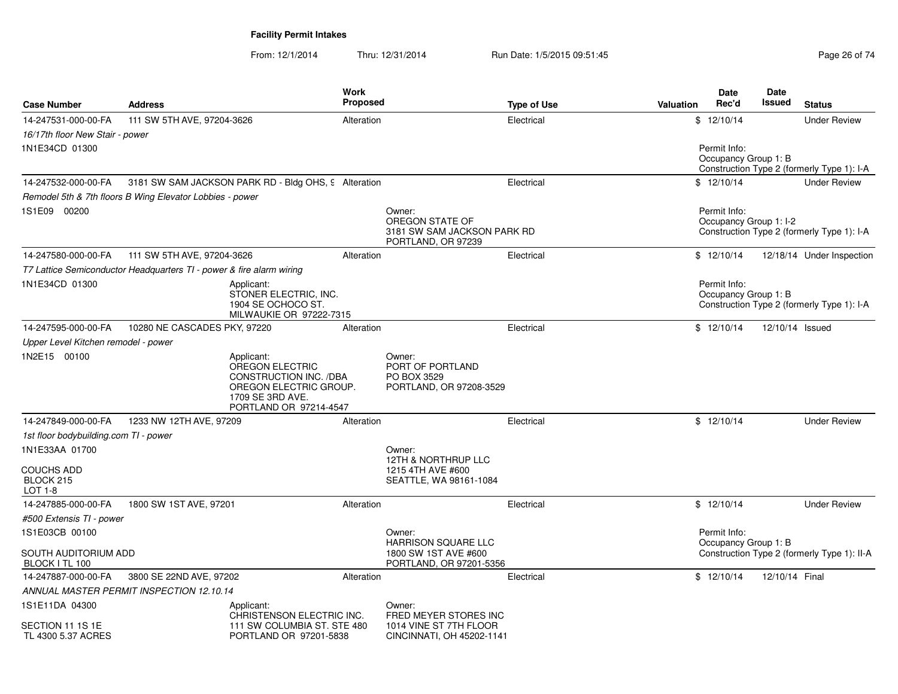| <b>Case Number</b>                                       | <b>Address</b>                                                       | <b>Work</b><br><b>Proposed</b>                                                                              |                                                                                        | <b>Type of Use</b> | <b>Valuation</b> | <b>Date</b><br>Rec'd                   | Date<br><b>Issued</b> | <b>Status</b>                               |
|----------------------------------------------------------|----------------------------------------------------------------------|-------------------------------------------------------------------------------------------------------------|----------------------------------------------------------------------------------------|--------------------|------------------|----------------------------------------|-----------------------|---------------------------------------------|
| 14-247531-000-00-FA                                      | 111 SW 5TH AVE, 97204-3626                                           | Alteration                                                                                                  |                                                                                        | Electrical         |                  | \$12/10/14                             |                       | <b>Under Review</b>                         |
| 16/17th floor New Stair - power                          |                                                                      |                                                                                                             |                                                                                        |                    |                  |                                        |                       |                                             |
| 1N1E34CD 01300                                           |                                                                      |                                                                                                             |                                                                                        |                    |                  | Permit Info:<br>Occupancy Group 1: B   |                       | Construction Type 2 (formerly Type 1): I-A  |
| 14-247532-000-00-FA                                      | 3181 SW SAM JACKSON PARK RD - Bldg OHS, 9 Alteration                 |                                                                                                             |                                                                                        | Electrical         |                  | \$12/10/14                             |                       | <b>Under Review</b>                         |
|                                                          | Remodel 5th & 7th floors B Wing Elevator Lobbies - power             |                                                                                                             |                                                                                        |                    |                  |                                        |                       |                                             |
| 1S1E09 00200                                             |                                                                      |                                                                                                             | Owner:<br>OREGON STATE OF<br>3181 SW SAM JACKSON PARK RD<br>PORTLAND, OR 97239         |                    |                  | Permit Info:<br>Occupancy Group 1: I-2 |                       | Construction Type 2 (formerly Type 1): I-A  |
| 14-247580-000-00-FA                                      | 111 SW 5TH AVE, 97204-3626                                           | Alteration                                                                                                  |                                                                                        | Electrical         |                  | \$12/10/14                             |                       | 12/18/14 Under Inspection                   |
|                                                          | T7 Lattice Semiconductor Headquarters TI - power & fire alarm wiring |                                                                                                             |                                                                                        |                    |                  |                                        |                       |                                             |
| 1N1E34CD 01300                                           | Applicant:                                                           | STONER ELECTRIC, INC.<br>1904 SE OCHOCO ST.<br>MILWAUKIE OR 97222-7315                                      |                                                                                        |                    |                  | Permit Info:<br>Occupancy Group 1: B   |                       | Construction Type 2 (formerly Type 1): I-A  |
| 14-247595-000-00-FA                                      | 10280 NE CASCADES PKY, 97220                                         | Alteration                                                                                                  |                                                                                        | Electrical         |                  | \$12/10/14                             | 12/10/14 Issued       |                                             |
| Upper Level Kitchen remodel - power                      |                                                                      |                                                                                                             |                                                                                        |                    |                  |                                        |                       |                                             |
| 1N2E15 00100                                             | Applicant:<br>1709 SE 3RD AVE.                                       | <b>OREGON ELECTRIC</b><br><b>CONSTRUCTION INC. /DBA</b><br>OREGON ELECTRIC GROUP.<br>PORTLAND OR 97214-4547 | Owner:<br>PORT OF PORTLAND<br>PO BOX 3529<br>PORTLAND, OR 97208-3529                   |                    |                  |                                        |                       |                                             |
| 14-247849-000-00-FA                                      | 1233 NW 12TH AVE, 97209                                              | Alteration                                                                                                  |                                                                                        | Electrical         |                  | \$12/10/14                             |                       | <b>Under Review</b>                         |
| 1st floor bodybuilding.com TI - power                    |                                                                      |                                                                                                             |                                                                                        |                    |                  |                                        |                       |                                             |
| 1N1E33AA 01700                                           |                                                                      |                                                                                                             | Owner:                                                                                 |                    |                  |                                        |                       |                                             |
| <b>COUCHS ADD</b><br>BLOCK 215<br><b>LOT 1-8</b>         |                                                                      |                                                                                                             | 12TH & NORTHRUP LLC<br>1215 4TH AVE #600<br>SEATTLE, WA 98161-1084                     |                    |                  |                                        |                       |                                             |
| 14-247885-000-00-FA                                      | 1800 SW 1ST AVE, 97201                                               | Alteration                                                                                                  |                                                                                        | Electrical         |                  | \$12/10/14                             |                       | <b>Under Review</b>                         |
| #500 Extensis TI - power                                 |                                                                      |                                                                                                             |                                                                                        |                    |                  |                                        |                       |                                             |
| 1S1E03CB 00100                                           |                                                                      |                                                                                                             | Owner:                                                                                 |                    |                  | Permit Info:                           |                       |                                             |
| SOUTH AUDITORIUM ADD<br>BLOCK I TL 100                   |                                                                      |                                                                                                             | <b>HARRISON SQUARE LLC</b><br>1800 SW 1ST AVE #600<br>PORTLAND, OR 97201-5356          |                    |                  | Occupancy Group 1: B                   |                       | Construction Type 2 (formerly Type 1): II-A |
| 14-247887-000-00-FA                                      | 3800 SE 22ND AVE, 97202                                              | Alteration                                                                                                  |                                                                                        | Electrical         |                  | \$12/10/14                             | 12/10/14 Final        |                                             |
|                                                          | ANNUAL MASTER PERMIT INSPECTION 12.10.14                             |                                                                                                             |                                                                                        |                    |                  |                                        |                       |                                             |
| 1S1E11DA 04300<br>SECTION 11 1S 1E<br>TL 4300 5.37 ACRES | Applicant:                                                           | CHRISTENSON ELECTRIC INC.<br>111 SW COLUMBIA ST. STE 480<br>PORTLAND OR 97201-5838                          | Owner:<br>FRED MEYER STORES INC<br>1014 VINE ST 7TH FLOOR<br>CINCINNATI, OH 45202-1141 |                    |                  |                                        |                       |                                             |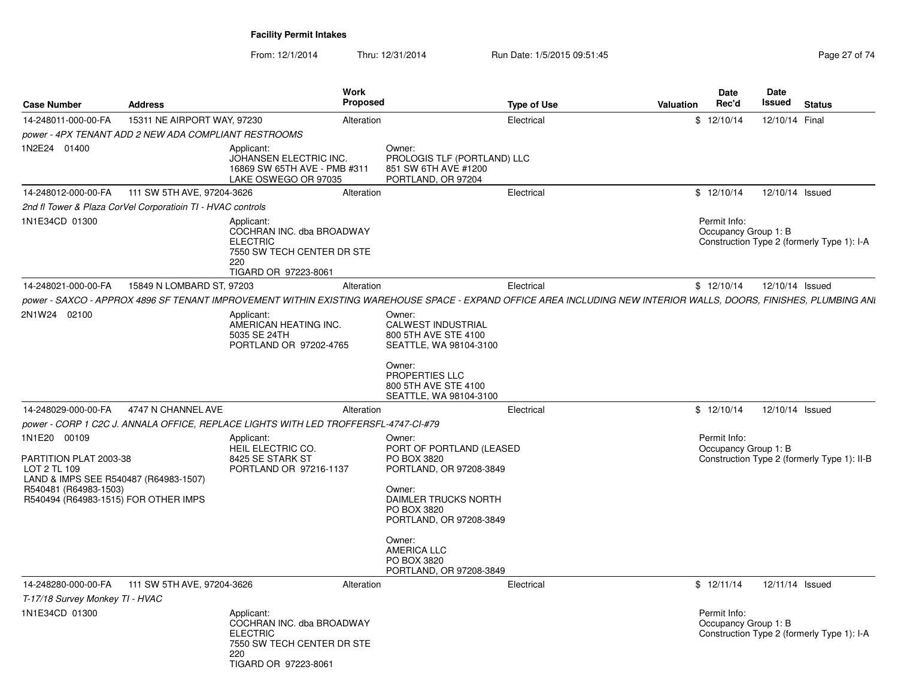| <b>Case Number</b>                                                                                                                                               | <b>Address</b>                                              | Work                                                                                                                    | <b>Proposed</b>                                                                                                                                                    | <b>Type of Use</b> | Valuation                                                                                                                                                          | Date<br>Rec'd                        | Date<br><b>Issued</b> | <b>Status</b>                               |
|------------------------------------------------------------------------------------------------------------------------------------------------------------------|-------------------------------------------------------------|-------------------------------------------------------------------------------------------------------------------------|--------------------------------------------------------------------------------------------------------------------------------------------------------------------|--------------------|--------------------------------------------------------------------------------------------------------------------------------------------------------------------|--------------------------------------|-----------------------|---------------------------------------------|
| 14-248011-000-00-FA                                                                                                                                              | 15311 NE AIRPORT WAY, 97230                                 |                                                                                                                         | Alteration                                                                                                                                                         | Electrical         |                                                                                                                                                                    | \$12/10/14                           | 12/10/14 Final        |                                             |
|                                                                                                                                                                  | power - 4PX TENANT ADD 2 NEW ADA COMPLIANT RESTROOMS        |                                                                                                                         |                                                                                                                                                                    |                    |                                                                                                                                                                    |                                      |                       |                                             |
| 1N2E24 01400                                                                                                                                                     |                                                             | Applicant:<br>JOHANSEN ELECTRIC INC.<br>16869 SW 65TH AVE - PMB #311<br>LAKE OSWEGO OR 97035                            | Owner:<br>PROLOGIS TLF (PORTLAND) LLC<br>851 SW 6TH AVE #1200<br>PORTLAND, OR 97204                                                                                |                    |                                                                                                                                                                    |                                      |                       |                                             |
| 14-248012-000-00-FA                                                                                                                                              | 111 SW 5TH AVE, 97204-3626                                  |                                                                                                                         | Alteration                                                                                                                                                         | Electrical         |                                                                                                                                                                    | \$12/10/14                           | 12/10/14 Issued       |                                             |
|                                                                                                                                                                  | 2nd fl Tower & Plaza CorVel Corporatioin TI - HVAC controls |                                                                                                                         |                                                                                                                                                                    |                    |                                                                                                                                                                    |                                      |                       |                                             |
| 1N1E34CD 01300                                                                                                                                                   |                                                             | Applicant:<br>COCHRAN INC. dba BROADWAY<br><b>ELECTRIC</b><br>7550 SW TECH CENTER DR STE<br>220<br>TIGARD OR 97223-8061 |                                                                                                                                                                    |                    |                                                                                                                                                                    | Permit Info:<br>Occupancy Group 1: B |                       | Construction Type 2 (formerly Type 1): I-A  |
| 14-248021-000-00-FA                                                                                                                                              | 15849 N LOMBARD ST, 97203                                   |                                                                                                                         | Alteration                                                                                                                                                         | Electrical         |                                                                                                                                                                    | \$12/10/14                           | 12/10/14 Issued       |                                             |
|                                                                                                                                                                  |                                                             |                                                                                                                         |                                                                                                                                                                    |                    | power - SAXCO - APPROX 4896 SF TENANT IMPROVEMENT WITHIN EXISTING WAREHOUSE SPACE - EXPAND OFFICE AREA INCLUDING NEW INTERIOR WALLS, DOORS, FINISHES, PLUMBING ANI |                                      |                       |                                             |
| 2N1W24 02100                                                                                                                                                     |                                                             | Applicant:<br>AMERICAN HEATING INC.<br>5035 SE 24TH<br>PORTLAND OR 97202-4765                                           | Owner:<br>CALWEST INDUSTRIAL<br>800 5TH AVE STE 4100<br>SEATTLE, WA 98104-3100                                                                                     |                    |                                                                                                                                                                    |                                      |                       |                                             |
|                                                                                                                                                                  |                                                             |                                                                                                                         | Owner:<br>PROPERTIES LLC<br>800 5TH AVE STE 4100<br>SEATTLE, WA 98104-3100                                                                                         |                    |                                                                                                                                                                    |                                      |                       |                                             |
| 14-248029-000-00-FA                                                                                                                                              | 4747 N CHANNEL AVE                                          |                                                                                                                         | Alteration                                                                                                                                                         | Electrical         |                                                                                                                                                                    | \$12/10/14                           | 12/10/14 Issued       |                                             |
|                                                                                                                                                                  |                                                             | power - CORP 1 C2C J. ANNALA OFFICE, REPLACE LIGHTS WITH LED TROFFERSFL-4747-CI-#79                                     |                                                                                                                                                                    |                    |                                                                                                                                                                    |                                      |                       |                                             |
| 1N1E20 00109<br>PARTITION PLAT 2003-38<br>LOT 2 TL 109<br>LAND & IMPS SEE R540487 (R64983-1507)<br>R540481 (R64983-1503)<br>R540494 (R64983-1515) FOR OTHER IMPS |                                                             | Applicant:<br>HEIL ELECTRIC CO.<br>8425 SE STARK ST<br>PORTLAND OR 97216-1137                                           | Owner:<br>PORT OF PORTLAND (LEASED<br>PO BOX 3820<br>PORTLAND, OR 97208-3849<br>Owner:<br>DAIMLER TRUCKS NORTH<br>PO BOX 3820<br>PORTLAND, OR 97208-3849<br>Owner: |                    |                                                                                                                                                                    | Permit Info:<br>Occupancy Group 1: B |                       | Construction Type 2 (formerly Type 1): II-B |
|                                                                                                                                                                  |                                                             |                                                                                                                         | AMERICA LLC<br>PO BOX 3820<br>PORTLAND, OR 97208-3849                                                                                                              |                    |                                                                                                                                                                    |                                      |                       |                                             |
| 14-248280-000-00-FA                                                                                                                                              | 111 SW 5TH AVE, 97204-3626                                  |                                                                                                                         | Alteration                                                                                                                                                         | Electrical         |                                                                                                                                                                    | \$12/11/14                           | 12/11/14 Issued       |                                             |
| T-17/18 Survey Monkey TI - HVAC                                                                                                                                  |                                                             |                                                                                                                         |                                                                                                                                                                    |                    |                                                                                                                                                                    |                                      |                       |                                             |
| 1N1E34CD 01300                                                                                                                                                   |                                                             | Applicant:<br>COCHRAN INC. dba BROADWAY<br><b>ELECTRIC</b><br>7550 SW TECH CENTER DR STE<br>220<br>TIGARD OR 97223-8061 |                                                                                                                                                                    |                    |                                                                                                                                                                    | Permit Info:<br>Occupancy Group 1: B |                       | Construction Type 2 (formerly Type 1): I-A  |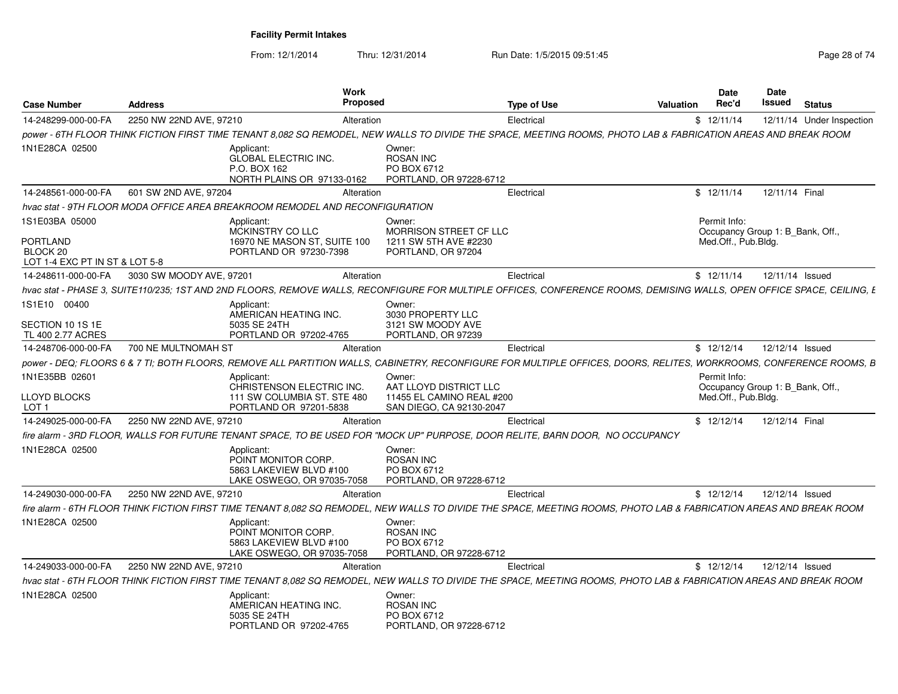From: 12/1/2014

Thru: 12/31/2014 Run Date: 1/5/2015 09:51:45

| <b>Case Number</b>                                                       | <b>Address</b>           | <b>Work</b><br>Proposed                                                                                                                                                |                                                                       | Type of Use | Valuation | <b>Date</b><br>Rec'd                | Date<br>Issued<br><b>Status</b>  |
|--------------------------------------------------------------------------|--------------------------|------------------------------------------------------------------------------------------------------------------------------------------------------------------------|-----------------------------------------------------------------------|-------------|-----------|-------------------------------------|----------------------------------|
| 14-248299-000-00-FA                                                      | 2250 NW 22ND AVE, 97210  | Alteration                                                                                                                                                             |                                                                       | Electrical  |           | \$12/11/14                          | 12/11/14 Under Inspection        |
|                                                                          |                          | power - 6TH FLOOR THINK FICTION FIRST TIME TENANT 8,082 SQ REMODEL. NEW WALLS TO DIVIDE THE SPACE. MEETING ROOMS. PHOTO LAB & FABRICATION AREAS AND BREAK ROOM         |                                                                       |             |           |                                     |                                  |
| 1N1E28CA 02500                                                           |                          | Applicant:<br>GLOBAL ELECTRIC INC.<br>P.O. BOX 162<br>NORTH PLAINS OR 97133-0162                                                                                       | Owner:<br><b>ROSAN INC</b><br>PO BOX 6712<br>PORTLAND, OR 97228-6712  |             |           |                                     |                                  |
| 14-248561-000-00-FA                                                      | 601 SW 2ND AVE, 97204    | Alteration                                                                                                                                                             |                                                                       | Electrical  |           | \$12/11/14                          | 12/11/14 Final                   |
|                                                                          |                          | hvac stat - 9TH FLOOR MODA OFFICE AREA BREAKROOM REMODEL AND RECONFIGURATION                                                                                           |                                                                       |             |           |                                     |                                  |
| 1S1E03BA 05000                                                           |                          | Applicant:                                                                                                                                                             | Owner:                                                                |             |           | Permit Info:                        |                                  |
| <b>PORTLAND</b><br>BLOCK <sub>20</sub><br>LOT 1-4 EXC PT IN ST & LOT 5-8 |                          | MCKINSTRY CO LLC<br>16970 NE MASON ST, SUITE 100<br>PORTLAND OR 97230-7398                                                                                             | MORRISON STREET CF LLC<br>1211 SW 5TH AVE #2230<br>PORTLAND, OR 97204 |             |           | Med.Off., Pub.Bldg.                 | Occupancy Group 1: B_Bank, Off., |
| 14-248611-000-00-FA                                                      | 3030 SW MOODY AVE, 97201 | Alteration                                                                                                                                                             |                                                                       | Electrical  |           | \$12/11/14                          | 12/11/14 Issued                  |
|                                                                          |                          | hvac stat - PHASE 3, SUITE110/235; 1ST AND 2ND FLOORS, REMOVE WALLS, RECONFIGURE FOR MULTIPLE OFFICES, CONFERENCE ROOMS, DEMISING WALLS, OPEN OFFICE SPACE, CEILING, E |                                                                       |             |           |                                     |                                  |
| 1S1E10 00400                                                             |                          | Applicant:<br>AMERICAN HEATING INC.                                                                                                                                    | Owner:<br>3030 PROPERTY LLC                                           |             |           |                                     |                                  |
| SECTION 10 1S 1E<br>TL 400 2.77 ACRES                                    |                          | 5035 SE 24TH<br>PORTLAND OR 97202-4765                                                                                                                                 | 3121 SW MOODY AVE<br>PORTLAND, OR 97239                               |             |           |                                     |                                  |
| 14-248706-000-00-FA                                                      | 700 NE MULTNOMAH ST      | Alteration                                                                                                                                                             |                                                                       | Electrical  |           | \$12/12/14                          | 12/12/14 Issued                  |
|                                                                          |                          | power - DEQ: FLOORS 6 & 7 TI: BOTH FLOORS. REMOVE ALL PARTITION WALLS. CABINETRY. RECONFIGURE FOR MULTIPLE OFFICES. DOORS. RELITES. WORKROOMS. CONFERENCE ROOMS. B     |                                                                       |             |           |                                     |                                  |
| 1N1E35BB 02601<br>LLOYD BLOCKS                                           |                          | Applicant:<br>CHRISTENSON ELECTRIC INC.<br>111 SW COLUMBIA ST. STE 480<br>PORTLAND OR 97201-5838                                                                       | Owner:<br>AAT LLOYD DISTRICT LLC<br>11455 EL CAMINO REAL #200         |             |           | Permit Info:<br>Med.Off., Pub.Bldg. | Occupancy Group 1: B_Bank, Off., |
| LOT <sub>1</sub><br>14-249025-000-00-FA                                  | 2250 NW 22ND AVE, 97210  | Alteration                                                                                                                                                             | SAN DIEGO, CA 92130-2047                                              | Electrical  |           | \$12/12/14                          | 12/12/14 Final                   |
|                                                                          |                          | fire alarm - 3RD FLOOR, WALLS FOR FUTURE TENANT SPACE, TO BE USED FOR "MOCK UP" PURPOSE, DOOR RELITE, BARN DOOR,  NO OCCUPANCY                                         |                                                                       |             |           |                                     |                                  |
| 1N1E28CA 02500                                                           |                          | Applicant:<br>POINT MONITOR CORP.<br>5863 LAKEVIEW BLVD #100<br>LAKE OSWEGO, OR 97035-7058                                                                             | Owner:<br><b>ROSAN INC</b><br>PO BOX 6712<br>PORTLAND, OR 97228-6712  |             |           |                                     |                                  |
| 14-249030-000-00-FA                                                      | 2250 NW 22ND AVE, 97210  | Alteration                                                                                                                                                             |                                                                       | Electrical  |           | \$12/12/14                          | 12/12/14 Issued                  |
|                                                                          |                          | fire alarm - 6TH FLOOR THINK FICTION FIRST TIME TENANT 8.082 SQ REMODEL. NEW WALLS TO DIVIDE THE SPACE. MEETING ROOMS. PHOTO LAB & FABRICATION AREAS AND BREAK ROOM    |                                                                       |             |           |                                     |                                  |
| 1N1E28CA 02500                                                           |                          | Applicant:<br>POINT MONITOR CORP.<br>5863 LAKEVIEW BLVD #100<br>LAKE OSWEGO, OR 97035-7058                                                                             | Owner:<br><b>ROSAN INC</b><br>PO BOX 6712<br>PORTLAND, OR 97228-6712  |             |           |                                     |                                  |
| 14-249033-000-00-FA                                                      | 2250 NW 22ND AVE, 97210  | Alteration                                                                                                                                                             |                                                                       | Electrical  |           | \$12/12/14                          | 12/12/14 Issued                  |
|                                                                          |                          | hvac stat - 6TH FLOOR THINK FICTION FIRST TIME TENANT 8,082 SQ REMODEL, NEW WALLS TO DIVIDE THE SPACE, MEETING ROOMS, PHOTO LAB & FABRICATION AREAS AND BREAK ROOM     |                                                                       |             |           |                                     |                                  |
| 1N1E28CA 02500                                                           |                          | Applicant:<br>AMERICAN HEATING INC.<br>5035 SE 24TH<br>PORTLAND OR 97202-4765                                                                                          | Owner:<br><b>ROSAN INC</b><br>PO BOX 6712<br>PORTLAND, OR 97228-6712  |             |           |                                     |                                  |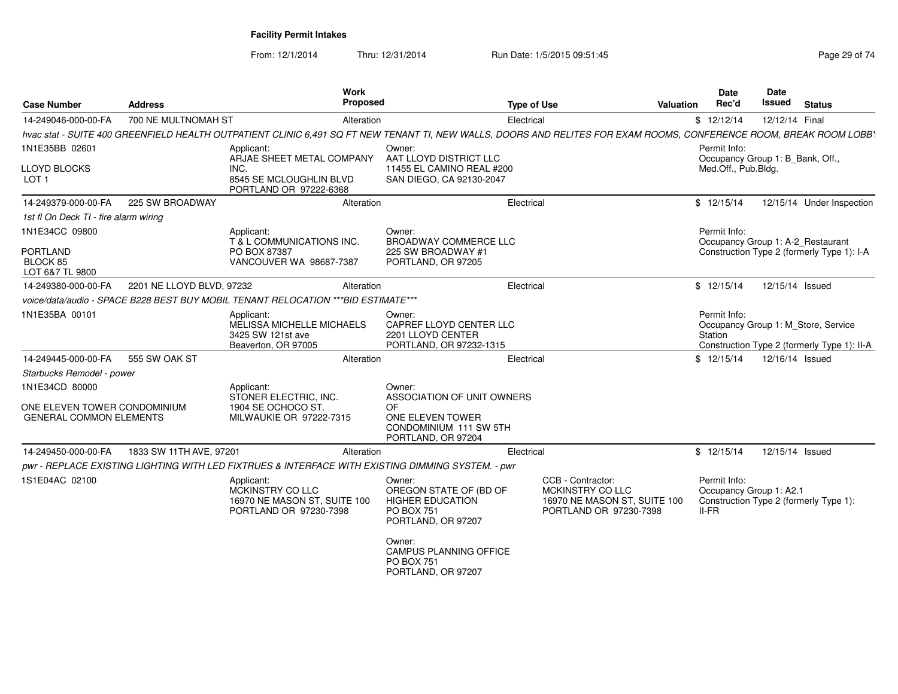| <b>Case Number</b>                                             | <b>Address</b>            | <b>Work</b><br>Proposed                                                                                                                                             |                                                                                                        | <b>Type of Use</b>                                                                              | <b>Valuation</b> | <b>Date</b><br>Rec'd                                                    | Date<br>Issued  | <b>Status</b>                                                                      |
|----------------------------------------------------------------|---------------------------|---------------------------------------------------------------------------------------------------------------------------------------------------------------------|--------------------------------------------------------------------------------------------------------|-------------------------------------------------------------------------------------------------|------------------|-------------------------------------------------------------------------|-----------------|------------------------------------------------------------------------------------|
| 14-249046-000-00-FA                                            | 700 NE MULTNOMAH ST       | Alteration                                                                                                                                                          |                                                                                                        | Electrical                                                                                      |                  | \$12/12/14                                                              | 12/12/14 Final  |                                                                                    |
|                                                                |                           | hvac stat - SUITE 400 GREENFIELD HEALTH OUTPATIENT CLINIC 6,491 SQ FT NEW TENANT TI, NEW WALLS, DOORS AND RELITES FOR EXAM ROOMS, CONFERENCE ROOM, BREAK ROOM LOBBY |                                                                                                        |                                                                                                 |                  |                                                                         |                 |                                                                                    |
| 1N1E35BB 02601<br>LLOYD BLOCKS<br>LOT 1                        |                           | Applicant:<br>ARJAE SHEET METAL COMPANY<br>INC.<br>8545 SE MCLOUGHLIN BLVD                                                                                          | Owner:<br>AAT LLOYD DISTRICT LLC<br>11455 EL CAMINO REAL #200<br>SAN DIEGO, CA 92130-2047              |                                                                                                 |                  | Permit Info:<br>Occupancy Group 1: B_Bank, Off.,<br>Med.Off., Pub.Bldg. |                 |                                                                                    |
| 14-249379-000-00-FA                                            | 225 SW BROADWAY           | PORTLAND OR 97222-6368<br>Alteration                                                                                                                                |                                                                                                        | Electrical                                                                                      |                  | \$12/15/14                                                              |                 | 12/15/14 Under Inspection                                                          |
| 1st fl On Deck TI - fire alarm wiring                          |                           |                                                                                                                                                                     |                                                                                                        |                                                                                                 |                  |                                                                         |                 |                                                                                    |
| 1N1E34CC 09800<br>PORTLAND                                     |                           | Applicant:<br>T & L COMMUNICATIONS INC.<br>PO BOX 87387                                                                                                             | Owner:<br><b>BROADWAY COMMERCE LLC</b><br>225 SW BROADWAY #1                                           |                                                                                                 |                  | Permit Info:                                                            |                 | Occupancy Group 1: A-2_Restaurant<br>Construction Type 2 (formerly Type 1): I-A    |
| BLOCK 85<br>LOT 6&7 TL 9800                                    |                           | VANCOUVER WA 98687-7387                                                                                                                                             | PORTLAND, OR 97205                                                                                     |                                                                                                 |                  |                                                                         |                 |                                                                                    |
| 14-249380-000-00-FA                                            | 2201 NE LLOYD BLVD, 97232 | Alteration                                                                                                                                                          |                                                                                                        | Electrical                                                                                      |                  | \$12/15/14                                                              | 12/15/14 Issued |                                                                                    |
|                                                                |                           | voice/data/audio - SPACE B228 BEST BUY MOBIL TENANT RELOCATION ***BID ESTIMATE***                                                                                   |                                                                                                        |                                                                                                 |                  |                                                                         |                 |                                                                                    |
| 1N1E35BA 00101                                                 |                           | Applicant:<br>MELISSA MICHELLE MICHAELS<br>3425 SW 121st ave<br>Beaverton, OR 97005                                                                                 | Owner:<br>CAPREF LLOYD CENTER LLC<br>2201 LLOYD CENTER<br>PORTLAND, OR 97232-1315                      |                                                                                                 |                  | Permit Info:<br>Station                                                 |                 | Occupancy Group 1: M Store, Service<br>Construction Type 2 (formerly Type 1): II-A |
| 14-249445-000-00-FA                                            | 555 SW OAK ST             | Alteration                                                                                                                                                          |                                                                                                        | Electrical                                                                                      |                  | \$12/15/14                                                              | 12/16/14 Issued |                                                                                    |
| Starbucks Remodel - power                                      |                           |                                                                                                                                                                     |                                                                                                        |                                                                                                 |                  |                                                                         |                 |                                                                                    |
| 1N1E34CD 80000                                                 |                           | Applicant:                                                                                                                                                          | Owner:                                                                                                 |                                                                                                 |                  |                                                                         |                 |                                                                                    |
| ONE ELEVEN TOWER CONDOMINIUM<br><b>GENERAL COMMON ELEMENTS</b> |                           | STONER ELECTRIC. INC.<br>1904 SE OCHOCO ST.<br>MILWAUKIE OR 97222-7315                                                                                              | ASSOCIATION OF UNIT OWNERS<br>0F<br>ONE ELEVEN TOWER<br>CONDOMINIUM 111 SW 5TH<br>PORTLAND, OR 97204   |                                                                                                 |                  |                                                                         |                 |                                                                                    |
| 14-249450-000-00-FA                                            | 1833 SW 11TH AVE, 97201   | Alteration                                                                                                                                                          |                                                                                                        | Electrical                                                                                      |                  | \$12/15/14                                                              | 12/15/14 Issued |                                                                                    |
|                                                                |                           | pwr - REPLACE EXISTING LIGHTING WITH LED FIXTRUES & INTERFACE WITH EXISTING DIMMING SYSTEM. - pwr                                                                   |                                                                                                        |                                                                                                 |                  |                                                                         |                 |                                                                                    |
| 1S1E04AC 02100                                                 |                           | Applicant:<br>MCKINSTRY CO LLC<br>16970 NE MASON ST, SUITE 100<br>PORTLAND OR 97230-7398                                                                            | Owner:<br>OREGON STATE OF (BD OF<br><b>HIGHER EDUCATION</b><br><b>PO BOX 751</b><br>PORTLAND, OR 97207 | CCB - Contractor:<br>MCKINSTRY CO LLC<br>16970 NE MASON ST, SUITE 100<br>PORTLAND OR 97230-7398 |                  | Permit Info:<br>Occupancy Group 1: A2.1<br>$II-FR$                      |                 | Construction Type 2 (formerly Type 1):                                             |
|                                                                |                           |                                                                                                                                                                     | Owner:<br><b>CAMPUS PLANNING OFFICE</b><br><b>PO BOX 751</b><br>PORTLAND, OR 97207                     |                                                                                                 |                  |                                                                         |                 |                                                                                    |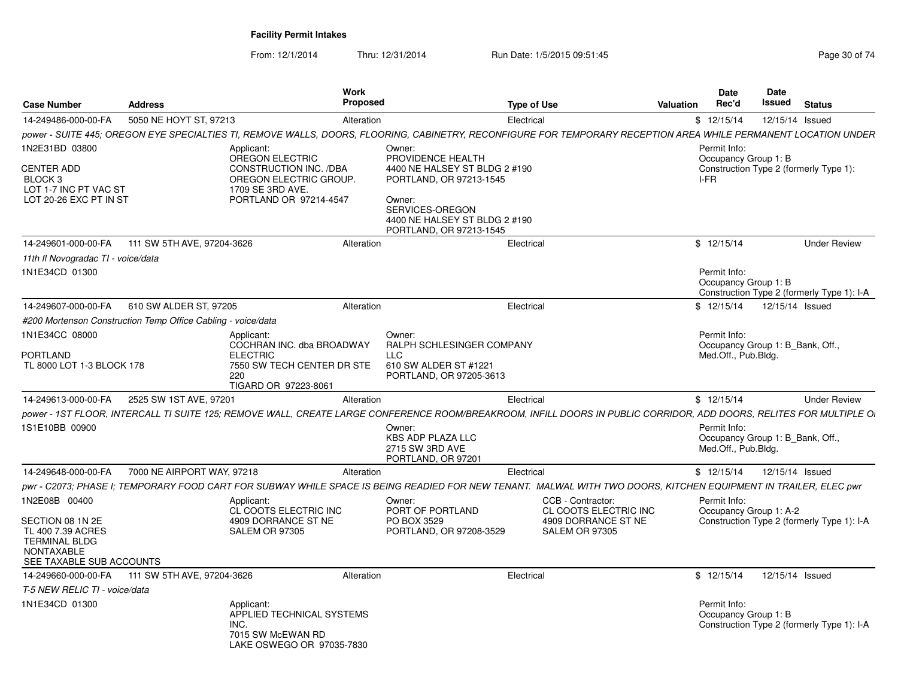| <b>Case Number</b>                                                                                           | <b>Address</b>                                               |                                                                                                                                                                     | Work<br><b>Proposed</b>                                                                                                                                                          | <b>Type of Use</b> |                                            | <b>Valuation</b> | <b>Date</b><br>Rec'd                                                    | Date<br>Issued | <b>Status</b>                              |
|--------------------------------------------------------------------------------------------------------------|--------------------------------------------------------------|---------------------------------------------------------------------------------------------------------------------------------------------------------------------|----------------------------------------------------------------------------------------------------------------------------------------------------------------------------------|--------------------|--------------------------------------------|------------------|-------------------------------------------------------------------------|----------------|--------------------------------------------|
| 14-249486-000-00-FA                                                                                          | 5050 NE HOYT ST, 97213                                       |                                                                                                                                                                     | Alteration                                                                                                                                                                       | Electrical         |                                            |                  | \$12/15/14                                                              |                | 12/15/14 Issued                            |
|                                                                                                              |                                                              | power - SUITE 445; OREGON EYE SPECIALTIES TI, REMOVE WALLS, DOORS, FLOORING, CABINETRY, RECONFIGURE FOR TEMPORARY RECEPTION AREA WHILE PERMANENT LOCATION UNDER     |                                                                                                                                                                                  |                    |                                            |                  |                                                                         |                |                                            |
| 1N2E31BD 03800<br><b>CENTER ADD</b><br>BLOCK <sub>3</sub><br>LOT 1-7 INC PT VAC ST<br>LOT 20-26 EXC PT IN ST |                                                              | Applicant:<br>OREGON ELECTRIC<br>CONSTRUCTION INC. /DBA<br>OREGON ELECTRIC GROUP.<br>1709 SE 3RD AVE.<br>PORTLAND OR 97214-4547                                     | Owner:<br>PROVIDENCE HEALTH<br>4400 NE HALSEY ST BLDG 2 #190<br>PORTLAND, OR 97213-1545<br>Owner:<br>SERVICES-OREGON<br>4400 NE HALSEY ST BLDG 2 #190<br>PORTLAND, OR 97213-1545 |                    |                                            |                  | Permit Info:<br>Occupancy Group 1: B<br>I-FR                            |                | Construction Type 2 (formerly Type 1):     |
| 14-249601-000-00-FA                                                                                          | 111 SW 5TH AVE, 97204-3626                                   |                                                                                                                                                                     | Alteration                                                                                                                                                                       | Electrical         |                                            |                  | \$12/15/14                                                              |                | <b>Under Review</b>                        |
| 11th fl Novogradac TI - voice/data                                                                           |                                                              |                                                                                                                                                                     |                                                                                                                                                                                  |                    |                                            |                  |                                                                         |                |                                            |
| 1N1E34CD 01300                                                                                               |                                                              |                                                                                                                                                                     |                                                                                                                                                                                  |                    |                                            |                  | Permit Info:<br>Occupancy Group 1: B                                    |                | Construction Type 2 (formerly Type 1): I-A |
| 14-249607-000-00-FA                                                                                          | 610 SW ALDER ST, 97205                                       |                                                                                                                                                                     | Alteration                                                                                                                                                                       | Electrical         |                                            |                  | \$12/15/14                                                              |                | 12/15/14 Issued                            |
|                                                                                                              | #200 Mortenson Construction Temp Office Cabling - voice/data |                                                                                                                                                                     |                                                                                                                                                                                  |                    |                                            |                  |                                                                         |                |                                            |
| 1N1E34CC 08000                                                                                               |                                                              | Applicant:<br>COCHRAN INC. dba BROADWAY                                                                                                                             | Owner:<br><b>RALPH SCHLESINGER COMPANY</b>                                                                                                                                       |                    |                                            |                  | Permit Info:<br>Occupancy Group 1: B Bank, Off.,                        |                |                                            |
| PORTLAND<br>TL 8000 LOT 1-3 BLOCK 178                                                                        |                                                              | <b>ELECTRIC</b><br>7550 SW TECH CENTER DR STE<br>220<br>TIGARD OR 97223-8061                                                                                        | <b>LLC</b><br>610 SW ALDER ST #1221<br>PORTLAND, OR 97205-3613                                                                                                                   |                    |                                            |                  | Med.Off., Pub.Bldg.                                                     |                |                                            |
| 14-249613-000-00-FA                                                                                          | 2525 SW 1ST AVE, 97201                                       |                                                                                                                                                                     | Alteration                                                                                                                                                                       | Electrical         |                                            |                  | \$12/15/14                                                              |                | <b>Under Review</b>                        |
|                                                                                                              |                                                              | power - 1ST FLOOR, INTERCALL TI SUITE 125; REMOVE WALL, CREATE LARGE CONFERENCE ROOM/BREAKROOM, INFILL DOORS IN PUBLIC CORRIDOR, ADD DOORS, RELITES FOR MULTIPLE OI |                                                                                                                                                                                  |                    |                                            |                  |                                                                         |                |                                            |
| 1S1E10BB 00900                                                                                               |                                                              |                                                                                                                                                                     | Owner:<br><b>KBS ADP PLAZA LLC</b><br>2715 SW 3RD AVE<br>PORTLAND, OR 97201                                                                                                      |                    |                                            |                  | Permit Info:<br>Occupancy Group 1: B Bank, Off.,<br>Med.Off., Pub.Bldg. |                |                                            |
| 14-249648-000-00-FA                                                                                          | 7000 NE AIRPORT WAY, 97218                                   |                                                                                                                                                                     | Alteration                                                                                                                                                                       | Electrical         |                                            |                  | \$12/15/14                                                              |                | 12/15/14 Issued                            |
|                                                                                                              |                                                              | pwr - C2073: PHASE I: TEMPORARY FOOD CART FOR SUBWAY WHILE SPACE IS BEING READIED FOR NEW TENANT. MALWAL WITH TWO DOORS, KITCHEN EQUIPMENT IN TRAILER, ELEC pwr     |                                                                                                                                                                                  |                    |                                            |                  |                                                                         |                |                                            |
| 1N2E08B 00400                                                                                                |                                                              | Applicant:<br>CL COOTS ELECTRIC INC                                                                                                                                 | Owner:<br>PORT OF PORTLAND                                                                                                                                                       |                    | CCB - Contractor:<br>CL COOTS ELECTRIC INC |                  | Permit Info:<br>Occupancy Group 1: A-2                                  |                |                                            |
| SECTION 08 1N 2E<br>TL 400 7.39 ACRES<br><b>TERMINAL BLDG</b><br>NONTAXABLE<br>SEE TAXABLE SUB ACCOUNTS      |                                                              | 4909 DORRANCE ST NE<br><b>SALEM OR 97305</b>                                                                                                                        | PO BOX 3529<br>PORTLAND, OR 97208-3529                                                                                                                                           |                    | 4909 DORRANCE ST NE<br>SALEM OR 97305      |                  |                                                                         |                | Construction Type 2 (formerly Type 1): I-A |
| 14-249660-000-00-FA                                                                                          | 111 SW 5TH AVE, 97204-3626                                   |                                                                                                                                                                     | Alteration                                                                                                                                                                       | Electrical         |                                            |                  | \$12/15/14                                                              |                | 12/15/14 Issued                            |
| T-5 NEW RELIC TI - voice/data                                                                                |                                                              |                                                                                                                                                                     |                                                                                                                                                                                  |                    |                                            |                  |                                                                         |                |                                            |
| 1N1E34CD 01300                                                                                               |                                                              | Applicant:<br>APPLIED TECHNICAL SYSTEMS<br>INC.<br>7015 SW McEWAN RD<br>LAKE OSWEGO OR 97035-7830                                                                   |                                                                                                                                                                                  |                    |                                            |                  | Permit Info:<br>Occupancy Group 1: B                                    |                | Construction Type 2 (formerly Type 1): I-A |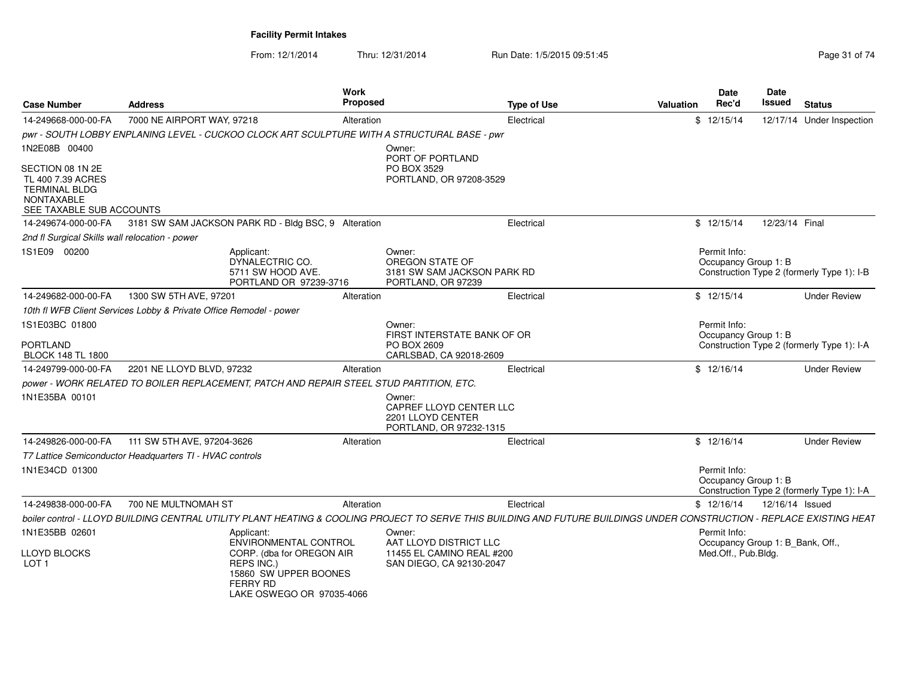LAKE OSWEGO OR 97035-4066

| <b>Case Number</b>                                                                                      | <b>Address</b>                                                                                                                                                         | Work<br>Proposed |                                                                                   | <b>Type of Use</b> | <b>Valuation</b> | <b>Date</b><br>Rec'd                             | Date<br><b>Issued</b> | <b>Status</b>                              |
|---------------------------------------------------------------------------------------------------------|------------------------------------------------------------------------------------------------------------------------------------------------------------------------|------------------|-----------------------------------------------------------------------------------|--------------------|------------------|--------------------------------------------------|-----------------------|--------------------------------------------|
| 14-249668-000-00-FA                                                                                     | 7000 NE AIRPORT WAY, 97218                                                                                                                                             | Alteration       |                                                                                   | Electrical         |                  | \$12/15/14                                       |                       | 12/17/14 Under Inspection                  |
|                                                                                                         | pwr - SOUTH LOBBY ENPLANING LEVEL - CUCKOO CLOCK ART SCULPTURE WITH A STRUCTURAL BASE - pwr                                                                            |                  |                                                                                   |                    |                  |                                                  |                       |                                            |
| 1N2E08B 00400                                                                                           |                                                                                                                                                                        |                  | Owner:                                                                            |                    |                  |                                                  |                       |                                            |
| SECTION 08 1N 2E<br>TL 400 7.39 ACRES<br><b>TERMINAL BLDG</b><br>NONTAXABLE<br>SEE TAXABLE SUB ACCOUNTS |                                                                                                                                                                        |                  | PORT OF PORTLAND<br>PO BOX 3529<br>PORTLAND, OR 97208-3529                        |                    |                  |                                                  |                       |                                            |
|                                                                                                         | 14-249674-000-00-FA 3181 SW SAM JACKSON PARK RD - Bldg BSC, 9 Alteration                                                                                               |                  |                                                                                   | Electrical         |                  | \$12/15/14                                       | 12/23/14 Final        |                                            |
| 2nd fl Surgical Skills wall relocation - power                                                          |                                                                                                                                                                        |                  |                                                                                   |                    |                  |                                                  |                       |                                            |
| 1S1E09 00200                                                                                            | Applicant:<br>DYNALECTRIC CO.<br>5711 SW HOOD AVE.<br>PORTLAND OR 97239-3716                                                                                           |                  | Owner:<br>OREGON STATE OF<br>3181 SW SAM JACKSON PARK RD<br>PORTLAND, OR 97239    |                    |                  | Permit Info:<br>Occupancy Group 1: B             |                       | Construction Type 2 (formerly Type 1): I-B |
| 14-249682-000-00-FA                                                                                     | 1300 SW 5TH AVE, 97201                                                                                                                                                 | Alteration       |                                                                                   | Electrical         |                  | \$12/15/14                                       |                       | <b>Under Review</b>                        |
|                                                                                                         | 10th fl WFB Client Services Lobby & Private Office Remodel - power                                                                                                     |                  |                                                                                   |                    |                  |                                                  |                       |                                            |
| 1S1E03BC 01800<br>PORTLAND<br><b>BLOCK 148 TL 1800</b>                                                  |                                                                                                                                                                        |                  | Owner:<br>FIRST INTERSTATE BANK OF OR<br>PO BOX 2609<br>CARLSBAD, CA 92018-2609   |                    |                  | Permit Info:<br>Occupancy Group 1: B             |                       | Construction Type 2 (formerly Type 1): I-A |
| 14-249799-000-00-FA                                                                                     | 2201 NE LLOYD BLVD, 97232                                                                                                                                              | Alteration       |                                                                                   | Electrical         |                  | \$12/16/14                                       |                       | <b>Under Review</b>                        |
|                                                                                                         | power - WORK RELATED TO BOILER REPLACEMENT, PATCH AND REPAIR STEEL STUD PARTITION, ETC.                                                                                |                  |                                                                                   |                    |                  |                                                  |                       |                                            |
| 1N1E35BA 00101                                                                                          |                                                                                                                                                                        |                  | Owner:<br>CAPREF LLOYD CENTER LLC<br>2201 LLOYD CENTER<br>PORTLAND, OR 97232-1315 |                    |                  |                                                  |                       |                                            |
| 14-249826-000-00-FA                                                                                     | 111 SW 5TH AVE, 97204-3626                                                                                                                                             | Alteration       |                                                                                   | Electrical         |                  | \$12/16/14                                       |                       | <b>Under Review</b>                        |
|                                                                                                         | T7 Lattice Semiconductor Headquarters TI - HVAC controls                                                                                                               |                  |                                                                                   |                    |                  |                                                  |                       |                                            |
| 1N1E34CD 01300                                                                                          |                                                                                                                                                                        |                  |                                                                                   |                    |                  | Permit Info:<br>Occupancy Group 1: B             |                       | Construction Type 2 (formerly Type 1): I-A |
| 14-249838-000-00-FA                                                                                     | 700 NE MULTNOMAH ST                                                                                                                                                    | Alteration       |                                                                                   | Electrical         |                  | \$12/16/14                                       | 12/16/14 Issued       |                                            |
|                                                                                                         | boiler control - LLOYD BUILDING CENTRAL UTILITY PLANT HEATING & COOLING PROJECT TO SERVE THIS BUILDING AND FUTURE BUILDINGS UNDER CONSTRUCTION - REPLACE EXISTING HEAT |                  |                                                                                   |                    |                  |                                                  |                       |                                            |
| 1N1E35BB 02601                                                                                          | Applicant:<br><b>ENVIRONMENTAL CONTROL</b>                                                                                                                             |                  | Owner:<br>AAT LLOYD DISTRICT LLC                                                  |                    |                  | Permit Info:<br>Occupancy Group 1: B_Bank, Off., |                       |                                            |
| LLOYD BLOCKS<br>LOT <sub>1</sub>                                                                        | CORP. (dba for OREGON AIR<br>REPS INC.)<br>15860 SW UPPER BOONES<br>FERRY RD                                                                                           |                  | 11455 EL CAMINO REAL #200<br>SAN DIEGO, CA 92130-2047                             |                    |                  | Med.Off., Pub.Bldg.                              |                       |                                            |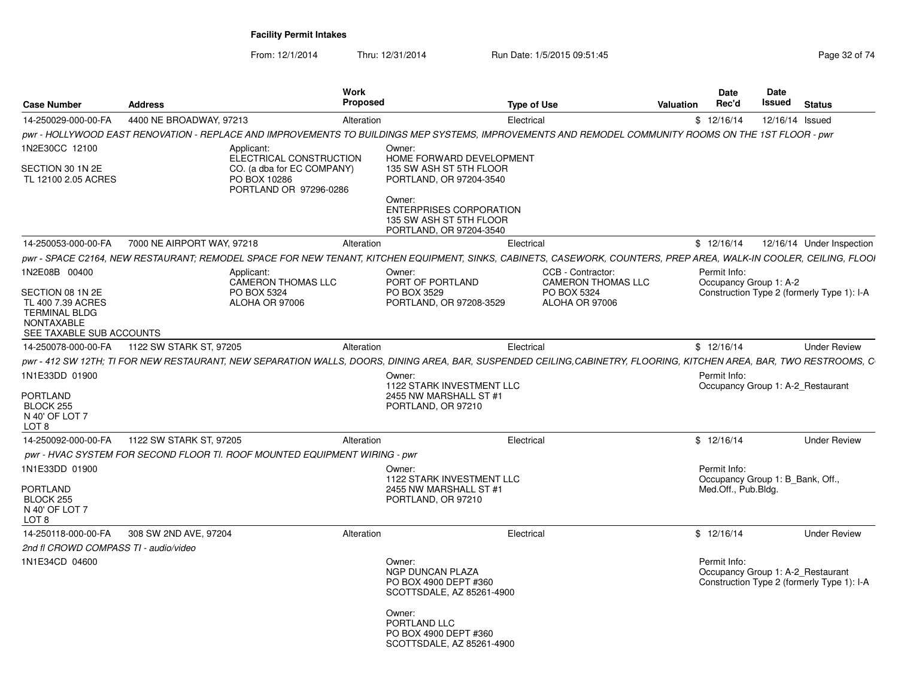| <b>Case Number</b>                                                                                                              | <b>Address</b>             |                                                                                                               | Work<br>Proposed |                                                                                                                                                                                     | <b>Type of Use</b> |                                                                                 | <b>Valuation</b> | Date<br>Rec'd                                                           | Date<br>Issued | <b>Status</b>                                                                   |
|---------------------------------------------------------------------------------------------------------------------------------|----------------------------|---------------------------------------------------------------------------------------------------------------|------------------|-------------------------------------------------------------------------------------------------------------------------------------------------------------------------------------|--------------------|---------------------------------------------------------------------------------|------------------|-------------------------------------------------------------------------|----------------|---------------------------------------------------------------------------------|
| 14-250029-000-00-FA                                                                                                             | 4400 NE BROADWAY, 97213    |                                                                                                               | Alteration       |                                                                                                                                                                                     | Electrical         |                                                                                 |                  | \$12/16/14                                                              |                | 12/16/14 Issued                                                                 |
|                                                                                                                                 |                            |                                                                                                               |                  | pwr - HOLLYWOOD EAST RENOVATION - REPLACE AND IMPROVEMENTS TO BUILDINGS MEP SYSTEMS, IMPROVEMENTS AND REMODEL COMMUNITY ROOMS ON THE 1ST FLOOR - pwr                                |                    |                                                                                 |                  |                                                                         |                |                                                                                 |
| 1N2E30CC 12100<br>SECTION 30 1N 2E<br>TL 12100 2.05 ACRES                                                                       |                            | Applicant:<br>ELECTRICAL CONSTRUCTION<br>CO. (a dba for EC COMPANY)<br>PO BOX 10286<br>PORTLAND OR 97296-0286 |                  | Owner:<br>HOME FORWARD DEVELOPMENT<br>135 SW ASH ST 5TH FLOOR<br>PORTLAND, OR 97204-3540<br>Owner:<br>ENTERPRISES CORPORATION<br>135 SW ASH ST 5TH FLOOR<br>PORTLAND, OR 97204-3540 |                    |                                                                                 |                  |                                                                         |                |                                                                                 |
| 14-250053-000-00-FA                                                                                                             | 7000 NE AIRPORT WAY, 97218 |                                                                                                               | Alteration       |                                                                                                                                                                                     | Electrical         |                                                                                 |                  | \$12/16/14                                                              |                | 12/16/14 Under Inspection                                                       |
|                                                                                                                                 |                            |                                                                                                               |                  | pwr - SPACE C2164, NEW RESTAURANT; REMODEL SPACE FOR NEW TENANT, KITCHEN EQUIPMENT, SINKS, CABINETS, CASEWORK, COUNTERS, PREP AREA, WALK-IN COOLER, CEILING, FLOOI                  |                    |                                                                                 |                  |                                                                         |                |                                                                                 |
| 1N2E08B 00400<br>SECTION 08 1N 2E<br>TL 400 7.39 ACRES<br><b>TERMINAL BLDG</b><br><b>NONTAXABLE</b><br>SEE TAXABLE SUB ACCOUNTS |                            | Applicant:<br>CAMERON THOMAS LLC<br>PO BOX 5324<br>ALOHA OR 97006                                             |                  | Owner:<br>PORT OF PORTLAND<br>PO BOX 3529<br>PORTLAND, OR 97208-3529                                                                                                                |                    | CCB - Contractor:<br><b>CAMERON THOMAS LLC</b><br>PO BOX 5324<br>ALOHA OR 97006 |                  | Permit Info:<br>Occupancy Group 1: A-2                                  |                | Construction Type 2 (formerly Type 1): I-A                                      |
| 14-250078-000-00-FA                                                                                                             | 1122 SW STARK ST, 97205    |                                                                                                               | Alteration       |                                                                                                                                                                                     | Electrical         |                                                                                 |                  | \$12/16/14                                                              |                | <b>Under Review</b>                                                             |
|                                                                                                                                 |                            |                                                                                                               |                  | pwr - 412 SW 12TH; TI FOR NEW RESTAURANT, NEW SEPARATION WALLS, DOORS, DINING AREA, BAR, SUSPENDED CEILING,CABINETRY, FLOORING, KITCHEN AREA, BAR, TWO RESTROOMS, C                 |                    |                                                                                 |                  |                                                                         |                |                                                                                 |
| 1N1E33DD 01900<br>PORTLAND<br>BLOCK 255<br>N 40' OF LOT 7<br>LOT 8                                                              |                            |                                                                                                               |                  | Owner:<br>1122 STARK INVESTMENT LLC<br>2455 NW MARSHALL ST #1<br>PORTLAND, OR 97210                                                                                                 |                    |                                                                                 |                  | Permit Info:                                                            |                | Occupancy Group 1: A-2 Restaurant                                               |
| 14-250092-000-00-FA                                                                                                             | 1122 SW STARK ST, 97205    |                                                                                                               | Alteration       |                                                                                                                                                                                     | Electrical         |                                                                                 |                  | \$12/16/14                                                              |                | <b>Under Review</b>                                                             |
|                                                                                                                                 |                            | pwr - HVAC SYSTEM FOR SECOND FLOOR TI. ROOF MOUNTED EQUIPMENT WIRING - pwr                                    |                  |                                                                                                                                                                                     |                    |                                                                                 |                  |                                                                         |                |                                                                                 |
| 1N1E33DD 01900<br>PORTLAND<br>BLOCK 255<br>N 40' OF LOT 7<br>LOT 8                                                              |                            |                                                                                                               |                  | Owner:<br>1122 STARK INVESTMENT LLC<br>2455 NW MARSHALL ST #1<br>PORTLAND, OR 97210                                                                                                 |                    |                                                                                 |                  | Permit Info:<br>Occupancy Group 1: B_Bank, Off.,<br>Med.Off., Pub.Bldg. |                |                                                                                 |
| 14-250118-000-00-FA                                                                                                             | 308 SW 2ND AVE, 97204      |                                                                                                               | Alteration       |                                                                                                                                                                                     | Electrical         |                                                                                 |                  | \$12/16/14                                                              |                | <b>Under Review</b>                                                             |
| 2nd fl CROWD COMPASS TI - audio/video                                                                                           |                            |                                                                                                               |                  |                                                                                                                                                                                     |                    |                                                                                 |                  |                                                                         |                |                                                                                 |
| 1N1E34CD 04600                                                                                                                  |                            |                                                                                                               |                  | Owner:<br>NGP DUNCAN PLAZA<br>PO BOX 4900 DEPT #360<br>SCOTTSDALE, AZ 85261-4900<br>Owner:<br>PORTLAND LLC<br>PO BOX 4900 DEPT #360                                                 |                    |                                                                                 |                  | Permit Info:                                                            |                | Occupancy Group 1: A-2 Restaurant<br>Construction Type 2 (formerly Type 1): I-A |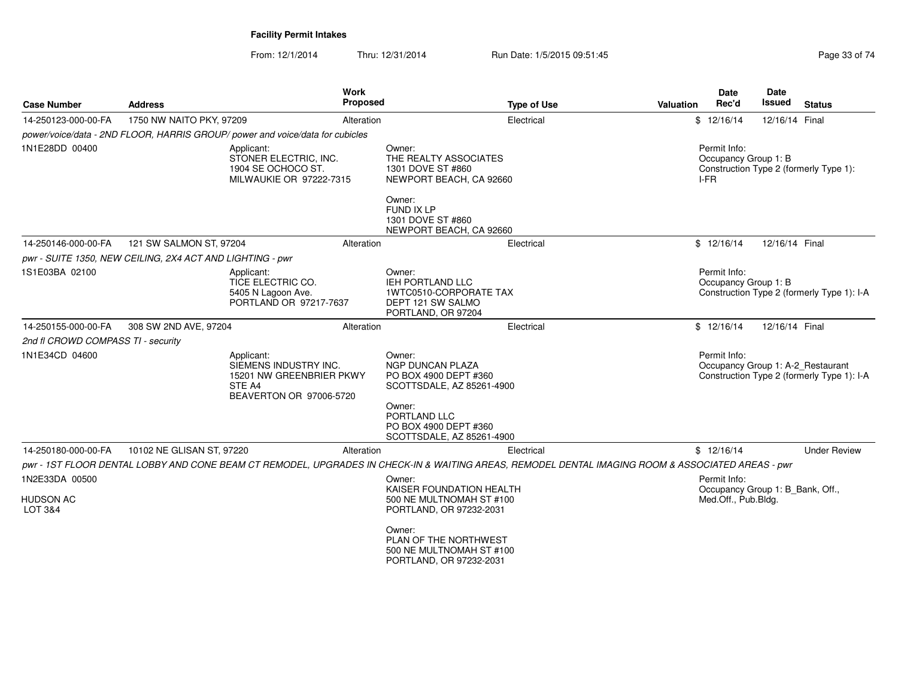| <b>Case Number</b>                     | <b>Address</b>                                            | Work<br><b>Proposed</b>                                                                                                                           |                                                                                                        | <b>Type of Use</b> | Valuation | Date<br>Rec'd                                           | Date<br><b>Issued</b> | <b>Status</b>                                                                   |
|----------------------------------------|-----------------------------------------------------------|---------------------------------------------------------------------------------------------------------------------------------------------------|--------------------------------------------------------------------------------------------------------|--------------------|-----------|---------------------------------------------------------|-----------------------|---------------------------------------------------------------------------------|
| 14-250123-000-00-FA                    | 1750 NW NAITO PKY, 97209                                  | Alteration                                                                                                                                        |                                                                                                        | Electrical         |           | \$12/16/14                                              | 12/16/14 Final        |                                                                                 |
|                                        |                                                           | power/voice/data - 2ND FLOOR, HARRIS GROUP/ power and voice/data for cubicles                                                                     |                                                                                                        |                    |           |                                                         |                       |                                                                                 |
| 1N1E28DD 00400                         |                                                           | Applicant:<br>STONER ELECTRIC, INC.<br>1904 SE OCHOCO ST.<br>MILWAUKIE OR 97222-7315                                                              | Owner:<br>THE REALTY ASSOCIATES<br>1301 DOVE ST #860<br>NEWPORT BEACH, CA 92660                        |                    |           | Permit Info:<br>Occupancy Group 1: B<br>$I-FR$          |                       | Construction Type 2 (formerly Type 1):                                          |
|                                        |                                                           |                                                                                                                                                   | Owner:<br>FUND IX LP<br>1301 DOVE ST #860<br>NEWPORT BEACH, CA 92660                                   |                    |           |                                                         |                       |                                                                                 |
| 14-250146-000-00-FA                    | 121 SW SALMON ST, 97204                                   | Alteration                                                                                                                                        |                                                                                                        | Electrical         |           | \$12/16/14                                              | 12/16/14 Final        |                                                                                 |
|                                        | pwr - SUITE 1350, NEW CEILING, 2X4 ACT AND LIGHTING - pwr |                                                                                                                                                   |                                                                                                        |                    |           |                                                         |                       |                                                                                 |
| 1S1E03BA 02100                         |                                                           | Applicant:<br>TICE ELECTRIC CO.<br>5405 N Lagoon Ave.<br>PORTLAND OR 97217-7637                                                                   | Owner:<br><b>IEH PORTLAND LLC</b><br>1WTC0510-CORPORATE TAX<br>DEPT 121 SW SALMO<br>PORTLAND, OR 97204 |                    |           | Permit Info:<br>Occupancy Group 1: B                    |                       | Construction Type 2 (formerly Type 1): I-A                                      |
| 14-250155-000-00-FA                    | 308 SW 2ND AVE, 97204                                     | Alteration                                                                                                                                        |                                                                                                        | Electrical         |           | \$12/16/14                                              | 12/16/14 Final        |                                                                                 |
| 2nd fl CROWD COMPASS TI - security     |                                                           |                                                                                                                                                   |                                                                                                        |                    |           |                                                         |                       |                                                                                 |
| 1N1E34CD 04600                         |                                                           | Applicant:<br>SIEMENS INDUSTRY INC.<br>15201 NW GREENBRIER PKWY<br>STE A4<br>BEAVERTON OR 97006-5720                                              | Owner:<br><b>NGP DUNCAN PLAZA</b><br>PO BOX 4900 DEPT #360<br>SCOTTSDALE, AZ 85261-4900                |                    |           | Permit Info:                                            |                       | Occupancy Group 1: A-2_Restaurant<br>Construction Type 2 (formerly Type 1): I-A |
|                                        |                                                           |                                                                                                                                                   | Owner:<br>PORTLAND LLC<br>PO BOX 4900 DEPT #360<br>SCOTTSDALE, AZ 85261-4900                           |                    |           |                                                         |                       |                                                                                 |
| 14-250180-000-00-FA                    | 10102 NE GLISAN ST, 97220                                 | Alteration                                                                                                                                        |                                                                                                        | Electrical         |           | \$12/16/14                                              |                       | <b>Under Review</b>                                                             |
|                                        |                                                           | pwr - 1ST FLOOR DENTAL LOBBY AND CONE BEAM CT REMODEL, UPGRADES IN CHECK-IN & WAITING AREAS, REMODEL DENTAL IMAGING ROOM & ASSOCIATED AREAS - pwr |                                                                                                        |                    |           |                                                         |                       |                                                                                 |
| 1N2E33DA 00500                         |                                                           |                                                                                                                                                   | Owner:<br>KAISER FOUNDATION HEALTH                                                                     |                    |           | Permit Info:                                            |                       |                                                                                 |
| <b>HUDSON AC</b><br><b>LOT 3&amp;4</b> |                                                           |                                                                                                                                                   | 500 NE MULTNOMAH ST #100<br>PORTLAND, OR 97232-2031                                                    |                    |           | Occupancy Group 1: B_Bank, Off.,<br>Med.Off., Pub.Bldg. |                       |                                                                                 |
|                                        |                                                           |                                                                                                                                                   | Owner:<br>PLAN OF THE NORTHWEST<br>500 NE MULTNOMAH ST #100<br>PORTLAND, OR 97232-2031                 |                    |           |                                                         |                       |                                                                                 |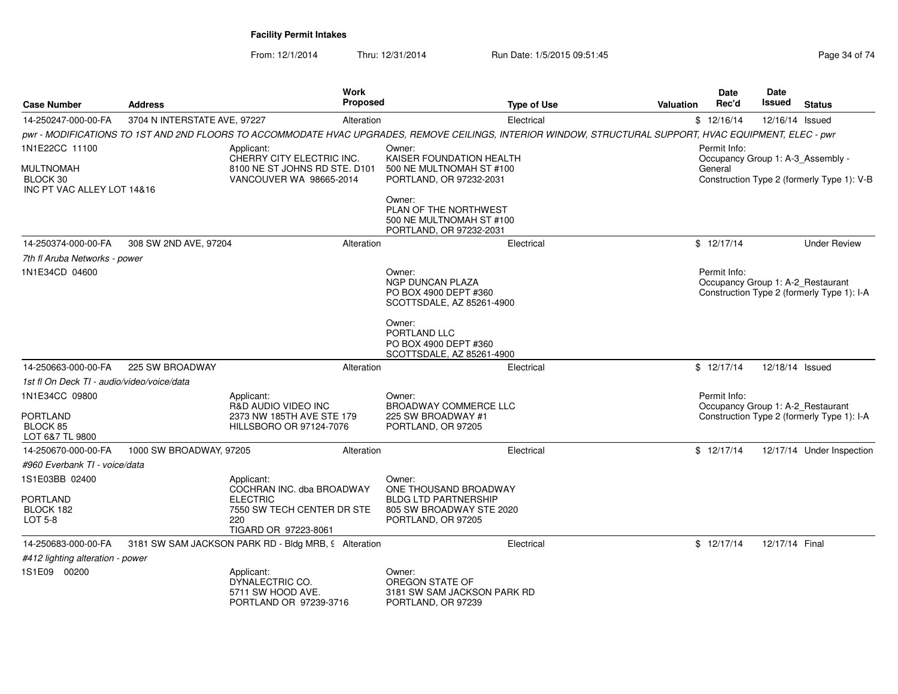| <b>Case Number</b>                             | <b>Address</b>               | Work<br>Proposed                                                                                                                                         |                                                                                         | <b>Type of Use</b> | Valuation | <b>Date</b><br>Rec'd                              | <b>Date</b><br>Issued | <b>Status</b>                              |
|------------------------------------------------|------------------------------|----------------------------------------------------------------------------------------------------------------------------------------------------------|-----------------------------------------------------------------------------------------|--------------------|-----------|---------------------------------------------------|-----------------------|--------------------------------------------|
| 14-250247-000-00-FA                            | 3704 N INTERSTATE AVE, 97227 | Alteration                                                                                                                                               |                                                                                         | Electrical         |           | \$12/16/14                                        | 12/16/14 Issued       |                                            |
|                                                |                              | pwr - MODIFICATIONS TO 1ST AND 2ND FLOORS TO ACCOMMODATE HVAC UPGRADES, REMOVE CEILINGS, INTERIOR WINDOW, STRUCTURAL SUPPORT, HVAC EQUIPMENT, ELEC - pwr |                                                                                         |                    |           |                                                   |                       |                                            |
| 1N1E22CC 11100                                 |                              | Applicant:                                                                                                                                               | Owner:                                                                                  |                    |           | Permit Info:                                      |                       |                                            |
| MULTNOMAH<br>BLOCK 30                          |                              | CHERRY CITY ELECTRIC INC.<br>8100 NE ST JOHNS RD STE. D101<br>VANCOUVER WA 98665-2014                                                                    | KAISER FOUNDATION HEALTH<br>500 NE MULTNOMAH ST #100<br>PORTLAND, OR 97232-2031         |                    |           | Occupancy Group 1: A-3_Assembly -<br>General      |                       | Construction Type 2 (formerly Type 1): V-B |
| INC PT VAC ALLEY LOT 14&16                     |                              |                                                                                                                                                          | Owner:<br>PLAN OF THE NORTHWEST<br>500 NE MULTNOMAH ST #100<br>PORTLAND, OR 97232-2031  |                    |           |                                                   |                       |                                            |
| 14-250374-000-00-FA                            | 308 SW 2ND AVE, 97204        | Alteration                                                                                                                                               |                                                                                         | Electrical         |           | \$12/17/14                                        |                       | <b>Under Review</b>                        |
| 7th fl Aruba Networks - power                  |                              |                                                                                                                                                          |                                                                                         |                    |           |                                                   |                       |                                            |
| 1N1E34CD 04600                                 |                              |                                                                                                                                                          | Owner:<br><b>NGP DUNCAN PLAZA</b><br>PO BOX 4900 DEPT #360<br>SCOTTSDALE, AZ 85261-4900 |                    |           | Permit Info:<br>Occupancy Group 1: A-2 Restaurant |                       | Construction Type 2 (formerly Type 1): I-A |
|                                                |                              |                                                                                                                                                          | Owner:<br>PORTLAND LLC<br>PO BOX 4900 DEPT #360<br>SCOTTSDALE, AZ 85261-4900            |                    |           |                                                   |                       |                                            |
| 14-250663-000-00-FA                            | 225 SW BROADWAY              | Alteration                                                                                                                                               |                                                                                         | Electrical         |           | \$12/17/14                                        | 12/18/14 Issued       |                                            |
| 1st fl On Deck TI - audio/video/voice/data     |                              |                                                                                                                                                          |                                                                                         |                    |           |                                                   |                       |                                            |
| 1N1E34CC 09800                                 |                              | Applicant:<br>R&D AUDIO VIDEO INC                                                                                                                        | Owner:<br>BROADWAY COMMERCE LLC                                                         |                    |           | Permit Info:<br>Occupancy Group 1: A-2_Restaurant |                       |                                            |
| <b>PORTLAND</b><br>BLOCK 85<br>LOT 6&7 TL 9800 |                              | 2373 NW 185TH AVE STE 179<br>HILLSBORO OR 97124-7076                                                                                                     | 225 SW BROADWAY #1<br>PORTLAND, OR 97205                                                |                    |           |                                                   |                       | Construction Type 2 (formerly Type 1): I-A |
| 14-250670-000-00-FA                            | 1000 SW BROADWAY, 97205      | Alteration                                                                                                                                               |                                                                                         | Electrical         |           | \$12/17/14                                        |                       | 12/17/14 Under Inspection                  |
| #960 Everbank TI - voice/data                  |                              |                                                                                                                                                          |                                                                                         |                    |           |                                                   |                       |                                            |
| 1S1E03BB 02400                                 |                              | Applicant:<br>COCHRAN INC. dba BROADWAY                                                                                                                  | Owner:<br>ONE THOUSAND BROADWAY                                                         |                    |           |                                                   |                       |                                            |
| <b>PORTLAND</b><br>BLOCK 182<br>LOT 5-8        |                              | <b>ELECTRIC</b><br>7550 SW TECH CENTER DR STE<br>220<br>TIGARD OR 97223-8061                                                                             | <b>BLDG LTD PARTNERSHIP</b><br>805 SW BROADWAY STE 2020<br>PORTLAND, OR 97205           |                    |           |                                                   |                       |                                            |
| 14-250683-000-00-FA                            |                              | 3181 SW SAM JACKSON PARK RD - Bldg MRB, 9 Alteration                                                                                                     |                                                                                         | Electrical         |           | \$12/17/14                                        | 12/17/14 Final        |                                            |
| #412 lighting alteration - power               |                              |                                                                                                                                                          |                                                                                         |                    |           |                                                   |                       |                                            |
| 1S1E09 00200                                   |                              | Applicant:<br>DYNALECTRIC CO.<br>5711 SW HOOD AVE.<br>PORTLAND OR 97239-3716                                                                             | Owner:<br>OREGON STATE OF<br>3181 SW SAM JACKSON PARK RD<br>PORTLAND, OR 97239          |                    |           |                                                   |                       |                                            |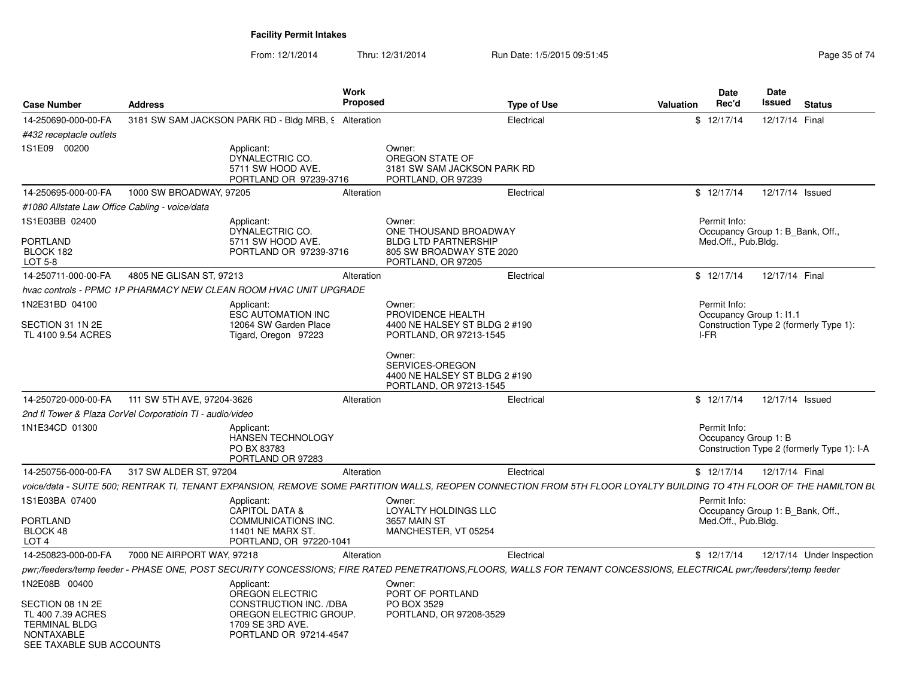|                                                                                                                |                                                                   |                                                                                                | Work            |                                                                                       |                                                                                                                                                                      |           | <b>Date</b>                                      | Date            |                                            |
|----------------------------------------------------------------------------------------------------------------|-------------------------------------------------------------------|------------------------------------------------------------------------------------------------|-----------------|---------------------------------------------------------------------------------------|----------------------------------------------------------------------------------------------------------------------------------------------------------------------|-----------|--------------------------------------------------|-----------------|--------------------------------------------|
| <b>Case Number</b>                                                                                             | <b>Address</b>                                                    |                                                                                                | <b>Proposed</b> |                                                                                       | <b>Type of Use</b>                                                                                                                                                   | Valuation | Rec'd                                            | Issued          | <b>Status</b>                              |
| 14-250690-000-00-FA                                                                                            | 3181 SW SAM JACKSON PARK RD - Bldg MRB, 9 Alteration              |                                                                                                |                 |                                                                                       | Electrical                                                                                                                                                           |           | \$12/17/14                                       | 12/17/14 Final  |                                            |
| #432 receptacle outlets                                                                                        |                                                                   |                                                                                                |                 |                                                                                       |                                                                                                                                                                      |           |                                                  |                 |                                            |
| 1S1E09 00200                                                                                                   |                                                                   | Applicant:<br>DYNALECTRIC CO.<br>5711 SW HOOD AVE.<br>PORTLAND OR 97239-3716                   |                 | Owner:<br>OREGON STATE OF<br>3181 SW SAM JACKSON PARK RD<br>PORTLAND, OR 97239        |                                                                                                                                                                      |           |                                                  |                 |                                            |
| 14-250695-000-00-FA                                                                                            | 1000 SW BROADWAY, 97205                                           |                                                                                                | Alteration      |                                                                                       | Electrical                                                                                                                                                           |           | \$12/17/14                                       | 12/17/14 Issued |                                            |
| #1080 Allstate Law Office Cabling - voice/data                                                                 |                                                                   |                                                                                                |                 |                                                                                       |                                                                                                                                                                      |           |                                                  |                 |                                            |
| 1S1E03BB 02400                                                                                                 |                                                                   | Applicant:<br>DYNALECTRIC CO.                                                                  |                 | Owner:<br>ONE THOUSAND BROADWAY                                                       |                                                                                                                                                                      |           | Permit Info:<br>Occupancy Group 1: B Bank, Off., |                 |                                            |
| PORTLAND<br>BLOCK 182<br>LOT 5-8                                                                               |                                                                   | 5711 SW HOOD AVE.<br>PORTLAND OR 97239-3716                                                    |                 | <b>BLDG LTD PARTNERSHIP</b><br>805 SW BROADWAY STE 2020<br>PORTLAND, OR 97205         |                                                                                                                                                                      |           | Med.Off., Pub.Bldg.                              |                 |                                            |
| 14-250711-000-00-FA                                                                                            | 4805 NE GLISAN ST, 97213                                          |                                                                                                | Alteration      |                                                                                       | Electrical                                                                                                                                                           |           | \$12/17/14                                       | 12/17/14 Final  |                                            |
|                                                                                                                | hvac controls - PPMC 1P PHARMACY NEW CLEAN ROOM HVAC UNIT UPGRADE |                                                                                                |                 |                                                                                       |                                                                                                                                                                      |           |                                                  |                 |                                            |
| 1N2E31BD 04100                                                                                                 |                                                                   | Applicant:<br><b>ESC AUTOMATION INC</b>                                                        |                 | Owner:<br>PROVIDENCE HEALTH                                                           |                                                                                                                                                                      |           | Permit Info:<br>Occupancy Group 1: I1.1          |                 |                                            |
| SECTION 31 1N 2E<br>TL 4100 9.54 ACRES                                                                         |                                                                   | 12064 SW Garden Place<br>Tigard, Oregon 97223                                                  |                 | 4400 NE HALSEY ST BLDG 2 #190<br>PORTLAND, OR 97213-1545                              |                                                                                                                                                                      |           | I-FR                                             |                 | Construction Type 2 (formerly Type 1):     |
|                                                                                                                |                                                                   |                                                                                                |                 | Owner:<br>SERVICES-OREGON<br>4400 NE HALSEY ST BLDG 2 #190<br>PORTLAND, OR 97213-1545 |                                                                                                                                                                      |           |                                                  |                 |                                            |
| 14-250720-000-00-FA                                                                                            | 111 SW 5TH AVE, 97204-3626                                        |                                                                                                | Alteration      |                                                                                       | Electrical                                                                                                                                                           |           | \$12/17/14                                       | 12/17/14 Issued |                                            |
|                                                                                                                | 2nd fl Tower & Plaza CorVel Corporatioin TI - audio/video         |                                                                                                |                 |                                                                                       |                                                                                                                                                                      |           |                                                  |                 |                                            |
| 1N1E34CD 01300                                                                                                 |                                                                   | Applicant:<br>HANSEN TECHNOLOGY<br>PO BX 83783<br>PORTLAND OR 97283                            |                 |                                                                                       |                                                                                                                                                                      |           | Permit Info:<br>Occupancy Group 1: B             |                 | Construction Type 2 (formerly Type 1): I-A |
| 14-250756-000-00-FA                                                                                            | 317 SW ALDER ST, 97204                                            |                                                                                                | Alteration      |                                                                                       | Electrical                                                                                                                                                           |           | \$12/17/14                                       | 12/17/14 Final  |                                            |
|                                                                                                                |                                                                   |                                                                                                |                 |                                                                                       | voice/data - SUITE 500; RENTRAK TI, TENANT EXPANSION, REMOVE SOME PARTITION WALLS, REOPEN CONNECTION FROM 5TH FLOOR LOYALTY BUILDING TO 4TH FLOOR OF THE HAMILTON BL |           |                                                  |                 |                                            |
| 1S1E03BA 07400                                                                                                 |                                                                   | Applicant:<br><b>CAPITOL DATA &amp;</b>                                                        |                 | Owner:<br><b>LOYALTY HOLDINGS LLC</b>                                                 |                                                                                                                                                                      |           | Permit Info:<br>Occupancy Group 1: B_Bank, Off., |                 |                                            |
| PORTLAND<br>BLOCK 48<br>LOT <sub>4</sub>                                                                       |                                                                   | COMMUNICATIONS INC.<br>11401 NE MARX ST<br>PORTLAND, OR 97220-1041                             |                 | <b>3657 MAIN ST</b><br>MANCHESTER, VT 05254                                           |                                                                                                                                                                      |           | Med.Off., Pub.Bldg.                              |                 |                                            |
| 14-250823-000-00-FA                                                                                            | 7000 NE AIRPORT WAY, 97218                                        |                                                                                                | Alteration      |                                                                                       | Electrical                                                                                                                                                           |           | \$12/17/14                                       |                 | 12/17/14 Under Inspection                  |
|                                                                                                                |                                                                   |                                                                                                |                 |                                                                                       | pwr;/feeders/temp feeder - PHASE ONE, POST SECURITY CONCESSIONS; FIRE RATED PENETRATIONS,FLOORS, WALLS FOR TENANT CONCESSIONS, ELECTRICAL pwr;/feeders/;temp feeder  |           |                                                  |                 |                                            |
| 1N2E08B 00400                                                                                                  |                                                                   | Applicant:<br>OREGON ELECTRIC                                                                  |                 | Owner:<br>PORT OF PORTLAND                                                            |                                                                                                                                                                      |           |                                                  |                 |                                            |
| SECTION 08 1N 2E<br>TL 400 7.39 ACRES<br><b>TERMINAL BLDG</b><br><b>NONTAXABLE</b><br>SEE TAXABLE SUB ACCOUNTS |                                                                   | CONSTRUCTION INC. /DBA<br>OREGON ELECTRIC GROUP.<br>1709 SE 3RD AVE.<br>PORTLAND OR 97214-4547 |                 | PO BOX 3529<br>PORTLAND, OR 97208-3529                                                |                                                                                                                                                                      |           |                                                  |                 |                                            |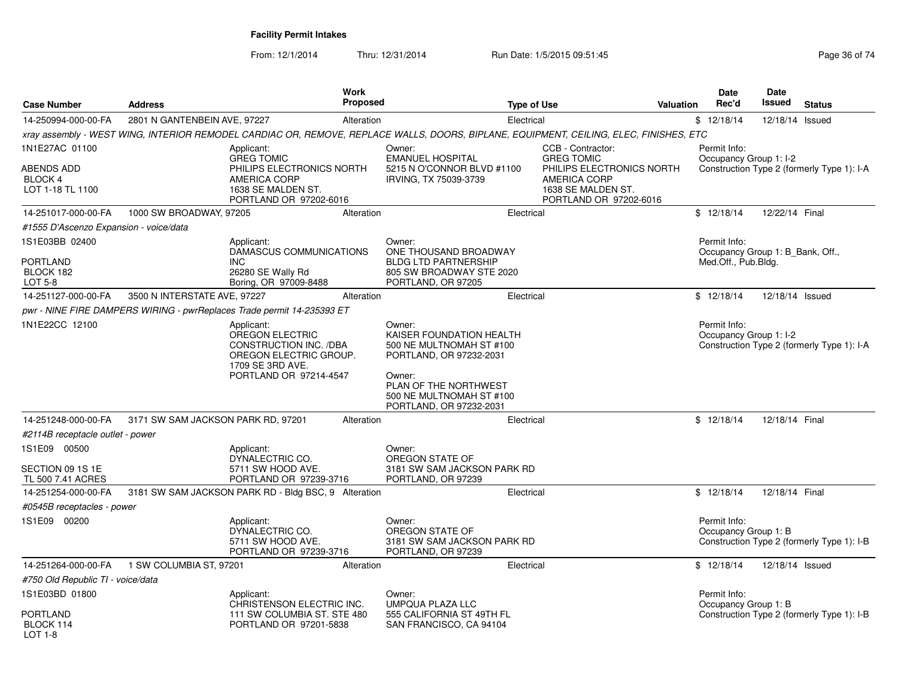| <b>Case Number</b>                                    | <b>Address</b>                     | <b>Work</b>                                                                                                                            | <b>Proposed</b> | <b>Type of Use</b>                                                                                                                                                                  |                                                                                                                       | <b>Valuation</b> | <b>Date</b><br>Rec'd                             | Date<br>Issued  | <b>Status</b>                              |
|-------------------------------------------------------|------------------------------------|----------------------------------------------------------------------------------------------------------------------------------------|-----------------|-------------------------------------------------------------------------------------------------------------------------------------------------------------------------------------|-----------------------------------------------------------------------------------------------------------------------|------------------|--------------------------------------------------|-----------------|--------------------------------------------|
| 14-250994-000-00-FA                                   | 2801 N GANTENBEIN AVE, 97227       |                                                                                                                                        | Alteration      | Electrical                                                                                                                                                                          |                                                                                                                       |                  | \$12/18/14                                       | 12/18/14 Issued |                                            |
|                                                       |                                    |                                                                                                                                        |                 | xray assembly - WEST WING, INTERIOR REMODEL CARDIAC OR, REMOVE, REPLACE WALLS, DOORS, BIPLANE, EQUIPMENT, CEILING, ELEC, FINISHES, ETC                                              |                                                                                                                       |                  |                                                  |                 |                                            |
| 1N1E27AC 01100                                        |                                    | Applicant:                                                                                                                             |                 | Owner:                                                                                                                                                                              | CCB - Contractor:                                                                                                     |                  | Permit Info:                                     |                 |                                            |
| ABENDS ADD<br>BLOCK 4<br>LOT 1-18 TL 1100             |                                    | <b>GREG TOMIC</b><br>PHILIPS ELECTRONICS NORTH<br>AMERICA CORP<br>1638 SE MALDEN ST.<br>PORTLAND OR 97202-6016                         |                 | <b>EMANUEL HOSPITAL</b><br>5215 N O'CONNOR BLVD #1100<br>IRVING, TX 75039-3739                                                                                                      | <b>GREG TOMIC</b><br>PHILIPS ELECTRONICS NORTH<br><b>AMERICA CORP</b><br>1638 SE MALDEN ST.<br>PORTLAND OR 97202-6016 |                  | Occupancy Group 1: I-2                           |                 | Construction Type 2 (formerly Type 1): I-A |
| 14-251017-000-00-FA                                   | 1000 SW BROADWAY, 97205            |                                                                                                                                        | Alteration      | Electrical                                                                                                                                                                          |                                                                                                                       |                  | \$12/18/14                                       | 12/22/14 Final  |                                            |
| #1555 D'Ascenzo Expansion - voice/data                |                                    |                                                                                                                                        |                 |                                                                                                                                                                                     |                                                                                                                       |                  |                                                  |                 |                                            |
| 1S1E03BB 02400                                        |                                    | Applicant:<br>DAMASCUS COMMUNICATIONS                                                                                                  |                 | Owner:<br>ONE THOUSAND BROADWAY                                                                                                                                                     |                                                                                                                       |                  | Permit Info:<br>Occupancy Group 1: B_Bank, Off., |                 |                                            |
| PORTLAND<br>BLOCK 182<br>LOT 5-8                      |                                    | <b>INC</b><br>26280 SE Wally Rd<br>Boring, OR 97009-8488                                                                               |                 | <b>BLDG LTD PARTNERSHIP</b><br>805 SW BROADWAY STE 2020<br>PORTLAND, OR 97205                                                                                                       |                                                                                                                       |                  | Med.Off., Pub.Bldg.                              |                 |                                            |
| 14-251127-000-00-FA                                   | 3500 N INTERSTATE AVE, 97227       |                                                                                                                                        | Alteration      | Electrical                                                                                                                                                                          |                                                                                                                       |                  | \$12/18/14                                       | 12/18/14 Issued |                                            |
|                                                       |                                    | pwr - NINE FIRE DAMPERS WIRING - pwrReplaces Trade permit 14-235393 ET                                                                 |                 |                                                                                                                                                                                     |                                                                                                                       |                  |                                                  |                 |                                            |
| 1N1E22CC 12100                                        |                                    | Applicant:<br><b>OREGON ELECTRIC</b><br>CONSTRUCTION INC. /DBA<br>OREGON ELECTRIC GROUP.<br>1709 SE 3RD AVE.<br>PORTLAND OR 97214-4547 |                 | Owner:<br>KAISER FOUNDATION HEALTH<br>500 NE MULTNOMAH ST #100<br>PORTLAND, OR 97232-2031<br>Owner:<br>PLAN OF THE NORTHWEST<br>500 NE MULTNOMAH ST #100<br>PORTLAND, OR 97232-2031 |                                                                                                                       |                  | Permit Info:<br>Occupancy Group 1: I-2           |                 | Construction Type 2 (formerly Type 1): I-A |
| 14-251248-000-00-FA                                   | 3171 SW SAM JACKSON PARK RD, 97201 |                                                                                                                                        | Alteration      | Electrical                                                                                                                                                                          |                                                                                                                       |                  | \$12/18/14                                       | 12/18/14 Final  |                                            |
| #2114B receptacle outlet - power                      |                                    |                                                                                                                                        |                 |                                                                                                                                                                                     |                                                                                                                       |                  |                                                  |                 |                                            |
| 1S1E09 00500<br>SECTION 09 1S 1E<br>TL 500 7.41 ACRES |                                    | Applicant:<br>DYNALECTRIC CO.<br>5711 SW HOOD AVE.<br>PORTLAND OR 97239-3716                                                           |                 | Owner:<br>OREGON STATE OF<br>3181 SW SAM JACKSON PARK RD<br>PORTLAND, OR 97239                                                                                                      |                                                                                                                       |                  |                                                  |                 |                                            |
| 14-251254-000-00-FA                                   |                                    | 3181 SW SAM JACKSON PARK RD - Bldg BSC, 9 Alteration                                                                                   |                 | Electrical                                                                                                                                                                          |                                                                                                                       |                  | \$12/18/14                                       | 12/18/14 Final  |                                            |
| #0545B receptacles - power                            |                                    |                                                                                                                                        |                 |                                                                                                                                                                                     |                                                                                                                       |                  |                                                  |                 |                                            |
| 1S1E09 00200                                          |                                    | Applicant:<br>DYNALECTRIC CO.<br>5711 SW HOOD AVE.<br>PORTLAND OR 97239-3716                                                           |                 | Owner:<br>OREGON STATE OF<br>3181 SW SAM JACKSON PARK RD<br>PORTLAND, OR 97239                                                                                                      |                                                                                                                       |                  | Permit Info:<br>Occupancy Group 1: B             |                 | Construction Type 2 (formerly Type 1): I-B |
| 14-251264-000-00-FA                                   | 1 SW COLUMBIA ST, 97201            |                                                                                                                                        | Alteration      | Electrical                                                                                                                                                                          |                                                                                                                       |                  | \$12/18/14                                       | 12/18/14 Issued |                                            |
| #750 Old Republic TI - voice/data                     |                                    |                                                                                                                                        |                 |                                                                                                                                                                                     |                                                                                                                       |                  |                                                  |                 |                                            |
| 1S1E03BD 01800                                        |                                    | Applicant:<br>CHRISTENSON ELECTRIC INC.                                                                                                |                 | Owner:<br>UMPQUA PLAZA LLC                                                                                                                                                          |                                                                                                                       |                  | Permit Info:<br>Occupancy Group 1: B             |                 |                                            |
| PORTLAND<br>BLOCK 114<br>$LOT 1-8$                    |                                    | 111 SW COLUMBIA ST. STE 480<br>PORTLAND OR 97201-5838                                                                                  |                 | 555 CALIFORNIA ST 49TH FL<br>SAN FRANCISCO, CA 94104                                                                                                                                |                                                                                                                       |                  |                                                  |                 | Construction Type 2 (formerly Type 1): I-B |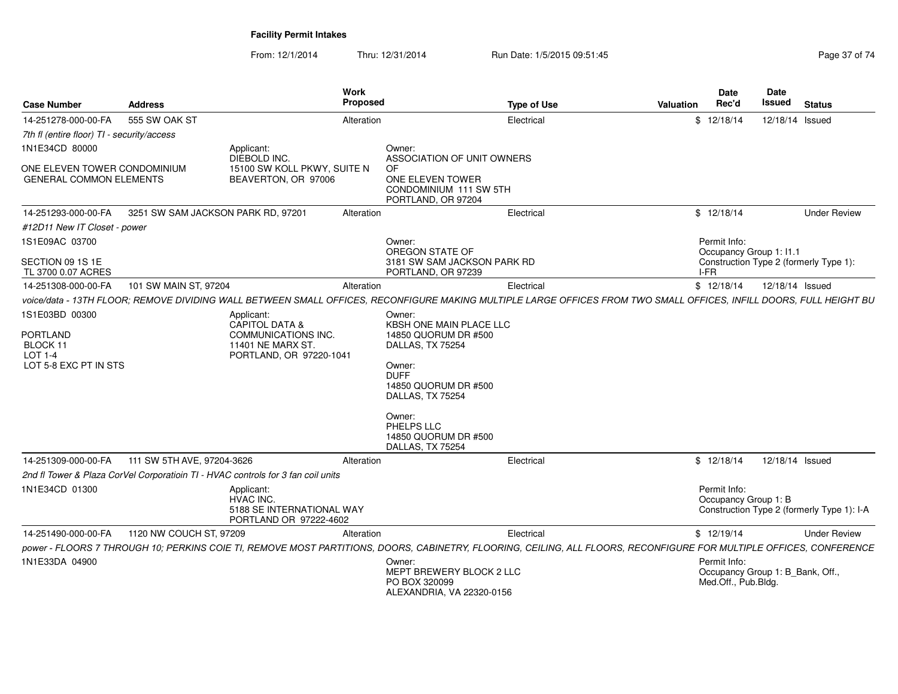| <b>Case Number</b>                                                                | <b>Address</b>                                 | Work<br>Proposed                                                                                                                                                    |                                                                                                                                                                                                                        | <b>Type of Use</b> | Date<br>Rec'd<br>Valuation              | Date<br>Issued<br><b>Status</b>            |
|-----------------------------------------------------------------------------------|------------------------------------------------|---------------------------------------------------------------------------------------------------------------------------------------------------------------------|------------------------------------------------------------------------------------------------------------------------------------------------------------------------------------------------------------------------|--------------------|-----------------------------------------|--------------------------------------------|
| 14-251278-000-00-FA                                                               | 555 SW OAK ST                                  | Alteration                                                                                                                                                          |                                                                                                                                                                                                                        | Electrical         | \$12/18/14                              | 12/18/14 Issued                            |
| 7th fl (entire floor) TI - security/access                                        |                                                |                                                                                                                                                                     |                                                                                                                                                                                                                        |                    |                                         |                                            |
| 1N1E34CD 80000<br>ONE ELEVEN TOWER CONDOMINIUM<br><b>GENERAL COMMON ELEMENTS</b>  |                                                | Applicant:<br>DIEBOLD INC.<br>15100 SW KOLL PKWY, SUITE N<br>BEAVERTON, OR 97006                                                                                    | Owner:<br>ASSOCIATION OF UNIT OWNERS<br>OF<br>ONE ELEVEN TOWER<br>CONDOMINIUM 111 SW 5TH                                                                                                                               |                    |                                         |                                            |
|                                                                                   |                                                |                                                                                                                                                                     | PORTLAND, OR 97204                                                                                                                                                                                                     |                    |                                         |                                            |
| 14-251293-000-00-FA                                                               |                                                | 3251 SW SAM JACKSON PARK RD, 97201<br>Alteration                                                                                                                    |                                                                                                                                                                                                                        | Electrical         | \$12/18/14                              | <b>Under Review</b>                        |
| #12D11 New IT Closet - power                                                      |                                                |                                                                                                                                                                     |                                                                                                                                                                                                                        |                    |                                         |                                            |
| 1S1E09AC 03700<br>SECTION 09 1S 1E                                                |                                                |                                                                                                                                                                     | Owner:<br>OREGON STATE OF<br>3181 SW SAM JACKSON PARK RD                                                                                                                                                               |                    | Permit Info:<br>Occupancy Group 1: I1.1 | Construction Type 2 (formerly Type 1):     |
| TL 3700 0.07 ACRES                                                                |                                                |                                                                                                                                                                     | PORTLAND, OR 97239                                                                                                                                                                                                     |                    | $I-FR$                                  |                                            |
| 14-251308-000-00-FA                                                               | 101 SW MAIN ST, 97204                          | Alteration                                                                                                                                                          |                                                                                                                                                                                                                        | Electrical         | \$12/18/14                              | 12/18/14 Issued                            |
|                                                                                   |                                                | voice/data - 13TH FLOOR; REMOVE DIVIDING WALL BETWEEN SMALL OFFICES, RECONFIGURE MAKING MULTIPLE LARGE OFFICES FROM TWO SMALL OFFICES, INFILL DOORS, FULL HEIGHT BU |                                                                                                                                                                                                                        |                    |                                         |                                            |
| 1S1E03BD 00300<br><b>PORTLAND</b><br>BLOCK 11<br>LOT 1-4<br>LOT 5-8 EXC PT IN STS |                                                | Applicant:<br>CAPITOL DATA &<br>COMMUNICATIONS INC.<br>11401 NE MARX ST<br>PORTLAND, OR 97220-1041                                                                  | Owner:<br>KBSH ONE MAIN PLACE LLC<br>14850 QUORUM DR #500<br>DALLAS, TX 75254<br>Owner:<br><b>DUFF</b><br>14850 QUORUM DR #500<br>DALLAS, TX 75254<br>Owner:<br>PHELPS LLC<br>14850 QUORUM DR #500<br>DALLAS, TX 75254 |                    |                                         |                                            |
|                                                                                   | 14-251309-000-00-FA 111 SW 5TH AVE, 97204-3626 | Alteration                                                                                                                                                          |                                                                                                                                                                                                                        | Electrical         | \$12/18/14                              | 12/18/14 Issued                            |
|                                                                                   |                                                | 2nd fl Tower & Plaza CorVel Corporatioin TI - HVAC controls for 3 fan coil units                                                                                    |                                                                                                                                                                                                                        |                    |                                         |                                            |
| 1N1E34CD 01300                                                                    |                                                | Applicant:<br>HVAC INC.<br>5188 SE INTERNATIONAL WAY<br>PORTLAND OR 97222-4602                                                                                      |                                                                                                                                                                                                                        |                    | Permit Info:<br>Occupancy Group 1: B    | Construction Type 2 (formerly Type 1): I-A |
|                                                                                   | 14-251490-000-00-FA 1120 NW COUCH ST, 97209    | Alteration                                                                                                                                                          |                                                                                                                                                                                                                        | Electrical         | \$12/19/14                              | <b>Under Review</b>                        |
|                                                                                   |                                                | power - FLOORS 7 THROUGH 10; PERKINS COIE TI, REMOVE MOST PARTITIONS, DOORS, CABINETRY, FLOORING, CEILING, ALL FLOORS, RECONFIGURE FOR MULTIPLE OFFICES, CONFERENCE |                                                                                                                                                                                                                        |                    |                                         |                                            |
| 1N1E33DA 04900                                                                    |                                                |                                                                                                                                                                     | Owner:<br>MEPT BREWERY BLOCK 2 LLC<br>PO BOX 320099<br>ALEXANDRIA, VA 22320-0156                                                                                                                                       |                    | Permit Info:<br>Med.Off., Pub.Bldg.     | Occupancy Group 1: B_Bank, Off.,           |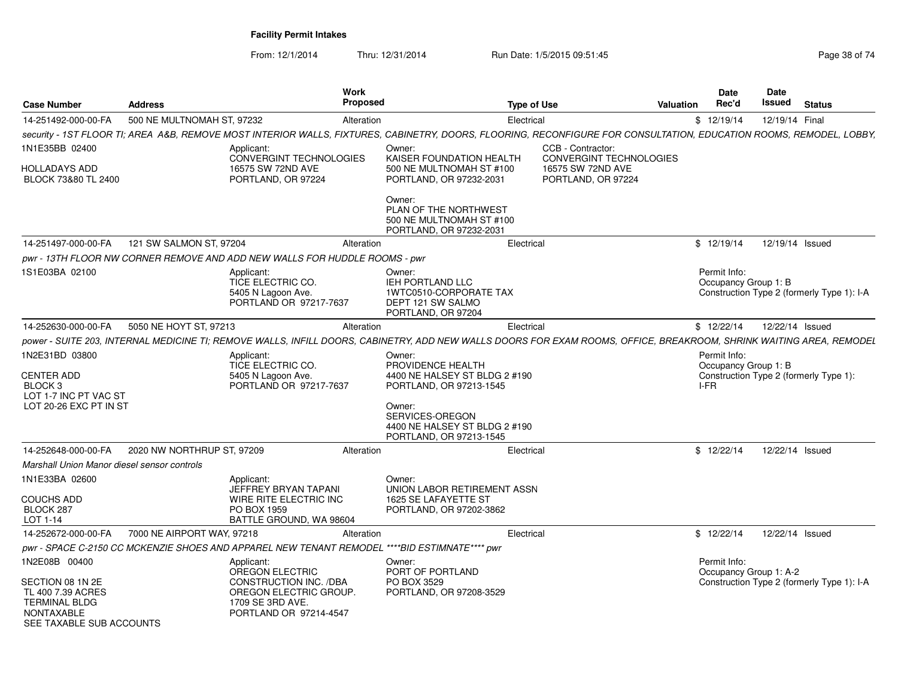From: 12/1/2014

Thru: 12/31/2014 Run Date: 1/5/2015 09:51:45

| <b>Case Number</b>                                                                                      | <b>Address</b>             |                                                                                                | Work<br><b>Proposed</b> |                                                                                                                                                                     | <b>Type of Use</b>                           | <b>Valuation</b> | <b>Date</b><br>Rec'd                   | Date<br>Issued | <b>Status</b>                              |
|---------------------------------------------------------------------------------------------------------|----------------------------|------------------------------------------------------------------------------------------------|-------------------------|---------------------------------------------------------------------------------------------------------------------------------------------------------------------|----------------------------------------------|------------------|----------------------------------------|----------------|--------------------------------------------|
| 14-251492-000-00-FA                                                                                     | 500 NE MULTNOMAH ST, 97232 |                                                                                                | Alteration              | Electrical                                                                                                                                                          |                                              |                  | \$12/19/14                             | 12/19/14 Final |                                            |
|                                                                                                         |                            |                                                                                                |                         | security - 1ST FLOOR TI; AREA A&B, REMOVE MOST INTERIOR WALLS, FIXTURES, CABINETRY, DOORS, FLOORING, RECONFIGURE FOR CONSULTATION, EDUCATION ROOMS, REMODEL, LOBBY, |                                              |                  |                                        |                |                                            |
| 1N1E35BB 02400                                                                                          |                            | Applicant:<br><b>CONVERGINT TECHNOLOGIES</b>                                                   |                         | Owner:<br>KAISER FOUNDATION HEALTH                                                                                                                                  | CCB - Contractor:<br>CONVERGINT TECHNOLOGIES |                  |                                        |                |                                            |
| <b>HOLLADAYS ADD</b><br>BLOCK 73&80 TL 2400                                                             |                            | 16575 SW 72ND AVE<br>PORTLAND, OR 97224                                                        |                         | 500 NE MULTNOMAH ST #100<br>PORTLAND, OR 97232-2031                                                                                                                 | 16575 SW 72ND AVE<br>PORTLAND, OR 97224      |                  |                                        |                |                                            |
|                                                                                                         |                            |                                                                                                |                         | Owner:<br>PLAN OF THE NORTHWEST<br>500 NE MULTNOMAH ST #100<br>PORTLAND, OR 97232-2031                                                                              |                                              |                  |                                        |                |                                            |
| 14-251497-000-00-FA                                                                                     | 121 SW SALMON ST, 97204    |                                                                                                | Alteration              | Electrical                                                                                                                                                          |                                              |                  | \$12/19/14                             |                | 12/19/14 Issued                            |
|                                                                                                         |                            | pwr - 13TH FLOOR NW CORNER REMOVE AND ADD NEW WALLS FOR HUDDLE ROOMS - pwr                     |                         |                                                                                                                                                                     |                                              |                  |                                        |                |                                            |
| 1S1E03BA 02100                                                                                          |                            | Applicant:<br>TICE ELECTRIC CO.<br>5405 N Lagoon Ave.<br>PORTLAND OR 97217-7637                |                         | Owner:<br><b>IEH PORTLAND LLC</b><br>1WTC0510-CORPORATE TAX<br>DEPT 121 SW SALMO<br>PORTLAND, OR 97204                                                              |                                              |                  | Permit Info:<br>Occupancy Group 1: B   |                | Construction Type 2 (formerly Type 1): I-A |
| 14-252630-000-00-FA                                                                                     | 5050 NE HOYT ST, 97213     |                                                                                                | Alteration              | Electrical                                                                                                                                                          |                                              |                  | \$12/22/14                             |                | 12/22/14 Issued                            |
|                                                                                                         |                            |                                                                                                |                         | power - SUITE 203, INTERNAL MEDICINE TI; REMOVE WALLS, INFILL DOORS, CABINETRY, ADD NEW WALLS DOORS FOR EXAM ROOMS, OFFICE, BREAKROOM, SHRINK WAITING AREA, REMODEL |                                              |                  |                                        |                |                                            |
| 1N2E31BD 03800                                                                                          |                            | Applicant:<br>TICE ELECTRIC CO.                                                                |                         | Owner:<br>PROVIDENCE HEALTH                                                                                                                                         |                                              |                  | Permit Info:<br>Occupancy Group 1: B   |                |                                            |
| <b>CENTER ADD</b><br>BLOCK <sub>3</sub><br>LOT 1-7 INC PT VAC ST                                        |                            | 5405 N Lagoon Ave.<br>PORTLAND OR 97217-7637                                                   |                         | 4400 NE HALSEY ST BLDG 2 #190<br>PORTLAND, OR 97213-1545                                                                                                            |                                              |                  | I-FR                                   |                | Construction Type 2 (formerly Type 1):     |
| LOT 20-26 EXC PT IN ST                                                                                  |                            |                                                                                                |                         | Owner:<br>SERVICES-OREGON<br>4400 NE HALSEY ST BLDG 2 #190<br>PORTLAND, OR 97213-1545                                                                               |                                              |                  |                                        |                |                                            |
| 14-252648-000-00-FA                                                                                     | 2020 NW NORTHRUP ST, 97209 |                                                                                                | Alteration              | Electrical                                                                                                                                                          |                                              |                  | \$12/22/14                             |                | 12/22/14 Issued                            |
| Marshall Union Manor diesel sensor controls                                                             |                            |                                                                                                |                         |                                                                                                                                                                     |                                              |                  |                                        |                |                                            |
| 1N1E33BA 02600                                                                                          |                            | Applicant:<br>JEFFREY BRYAN TAPANI                                                             |                         | Owner:<br>UNION LABOR RETIREMENT ASSN                                                                                                                               |                                              |                  |                                        |                |                                            |
| <b>COUCHS ADD</b><br>BLOCK 287<br>LOT 1-14                                                              |                            | WIRE RITE ELECTRIC INC<br>PO BOX 1959<br>BATTLE GROUND, WA 98604                               |                         | 1625 SE LAFAYETTE ST<br>PORTLAND, OR 97202-3862                                                                                                                     |                                              |                  |                                        |                |                                            |
| 14-252672-000-00-FA                                                                                     | 7000 NE AIRPORT WAY, 97218 |                                                                                                | Alteration              | Electrical                                                                                                                                                          |                                              |                  | \$12/22/14                             |                | 12/22/14 Issued                            |
|                                                                                                         |                            | pwr - SPACE C-2150 CC MCKENZIE SHOES AND APPAREL NEW TENANT REMODEL                            |                         | ****BID ESTIMNATE**** pwr                                                                                                                                           |                                              |                  |                                        |                |                                            |
| 1N2E08B 00400                                                                                           |                            | Applicant:<br><b>OREGON ELECTRIC</b>                                                           |                         | Owner:<br>PORT OF PORTLAND                                                                                                                                          |                                              |                  | Permit Info:<br>Occupancy Group 1: A-2 |                |                                            |
| SECTION 08 1N 2E<br>TL 400 7.39 ACRES<br><b>TERMINAL BLDG</b><br>NONTAXABLE<br>SEE TAXABLE SUB ACCOUNTS |                            | CONSTRUCTION INC. /DBA<br>OREGON ELECTRIC GROUP.<br>1709 SE 3RD AVE.<br>PORTLAND OR 97214-4547 |                         | PO BOX 3529<br>PORTLAND, OR 97208-3529                                                                                                                              |                                              |                  |                                        |                | Construction Type 2 (formerly Type 1): I-A |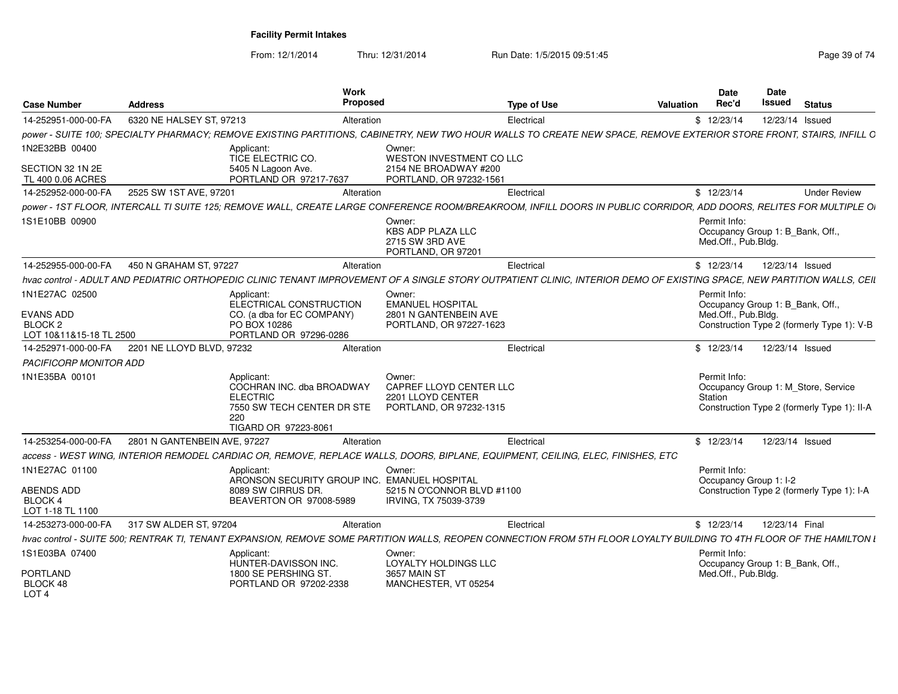| <b>Case Number</b>                                                | <b>Address</b>               |                                                                                                                         | Work<br>Proposed |                                                                                                                                                                         | <b>Type of Use</b> | Valuation | Date<br>Rec'd                       | Date<br>Issued                                                                     | <b>Status</b>       |
|-------------------------------------------------------------------|------------------------------|-------------------------------------------------------------------------------------------------------------------------|------------------|-------------------------------------------------------------------------------------------------------------------------------------------------------------------------|--------------------|-----------|-------------------------------------|------------------------------------------------------------------------------------|---------------------|
| 14-252951-000-00-FA                                               | 6320 NE HALSEY ST, 97213     |                                                                                                                         | Alteration       |                                                                                                                                                                         | Electrical         |           | \$12/23/14                          | 12/23/14 Issued                                                                    |                     |
|                                                                   |                              |                                                                                                                         |                  | power - SUITE 100; SPECIALTY PHARMACY; REMOVE EXISTING PARTITIONS, CABINETRY, NEW TWO HOUR WALLS TO CREATE NEW SPACE, REMOVE EXTERIOR STORE FRONT, STAIRS, INFILL C     |                    |           |                                     |                                                                                    |                     |
| 1N2E32BB 00400<br>SECTION 32 1N 2E<br>TL 400 0.06 ACRES           |                              | Applicant:<br>TICE ELECTRIC CO.<br>5405 N Lagoon Ave.<br>PORTLAND OR 97217-7637                                         |                  | Owner:<br>WESTON INVESTMENT CO LLC<br>2154 NE BROADWAY #200<br>PORTLAND, OR 97232-1561                                                                                  |                    |           |                                     |                                                                                    |                     |
| 14-252952-000-00-FA                                               | 2525 SW 1ST AVE, 97201       |                                                                                                                         | Alteration       |                                                                                                                                                                         | Electrical         |           | \$12/23/14                          |                                                                                    | <b>Under Review</b> |
|                                                                   |                              |                                                                                                                         |                  | power - 1ST FLOOR, INTERCALL TI SUITE 125; REMOVE WALL, CREATE LARGE CONFERENCE ROOM/BREAKROOM, INFILL DOORS IN PUBLIC CORRIDOR, ADD DOORS, RELITES FOR MULTIPLE OI     |                    |           |                                     |                                                                                    |                     |
| 1S1E10BB 00900                                                    |                              |                                                                                                                         |                  | Owner:<br>KBS ADP PLAZA LLC<br>2715 SW 3RD AVE<br>PORTLAND, OR 97201                                                                                                    |                    |           | Permit Info:<br>Med.Off., Pub.Bldg. | Occupancy Group 1: B_Bank, Off.,                                                   |                     |
| 14-252955-000-00-FA                                               | 450 N GRAHAM ST, 97227       |                                                                                                                         | Alteration       |                                                                                                                                                                         | Electrical         |           | \$12/23/14                          | 12/23/14 Issued                                                                    |                     |
|                                                                   |                              |                                                                                                                         |                  | hvac control - ADULT AND PEDIATRIC ORTHOPEDIC CLINIC TENANT IMPROVEMENT OF A SINGLE STORY OUTPATIENT CLINIC, INTERIOR DEMO OF EXISTING SPACE, NEW PARTITION WALLS, CEIL |                    |           |                                     |                                                                                    |                     |
| 1N1E27AC 02500<br>EVANS ADD                                       |                              | Applicant:<br>ELECTRICAL CONSTRUCTION<br>CO. (a dba for EC COMPANY)                                                     |                  | Owner:<br><b>EMANUEL HOSPITAL</b><br>2801 N GANTENBEIN AVE                                                                                                              |                    |           | Permit Info:<br>Med.Off., Pub.Bldg. | Occupancy Group 1: B_Bank, Off.,                                                   |                     |
| BLOCK 2<br>LOT 10&11&15-18 TL 2500                                |                              | PO BOX 10286<br>PORTLAND OR 97296-0286                                                                                  |                  | PORTLAND, OR 97227-1623                                                                                                                                                 |                    |           |                                     | Construction Type 2 (formerly Type 1): V-B                                         |                     |
| 14-252971-000-00-FA 2201 NE LLOYD BLVD, 97232                     |                              |                                                                                                                         | Alteration       |                                                                                                                                                                         | Electrical         |           | \$12/23/14                          | 12/23/14 Issued                                                                    |                     |
| PACIFICORP MONITOR ADD                                            |                              |                                                                                                                         |                  |                                                                                                                                                                         |                    |           |                                     |                                                                                    |                     |
| 1N1E35BA 00101                                                    |                              | Applicant:<br>COCHRAN INC. dba BROADWAY<br><b>ELECTRIC</b><br>7550 SW TECH CENTER DR STE<br>220<br>TIGARD OR 97223-8061 |                  | Owner:<br>CAPREF LLOYD CENTER LLC<br>2201 LLOYD CENTER<br>PORTLAND, OR 97232-1315                                                                                       |                    |           | Permit Info:<br>Station             | Occupancy Group 1: M_Store, Service<br>Construction Type 2 (formerly Type 1): II-A |                     |
| 14-253254-000-00-FA                                               | 2801 N GANTENBEIN AVE, 97227 |                                                                                                                         | Alteration       |                                                                                                                                                                         | Electrical         |           | \$12/23/14                          | 12/23/14 Issued                                                                    |                     |
|                                                                   |                              |                                                                                                                         |                  | access - WEST WING, INTERIOR REMODEL CARDIAC OR, REMOVE, REPLACE WALLS, DOORS, BIPLANE, EQUIPMENT, CEILING, ELEC, FINISHES, ETC                                         |                    |           |                                     |                                                                                    |                     |
| 1N1E27AC 01100<br>ABENDS ADD<br>BLOCK 4<br>LOT 1-18 TL 1100       |                              | Applicant:<br>ARONSON SECURITY GROUP INC. EMANUEL HOSPITAL<br>8089 SW CIRRUS DR.<br>BEAVERTON OR 97008-5989             |                  | Owner:<br>5215 N O'CONNOR BLVD #1100<br>IRVING, TX 75039-3739                                                                                                           |                    |           | Permit Info:                        | Occupancy Group 1: I-2<br>Construction Type 2 (formerly Type 1): I-A               |                     |
| 14-253273-000-00-FA                                               | 317 SW ALDER ST, 97204       |                                                                                                                         | Alteration       |                                                                                                                                                                         | Electrical         |           | \$12/23/14                          | 12/23/14 Final                                                                     |                     |
|                                                                   |                              | hvac control - SUITE 500; RENTRAK TI, TENANT EXPANSION, REMOVE SOME PARTIT                                              |                  | TION WALLS, REOPEN CONNECTION FROM 5TH FLOOR LOYALTY BUILDING TO 4TH FLOOR OF THE HAMILTON .                                                                            |                    |           |                                     |                                                                                    |                     |
| 1S1E03BA 07400<br><b>PORTLAND</b><br>BLOCK 48<br>LOT <sub>4</sub> |                              | Applicant:<br>HUNTER-DAVISSON INC.<br>1800 SE PERSHING ST<br>PORTLAND OR 97202-2338                                     |                  | Owner:<br>LOYALTY HOLDINGS LLC<br>3657 MAIN ST<br>MANCHESTER, VT 05254                                                                                                  |                    |           | Permit Info:<br>Med.Off., Pub.Bldg. | Occupancy Group 1: B_Bank, Off.,                                                   |                     |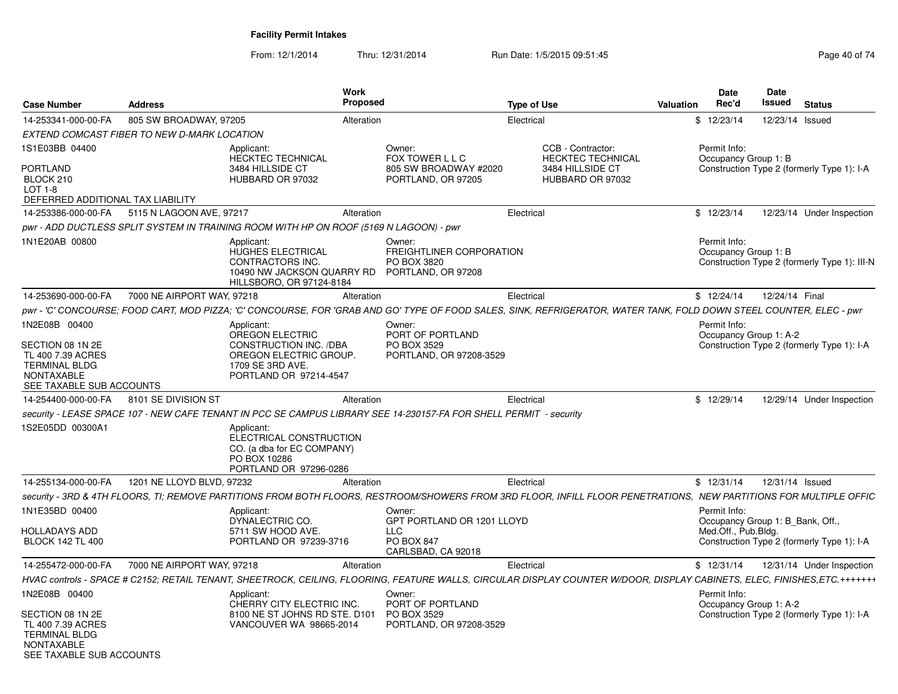| <b>Case Number</b>                                                                                      | <b>Address</b>                              |                                                                                                                                  | <b>Work</b><br>Proposed |                                                                                                                    | <b>Type of Use</b>                                                                                                                                                       | <b>Valuation</b> | <b>Date</b><br>Rec'd                 | Date<br>Issued                   | <b>Status</b>                                |
|---------------------------------------------------------------------------------------------------------|---------------------------------------------|----------------------------------------------------------------------------------------------------------------------------------|-------------------------|--------------------------------------------------------------------------------------------------------------------|--------------------------------------------------------------------------------------------------------------------------------------------------------------------------|------------------|--------------------------------------|----------------------------------|----------------------------------------------|
| 14-253341-000-00-FA                                                                                     | 805 SW BROADWAY, 97205                      |                                                                                                                                  | Alteration              |                                                                                                                    | Electrical                                                                                                                                                               |                  | \$12/23/14                           |                                  | 12/23/14 Issued                              |
|                                                                                                         | EXTEND COMCAST FIBER TO NEW D-MARK LOCATION |                                                                                                                                  |                         |                                                                                                                    |                                                                                                                                                                          |                  |                                      |                                  |                                              |
| 1S1E03BB 04400                                                                                          |                                             | Applicant:<br><b>HECKTEC TECHNICAL</b>                                                                                           |                         | Owner:<br>FOX TOWER L L C                                                                                          | CCB - Contractor:<br><b>HECKTEC TECHNICAL</b>                                                                                                                            |                  | Permit Info:<br>Occupancy Group 1: B |                                  |                                              |
| <b>PORTLAND</b><br>BLOCK 210<br>$LOT 1-8$<br>DEFERRED ADDITIONAL TAX LIABILITY                          |                                             | 3484 HILLSIDE CT<br>HUBBARD OR 97032                                                                                             |                         | 805 SW BROADWAY #2020<br>PORTLAND, OR 97205                                                                        | 3484 HILLSIDE CT<br>HUBBARD OR 97032                                                                                                                                     |                  |                                      |                                  | Construction Type 2 (formerly Type 1): I-A   |
| 14-253386-000-00-FA                                                                                     | 5115 N LAGOON AVE, 97217                    |                                                                                                                                  | Alteration              |                                                                                                                    | Electrical                                                                                                                                                               |                  | \$12/23/14                           |                                  | 12/23/14 Under Inspection                    |
|                                                                                                         |                                             | pwr - ADD DUCTLESS SPLIT SYSTEM IN TRAINING ROOM WITH HP ON ROOF (5169 N LAGOON) - pwr                                           |                         |                                                                                                                    |                                                                                                                                                                          |                  |                                      |                                  |                                              |
| 1N1E20AB 00800                                                                                          |                                             | Applicant:<br>HUGHES ELECTRICAL<br>CONTRACTORS INC.<br>10490 NW JACKSON QUARRY RD PORTLAND, OR 97208<br>HILLSBORO, OR 97124-8184 |                         | Owner:<br>FREIGHTLINER CORPORATION<br>PO BOX 3820                                                                  |                                                                                                                                                                          |                  | Permit Info:<br>Occupancy Group 1: B |                                  | Construction Type 2 (formerly Type 1): III-N |
| 14-253690-000-00-FA                                                                                     | 7000 NE AIRPORT WAY, 97218                  |                                                                                                                                  | Alteration              |                                                                                                                    | Electrical                                                                                                                                                               |                  | \$12/24/14                           | 12/24/14 Final                   |                                              |
|                                                                                                         |                                             |                                                                                                                                  |                         |                                                                                                                    | pwr - 'C' CONCOURSE; FOOD CART, MOD PIZZA; 'C' CONCOURSE, FOR 'GRAB AND GO' TYPE OF FOOD SALES, SINK, REFRIGERATOR, WATER TANK, FOLD DOWN STEEL COUNTER, ELEC - pwr      |                  |                                      |                                  |                                              |
| 1N2E08B 00400                                                                                           |                                             | Applicant:<br>OREGON ELECTRIC                                                                                                    |                         | Owner:<br>PORT OF PORTLAND                                                                                         |                                                                                                                                                                          |                  | Permit Info:                         | Occupancy Group 1: A-2           |                                              |
| SECTION 08 1N 2E<br>TL 400 7.39 ACRES<br><b>TERMINAL BLDG</b><br>NONTAXABLE                             |                                             | <b>CONSTRUCTION INC. /DBA</b><br>OREGON ELECTRIC GROUP.<br>1709 SE 3RD AVE.<br>PORTLAND OR 97214-4547                            |                         | <b>PO BOX 3529</b><br>PORTLAND, OR 97208-3529                                                                      |                                                                                                                                                                          |                  |                                      |                                  | Construction Type 2 (formerly Type 1): I-A   |
| SEE TAXABLE SUB ACCOUNTS                                                                                |                                             |                                                                                                                                  |                         |                                                                                                                    |                                                                                                                                                                          |                  |                                      |                                  |                                              |
| 14-254400-000-00-FA 8101 SE DIVISION ST                                                                 |                                             |                                                                                                                                  | Alteration              |                                                                                                                    | Electrical                                                                                                                                                               |                  | \$12/29/14                           |                                  | 12/29/14 Under Inspection                    |
|                                                                                                         |                                             |                                                                                                                                  |                         | security - LEASE SPACE 107 - NEW CAFE TENANT IN PCC SE CAMPUS LIBRARY SEE 14-230157-FA FOR SHELL PERMIT - security |                                                                                                                                                                          |                  |                                      |                                  |                                              |
| 1S2E05DD 00300A1                                                                                        |                                             | Applicant:<br>ELECTRICAL CONSTRUCTION<br>CO. (a dba for EC COMPANY)<br>PO BOX 10286<br>PORTLAND OR 97296-0286                    |                         |                                                                                                                    |                                                                                                                                                                          |                  |                                      |                                  |                                              |
| 14-255134-000-00-FA                                                                                     | 1201 NE LLOYD BLVD, 97232                   |                                                                                                                                  | Alteration              |                                                                                                                    | Electrical                                                                                                                                                               |                  | \$12/31/14                           |                                  | 12/31/14 Issued                              |
|                                                                                                         |                                             |                                                                                                                                  |                         |                                                                                                                    | security - 3RD & 4TH FLOORS. TI: REMOVE PARTITIONS FROM BOTH FLOORS. RESTROOM/SHOWERS FROM 3RD FLOOR. INFILL FLOOR PENETRATIONS.  NEW PARTITIONS FOR MULTIPLE OFFIC      |                  |                                      |                                  |                                              |
| 1N1E35BD 00400                                                                                          |                                             | Applicant:<br>DYNALECTRIC CO.                                                                                                    |                         | Owner:<br>GPT PORTLAND OR 1201 LLOYD                                                                               |                                                                                                                                                                          |                  | Permit Info:                         | Occupancy Group 1: B Bank, Off., |                                              |
| <b>HOLLADAYS ADD</b>                                                                                    |                                             | 5711 SW HOOD AVE.                                                                                                                |                         | <b>LLC</b>                                                                                                         |                                                                                                                                                                          |                  | Med.Off., Pub.Bldg.                  |                                  |                                              |
| <b>BLOCK 142 TL 400</b>                                                                                 |                                             | PORTLAND OR 97239-3716                                                                                                           |                         | <b>PO BOX 847</b><br>CARLSBAD, CA 92018                                                                            |                                                                                                                                                                          |                  |                                      |                                  | Construction Type 2 (formerly Type 1): I-A   |
| 14-255472-000-00-FA                                                                                     | 7000 NE AIRPORT WAY, 97218                  |                                                                                                                                  | Alteration              |                                                                                                                    | Electrical                                                                                                                                                               |                  | \$12/31/14                           |                                  | 12/31/14 Under Inspection                    |
|                                                                                                         |                                             |                                                                                                                                  |                         |                                                                                                                    | HVAC controls - SPACE # C2152: RETAIL TENANT, SHEETROCK, CEILING, FLOORING, FEATURE WALLS, CIRCULAR DISPLAY COUNTER W/DOOR, DISPLAY CABINETS, ELEC, FINISHES,ETC.+++++++ |                  |                                      |                                  |                                              |
| 1N2E08B 00400                                                                                           |                                             | Applicant:<br>CHERRY CITY ELECTRIC INC.                                                                                          |                         | Owner:<br>PORT OF PORTLAND                                                                                         |                                                                                                                                                                          |                  | Permit Info:                         | Occupancy Group 1: A-2           |                                              |
| SECTION 08 1N 2E<br>TL 400 7.39 ACRES<br><b>TERMINAL BLDG</b><br>NONTAXABLE<br>SEE TAXABLE SUB ACCOUNTS |                                             | 8100 NE ST JOHNS RD STE. D101<br>VANCOUVER WA 98665-2014                                                                         |                         | PO BOX 3529<br>PORTLAND, OR 97208-3529                                                                             |                                                                                                                                                                          |                  |                                      |                                  | Construction Type 2 (formerly Type 1): I-A   |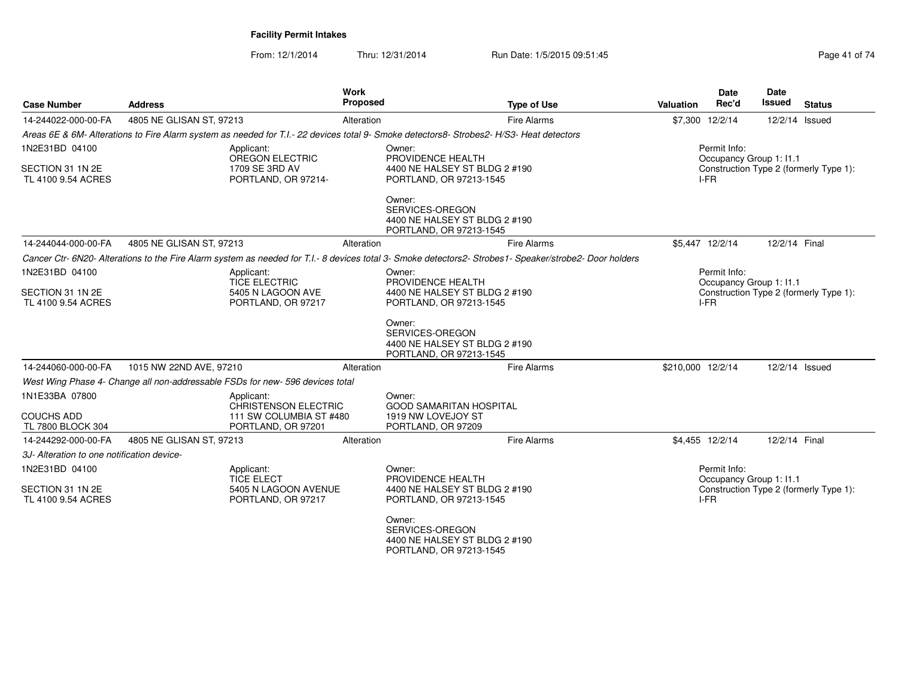| <b>Case Number</b>                                       | <b>Address</b>                                                                                                                           | Work<br><b>Proposed</b> | <b>Type of Use</b>                                                                                                                                       | <b>Valuation</b>  | <b>Date</b><br>Rec'd                            | <b>Date</b><br><b>Issued</b> | <b>Status</b>                          |
|----------------------------------------------------------|------------------------------------------------------------------------------------------------------------------------------------------|-------------------------|----------------------------------------------------------------------------------------------------------------------------------------------------------|-------------------|-------------------------------------------------|------------------------------|----------------------------------------|
| 14-244022-000-00-FA                                      | 4805 NE GLISAN ST, 97213                                                                                                                 | Alteration              | Fire Alarms                                                                                                                                              |                   | \$7,300 12/2/14                                 | 12/2/14 Issued               |                                        |
|                                                          | Areas 6E & 6M- Alterations to Fire Alarm system as needed for T.I.- 22 devices total 9- Smoke detectors8- Strobes2- H/S3- Heat detectors |                         |                                                                                                                                                          |                   |                                                 |                              |                                        |
| 1N2E31BD 04100<br>SECTION 31 1N 2E<br>TL 4100 9.54 ACRES | Applicant:<br>OREGON ELECTRIC<br>1709 SE 3RD AV<br>PORTLAND, OR 97214-                                                                   | Owner:                  | PROVIDENCE HEALTH<br>4400 NE HALSEY ST BLDG 2 #190<br>PORTLAND, OR 97213-1545                                                                            |                   | Permit Info:<br>Occupancy Group 1: I1.1<br>I-FR |                              | Construction Type 2 (formerly Type 1): |
|                                                          |                                                                                                                                          | Owner:                  | SERVICES-OREGON<br>4400 NE HALSEY ST BLDG 2 #190<br>PORTLAND, OR 97213-1545                                                                              |                   |                                                 |                              |                                        |
| 14-244044-000-00-FA                                      | 4805 NE GLISAN ST, 97213                                                                                                                 | Alteration              | Fire Alarms                                                                                                                                              |                   | \$5,447 12/2/14                                 | 12/2/14 Final                |                                        |
|                                                          |                                                                                                                                          |                         | Cancer Ctr- 6N20- Alterations to the Fire Alarm system as needed for T.I. - 8 devices total 3- Smoke detectors2- Strobes1- Speaker/strobe2- Door holders |                   |                                                 |                              |                                        |
| 1N2E31BD 04100<br>SECTION 31 1N 2E<br>TL 4100 9.54 ACRES | Applicant:<br><b>TICE ELECTRIC</b><br>5405 N LAGOON AVE<br>PORTLAND, OR 97217                                                            | Owner:                  | PROVIDENCE HEALTH<br>4400 NE HALSEY ST BLDG 2 #190<br>PORTLAND, OR 97213-1545                                                                            |                   | Permit Info:<br>Occupancy Group 1: I1.1<br>I-FR |                              | Construction Type 2 (formerly Type 1): |
|                                                          |                                                                                                                                          | Owner:                  | SERVICES-OREGON<br>4400 NE HALSEY ST BLDG 2 #190<br>PORTLAND, OR 97213-1545                                                                              |                   |                                                 |                              |                                        |
| 14-244060-000-00-FA                                      | 1015 NW 22ND AVE, 97210                                                                                                                  | Alteration              | <b>Fire Alarms</b>                                                                                                                                       | \$210,000 12/2/14 |                                                 | 12/2/14 Issued               |                                        |
|                                                          | West Wing Phase 4- Change all non-addressable FSDs for new- 596 devices total                                                            |                         |                                                                                                                                                          |                   |                                                 |                              |                                        |
| 1N1E33BA 07800                                           | Applicant:<br><b>CHRISTENSON ELECTRIC</b>                                                                                                | Owner:                  | <b>GOOD SAMARITAN HOSPITAL</b>                                                                                                                           |                   |                                                 |                              |                                        |
| <b>COUCHS ADD</b><br>TL 7800 BLOCK 304                   | 111 SW COLUMBIA ST #480<br>PORTLAND, OR 97201                                                                                            |                         | 1919 NW LOVEJOY ST<br>PORTLAND, OR 97209                                                                                                                 |                   |                                                 |                              |                                        |
| 14-244292-000-00-FA                                      | 4805 NE GLISAN ST, 97213                                                                                                                 | Alteration              | <b>Fire Alarms</b>                                                                                                                                       |                   | \$4,455 12/2/14                                 | 12/2/14 Final                |                                        |
| 3J- Alteration to one notification device-               |                                                                                                                                          |                         |                                                                                                                                                          |                   |                                                 |                              |                                        |
| 1N2E31BD 04100<br>SECTION 31 1N 2E<br>TL 4100 9.54 ACRES | Applicant:<br><b>TICE ELECT</b><br>5405 N LAGOON AVENUE<br>PORTLAND, OR 97217                                                            | Owner:                  | PROVIDENCE HEALTH<br>4400 NE HALSEY ST BLDG 2 #190<br>PORTLAND, OR 97213-1545                                                                            |                   | Permit Info:<br>Occupancy Group 1: I1.1<br>I-FR |                              | Construction Type 2 (formerly Type 1): |
|                                                          |                                                                                                                                          | Owner:                  | SERVICES-OREGON<br>4400 NE HALSEY ST BLDG 2 #190<br>PORTLAND, OR 97213-1545                                                                              |                   |                                                 |                              |                                        |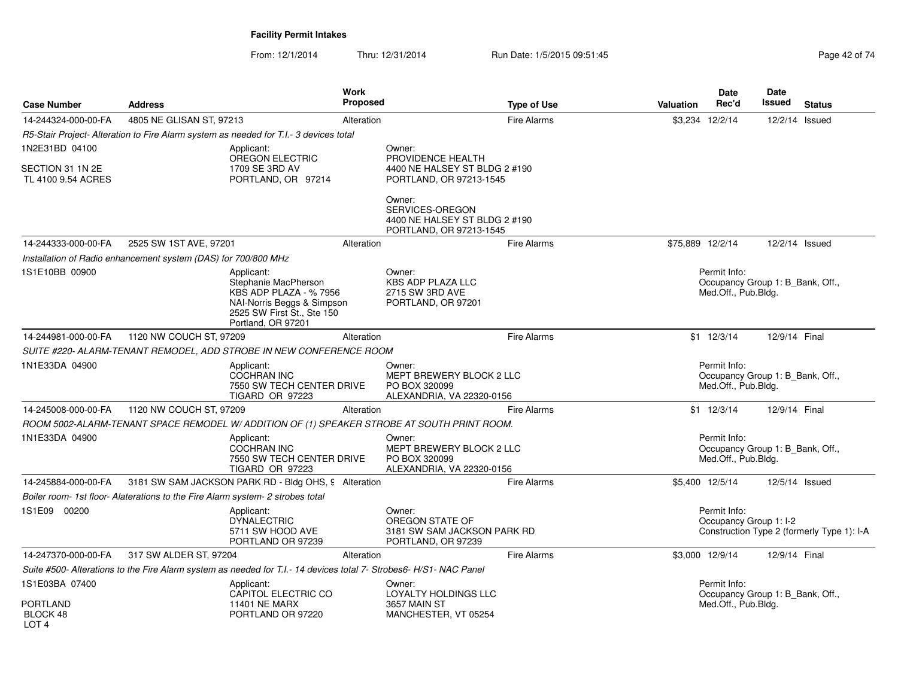| <b>Case Number</b>                              | <b>Address</b>                                                                                                                                | <b>Work</b><br><b>Proposed</b>                                              | <b>Type of Use</b>                                       | <b>Date</b><br>Rec'd<br><b>Valuation</b> | <b>Date</b><br>Issued<br><b>Status</b>                               |
|-------------------------------------------------|-----------------------------------------------------------------------------------------------------------------------------------------------|-----------------------------------------------------------------------------|----------------------------------------------------------|------------------------------------------|----------------------------------------------------------------------|
| 14-244324-000-00-FA                             | 4805 NE GLISAN ST. 97213                                                                                                                      | Alteration                                                                  | <b>Fire Alarms</b>                                       | \$3,234 12/2/14                          | 12/2/14 Issued                                                       |
|                                                 | R5-Stair Project- Alteration to Fire Alarm system as needed for T.I.- 3 devices total                                                         |                                                                             |                                                          |                                          |                                                                      |
| 1N2E31BD 04100                                  | Applicant:                                                                                                                                    | Owner:                                                                      |                                                          |                                          |                                                                      |
| SECTION 31 1N 2E<br>TL 4100 9.54 ACRES          | OREGON ELECTRIC<br>1709 SE 3RD AV<br>PORTLAND, OR 97214                                                                                       | PROVIDENCE HEALTH                                                           | 4400 NE HALSEY ST BLDG 2 #190<br>PORTLAND, OR 97213-1545 |                                          |                                                                      |
|                                                 |                                                                                                                                               | Owner:<br>SERVICES-OREGON                                                   | 4400 NE HALSEY ST BLDG 2 #190<br>PORTLAND, OR 97213-1545 |                                          |                                                                      |
| 14-244333-000-00-FA                             | 2525 SW 1ST AVE, 97201                                                                                                                        | Alteration                                                                  | <b>Fire Alarms</b>                                       | \$75,889 12/2/14                         | 12/2/14 Issued                                                       |
|                                                 | Installation of Radio enhancement system (DAS) for 700/800 MHz                                                                                |                                                                             |                                                          |                                          |                                                                      |
| 1S1E10BB 00900                                  | Applicant:<br>Stephanie MacPherson<br>KBS ADP PLAZA - %7956<br>NAI-Norris Beggs & Simpson<br>2525 SW First St., Ste 150<br>Portland, OR 97201 | Owner:<br><b>KBS ADP PLAZA LLC</b><br>2715 SW 3RD AVE<br>PORTLAND, OR 97201 |                                                          | Permit Info:<br>Med.Off., Pub.Bldg.      | Occupancy Group 1: B Bank, Off.,                                     |
| 14-244981-000-00-FA                             | 1120 NW COUCH ST, 97209                                                                                                                       | Alteration                                                                  | <b>Fire Alarms</b>                                       | $$1 \t12/3/14$                           | 12/9/14 Final                                                        |
|                                                 | SUITE #220- ALARM-TENANT REMODEL, ADD STROBE IN NEW CONFERENCE ROOM                                                                           |                                                                             |                                                          |                                          |                                                                      |
| 1N1E33DA 04900                                  | Applicant:<br><b>COCHRAN INC</b><br>7550 SW TECH CENTER DRIVE<br><b>TIGARD OR 97223</b>                                                       | Owner:<br>PO BOX 320099                                                     | MEPT BREWERY BLOCK 2 LLC<br>ALEXANDRIA, VA 22320-0156    | Permit Info:<br>Med.Off., Pub.Bldg.      | Occupancy Group 1: B_Bank, Off.,                                     |
| 14-245008-000-00-FA                             | 1120 NW COUCH ST, 97209                                                                                                                       | Alteration                                                                  | <b>Fire Alarms</b>                                       | $$1 \t12/3/14$                           | 12/9/14 Final                                                        |
|                                                 | ROOM 5002-ALARM-TENANT SPACE REMODEL W/ADDITION OF (1) SPEAKER STROBE AT SOUTH PRINT ROOM.                                                    |                                                                             |                                                          |                                          |                                                                      |
| 1N1E33DA 04900                                  | Applicant:<br>COCHRAN INC<br>7550 SW TECH CENTER DRIVE<br>TIGARD OR 97223                                                                     | Owner:<br>PO BOX 320099                                                     | MEPT BREWERY BLOCK 2 LLC<br>ALEXANDRIA, VA 22320-0156    | Permit Info:<br>Med.Off., Pub.Bldg.      | Occupancy Group 1: B_Bank, Off.,                                     |
| 14-245884-000-00-FA                             | 3181 SW SAM JACKSON PARK RD - Bldg OHS, 9 Alteration                                                                                          |                                                                             | <b>Fire Alarms</b>                                       | \$5,400 12/5/14                          | 12/5/14 Issued                                                       |
|                                                 | Boiler room- 1st floor- Alaterations to the Fire Alarm system- 2 strobes total                                                                |                                                                             |                                                          |                                          |                                                                      |
| 1S1E09 00200                                    | Applicant:<br><b>DYNALECTRIC</b><br>5711 SW HOOD AVE<br>PORTLAND OR 97239                                                                     | Owner:<br>OREGON STATE OF<br>PORTLAND, OR 97239                             | 3181 SW SAM JACKSON PARK RD                              | Permit Info:                             | Occupancy Group 1: I-2<br>Construction Type 2 (formerly Type 1): I-A |
| 14-247370-000-00-FA                             | 317 SW ALDER ST, 97204                                                                                                                        | Alteration                                                                  | <b>Fire Alarms</b>                                       | \$3.000 12/9/14                          | 12/9/14 Final                                                        |
|                                                 | Suite #500- Alterations to the Fire Alarm system as needed for T.I.- 14 devices total 7- Strobes6- H/S1- NAC Panel                            |                                                                             |                                                          |                                          |                                                                      |
| 1S1E03BA 07400                                  | Applicant:<br>CAPITOL ELECTRIC CO                                                                                                             | Owner:                                                                      | LOYALTY HOLDINGS LLC                                     | Permit Info:                             | Occupancy Group 1: B_Bank, Off.,                                     |
| <b>PORTLAND</b><br>BLOCK 48<br>LOT <sub>4</sub> | <b>11401 NE MARX</b><br>PORTLAND OR 97220                                                                                                     | 3657 MAIN ST                                                                | MANCHESTER, VT 05254                                     | Med.Off., Pub.Bldg.                      |                                                                      |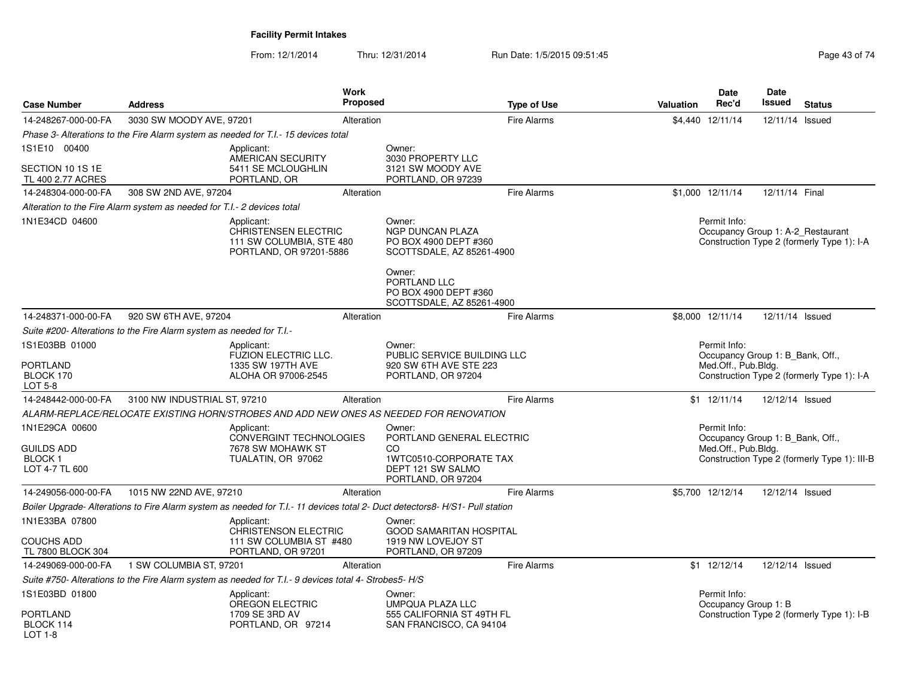| <b>Case Number</b>                      | <b>Address</b>                                                          |                                                                                                       | <b>Work</b><br>Proposed |                                                                                                                              | <b>Type of Use</b> | <b>Valuation</b> | <b>Date</b><br>Rec'd                              | <b>Date</b><br>Issued | <b>Status</b>                                |
|-----------------------------------------|-------------------------------------------------------------------------|-------------------------------------------------------------------------------------------------------|-------------------------|------------------------------------------------------------------------------------------------------------------------------|--------------------|------------------|---------------------------------------------------|-----------------------|----------------------------------------------|
| 14-248267-000-00-FA                     | 3030 SW MOODY AVE, 97201                                                |                                                                                                       | Alteration              |                                                                                                                              | <b>Fire Alarms</b> |                  | \$4,440 12/11/14                                  | 12/11/14              | Issued                                       |
|                                         |                                                                         | Phase 3- Alterations to the Fire Alarm system as needed for T.I.- 15 devices total                    |                         |                                                                                                                              |                    |                  |                                                   |                       |                                              |
| 1S1E10 00400                            |                                                                         | Applicant:<br>AMERICAN SECURITY                                                                       |                         | Owner:<br>3030 PROPERTY LLC                                                                                                  |                    |                  |                                                   |                       |                                              |
| SECTION 10 1S 1E<br>TL 400 2.77 ACRES   |                                                                         | 5411 SE MCLOUGHLIN<br>PORTLAND, OR                                                                    |                         | 3121 SW MOODY AVE<br>PORTLAND, OR 97239                                                                                      |                    |                  |                                                   |                       |                                              |
| 14-248304-000-00-FA                     | 308 SW 2ND AVE, 97204                                                   |                                                                                                       | Alteration              |                                                                                                                              | <b>Fire Alarms</b> |                  | \$1,000 12/11/14                                  | 12/11/14 Final        |                                              |
|                                         | Alteration to the Fire Alarm system as needed for T.I.- 2 devices total |                                                                                                       |                         |                                                                                                                              |                    |                  |                                                   |                       |                                              |
| 1N1E34CD 04600                          |                                                                         | Applicant:<br><b>CHRISTENSEN ELECTRIC</b><br>111 SW COLUMBIA, STE 480<br>PORTLAND, OR 97201-5886      |                         | Owner:<br><b>NGP DUNCAN PLAZA</b><br>PO BOX 4900 DEPT #360<br>SCOTTSDALE, AZ 85261-4900                                      |                    |                  | Permit Info:<br>Occupancy Group 1: A-2 Restaurant |                       | Construction Type 2 (formerly Type 1): I-A   |
|                                         |                                                                         |                                                                                                       |                         | Owner:<br>PORTLAND LLC<br>PO BOX 4900 DEPT #360<br>SCOTTSDALE, AZ 85261-4900                                                 |                    |                  |                                                   |                       |                                              |
| 14-248371-000-00-FA                     | 920 SW 6TH AVE, 97204                                                   |                                                                                                       | Alteration              |                                                                                                                              | <b>Fire Alarms</b> |                  | \$8,000 12/11/14                                  | 12/11/14 Issued       |                                              |
|                                         | Suite #200- Alterations to the Fire Alarm system as needed for T.I.-    |                                                                                                       |                         |                                                                                                                              |                    |                  |                                                   |                       |                                              |
| 1S1E03BB 01000                          |                                                                         | Applicant:<br><b>FUZION ELECTRIC LLC.</b>                                                             |                         | Owner:<br>PUBLIC SERVICE BUILDING LLC                                                                                        |                    |                  | Permit Info:<br>Occupancy Group 1: B Bank, Off.,  |                       |                                              |
| <b>PORTLAND</b><br>BLOCK 170<br>LOT 5-8 |                                                                         | 1335 SW 197TH AVE<br>ALOHA OR 97006-2545                                                              |                         | 920 SW 6TH AVE STE 223<br>PORTLAND, OR 97204                                                                                 |                    |                  | Med.Off., Pub.Bldg.                               |                       | Construction Type 2 (formerly Type 1): I-A   |
| 14-248442-000-00-FA                     | 3100 NW INDUSTRIAL ST, 97210                                            |                                                                                                       | Alteration              |                                                                                                                              | <b>Fire Alarms</b> |                  | \$1 12/11/14                                      | 12/12/14 Issued       |                                              |
|                                         |                                                                         |                                                                                                       |                         | ALARM-REPLACE/RELOCATE EXISTING HORN/STROBES AND ADD NEW ONES AS NEEDED FOR RENOVATION                                       |                    |                  |                                                   |                       |                                              |
| 1N1E29CA 00600                          |                                                                         | Applicant:<br>CONVERGINT TECHNOLOGIES                                                                 |                         | Owner:<br>PORTLAND GENERAL ELECTRIC                                                                                          |                    |                  | Permit Info:<br>Occupancy Group 1: B Bank, Off.,  |                       |                                              |
| <b>GUILDS ADD</b>                       |                                                                         | 7678 SW MOHAWK ST                                                                                     |                         | CO.                                                                                                                          |                    |                  | Med.Off., Pub.Bldg.                               |                       |                                              |
| <b>BLOCK1</b><br>LOT 4-7 TL 600         |                                                                         | TUALATIN, OR 97062                                                                                    |                         | 1WTC0510-CORPORATE TAX<br>DEPT 121 SW SALMO<br>PORTLAND, OR 97204                                                            |                    |                  |                                                   |                       | Construction Type 2 (formerly Type 1): III-B |
| 14-249056-000-00-FA                     | 1015 NW 22ND AVE, 97210                                                 |                                                                                                       | Alteration              |                                                                                                                              | Fire Alarms        |                  | \$5,700 12/12/14                                  | 12/12/14 Issued       |                                              |
|                                         |                                                                         |                                                                                                       |                         | Boiler Upgrade- Alterations to Fire Alarm system as needed for T.I.- 11 devices total 2- Duct detectors8- H/S1- Pull station |                    |                  |                                                   |                       |                                              |
| 1N1E33BA 07800                          |                                                                         | Applicant:<br>CHRISTENSON ELECTRIC                                                                    |                         | Owner:<br><b>GOOD SAMARITAN HOSPITAL</b>                                                                                     |                    |                  |                                                   |                       |                                              |
| <b>COUCHS ADD</b><br>TL 7800 BLOCK 304  |                                                                         | 111 SW COLUMBIA ST #480<br>PORTLAND, OR 97201                                                         |                         | 1919 NW LOVEJOY ST<br>PORTLAND, OR 97209                                                                                     |                    |                  |                                                   |                       |                                              |
| 14-249069-000-00-FA                     | 1 SW COLUMBIA ST, 97201                                                 |                                                                                                       | Alteration              |                                                                                                                              | <b>Fire Alarms</b> |                  | $$1$ 12/12/14                                     | 12/12/14 Issued       |                                              |
|                                         |                                                                         | Suite #750- Alterations to the Fire Alarm system as needed for T.I.- 9 devices total 4- Strobes5- H/S |                         |                                                                                                                              |                    |                  |                                                   |                       |                                              |
| 1S1E03BD 01800                          |                                                                         | Applicant:<br>OREGON ELECTRIC                                                                         |                         | Owner:<br>UMPQUA PLAZA LLC                                                                                                   |                    |                  | Permit Info:<br>Occupancy Group 1: B              |                       |                                              |
| <b>PORTLAND</b><br>BLOCK 114<br>LOT 1-8 |                                                                         | 1709 SE 3RD AV<br>PORTLAND, OR 97214                                                                  |                         | 555 CALIFORNIA ST 49TH FL<br>SAN FRANCISCO, CA 94104                                                                         |                    |                  |                                                   |                       | Construction Type 2 (formerly Type 1): I-B   |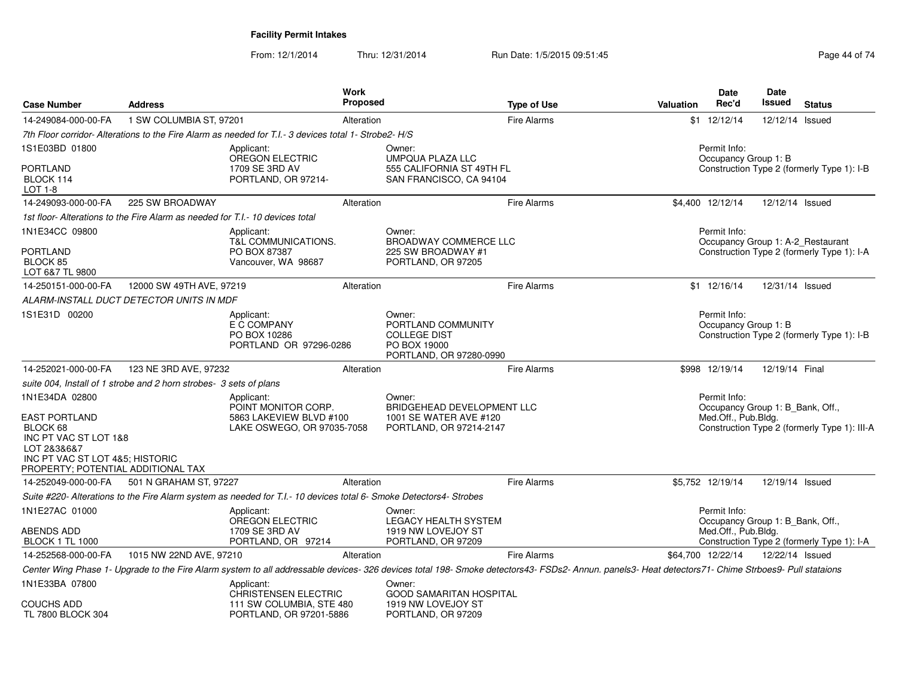| <b>Case Number</b>                                                                                                                                | <b>Address</b>                                                               |                                                                                                                    | <b>Work</b><br><b>Proposed</b> |                                                                                                                                                                                                     | <b>Type of Use</b> | Valuation | <b>Date</b><br>Rec'd                             | <b>Date</b><br><b>Issued</b> | <b>Status</b>                                                                   |
|---------------------------------------------------------------------------------------------------------------------------------------------------|------------------------------------------------------------------------------|--------------------------------------------------------------------------------------------------------------------|--------------------------------|-----------------------------------------------------------------------------------------------------------------------------------------------------------------------------------------------------|--------------------|-----------|--------------------------------------------------|------------------------------|---------------------------------------------------------------------------------|
| 14-249084-000-00-FA                                                                                                                               | 1 SW COLUMBIA ST, 97201                                                      |                                                                                                                    | Alteration                     |                                                                                                                                                                                                     | <b>Fire Alarms</b> |           | \$1 12/12/14                                     | 12/12/14 Issued              |                                                                                 |
|                                                                                                                                                   |                                                                              | 7th Floor corridor-Alterations to the Fire Alarm as needed for T.I.- 3 devices total 1- Strobe2-H/S                |                                |                                                                                                                                                                                                     |                    |           |                                                  |                              |                                                                                 |
| 1S1E03BD 01800                                                                                                                                    |                                                                              | Applicant:<br>OREGON ELECTRIC                                                                                      |                                | Owner:<br>UMPQUA PLAZA LLC                                                                                                                                                                          |                    |           | Permit Info:<br>Occupancy Group 1: B             |                              |                                                                                 |
| <b>PORTLAND</b><br>BLOCK 114<br>LOT 1-8                                                                                                           |                                                                              | 1709 SE 3RD AV<br>PORTLAND, OR 97214-                                                                              |                                | 555 CALIFORNIA ST 49TH FL<br>SAN FRANCISCO, CA 94104                                                                                                                                                |                    |           |                                                  |                              | Construction Type 2 (formerly Type 1): I-B                                      |
| 14-249093-000-00-FA                                                                                                                               | 225 SW BROADWAY                                                              |                                                                                                                    | Alteration                     |                                                                                                                                                                                                     | <b>Fire Alarms</b> |           | \$4,400 12/12/14                                 | 12/12/14 Issued              |                                                                                 |
|                                                                                                                                                   | 1st floor-Alterations to the Fire Alarm as needed for T.I.- 10 devices total |                                                                                                                    |                                |                                                                                                                                                                                                     |                    |           |                                                  |                              |                                                                                 |
| 1N1E34CC 09800                                                                                                                                    |                                                                              | Applicant:                                                                                                         |                                | Owner:                                                                                                                                                                                              |                    |           | Permit Info:                                     |                              |                                                                                 |
| PORTLAND<br>BLOCK 85<br>LOT 6&7 TL 9800                                                                                                           |                                                                              | <b>T&amp;L COMMUNICATIONS.</b><br>PO BOX 87387<br>Vancouver, WA 98687                                              |                                | <b>BROADWAY COMMERCE LLC</b><br>225 SW BROADWAY #1<br>PORTLAND, OR 97205                                                                                                                            |                    |           |                                                  |                              | Occupancy Group 1: A-2 Restaurant<br>Construction Type 2 (formerly Type 1): I-A |
| 14-250151-000-00-FA                                                                                                                               | 12000 SW 49TH AVE, 97219                                                     |                                                                                                                    | Alteration                     |                                                                                                                                                                                                     | <b>Fire Alarms</b> |           | $$1$ 12/16/14                                    | 12/31/14 Issued              |                                                                                 |
|                                                                                                                                                   | ALARM-INSTALL DUCT DETECTOR UNITS IN MDF                                     |                                                                                                                    |                                |                                                                                                                                                                                                     |                    |           |                                                  |                              |                                                                                 |
| 1S1E31D 00200                                                                                                                                     |                                                                              | Applicant:<br>E C COMPANY<br>PO BOX 10286<br>PORTLAND OR 97296-0286                                                |                                | Owner:<br>PORTLAND COMMUNITY<br><b>COLLEGE DIST</b><br>PO BOX 19000<br>PORTLAND, OR 97280-0990                                                                                                      |                    |           | Permit Info:<br>Occupancy Group 1: B             |                              | Construction Type 2 (formerly Type 1): I-B                                      |
| 14-252021-000-00-FA                                                                                                                               | 123 NE 3RD AVE, 97232                                                        |                                                                                                                    | Alteration                     |                                                                                                                                                                                                     | <b>Fire Alarms</b> |           | \$998 12/19/14                                   | 12/19/14 Final               |                                                                                 |
|                                                                                                                                                   | suite 004, Install of 1 strobe and 2 horn strobes- 3 sets of plans           |                                                                                                                    |                                |                                                                                                                                                                                                     |                    |           |                                                  |                              |                                                                                 |
| 1N1E34DA 02800                                                                                                                                    |                                                                              | Applicant:<br>POINT MONITOR CORP.                                                                                  |                                | Owner:<br>BRIDGEHEAD DEVELOPMENT LLC                                                                                                                                                                |                    |           | Permit Info:<br>Occupancy Group 1: B_Bank, Off., |                              |                                                                                 |
| <b>EAST PORTLAND</b><br>BLOCK 68<br>INC PT VAC ST LOT 1&8<br>LOT 2&3&6&7<br>INC PT VAC ST LOT 4&5: HISTORIC<br>PROPERTY; POTENTIAL ADDITIONAL TAX |                                                                              | 5863 LAKEVIEW BLVD #100<br>LAKE OSWEGO, OR 97035-7058                                                              |                                | 1001 SE WATER AVE #120<br>PORTLAND, OR 97214-2147                                                                                                                                                   |                    |           | Med.Off., Pub.Bldg.                              |                              | Construction Type 2 (formerly Type 1): III-A                                    |
| 14-252049-000-00-FA                                                                                                                               | 501 N GRAHAM ST, 97227                                                       |                                                                                                                    | Alteration                     |                                                                                                                                                                                                     | <b>Fire Alarms</b> |           | \$5,752 12/19/14                                 | 12/19/14 Issued              |                                                                                 |
|                                                                                                                                                   |                                                                              | Suite #220- Alterations to the Fire Alarm system as needed for T.I.- 10 devices total 6- Smoke Detectors4- Strobes |                                |                                                                                                                                                                                                     |                    |           |                                                  |                              |                                                                                 |
| 1N1E27AC 01000                                                                                                                                    |                                                                              | Applicant:<br>OREGON ELECTRIC                                                                                      |                                | Owner:<br><b>LEGACY HEALTH SYSTEM</b>                                                                                                                                                               |                    |           | Permit Info:<br>Occupancy Group 1: B_Bank, Off., |                              |                                                                                 |
| ABENDS ADD<br><b>BLOCK 1 TL 1000</b>                                                                                                              |                                                                              | 1709 SE 3RD AV<br>PORTLAND, OR 97214                                                                               |                                | 1919 NW LOVEJOY ST<br>PORTLAND, OR 97209                                                                                                                                                            |                    |           | Med.Off., Pub.Bldg.                              |                              | Construction Type 2 (formerly Type 1): I-A                                      |
| 14-252568-000-00-FA                                                                                                                               | 1015 NW 22ND AVE, 97210                                                      |                                                                                                                    | Alteration                     |                                                                                                                                                                                                     | <b>Fire Alarms</b> |           | \$64,700 12/22/14                                | 12/22/14 Issued              |                                                                                 |
|                                                                                                                                                   |                                                                              |                                                                                                                    |                                | Center Wing Phase 1- Upgrade to the Fire Alarm system to all addressable devices- 326 devices total 198- Smoke detectors43- FSDs2- Annun. panels3- Heat detectors71- Chime Strboes9- Pull stataions |                    |           |                                                  |                              |                                                                                 |
| 1N1E33BA 07800                                                                                                                                    |                                                                              | Applicant:<br>CHRISTENSEN ELECTRIC                                                                                 |                                | Owner:<br><b>GOOD SAMARITAN HOSPITAL</b>                                                                                                                                                            |                    |           |                                                  |                              |                                                                                 |
| <b>COUCHS ADD</b><br>TL 7800 BLOCK 304                                                                                                            |                                                                              | 111 SW COLUMBIA, STE 480<br>PORTLAND, OR 97201-5886                                                                |                                | 1919 NW LOVEJOY ST<br>PORTLAND, OR 97209                                                                                                                                                            |                    |           |                                                  |                              |                                                                                 |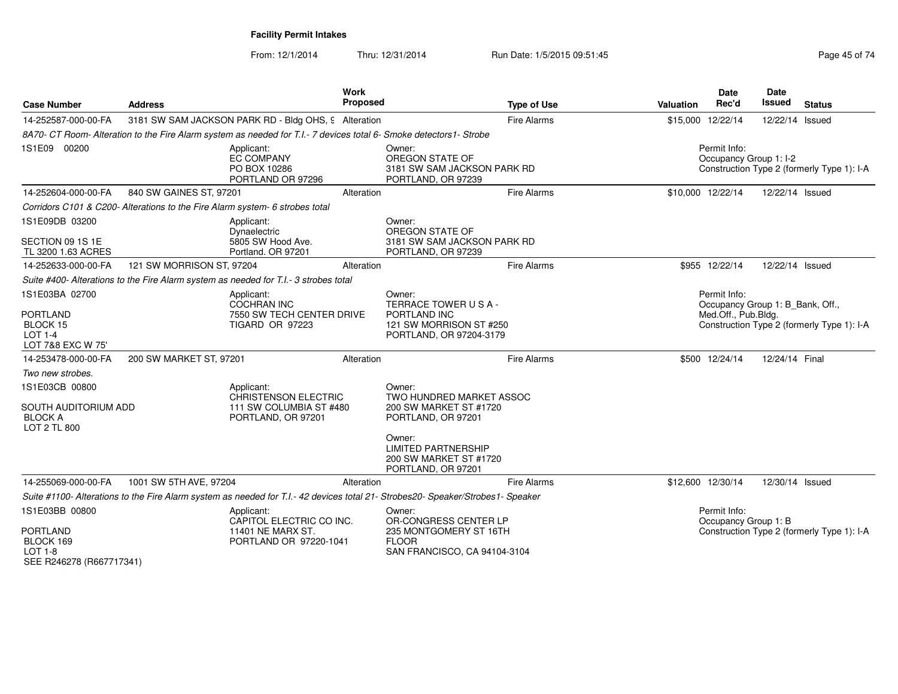| <b>Case Number</b>                                                                           | <b>Address</b>                                                                                                                  | Work<br><b>Proposed</b>   |                                                                                                           | <b>Type of Use</b> | Valuation | <b>Date</b><br>Rec'd                                                    | Date<br>Issued  | <b>Status</b>                              |
|----------------------------------------------------------------------------------------------|---------------------------------------------------------------------------------------------------------------------------------|---------------------------|-----------------------------------------------------------------------------------------------------------|--------------------|-----------|-------------------------------------------------------------------------|-----------------|--------------------------------------------|
| 14-252587-000-00-FA                                                                          | 3181 SW SAM JACKSON PARK RD - Bldg OHS, 9 Alteration                                                                            |                           |                                                                                                           | <b>Fire Alarms</b> |           | \$15,000 12/22/14                                                       | 12/22/14 Issued |                                            |
|                                                                                              | 8A70- CT Room- Alteration to the Fire Alarm system as needed for T.I.- 7 devices total 6- Smoke detectors1- Strobe              |                           |                                                                                                           |                    |           |                                                                         |                 |                                            |
| 1S1E09 00200                                                                                 | Applicant:<br><b>EC COMPANY</b><br>PO BOX 10286<br>PORTLAND OR 97296                                                            |                           | Owner:<br>OREGON STATE OF<br>3181 SW SAM JACKSON PARK RD<br>PORTLAND, OR 97239                            |                    |           | Permit Info:<br>Occupancy Group 1: I-2                                  |                 | Construction Type 2 (formerly Type 1): I-A |
| 14-252604-000-00-FA                                                                          | 840 SW GAINES ST, 97201                                                                                                         | Alteration                |                                                                                                           | <b>Fire Alarms</b> |           | \$10,000 12/22/14                                                       | 12/22/14 Issued |                                            |
|                                                                                              | Corridors C101 & C200- Alterations to the Fire Alarm system- 6 strobes total                                                    |                           |                                                                                                           |                    |           |                                                                         |                 |                                            |
| 1S1E09DB 03200                                                                               | Applicant:<br>Dynaelectric                                                                                                      |                           | Owner:<br>OREGON STATE OF                                                                                 |                    |           |                                                                         |                 |                                            |
| SECTION 09 1S 1E<br>TL 3200 1.63 ACRES                                                       | 5805 SW Hood Ave.<br>Portland, OR 97201                                                                                         |                           | 3181 SW SAM JACKSON PARK RD<br>PORTLAND, OR 97239                                                         |                    |           |                                                                         |                 |                                            |
| 14-252633-000-00-FA                                                                          | 121 SW MORRISON ST, 97204                                                                                                       | Alteration                |                                                                                                           | <b>Fire Alarms</b> |           | \$955 12/22/14                                                          | 12/22/14 Issued |                                            |
|                                                                                              | Suite #400- Alterations to the Fire Alarm system as needed for T.I.- 3 strobes total                                            |                           |                                                                                                           |                    |           |                                                                         |                 |                                            |
| 1S1E03BA 02700<br><b>PORTLAND</b><br>BLOCK 15<br><b>LOT 1-4</b><br>LOT 7&8 EXC W 75'         | Applicant:<br><b>COCHRAN INC</b><br><b>TIGARD OR 97223</b>                                                                      | 7550 SW TECH CENTER DRIVE | Owner:<br>TERRACE TOWER USA-<br>PORTLAND INC<br>121 SW MORRISON ST #250<br>PORTLAND, OR 97204-3179        |                    |           | Permit Info:<br>Occupancy Group 1: B_Bank, Off.,<br>Med.Off., Pub.Bldg. |                 | Construction Type 2 (formerly Type 1): I-A |
| 14-253478-000-00-FA                                                                          | 200 SW MARKET ST, 97201                                                                                                         | Alteration                |                                                                                                           | <b>Fire Alarms</b> |           | \$500 12/24/14                                                          | 12/24/14 Final  |                                            |
| Two new strobes.                                                                             |                                                                                                                                 |                           |                                                                                                           |                    |           |                                                                         |                 |                                            |
| 1S1E03CB 00800<br>SOUTH AUDITORIUM ADD<br><b>BLOCK A</b><br>LOT 2 TL 800                     | Applicant:<br><b>CHRISTENSON ELECTRIC</b><br>111 SW COLUMBIA ST #480<br>PORTLAND, OR 97201                                      |                           | Owner:<br>TWO HUNDRED MARKET ASSOC<br>200 SW MARKET ST #1720<br>PORTLAND, OR 97201                        |                    |           |                                                                         |                 |                                            |
|                                                                                              |                                                                                                                                 |                           | Owner:<br><b>LIMITED PARTNERSHIP</b><br>200 SW MARKET ST #1720<br>PORTLAND, OR 97201                      |                    |           |                                                                         |                 |                                            |
| 14-255069-000-00-FA                                                                          | 1001 SW 5TH AVE, 97204                                                                                                          | Alteration                |                                                                                                           | <b>Fire Alarms</b> |           | \$12,600 12/30/14                                                       | 12/30/14 Issued |                                            |
|                                                                                              | Suite #1100- Alterations to the Fire Alarm system as needed for T.I.- 42 devices total 21- Strobes20- Speaker/Strobes1- Speaker |                           |                                                                                                           |                    |           |                                                                         |                 |                                            |
| 1S1E03BB 00800<br><b>PORTLAND</b><br>BLOCK 169<br><b>LOT 1-8</b><br>SEE R246278 (R667717341) | Applicant:<br>CAPITOL ELECTRIC CO INC.<br>11401 NE MARX ST.<br>PORTLAND OR 97220-1041                                           |                           | Owner:<br>OR-CONGRESS CENTER LP<br>235 MONTGOMERY ST 16TH<br><b>FLOOR</b><br>SAN FRANCISCO, CA 94104-3104 |                    |           | Permit Info:<br>Occupancy Group 1: B                                    |                 | Construction Type 2 (formerly Type 1): I-A |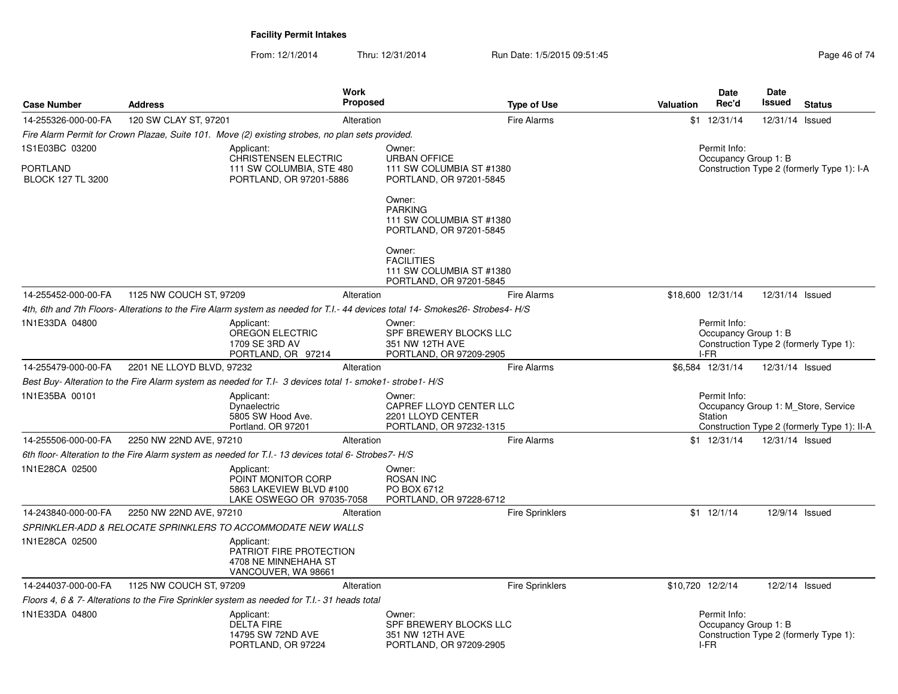| <b>Case Number</b>                          | <b>Address</b>            |                                                                                                          | <b>Work</b><br>Proposed | <b>Type of Use</b>                                                                                                          | <b>Valuation</b> | Date<br>Rec'd                                | Date<br>Issued  | <b>Status</b>                                                                      |
|---------------------------------------------|---------------------------|----------------------------------------------------------------------------------------------------------|-------------------------|-----------------------------------------------------------------------------------------------------------------------------|------------------|----------------------------------------------|-----------------|------------------------------------------------------------------------------------|
| 14-255326-000-00-FA                         | 120 SW CLAY ST, 97201     |                                                                                                          | Alteration              | Fire Alarms                                                                                                                 |                  | $$1 \t12/31/14$                              | 12/31/14 Issued |                                                                                    |
|                                             |                           | Fire Alarm Permit for Crown Plazae, Suite 101. Move (2) existing strobes, no plan sets provided.         |                         |                                                                                                                             |                  |                                              |                 |                                                                                    |
| 1S1E03BC 03200                              |                           | Applicant:                                                                                               |                         | Owner:                                                                                                                      |                  | Permit Info:                                 |                 |                                                                                    |
| <b>PORTLAND</b><br><b>BLOCK 127 TL 3200</b> |                           | <b>CHRISTENSEN ELECTRIC</b><br>111 SW COLUMBIA, STE 480<br>PORTLAND, OR 97201-5886                       |                         | <b>URBAN OFFICE</b><br>111 SW COLUMBIA ST #1380<br>PORTLAND, OR 97201-5845                                                  |                  | Occupancy Group 1: B                         |                 | Construction Type 2 (formerly Type 1): I-A                                         |
|                                             |                           |                                                                                                          |                         | Owner:<br><b>PARKING</b><br>111 SW COLUMBIA ST #1380<br>PORTLAND, OR 97201-5845                                             |                  |                                              |                 |                                                                                    |
|                                             |                           |                                                                                                          |                         | Owner:<br><b>FACILITIES</b><br>111 SW COLUMBIA ST #1380<br>PORTLAND, OR 97201-5845                                          |                  |                                              |                 |                                                                                    |
| 14-255452-000-00-FA                         | 1125 NW COUCH ST, 97209   |                                                                                                          | Alteration              | Fire Alarms                                                                                                                 |                  | \$18,600 12/31/14                            | 12/31/14 Issued |                                                                                    |
|                                             |                           |                                                                                                          |                         | 4th, 6th and 7th Floors-Alterations to the Fire Alarm system as needed for T.I.- 44 devices total 14- Smokes26-Strobes4-H/S |                  |                                              |                 |                                                                                    |
| 1N1E33DA 04800                              |                           | Applicant:<br>OREGON ELECTRIC<br>1709 SE 3RD AV<br>PORTLAND, OR 97214                                    |                         | Owner:<br>SPF BREWERY BLOCKS LLC<br>351 NW 12TH AVE<br>PORTLAND, OR 97209-2905                                              |                  | Permit Info:<br>Occupancy Group 1: B<br>I-FR |                 | Construction Type 2 (formerly Type 1):                                             |
| 14-255479-000-00-FA                         | 2201 NE LLOYD BLVD, 97232 |                                                                                                          | Alteration              | Fire Alarms                                                                                                                 |                  | \$6,584 12/31/14                             | 12/31/14 Issued |                                                                                    |
|                                             |                           | Best Buy- Alteration to the Fire Alarm system as needed for T.I- 3 devices total 1- smoke1- strobe1- H/S |                         |                                                                                                                             |                  |                                              |                 |                                                                                    |
| 1N1E35BA 00101                              |                           | Applicant:<br>Dynaelectric<br>5805 SW Hood Ave.<br>Portland, OR 97201                                    |                         | Owner:<br>CAPREF LLOYD CENTER LLC<br>2201 LLOYD CENTER<br>PORTLAND, OR 97232-1315                                           |                  | Permit Info:<br>Station                      |                 | Occupancy Group 1: M Store, Service<br>Construction Type 2 (formerly Type 1): II-A |
| 14-255506-000-00-FA                         | 2250 NW 22ND AVE, 97210   |                                                                                                          | Alteration              | Fire Alarms                                                                                                                 |                  | $$1 \t12/31/14$                              | 12/31/14 Issued |                                                                                    |
|                                             |                           | 6th floor- Alteration to the Fire Alarm system as needed for T.I.- 13 devices total 6- Strobes7- H/S     |                         |                                                                                                                             |                  |                                              |                 |                                                                                    |
| 1N1E28CA 02500                              |                           | Applicant:<br>POINT MONITOR CORP<br>5863 LAKEVIEW BLVD #100<br>LAKE OSWEGO OR 97035-7058                 |                         | Owner:<br><b>ROSAN INC</b><br>PO BOX 6712<br>PORTLAND, OR 97228-6712                                                        |                  |                                              |                 |                                                                                    |
| 14-243840-000-00-FA                         | 2250 NW 22ND AVE, 97210   |                                                                                                          | Alteration              | <b>Fire Sprinklers</b>                                                                                                      |                  | $$1 \t12/1/14$                               |                 | 12/9/14 Issued                                                                     |
|                                             |                           | SPRINKLER-ADD & RELOCATE SPRINKLERS TO ACCOMMODATE NEW WALLS                                             |                         |                                                                                                                             |                  |                                              |                 |                                                                                    |
| 1N1E28CA 02500                              |                           | Applicant:<br>PATRIOT FIRE PROTECTION<br>4708 NE MINNEHAHA ST<br>VANCOUVER, WA 98661                     |                         |                                                                                                                             |                  |                                              |                 |                                                                                    |
| 14-244037-000-00-FA                         | 1125 NW COUCH ST, 97209   |                                                                                                          | Alteration              | <b>Fire Sprinklers</b>                                                                                                      | \$10,720 12/2/14 |                                              |                 | 12/2/14 Issued                                                                     |
|                                             |                           | Floors 4, 6 & 7- Alterations to the Fire Sprinkler system as needed for T.I.- 31 heads total             |                         |                                                                                                                             |                  |                                              |                 |                                                                                    |
| 1N1E33DA 04800                              |                           | Applicant:<br><b>DELTA FIRE</b><br>14795 SW 72ND AVE<br>PORTLAND, OR 97224                               |                         | Owner:<br>SPF BREWERY BLOCKS LLC<br>351 NW 12TH AVE<br>PORTLAND, OR 97209-2905                                              |                  | Permit Info:<br>Occupancy Group 1: B<br>I-FR |                 | Construction Type 2 (formerly Type 1):                                             |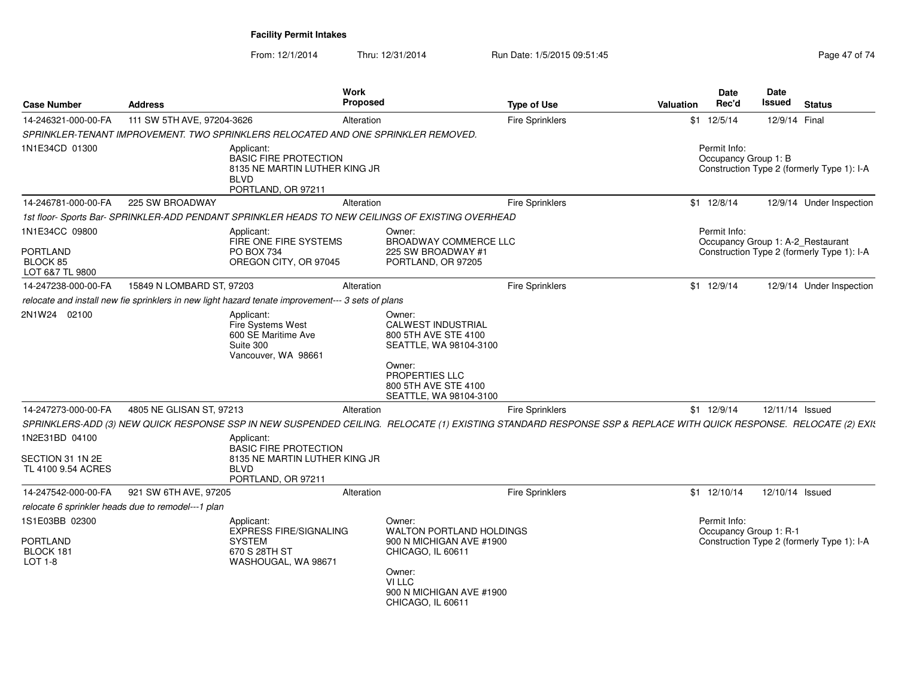| <b>Case Number</b>                                          | <b>Address</b>                                     |                                                                                                                                                                  | Work<br>Proposed |                                                                                                                                                              | <b>Type of Use</b>     | <b>Valuation</b> | <b>Date</b><br>Rec'd | Date<br><b>Issued</b>             | <b>Status</b>                              |
|-------------------------------------------------------------|----------------------------------------------------|------------------------------------------------------------------------------------------------------------------------------------------------------------------|------------------|--------------------------------------------------------------------------------------------------------------------------------------------------------------|------------------------|------------------|----------------------|-----------------------------------|--------------------------------------------|
| 14-246321-000-00-FA                                         | 111 SW 5TH AVE, 97204-3626                         |                                                                                                                                                                  | Alteration       |                                                                                                                                                              | Fire Sprinklers        |                  | $$1$ 12/5/14         | 12/9/14 Final                     |                                            |
|                                                             |                                                    | SPRINKLER-TENANT IMPROVEMENT. TWO SPRINKLERS RELOCATED AND ONE SPRINKLER REMOVED.                                                                                |                  |                                                                                                                                                              |                        |                  |                      |                                   |                                            |
| 1N1E34CD 01300                                              |                                                    | Applicant:<br><b>BASIC FIRE PROTECTION</b><br>8135 NE MARTIN LUTHER KING JR<br><b>BLVD</b><br>PORTLAND, OR 97211                                                 |                  |                                                                                                                                                              |                        |                  | Permit Info:         | Occupancy Group 1: B              | Construction Type 2 (formerly Type 1): I-A |
| 14-246781-000-00-FA                                         | 225 SW BROADWAY                                    |                                                                                                                                                                  | Alteration       |                                                                                                                                                              | Fire Sprinklers        |                  | $$1$ 12/8/14         |                                   | 12/9/14 Under Inspection                   |
|                                                             |                                                    | 1st floor-Sports Bar-SPRINKLER-ADD PENDANT SPRINKLER HEADS TO NEW CEILINGS OF EXISTING OVERHEAD                                                                  |                  |                                                                                                                                                              |                        |                  |                      |                                   |                                            |
| 1N1E34CC 09800<br><b>PORTLAND</b>                           |                                                    | Applicant:<br>FIRE ONE FIRE SYSTEMS<br>PO BOX 734                                                                                                                |                  | Owner:<br><b>BROADWAY COMMERCE LLC</b><br>225 SW BROADWAY #1                                                                                                 |                        |                  | Permit Info:         | Occupancy Group 1: A-2_Restaurant | Construction Type 2 (formerly Type 1): I-A |
| BLOCK 85<br>LOT 6&7 TL 9800                                 |                                                    | OREGON CITY, OR 97045                                                                                                                                            |                  | PORTLAND, OR 97205                                                                                                                                           |                        |                  |                      |                                   |                                            |
| 14-247238-000-00-FA                                         | 15849 N LOMBARD ST, 97203                          |                                                                                                                                                                  | Alteration       |                                                                                                                                                              | <b>Fire Sprinklers</b> |                  | $$1 \t12/9/14$       |                                   | 12/9/14 Under Inspection                   |
|                                                             |                                                    | relocate and install new fie sprinklers in new light hazard tenate improvement--- 3 sets of plans                                                                |                  |                                                                                                                                                              |                        |                  |                      |                                   |                                            |
| 2N1W24 02100                                                |                                                    | Applicant:<br>Fire Systems West<br>600 SE Maritime Ave<br>Suite 300<br>Vancouver, WA 98661                                                                       |                  | Owner:<br>CALWEST INDUSTRIAL<br>800 5TH AVE STE 4100<br>SEATTLE, WA 98104-3100<br>Owner:<br>PROPERTIES LLC<br>800 5TH AVE STE 4100<br>SEATTLE, WA 98104-3100 |                        |                  |                      |                                   |                                            |
| 14-247273-000-00-FA                                         | 4805 NE GLISAN ST, 97213                           |                                                                                                                                                                  | Alteration       |                                                                                                                                                              | <b>Fire Sprinklers</b> |                  | $$1$ 12/9/14         |                                   | 12/11/14 Issued                            |
|                                                             |                                                    | SPRINKLERS-ADD (3) NEW QUICK RESPONSE SSP IN NEW SUSPENDED CEILING. RELOCATE (1) EXISTING STANDARD RESPONSE SSP & REPLACE WITH QUICK RESPONSE. RELOCATE (2) EXI: |                  |                                                                                                                                                              |                        |                  |                      |                                   |                                            |
| 1N2E31BD 04100<br>SECTION 31 1N 2E<br>TL 4100 9.54 ACRES    |                                                    | Applicant:<br><b>BASIC FIRE PROTECTION</b><br>8135 NE MARTIN LUTHER KING JR<br><b>BLVD</b><br>PORTLAND, OR 97211                                                 |                  |                                                                                                                                                              |                        |                  |                      |                                   |                                            |
| 14-247542-000-00-FA                                         | 921 SW 6TH AVE, 97205                              |                                                                                                                                                                  | Alteration       |                                                                                                                                                              | <b>Fire Sprinklers</b> |                  | \$1 12/10/14         |                                   | 12/10/14 Issued                            |
|                                                             | relocate 6 sprinkler heads due to remodel---1 plan |                                                                                                                                                                  |                  |                                                                                                                                                              |                        |                  |                      |                                   |                                            |
| 1S1E03BB 02300<br><b>PORTLAND</b><br>BLOCK 181<br>$LOT 1-8$ |                                                    | Applicant:<br><b>EXPRESS FIRE/SIGNALING</b><br><b>SYSTEM</b><br>670 S 28TH ST<br>WASHOUGAL, WA 98671                                                             |                  | Owner:<br>WALTON PORTLAND HOLDINGS<br>900 N MICHIGAN AVE #1900<br>CHICAGO, IL 60611<br>Owner:<br>VI LLC<br>900 N MICHIGAN AVE #1900<br>CHICAGO, IL 60611     |                        |                  | Permit Info:         | Occupancy Group 1: R-1            | Construction Type 2 (formerly Type 1): I-A |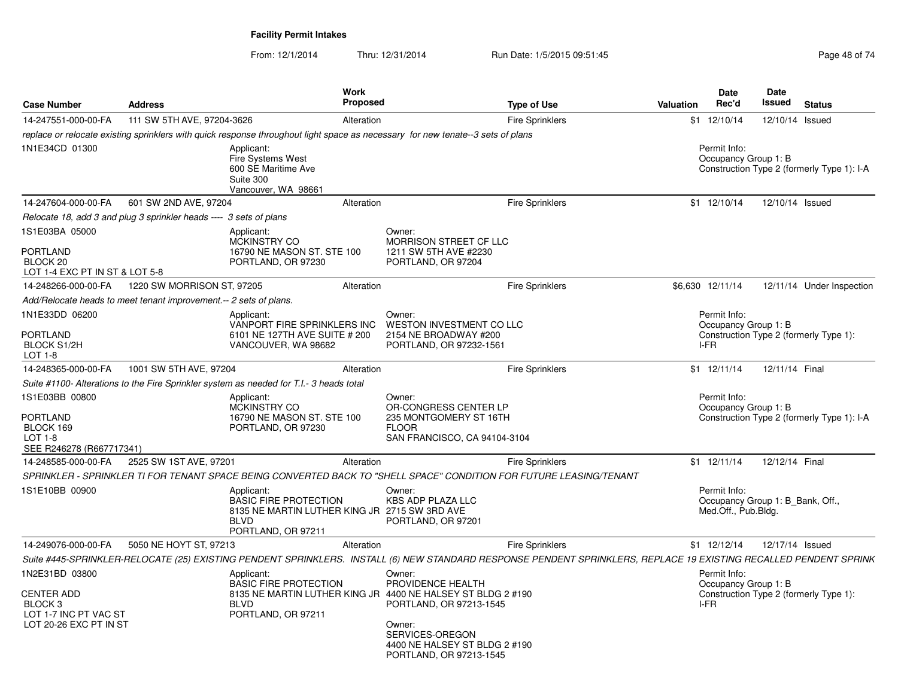| <b>Case Number</b>                                                                                           | <b>Address</b>                                                     | Work                                                                                                                             | <b>Proposed</b>                                                                                                                                                                                                | <b>Type of Use</b>                                                                                                                                                | Valuation | <b>Date</b><br>Rec'd                                                    | Date<br>Issued  | <b>Status</b>                              |
|--------------------------------------------------------------------------------------------------------------|--------------------------------------------------------------------|----------------------------------------------------------------------------------------------------------------------------------|----------------------------------------------------------------------------------------------------------------------------------------------------------------------------------------------------------------|-------------------------------------------------------------------------------------------------------------------------------------------------------------------|-----------|-------------------------------------------------------------------------|-----------------|--------------------------------------------|
| 14-247551-000-00-FA                                                                                          | 111 SW 5TH AVE, 97204-3626                                         | Alteration                                                                                                                       |                                                                                                                                                                                                                | <b>Fire Sprinklers</b>                                                                                                                                            |           | \$1 12/10/14                                                            | 12/10/14        | Issued                                     |
|                                                                                                              |                                                                    |                                                                                                                                  | replace or relocate existing sprinklers with quick response throughout light space as necessary for new tenate--3 sets of plans                                                                                |                                                                                                                                                                   |           |                                                                         |                 |                                            |
| 1N1E34CD 01300                                                                                               |                                                                    | Applicant:<br><b>Fire Systems West</b><br>600 SE Maritime Ave<br>Suite 300<br>Vancouver, WA 98661                                |                                                                                                                                                                                                                |                                                                                                                                                                   |           | Permit Info:<br>Occupancy Group 1: B                                    |                 | Construction Type 2 (formerly Type 1): I-A |
| 14-247604-000-00-FA                                                                                          | 601 SW 2ND AVE, 97204                                              | Alteration                                                                                                                       |                                                                                                                                                                                                                | Fire Sprinklers                                                                                                                                                   |           | \$1 12/10/14                                                            | 12/10/14 Issued |                                            |
|                                                                                                              | Relocate 18, add 3 and plug 3 sprinkler heads ---- 3 sets of plans |                                                                                                                                  |                                                                                                                                                                                                                |                                                                                                                                                                   |           |                                                                         |                 |                                            |
| 1S1E03BA 05000<br>PORTLAND<br>BLOCK <sub>20</sub>                                                            |                                                                    | Applicant:<br><b>MCKINSTRY CO</b><br>16790 NE MASON ST. STE 100<br>PORTLAND, OR 97230                                            | Owner:<br>MORRISON STREET CF LLC<br>1211 SW 5TH AVE #2230<br>PORTLAND, OR 97204                                                                                                                                |                                                                                                                                                                   |           |                                                                         |                 |                                            |
| LOT 1-4 EXC PT IN ST & LOT 5-8                                                                               |                                                                    |                                                                                                                                  |                                                                                                                                                                                                                |                                                                                                                                                                   |           |                                                                         |                 |                                            |
| 14-248266-000-00-FA                                                                                          | 1220 SW MORRISON ST, 97205                                         | Alteration                                                                                                                       |                                                                                                                                                                                                                | <b>Fire Sprinklers</b>                                                                                                                                            |           | \$6,630 12/11/14                                                        |                 | 12/11/14 Under Inspection                  |
|                                                                                                              | Add/Relocate heads to meet tenant improvement.-- 2 sets of plans.  |                                                                                                                                  |                                                                                                                                                                                                                |                                                                                                                                                                   |           |                                                                         |                 |                                            |
| 1N1E33DD 06200                                                                                               |                                                                    | Applicant:<br>VANPORT FIRE SPRINKLERS INC                                                                                        | Owner:<br>WESTON INVESTMENT CO LLC                                                                                                                                                                             |                                                                                                                                                                   |           | Permit Info:<br>Occupancy Group 1: B                                    |                 |                                            |
| <b>PORTLAND</b><br><b>BLOCK S1/2H</b><br>LOT 1-8                                                             |                                                                    | 6101 NE 127TH AVE SUITE # 200<br>VANCOUVER, WA 98682                                                                             | 2154 NE BROADWAY #200<br>PORTLAND, OR 97232-1561                                                                                                                                                               |                                                                                                                                                                   |           | I-FR                                                                    |                 | Construction Type 2 (formerly Type 1):     |
| 14-248365-000-00-FA                                                                                          | 1001 SW 5TH AVE, 97204                                             | Alteration                                                                                                                       |                                                                                                                                                                                                                | <b>Fire Sprinklers</b>                                                                                                                                            |           | $$1 \t12/11/14$                                                         | 12/11/14 Final  |                                            |
|                                                                                                              |                                                                    | Suite #1100- Alterations to the Fire Sprinkler system as needed for T.I.- 3 heads total                                          |                                                                                                                                                                                                                |                                                                                                                                                                   |           |                                                                         |                 |                                            |
| 1S1E03BB 00800<br><b>PORTLAND</b><br>BLOCK 169<br>LOT $1-8$<br>SEE R246278 (R667717341)                      |                                                                    | Applicant:<br><b>MCKINSTRY CO</b><br>16790 NE MASON ST. STE 100<br>PORTLAND, OR 97230                                            | Owner:<br>OR-CONGRESS CENTER LP<br>235 MONTGOMERY ST 16TH<br><b>FLOOR</b><br>SAN FRANCISCO, CA 94104-3104                                                                                                      |                                                                                                                                                                   |           | Permit Info:<br>Occupancy Group 1: B                                    |                 | Construction Type 2 (formerly Type 1): I-A |
| 14-248585-000-00-FA                                                                                          | 2525 SW 1ST AVE, 97201                                             | Alteration                                                                                                                       |                                                                                                                                                                                                                | <b>Fire Sprinklers</b>                                                                                                                                            |           | \$1 12/11/14                                                            | 12/12/14 Final  |                                            |
|                                                                                                              |                                                                    |                                                                                                                                  | SPRINKLER - SPRINKLER TI FOR TENANT SPACE BEING CONVERTED BACK TO "SHELL SPACE" CONDITION FOR FUTURE LEASING/TENANT                                                                                            |                                                                                                                                                                   |           |                                                                         |                 |                                            |
| 1S1E10BB 00900                                                                                               |                                                                    | Applicant:<br><b>BASIC FIRE PROTECTION</b><br>8135 NE MARTIN LUTHER KING JR 2715 SW 3RD AVE<br><b>BLVD</b><br>PORTLAND, OR 97211 | Owner:<br><b>KBS ADP PLAZA LLC</b><br>PORTLAND, OR 97201                                                                                                                                                       |                                                                                                                                                                   |           | Permit Info:<br>Occupancy Group 1: B_Bank, Off.,<br>Med.Off., Pub.Bldg. |                 |                                            |
| 14-249076-000-00-FA                                                                                          | 5050 NE HOYT ST, 97213                                             | Alteration                                                                                                                       |                                                                                                                                                                                                                | <b>Fire Sprinklers</b>                                                                                                                                            |           | $$1$ 12/12/14                                                           | 12/17/14 Issued |                                            |
|                                                                                                              |                                                                    |                                                                                                                                  |                                                                                                                                                                                                                | Suite #445-SPRINKLER-RELOCATE (25) EXISTING PENDENT SPRINKLERS. INSTALL (6) NEW STANDARD RESPONSE PENDENT SPRINKLERS, REPLACE 19 EXISTING RECALLED PENDENT SPRINK |           |                                                                         |                 |                                            |
| 1N2E31BD 03800<br><b>CENTER ADD</b><br>BLOCK <sub>3</sub><br>LOT 1-7 INC PT VAC ST<br>LOT 20-26 EXC PT IN ST |                                                                    | Applicant:<br><b>BASIC FIRE PROTECTION</b><br><b>BLVD</b><br>PORTLAND, OR 97211                                                  | Owner:<br>PROVIDENCE HEALTH<br>8135 NE MARTIN LUTHER KING JR 4400 NE HALSEY ST BLDG 2 #190<br>PORTLAND, OR 97213-1545<br>Owner:<br>SERVICES-OREGON<br>4400 NE HALSEY ST BLDG 2 #190<br>PORTLAND, OR 97213-1545 |                                                                                                                                                                   |           | Permit Info:<br>Occupancy Group 1: B<br>I-FR                            |                 | Construction Type 2 (formerly Type 1):     |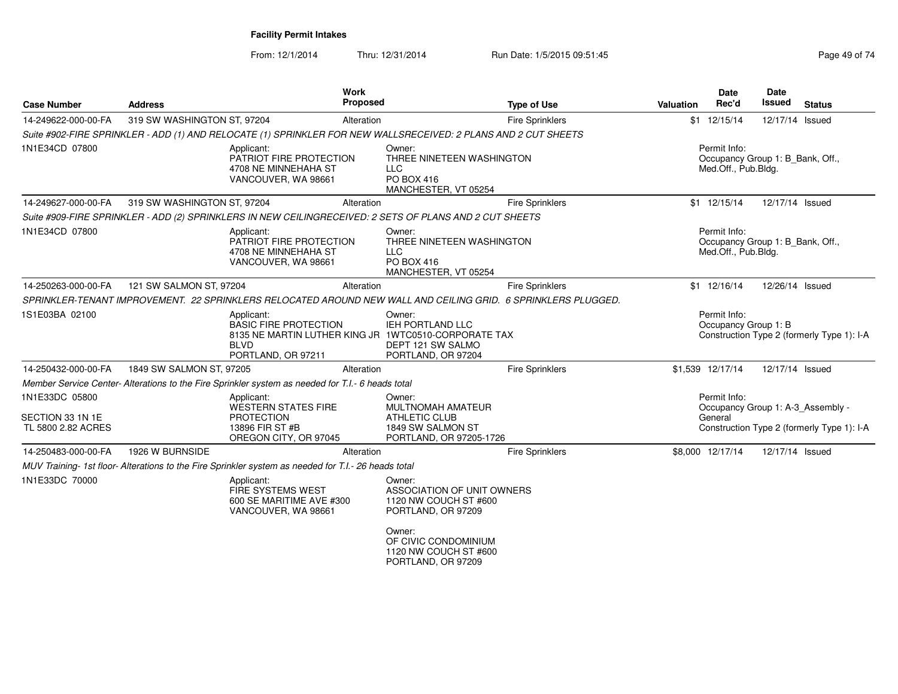| <b>Case Number</b>                                       | <b>Address</b>              | <b>Work</b><br>Proposed                                                                                                                 |                                                                                                            | <b>Type of Use</b>     | <b>Valuation</b> | <b>Date</b><br>Rec'd                                                    | Date<br>Issued  | <b>Status</b>                                                                   |
|----------------------------------------------------------|-----------------------------|-----------------------------------------------------------------------------------------------------------------------------------------|------------------------------------------------------------------------------------------------------------|------------------------|------------------|-------------------------------------------------------------------------|-----------------|---------------------------------------------------------------------------------|
| 14-249622-000-00-FA                                      | 319 SW WASHINGTON ST, 97204 | Alteration                                                                                                                              |                                                                                                            | <b>Fire Sprinklers</b> |                  | \$1 12/15/14                                                            | 12/17/14 Issued |                                                                                 |
|                                                          |                             | Suite #902-FIRE SPRINKLER - ADD (1) AND RELOCATE (1) SPRINKLER FOR NEW WALLSRECEIVED: 2 PLANS AND 2 CUT SHEETS                          |                                                                                                            |                        |                  |                                                                         |                 |                                                                                 |
| 1N1E34CD 07800                                           |                             | Applicant:<br>PATRIOT FIRE PROTECTION<br>4708 NE MINNEHAHA ST<br>VANCOUVER, WA 98661                                                    | Owner:<br>THREE NINETEEN WASHINGTON<br><b>LLC</b><br>PO BOX 416<br>MANCHESTER, VT 05254                    |                        |                  | Permit Info:<br>Occupancy Group 1: B_Bank, Off.,<br>Med.Off., Pub.Bldg. |                 |                                                                                 |
| 14-249627-000-00-FA                                      | 319 SW WASHINGTON ST, 97204 | Alteration                                                                                                                              |                                                                                                            | <b>Fire Sprinklers</b> |                  | \$1 12/15/14                                                            | 12/17/14 Issued |                                                                                 |
|                                                          |                             | Suite #909-FIRE SPRINKLER - ADD (2) SPRINKLERS IN NEW CEILINGRECEIVED: 2 SETS OF PLANS AND 2 CUT SHEETS                                 |                                                                                                            |                        |                  |                                                                         |                 |                                                                                 |
| 1N1E34CD 07800                                           |                             | Applicant:<br>PATRIOT FIRE PROTECTION<br>4708 NE MINNEHAHA ST<br>VANCOUVER, WA 98661                                                    | Owner:<br>THREE NINETEEN WASHINGTON<br><b>LLC</b><br>PO BOX 416<br>MANCHESTER, VT 05254                    |                        |                  | Permit Info:<br>Occupancy Group 1: B Bank, Off.,<br>Med.Off., Pub.Bldg. |                 |                                                                                 |
| 14-250263-000-00-FA                                      | 121 SW SALMON ST, 97204     | Alteration                                                                                                                              |                                                                                                            | <b>Fire Sprinklers</b> |                  | \$1 12/16/14                                                            | 12/26/14 Issued |                                                                                 |
|                                                          |                             | SPRINKLER-TENANT IMPROVEMENT. 22 SPRINKLERS RELOCATED AROUND NEW WALL AND CEILING GRID. 6 SPRINKLERS PLUGGED.                           |                                                                                                            |                        |                  |                                                                         |                 |                                                                                 |
| 1S1E03BA 02100                                           |                             | Applicant:<br><b>BASIC FIRE PROTECTION</b><br>8135 NE MARTIN LUTHER KING JR 1WTC0510-CORPORATE TAX<br><b>BLVD</b><br>PORTLAND, OR 97211 | Owner:<br><b>IEH PORTLAND LLC</b><br>DEPT 121 SW SALMO<br>PORTLAND, OR 97204                               |                        |                  | Permit Info:<br>Occupancy Group 1: B                                    |                 | Construction Type 2 (formerly Type 1): I-A                                      |
| 14-250432-000-00-FA                                      | 1849 SW SALMON ST, 97205    | Alteration                                                                                                                              |                                                                                                            | <b>Fire Sprinklers</b> |                  | \$1,539 12/17/14                                                        | 12/17/14 Issued |                                                                                 |
|                                                          |                             | Member Service Center- Alterations to the Fire Sprinkler system as needed for T.I.- 6 heads total                                       |                                                                                                            |                        |                  |                                                                         |                 |                                                                                 |
| 1N1E33DC 05800<br>SECTION 33 1N 1E<br>TL 5800 2.82 ACRES |                             | Applicant:<br><b>WESTERN STATES FIRE</b><br><b>PROTECTION</b><br>13896 FIR ST #B<br>OREGON CITY, OR 97045                               | Owner:<br><b>MULTNOMAH AMATEUR</b><br><b>ATHLETIC CLUB</b><br>1849 SW SALMON ST<br>PORTLAND, OR 97205-1726 |                        |                  | Permit Info:<br>General                                                 |                 | Occupancy Group 1: A-3_Assembly -<br>Construction Type 2 (formerly Type 1): I-A |
| 14-250483-000-00-FA                                      | 1926 W BURNSIDE             | Alteration                                                                                                                              |                                                                                                            | <b>Fire Sprinklers</b> |                  | \$8,000 12/17/14                                                        | 12/17/14 Issued |                                                                                 |
|                                                          |                             | MUV Training- 1st floor- Alterations to the Fire Sprinkler system as needed for T.I.- 26 heads total                                    |                                                                                                            |                        |                  |                                                                         |                 |                                                                                 |
| 1N1E33DC 70000                                           |                             | Applicant:<br>FIRE SYSTEMS WEST<br>600 SE MARITIME AVE #300<br>VANCOUVER, WA 98661                                                      | Owner:<br>ASSOCIATION OF UNIT OWNERS<br>1120 NW COUCH ST #600<br>PORTLAND, OR 97209<br>Owner:              |                        |                  |                                                                         |                 |                                                                                 |
|                                                          |                             |                                                                                                                                         | OF CIVIC CONDOMINIUM<br>1120 NW COUCH ST #600<br>PORTLAND, OR 97209                                        |                        |                  |                                                                         |                 |                                                                                 |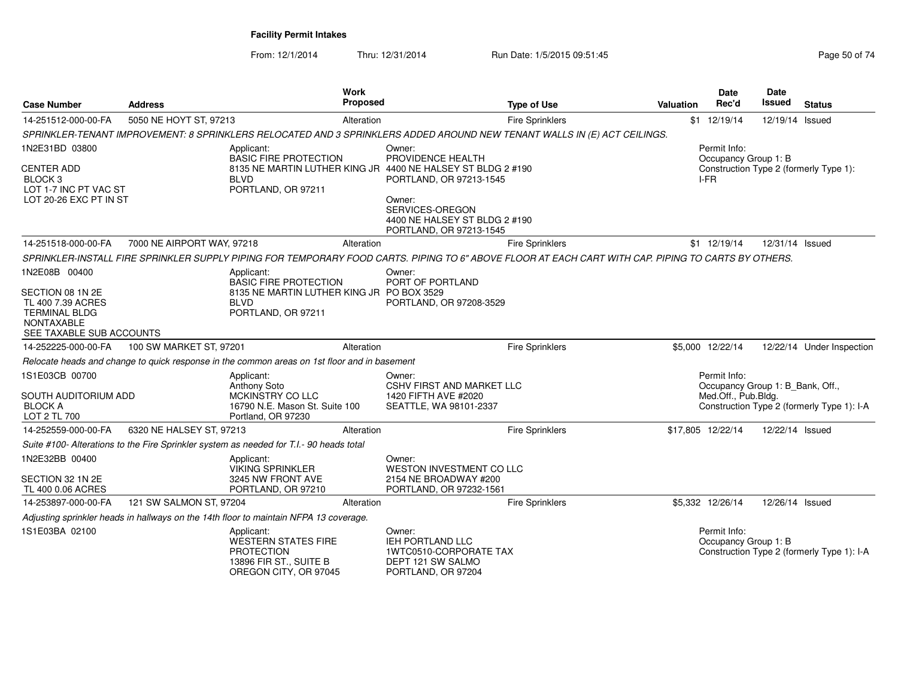| <b>Case Number</b>                                                                                      | <b>Address</b>             |                                                                                                           | <b>Work</b><br><b>Proposed</b> | <b>Type of Use</b>                                                                                                                                  | <b>Valuation</b> | <b>Date</b><br>Rec'd                                                    | <b>Date</b><br>Issued | <b>Status</b>                              |
|---------------------------------------------------------------------------------------------------------|----------------------------|-----------------------------------------------------------------------------------------------------------|--------------------------------|-----------------------------------------------------------------------------------------------------------------------------------------------------|------------------|-------------------------------------------------------------------------|-----------------------|--------------------------------------------|
| 14-251512-000-00-FA                                                                                     | 5050 NE HOYT ST, 97213     |                                                                                                           | Alteration                     | <b>Fire Sprinklers</b>                                                                                                                              |                  | $$1$ 12/19/14                                                           | 12/19/14 Issued       |                                            |
|                                                                                                         |                            |                                                                                                           |                                | SPRINKLER-TENANT IMPROVEMENT: 8 SPRINKLERS RELOCATED AND 3 SPRINKLERS ADDED AROUND NEW TENANT WALLS IN (E) ACT CEILINGS.                            |                  |                                                                         |                       |                                            |
| 1N2E31BD 03800<br><b>CENTER ADD</b><br>BLOCK 3<br>LOT 1-7 INC PT VAC ST<br>LOT 20-26 EXC PT IN ST       |                            | Applicant:<br><b>BASIC FIRE PROTECTION</b><br><b>BLVD</b><br>PORTLAND, OR 97211                           |                                | Owner:<br>PROVIDENCE HEALTH<br>8135 NE MARTIN LUTHER KING JR 4400 NE HALSEY ST BLDG 2 #190<br>PORTLAND, OR 97213-1545<br>Owner:                     |                  | Permit Info:<br>Occupancy Group 1: B<br>I-FR                            |                       | Construction Type 2 (formerly Type 1):     |
|                                                                                                         |                            |                                                                                                           |                                | SERVICES-OREGON<br>4400 NE HALSEY ST BLDG 2 #190<br>PORTLAND, OR 97213-1545                                                                         |                  |                                                                         |                       |                                            |
| 14-251518-000-00-FA                                                                                     | 7000 NE AIRPORT WAY, 97218 |                                                                                                           | Alteration                     | <b>Fire Sprinklers</b>                                                                                                                              |                  | $$1$ 12/19/14                                                           | 12/31/14 Issued       |                                            |
|                                                                                                         |                            |                                                                                                           |                                | SPRINKLER-INSTALL FIRE SPRINKLER SUPPLY PIPING FOR TEMPORARY FOOD CARTS. PIPING TO 6" ABOVE FLOOR AT EACH CART WITH CAP. PIPING TO CARTS BY OTHERS. |                  |                                                                         |                       |                                            |
| 1N2E08B 00400                                                                                           |                            | Applicant:<br><b>BASIC FIRE PROTECTION</b>                                                                |                                | Owner:<br>PORT OF PORTLAND                                                                                                                          |                  |                                                                         |                       |                                            |
| SECTION 08 1N 2E<br>TL 400 7.39 ACRES<br><b>TERMINAL BLDG</b><br>NONTAXABLE<br>SEE TAXABLE SUB ACCOUNTS |                            | 8135 NE MARTIN LUTHER KING JR PO BOX 3529<br><b>BLVD</b><br>PORTLAND, OR 97211                            |                                | PORTLAND, OR 97208-3529                                                                                                                             |                  |                                                                         |                       |                                            |
| 14-252225-000-00-FA                                                                                     | 100 SW MARKET ST, 97201    |                                                                                                           | Alteration                     | <b>Fire Sprinklers</b>                                                                                                                              |                  | \$5,000 12/22/14                                                        |                       | 12/22/14 Under Inspection                  |
|                                                                                                         |                            | Relocate heads and change to quick response in the common areas on 1st floor and in basement              |                                |                                                                                                                                                     |                  |                                                                         |                       |                                            |
| 1S1E03CB 00700<br>SOUTH AUDITORIUM ADD<br><b>BLOCK A</b>                                                |                            | Applicant:<br>Anthony Soto<br>MCKINSTRY CO LLC<br>16790 N.E. Mason St. Suite 100                          |                                | Owner:<br><b>CSHV FIRST AND MARKET LLC</b><br>1420 FIFTH AVE #2020<br>SEATTLE, WA 98101-2337                                                        |                  | Permit Info:<br>Occupancy Group 1: B_Bank, Off.,<br>Med.Off., Pub.Bldg. |                       | Construction Type 2 (formerly Type 1): I-A |
| LOT 2 TL 700                                                                                            |                            | Portland, OR 97230                                                                                        |                                |                                                                                                                                                     |                  |                                                                         |                       |                                            |
| 14-252559-000-00-FA                                                                                     | 6320 NE HALSEY ST, 97213   |                                                                                                           | Alteration                     | <b>Fire Sprinklers</b>                                                                                                                              |                  | \$17,805 12/22/14                                                       | 12/22/14 Issued       |                                            |
|                                                                                                         |                            | Suite #100- Alterations to the Fire Sprinkler system as needed for T.I.- 90 heads total                   |                                |                                                                                                                                                     |                  |                                                                         |                       |                                            |
| 1N2E32BB 00400<br>SECTION 32 1N 2E                                                                      |                            | Applicant:<br><b>VIKING SPRINKLER</b><br>3245 NW FRONT AVE                                                |                                | Owner:<br>WESTON INVESTMENT CO LLC<br>2154 NE BROADWAY #200                                                                                         |                  |                                                                         |                       |                                            |
| TL 400 0.06 ACRES                                                                                       |                            | PORTLAND, OR 97210                                                                                        |                                | PORTLAND, OR 97232-1561                                                                                                                             |                  |                                                                         |                       |                                            |
| 14-253897-000-00-FA                                                                                     | 121 SW SALMON ST, 97204    |                                                                                                           | Alteration                     | Fire Sprinklers                                                                                                                                     |                  | \$5,332 12/26/14                                                        | 12/26/14 Issued       |                                            |
|                                                                                                         |                            | Adjusting sprinkler heads in hallways on the 14th floor to maintain NFPA 13 coverage.                     |                                |                                                                                                                                                     |                  |                                                                         |                       |                                            |
| 1S1E03BA 02100                                                                                          |                            | Applicant:<br>WESTERN STATES FIRE<br><b>PROTECTION</b><br>13896 FIR ST., SUITE B<br>OREGON CITY, OR 97045 |                                | Owner:<br><b>IEH PORTLAND LLC</b><br>1WTC0510-CORPORATE TAX<br>DEPT 121 SW SALMO<br>PORTLAND, OR 97204                                              |                  | Permit Info:<br>Occupancy Group 1: B                                    |                       | Construction Type 2 (formerly Type 1): I-A |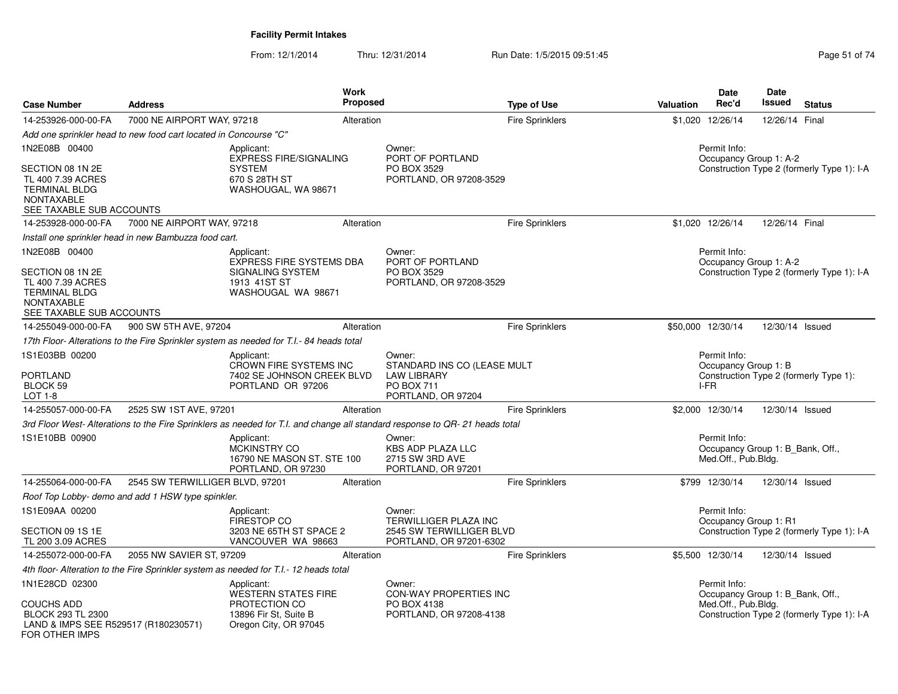| <b>Case Number</b>                                                                                                              | <b>Address</b>                                                   | Work<br><b>Proposed</b>                                                                                                      |                                                                      | <b>Type of Use</b>                                  | Date<br>Rec'd<br><b>Valuation</b>   | <b>Date</b><br><b>Issued</b><br><b>Status</b>                                  |
|---------------------------------------------------------------------------------------------------------------------------------|------------------------------------------------------------------|------------------------------------------------------------------------------------------------------------------------------|----------------------------------------------------------------------|-----------------------------------------------------|-------------------------------------|--------------------------------------------------------------------------------|
| 14-253926-000-00-FA                                                                                                             | 7000 NE AIRPORT WAY, 97218                                       | Alteration                                                                                                                   |                                                                      | <b>Fire Sprinklers</b>                              | 12/26/14<br>\$1,020                 | 12/26/14 Final                                                                 |
|                                                                                                                                 | Add one sprinkler head to new food cart located in Concourse "C" |                                                                                                                              |                                                                      |                                                     |                                     |                                                                                |
| 1N2E08B 00400                                                                                                                   |                                                                  | Applicant:<br><b>EXPRESS FIRE/SIGNALING</b>                                                                                  | Owner:<br>PORT OF PORTLAND                                           |                                                     | Permit Info:                        | Occupancy Group 1: A-2                                                         |
| SECTION 08 1N 2E<br>TL 400 7.39 ACRES<br><b>TERMINAL BLDG</b><br><b>NONTAXABLE</b><br>SEE TAXABLE SUB ACCOUNTS                  |                                                                  | <b>SYSTEM</b><br>670 S 28TH ST<br>WASHOUGAL, WA 98671                                                                        | PO BOX 3529                                                          | PORTLAND, OR 97208-3529                             |                                     | Construction Type 2 (formerly Type 1): I-A                                     |
| 14-253928-000-00-FA                                                                                                             | 7000 NE AIRPORT WAY, 97218                                       | Alteration                                                                                                                   |                                                                      | Fire Sprinklers                                     | \$1,020 12/26/14                    | 12/26/14 Final                                                                 |
|                                                                                                                                 | Install one sprinkler head in new Bambuzza food cart.            |                                                                                                                              |                                                                      |                                                     |                                     |                                                                                |
| 1N2E08B 00400<br>SECTION 08 1N 2E<br>TL 400 7.39 ACRES<br><b>TERMINAL BLDG</b><br><b>NONTAXABLE</b><br>SEE TAXABLE SUB ACCOUNTS |                                                                  | Applicant:<br><b>EXPRESS FIRE SYSTEMS DBA</b><br><b>SIGNALING SYSTEM</b><br>1913 41ST ST<br>WASHOUGAL WA 98671               | Owner:<br>PORT OF PORTLAND<br>PO BOX 3529                            | PORTLAND, OR 97208-3529                             | Permit Info:                        | Occupancy Group 1: A-2<br>Construction Type 2 (formerly Type 1): I-A           |
| 14-255049-000-00-FA                                                                                                             | 900 SW 5TH AVE, 97204                                            | Alteration                                                                                                                   |                                                                      | Fire Sprinklers                                     | \$50,000 12/30/14                   | 12/30/14 Issued                                                                |
|                                                                                                                                 |                                                                  | 17th Floor- Alterations to the Fire Sprinkler system as needed for T.I.- 84 heads total                                      |                                                                      |                                                     |                                     |                                                                                |
| 1S1E03BB 00200<br><b>PORTLAND</b><br>BLOCK 59<br>LOT 1-8                                                                        |                                                                  | Applicant:<br>CROWN FIRE SYSTEMS INC<br>7402 SE JOHNSON CREEK BLVD<br>PORTLAND OR 97206                                      | Owner:<br><b>LAW LIBRARY</b><br>PO BOX 711<br>PORTLAND, OR 97204     | STANDARD INS CO (LEASE MULT                         | Permit Info:<br>I-FR                | Occupancy Group 1: B<br>Construction Type 2 (formerly Type 1):                 |
| 14-255057-000-00-FA                                                                                                             | 2525 SW 1ST AVE, 97201                                           | Alteration                                                                                                                   |                                                                      | <b>Fire Sprinklers</b>                              | \$2,000 12/30/14                    | 12/30/14 Issued                                                                |
|                                                                                                                                 |                                                                  | 3rd Floor West- Alterations to the Fire Sprinklers as needed for T.I. and change all standard response to QR- 21 heads total |                                                                      |                                                     |                                     |                                                                                |
| 1S1E10BB 00900                                                                                                                  |                                                                  | Applicant:<br><b>MCKINSTRY CO</b><br>16790 NE MASON ST. STE 100<br>PORTLAND, OR 97230                                        | Owner:<br>KBS ADP PLAZA LLC<br>2715 SW 3RD AVE<br>PORTLAND, OR 97201 |                                                     | Permit Info:<br>Med.Off., Pub.Bldg. | Occupancy Group 1: B_Bank, Off.,                                               |
| 14-255064-000-00-FA                                                                                                             | 2545 SW TERWILLIGER BLVD, 97201                                  | Alteration                                                                                                                   |                                                                      | Fire Sprinklers                                     | \$799 12/30/14                      | 12/30/14 Issued                                                                |
|                                                                                                                                 | Roof Top Lobby- demo and add 1 HSW type spinkler.                |                                                                                                                              |                                                                      |                                                     |                                     |                                                                                |
| 1S1E09AA 00200                                                                                                                  |                                                                  | Applicant:<br>FIRESTOP CO                                                                                                    | Owner:<br>TERWILLIGER PLAZA INC                                      |                                                     | Permit Info:                        | Occupancy Group 1: R1                                                          |
| SECTION 09 1S 1E<br>TL 200 3.09 ACRES                                                                                           |                                                                  | 3203 NE 65TH ST SPACE 2<br>VANCOUVER WA 98663                                                                                |                                                                      | 2545 SW TERWILLIGER BLVD<br>PORTLAND, OR 97201-6302 |                                     | Construction Type 2 (formerly Type 1): I-A                                     |
| 14-255072-000-00-FA                                                                                                             | 2055 NW SAVIER ST, 97209                                         | Alteration                                                                                                                   |                                                                      | Fire Sprinklers                                     | \$5,500 12/30/14                    | 12/30/14 Issued                                                                |
|                                                                                                                                 |                                                                  | 4th floor- Alteration to the Fire Sprinkler system as needed for T.I.- 12 heads total                                        |                                                                      |                                                     |                                     |                                                                                |
| 1N1E28CD 02300                                                                                                                  |                                                                  | Applicant:                                                                                                                   | Owner:                                                               |                                                     | Permit Info:                        |                                                                                |
| <b>COUCHS ADD</b><br>BLOCK 293 TL 2300<br>LAND & IMPS SEE R529517 (R180230571)<br>FOR OTHER IMPS                                |                                                                  | <b>WESTERN STATES FIRE</b><br>PROTECTION CO<br>13896 Fir St, Suite B<br>Oregon City, OR 97045                                | PO BOX 4138                                                          | CON-WAY PROPERTIES INC<br>PORTLAND, OR 97208-4138   | Med.Off., Pub.Bldg.                 | Occupancy Group 1: B_Bank, Off.,<br>Construction Type 2 (formerly Type 1): I-A |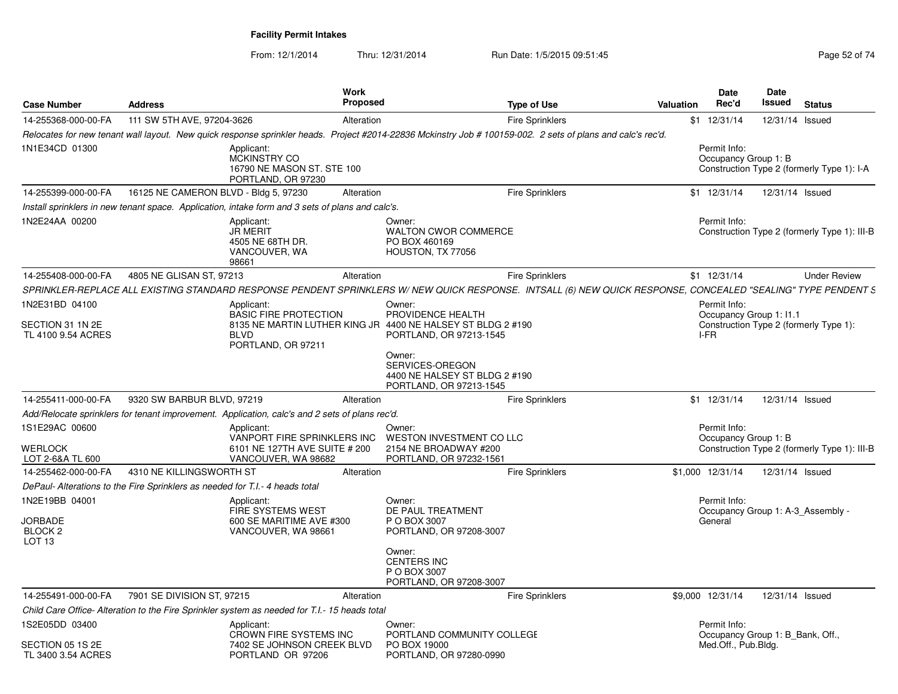| <b>Case Number</b>                                                          | <b>Address</b>                                                                                                                                               | Work<br>Proposed                                                                    |                                                                                                                       | <b>Type of Use</b>     | Valuation        | <b>Date</b><br>Rec'd                | <b>Date</b><br>Issued            | <b>Status</b>                                |
|-----------------------------------------------------------------------------|--------------------------------------------------------------------------------------------------------------------------------------------------------------|-------------------------------------------------------------------------------------|-----------------------------------------------------------------------------------------------------------------------|------------------------|------------------|-------------------------------------|----------------------------------|----------------------------------------------|
| 14-255368-000-00-FA                                                         | 111 SW 5TH AVE, 97204-3626                                                                                                                                   | Alteration                                                                          |                                                                                                                       | <b>Fire Sprinklers</b> | $$1$ 12/31/14    |                                     | 12/31/14 Issued                  |                                              |
|                                                                             | Relocates for new tenant wall layout. New quick response sprinkler heads. Project #2014-22836 Mckinstry Job # 100159-002. 2 sets of plans and calc's rec'd.  |                                                                                     |                                                                                                                       |                        |                  |                                     |                                  |                                              |
| 1N1E34CD 01300                                                              | Applicant:<br>MCKINSTRY CO                                                                                                                                   | 16790 NE MASON ST. STE 100<br>PORTLAND, OR 97230                                    |                                                                                                                       |                        |                  | Permit Info:                        | Occupancy Group 1: B             | Construction Type 2 (formerly Type 1): I-A   |
| 14-255399-000-00-FA                                                         | 16125 NE CAMERON BLVD - Bldg 5, 97230                                                                                                                        | Alteration                                                                          |                                                                                                                       | <b>Fire Sprinklers</b> | $$1 \t12/31/14$  |                                     | 12/31/14 Issued                  |                                              |
|                                                                             | Install sprinklers in new tenant space. Application, intake form and 3 sets of plans and calc's.                                                             |                                                                                     |                                                                                                                       |                        |                  |                                     |                                  |                                              |
| 1N2E24AA 00200                                                              | Applicant:<br><b>JR MERIT</b><br>98661                                                                                                                       | 4505 NE 68TH DR.<br>VANCOUVER, WA                                                   | Owner:<br>WALTON CWOR COMMERCE<br>PO BOX 460169<br>HOUSTON, TX 77056                                                  |                        |                  | Permit Info:                        |                                  | Construction Type 2 (formerly Type 1): III-B |
| 14-255408-000-00-FA                                                         | 4805 NE GLISAN ST, 97213                                                                                                                                     | Alteration                                                                          |                                                                                                                       | <b>Fire Sprinklers</b> | $$1$ 12/31/14    |                                     |                                  | <b>Under Review</b>                          |
|                                                                             | SPRINKLER-REPLACE ALL EXISTING STANDARD RESPONSE PENDENT SPRINKLERS W/NEW QUICK RESPONSE. INTSALL (6) NEW QUICK RESPONSE, CONCEALED "SEALING" TYPE PENDENT S |                                                                                     |                                                                                                                       |                        |                  |                                     |                                  |                                              |
| 1N2E31BD 04100<br>SECTION 31 1N 2E<br>TL 4100 9.54 ACRES                    | Applicant:<br><b>BLVD</b>                                                                                                                                    | <b>BASIC FIRE PROTECTION</b><br>PORTLAND, OR 97211                                  | Owner:<br>PROVIDENCE HEALTH<br>8135 NE MARTIN LUTHER KING JR 4400 NE HALSEY ST BLDG 2 #190<br>PORTLAND, OR 97213-1545 |                        | I-FR             | Permit Info:                        | Occupancy Group 1: I1.1          | Construction Type 2 (formerly Type 1):       |
|                                                                             |                                                                                                                                                              |                                                                                     | Owner:<br>SERVICES-OREGON<br>4400 NE HALSEY ST BLDG 2 #190<br>PORTLAND, OR 97213-1545                                 |                        |                  |                                     |                                  |                                              |
| 14-255411-000-00-FA                                                         | 9320 SW BARBUR BLVD, 97219                                                                                                                                   | Alteration                                                                          |                                                                                                                       | <b>Fire Sprinklers</b> | $$1$ 12/31/14    |                                     | 12/31/14 Issued                  |                                              |
|                                                                             | Add/Relocate sprinklers for tenant improvement. Application, calc's and 2 sets of plans rec'd.                                                               |                                                                                     |                                                                                                                       |                        |                  |                                     |                                  |                                              |
| 1S1E29AC 00600<br>WERLOCK<br>LOT 2-6&A TL 600                               | Applicant:                                                                                                                                                   | VANPORT FIRE SPRINKLERS INC<br>6101 NE 127TH AVE SUITE # 200<br>VANCOUVER, WA 98682 | Owner:<br>WESTON INVESTMENT CO LLC<br>2154 NE BROADWAY #200<br>PORTLAND, OR 97232-1561                                |                        |                  | Permit Info:                        | Occupancy Group 1: B             | Construction Type 2 (formerly Type 1): III-B |
| 14-255462-000-00-FA                                                         | 4310 NE KILLINGSWORTH ST                                                                                                                                     | Alteration                                                                          |                                                                                                                       | <b>Fire Sprinklers</b> | \$1,000 12/31/14 |                                     | 12/31/14 Issued                  |                                              |
|                                                                             | DePaul- Alterations to the Fire Sprinklers as needed for T.I.- 4 heads total                                                                                 |                                                                                     |                                                                                                                       |                        |                  |                                     |                                  |                                              |
| 1N2E19BB 04001<br><b>JORBADE</b><br>BLOCK <sub>2</sub><br>LOT <sub>13</sub> | Applicant:                                                                                                                                                   | FIRE SYSTEMS WEST<br>600 SE MARITIME AVE #300<br>VANCOUVER, WA 98661                | Owner:<br>DE PAUL TREATMENT<br>P O BOX 3007<br>PORTLAND, OR 97208-3007                                                |                        | General          | Permit Info:                        |                                  | Occupancy Group 1: A-3 Assembly -            |
|                                                                             |                                                                                                                                                              |                                                                                     | Owner:<br><b>CENTERS INC</b><br>P O BOX 3007<br>PORTLAND, OR 97208-3007                                               |                        |                  |                                     |                                  |                                              |
| 14-255491-000-00-FA                                                         | 7901 SE DIVISION ST, 97215                                                                                                                                   | Alteration                                                                          |                                                                                                                       | <b>Fire Sprinklers</b> | \$9,000 12/31/14 |                                     | 12/31/14 Issued                  |                                              |
|                                                                             | Child Care Office-Alteration to the Fire Sprinkler system as needed for T.I.- 15 heads total                                                                 |                                                                                     |                                                                                                                       |                        |                  |                                     |                                  |                                              |
| 1S2E05DD 03400<br>SECTION 05 1S 2E                                          | Applicant:                                                                                                                                                   | CROWN FIRE SYSTEMS INC<br>7402 SE JOHNSON CREEK BLVD                                | Owner:<br>PORTLAND COMMUNITY COLLEGE<br>PO BOX 19000                                                                  |                        |                  | Permit Info:<br>Med.Off., Pub.Bldg. | Occupancy Group 1: B Bank, Off., |                                              |
| TL 3400 3.54 ACRES                                                          |                                                                                                                                                              | PORTLAND OR 97206                                                                   | PORTLAND, OR 97280-0990                                                                                               |                        |                  |                                     |                                  |                                              |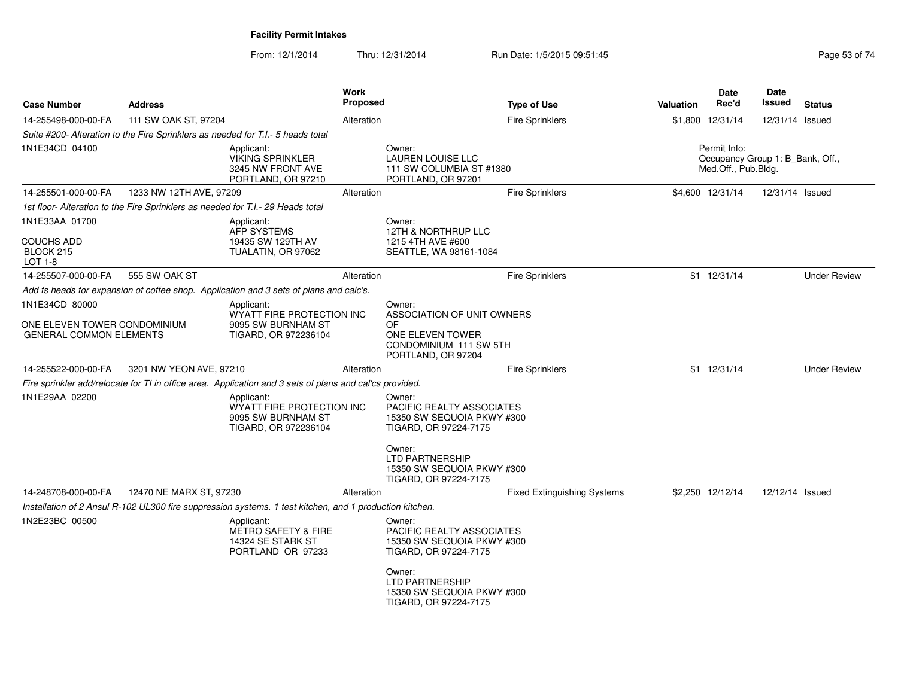| <b>Case Number</b>                                                              | <b>Address</b>          |                                                                                                         | Work<br><b>Proposed</b> |                                                                                                      | <b>Type of Use</b>                 | <b>Valuation</b> | <b>Date</b><br>Rec'd                                                    | Date<br><b>Issued</b> | <b>Status</b>       |
|---------------------------------------------------------------------------------|-------------------------|---------------------------------------------------------------------------------------------------------|-------------------------|------------------------------------------------------------------------------------------------------|------------------------------------|------------------|-------------------------------------------------------------------------|-----------------------|---------------------|
| 14-255498-000-00-FA                                                             | 111 SW OAK ST, 97204    |                                                                                                         | Alteration              |                                                                                                      | <b>Fire Sprinklers</b>             |                  | \$1,800 12/31/14                                                        | 12/31/14 Issued       |                     |
|                                                                                 |                         | Suite #200- Alteration to the Fire Sprinklers as needed for T.I.- 5 heads total                         |                         |                                                                                                      |                                    |                  |                                                                         |                       |                     |
| 1N1E34CD 04100                                                                  |                         | Applicant:<br><b>VIKING SPRINKLER</b><br>3245 NW FRONT AVE<br>PORTLAND, OR 97210                        |                         | Owner:<br><b>LAUREN LOUISE LLC</b><br>111 SW COLUMBIA ST #1380<br>PORTLAND, OR 97201                 |                                    |                  | Permit Info:<br>Occupancy Group 1: B Bank, Off.,<br>Med.Off., Pub.Bldg. |                       |                     |
| 14-255501-000-00-FA                                                             | 1233 NW 12TH AVE, 97209 |                                                                                                         | Alteration              |                                                                                                      | Fire Sprinklers                    |                  | \$4,600 12/31/14                                                        | 12/31/14 Issued       |                     |
| 1st floor- Alteration to the Fire Sprinklers as needed for T.I.- 29 Heads total |                         |                                                                                                         |                         |                                                                                                      |                                    |                  |                                                                         |                       |                     |
| 1N1E33AA 01700                                                                  |                         | Applicant:<br><b>AFP SYSTEMS</b>                                                                        |                         | Owner:<br>12TH & NORTHRUP LLC                                                                        |                                    |                  |                                                                         |                       |                     |
| <b>COUCHS ADD</b><br>BLOCK 215<br><b>LOT 1-8</b>                                |                         | 19435 SW 129TH AV<br>TUALATIN, OR 97062                                                                 |                         | 1215 4TH AVE #600<br>SEATTLE, WA 98161-1084                                                          |                                    |                  |                                                                         |                       |                     |
| 14-255507-000-00-FA                                                             | 555 SW OAK ST           |                                                                                                         | Alteration              |                                                                                                      | <b>Fire Sprinklers</b>             |                  | \$1 12/31/14                                                            |                       | <b>Under Review</b> |
|                                                                                 |                         | Add fs heads for expansion of coffee shop. Application and 3 sets of plans and calc's.                  |                         |                                                                                                      |                                    |                  |                                                                         |                       |                     |
| 1N1E34CD 80000                                                                  |                         | Applicant:                                                                                              |                         | Owner:                                                                                               |                                    |                  |                                                                         |                       |                     |
| ONE ELEVEN TOWER CONDOMINIUM<br><b>GENERAL COMMON ELEMENTS</b>                  |                         | WYATT FIRE PROTECTION INC<br>9095 SW BURNHAM ST<br>TIGARD, OR 972236104                                 |                         | ASSOCIATION OF UNIT OWNERS<br>0F<br>ONE ELEVEN TOWER<br>CONDOMINIUM 111 SW 5TH<br>PORTLAND, OR 97204 |                                    |                  |                                                                         |                       |                     |
| 14-255522-000-00-FA                                                             | 3201 NW YEON AVE, 97210 |                                                                                                         | Alteration              |                                                                                                      | Fire Sprinklers                    |                  | \$1 12/31/14                                                            |                       | <b>Under Review</b> |
|                                                                                 |                         | Fire sprinkler add/relocate for TI in office area. Application and 3 sets of plans and cal'cs provided. |                         |                                                                                                      |                                    |                  |                                                                         |                       |                     |
| 1N1E29AA 02200                                                                  |                         | Applicant:<br>WYATT FIRE PROTECTION INC<br>9095 SW BURNHAM ST<br>TIGARD, OR 972236104                   |                         | Owner:<br>PACIFIC REALTY ASSOCIATES<br>15350 SW SEQUOIA PKWY #300<br>TIGARD, OR 97224-7175           |                                    |                  |                                                                         |                       |                     |
|                                                                                 |                         |                                                                                                         |                         | Owner:<br><b>LTD PARTNERSHIP</b><br>15350 SW SEQUOIA PKWY #300<br>TIGARD, OR 97224-7175              |                                    |                  |                                                                         |                       |                     |
| 14-248708-000-00-FA                                                             | 12470 NE MARX ST, 97230 |                                                                                                         | Alteration              |                                                                                                      | <b>Fixed Extinguishing Systems</b> |                  | \$2,250 12/12/14                                                        | 12/12/14 Issued       |                     |
|                                                                                 |                         | Installation of 2 Ansul R-102 UL300 fire suppression systems. 1 test kitchen, and 1 production kitchen. |                         |                                                                                                      |                                    |                  |                                                                         |                       |                     |
| 1N2E23BC 00500                                                                  |                         | Applicant:<br><b>METRO SAFETY &amp; FIRE</b><br>14324 SE STARK ST<br>PORTLAND OR 97233                  |                         | Owner:<br><b>PACIFIC REALTY ASSOCIATES</b><br>15350 SW SEQUOIA PKWY #300<br>TIGARD, OR 97224-7175    |                                    |                  |                                                                         |                       |                     |
|                                                                                 |                         |                                                                                                         |                         | Owner:<br><b>LTD PARTNERSHIP</b><br>15350 SW SEQUOIA PKWY #300<br>TIGARD, OR 97224-7175              |                                    |                  |                                                                         |                       |                     |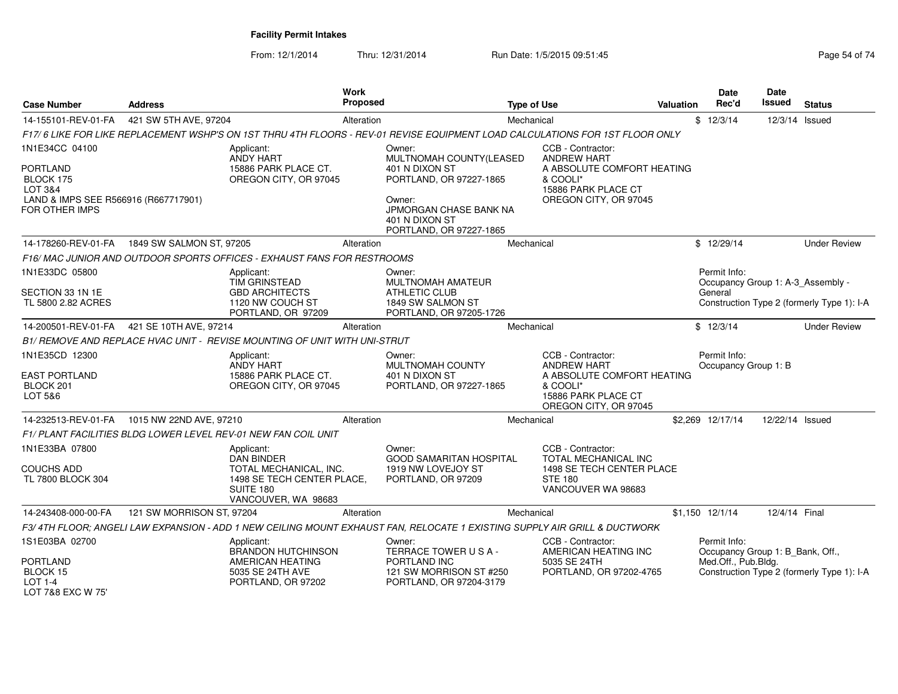| <b>Case Number</b>                                                        | <b>Address</b>                                | Work<br><b>Proposed</b>                                                                                                      |                                                                               | <b>Type of Use</b>                                                                     | Valuation | <b>Date</b><br>Rec'd                              | Date<br>Issued  | <b>Status</b>                              |
|---------------------------------------------------------------------------|-----------------------------------------------|------------------------------------------------------------------------------------------------------------------------------|-------------------------------------------------------------------------------|----------------------------------------------------------------------------------------|-----------|---------------------------------------------------|-----------------|--------------------------------------------|
| 14-155101-REV-01-FA                                                       | 421 SW 5TH AVE, 97204                         | Alteration                                                                                                                   |                                                                               | Mechanical                                                                             |           | \$12/3/14                                         | 12/3/14 Issued  |                                            |
|                                                                           |                                               | F17/6 LIKE FOR LIKE REPLACEMENT WSHP'S ON 1ST THRU 4TH FLOORS - REV-01 REVISE EQUIPMENT LOAD CALCULATIONS FOR 1ST FLOOR ONLY |                                                                               |                                                                                        |           |                                                   |                 |                                            |
| 1N1E34CC 04100                                                            |                                               | Applicant:<br>ANDY HART                                                                                                      | Owner:<br>MULTNOMAH COUNTY(LEASED                                             | CCB - Contractor:<br><b>ANDREW HART</b>                                                |           |                                                   |                 |                                            |
| <b>PORTLAND</b><br>BLOCK 175<br>LOT 3&4                                   |                                               | 15886 PARK PLACE CT.<br>OREGON CITY, OR 97045                                                                                | 401 N DIXON ST<br>PORTLAND, OR 97227-1865                                     | A ABSOLUTE COMFORT HEATING<br>& COOLI*<br>15886 PARK PLACE CT                          |           |                                                   |                 |                                            |
| LAND & IMPS SEE R566916 (R667717901)<br><b>FOR OTHER IMPS</b>             |                                               |                                                                                                                              | Owner:<br>JPMORGAN CHASE BANK NA<br>401 N DIXON ST<br>PORTLAND, OR 97227-1865 | OREGON CITY, OR 97045                                                                  |           |                                                   |                 |                                            |
|                                                                           | 14-178260-REV-01-FA  1849 SW SALMON ST, 97205 | Alteration                                                                                                                   |                                                                               | Mechanical                                                                             |           | \$12/29/14                                        |                 | <b>Under Review</b>                        |
|                                                                           |                                               | F16/ MAC JUNIOR AND OUTDOOR SPORTS OFFICES - EXHAUST FANS FOR RESTROOMS                                                      |                                                                               |                                                                                        |           |                                                   |                 |                                            |
| 1N1E33DC 05800                                                            |                                               | Applicant:<br><b>TIM GRINSTEAD</b>                                                                                           | Owner:<br>MULTNOMAH AMATEUR                                                   |                                                                                        |           | Permit Info:<br>Occupancy Group 1: A-3_Assembly - |                 |                                            |
| SECTION 33 1N 1E<br>TL 5800 2.82 ACRES                                    |                                               | <b>GBD ARCHITECTS</b><br>1120 NW COUCH ST<br>PORTLAND, OR 97209                                                              | ATHLETIC CLUB<br>1849 SW SALMON ST<br>PORTLAND, OR 97205-1726                 |                                                                                        |           | General                                           |                 | Construction Type 2 (formerly Type 1): I-A |
| 14-200501-REV-01-FA                                                       | 421 SE 10TH AVE, 97214                        | Alteration                                                                                                                   |                                                                               | Mechanical                                                                             |           | \$12/3/14                                         |                 | <b>Under Review</b>                        |
|                                                                           |                                               | B1/ REMOVE AND REPLACE HVAC UNIT - REVISE MOUNTING OF UNIT WITH UNI-STRUT                                                    |                                                                               |                                                                                        |           |                                                   |                 |                                            |
| 1N1E35CD 12300                                                            |                                               | Applicant:<br>ANDY HART                                                                                                      | Owner:<br>MULTNOMAH COUNTY                                                    | CCB - Contractor:<br><b>ANDREW HART</b>                                                |           | Permit Info:<br>Occupancy Group 1: B              |                 |                                            |
| <b>EAST PORTLAND</b><br>BLOCK 201<br>LOT 5&6                              |                                               | 15886 PARK PLACE CT.<br>OREGON CITY, OR 97045                                                                                | 401 N DIXON ST<br>PORTLAND, OR 97227-1865                                     | A ABSOLUTE COMFORT HEATING<br>& COOLI*<br>15886 PARK PLACE CT<br>OREGON CITY, OR 97045 |           |                                                   |                 |                                            |
|                                                                           | 14-232513-REV-01-FA 1015 NW 22ND AVE, 97210   | Alteration                                                                                                                   |                                                                               | Mechanical                                                                             |           | \$2,269 12/17/14                                  | 12/22/14 Issued |                                            |
|                                                                           |                                               | F1/ PLANT FACILITIES BLDG LOWER LEVEL REV-01 NEW FAN COIL UNIT                                                               |                                                                               |                                                                                        |           |                                                   |                 |                                            |
| 1N1E33BA 07800                                                            |                                               | Applicant:<br><b>DAN BINDER</b>                                                                                              | Owner:<br><b>GOOD SAMARITAN HOSPITAL</b>                                      | CCB - Contractor:<br><b>TOTAL MECHANICAL INC</b>                                       |           |                                                   |                 |                                            |
| <b>COUCHS ADD</b><br>TL 7800 BLOCK 304                                    |                                               | TOTAL MECHANICAL, INC.<br>1498 SE TECH CENTER PLACE,<br>SUITE 180<br>VANCOUVER, WA 98683                                     | 1919 NW LOVEJOY ST<br>PORTLAND, OR 97209                                      | 1498 SE TECH CENTER PLACE<br><b>STE 180</b><br>VANCOUVER WA 98683                      |           |                                                   |                 |                                            |
| 14-243408-000-00-FA                                                       | 121 SW MORRISON ST, 97204                     | Alteration                                                                                                                   |                                                                               | Mechanical                                                                             |           | $$1,150$ $12/1/14$                                | 12/4/14 Final   |                                            |
|                                                                           |                                               | F3/4TH FLOOR; ANGELI LAW EXPANSION - ADD 1 NEW CEILING MOUNT EXHAUST FAN, RELOCATE 1 EXISTING SUPPLY AIR GRILL & DUCTWORK    |                                                                               |                                                                                        |           |                                                   |                 |                                            |
| 1S1E03BA 02700                                                            |                                               | Applicant:<br><b>BRANDON HUTCHINSON</b>                                                                                      | Owner:<br>TERRACE TOWER USA-                                                  | CCB - Contractor:<br>AMERICAN HEATING INC                                              |           | Permit Info:<br>Occupancy Group 1: B_Bank, Off.,  |                 |                                            |
| <b>PORTLAND</b><br><b>BLOCK 15</b><br><b>LOT 1-4</b><br>LOT 7&8 EXC W 75' |                                               | AMERICAN HEATING<br>5035 SE 24TH AVE<br>PORTLAND, OR 97202                                                                   | PORTLAND INC<br>121 SW MORRISON ST #250<br>PORTLAND, OR 97204-3179            | 5035 SE 24TH<br>PORTLAND, OR 97202-4765                                                |           | Med.Off., Pub.Bldg.                               |                 | Construction Type 2 (formerly Type 1): I-A |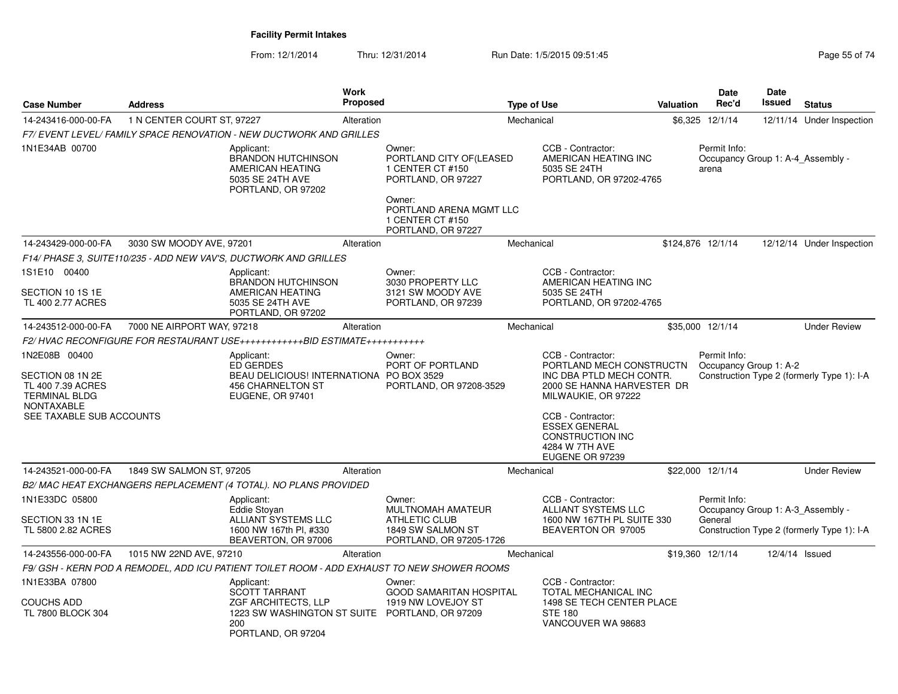| <b>Case Number</b>                                                                                                       | <b>Address</b>             |                                                                                                                            | <b>Work</b><br><b>Proposed</b> |                                                                                                                                      | <b>Type of Use</b> |                                                                                                                                                                                                                                             | <b>Valuation</b> | <b>Date</b><br>Rec'd                                         | Date<br>Issued | <b>Status</b>                              |
|--------------------------------------------------------------------------------------------------------------------------|----------------------------|----------------------------------------------------------------------------------------------------------------------------|--------------------------------|--------------------------------------------------------------------------------------------------------------------------------------|--------------------|---------------------------------------------------------------------------------------------------------------------------------------------------------------------------------------------------------------------------------------------|------------------|--------------------------------------------------------------|----------------|--------------------------------------------|
| 14-243416-000-00-FA                                                                                                      | 1 N CENTER COURT ST, 97227 |                                                                                                                            | Alteration                     |                                                                                                                                      | Mechanical         |                                                                                                                                                                                                                                             |                  | \$6,325 12/1/14                                              | 12/11/14       | Under Inspection                           |
|                                                                                                                          |                            | F7/ EVENT LEVEL/ FAMILY SPACE RENOVATION - NEW DUCTWORK AND GRILLES                                                        |                                |                                                                                                                                      |                    |                                                                                                                                                                                                                                             |                  |                                                              |                |                                            |
| 1N1E34AB 00700                                                                                                           |                            | Applicant:<br><b>BRANDON HUTCHINSON</b><br>AMERICAN HEATING<br>5035 SE 24TH AVE<br>PORTLAND, OR 97202                      |                                | Owner:<br>PORTLAND CITY OF(LEASED<br>1 CENTER CT #150<br>PORTLAND, OR 97227<br>Owner:<br>PORTLAND ARENA MGMT LLC<br>1 CENTER CT #150 |                    | CCB - Contractor:<br>AMERICAN HEATING INC<br>5035 SE 24TH<br>PORTLAND, OR 97202-4765                                                                                                                                                        |                  | Permit Info:<br>Occupancy Group 1: A-4 Assembly -<br>arena   |                |                                            |
|                                                                                                                          |                            |                                                                                                                            |                                | PORTLAND, OR 97227                                                                                                                   |                    |                                                                                                                                                                                                                                             |                  |                                                              |                |                                            |
| 14-243429-000-00-FA                                                                                                      | 3030 SW MOODY AVE, 97201   |                                                                                                                            | Alteration                     |                                                                                                                                      | Mechanical         |                                                                                                                                                                                                                                             |                  | \$124,876 12/1/14                                            |                | 12/12/14 Under Inspection                  |
|                                                                                                                          |                            | F14/ PHASE 3, SUITE110/235 - ADD NEW VAV'S, DUCTWORK AND GRILLES                                                           |                                |                                                                                                                                      |                    |                                                                                                                                                                                                                                             |                  |                                                              |                |                                            |
| 1S1E10 00400<br>SECTION 10 1S 1E<br>TL 400 2.77 ACRES                                                                    |                            | Applicant:<br><b>BRANDON HUTCHINSON</b><br>AMERICAN HEATING<br>5035 SE 24TH AVE<br>PORTLAND, OR 97202                      |                                | Owner:<br>3030 PROPERTY LLC<br>3121 SW MOODY AVE<br>PORTLAND, OR 97239                                                               |                    | CCB - Contractor:<br>AMERICAN HEATING INC<br>5035 SE 24TH<br>PORTLAND, OR 97202-4765                                                                                                                                                        |                  |                                                              |                |                                            |
| 14-243512-000-00-FA                                                                                                      | 7000 NE AIRPORT WAY, 97218 |                                                                                                                            | Alteration                     |                                                                                                                                      | Mechanical         |                                                                                                                                                                                                                                             |                  | \$35,000 12/1/14                                             |                | <b>Under Review</b>                        |
|                                                                                                                          |                            | F2/HVAC RECONFIGURE FOR RESTAURANT USE++++++++++++BID ESTIMATE++++++++++++                                                 |                                |                                                                                                                                      |                    |                                                                                                                                                                                                                                             |                  |                                                              |                |                                            |
| 1N2E08B 00400<br>SECTION 08 1N 2E<br>TL 400 7.39 ACRES<br><b>TERMINAL BLDG</b><br>NONTAXABLE<br>SEE TAXABLE SUB ACCOUNTS |                            | Applicant:<br><b>ED GERDES</b><br>BEAU DELICIOUS! INTERNATIONA PO BOX 3529<br><b>456 CHARNELTON ST</b><br>EUGENE, OR 97401 |                                | Owner:<br>PORT OF PORTLAND<br>PORTLAND, OR 97208-3529                                                                                |                    | CCB - Contractor:<br>PORTLAND MECH CONSTRUCTN<br>INC DBA PTLD MECH CONTR.<br>2000 SE HANNA HARVESTER DR<br>MILWAUKIE, OR 97222<br>CCB - Contractor:<br><b>ESSEX GENERAL</b><br><b>CONSTRUCTION INC</b><br>4284 W 7TH AVE<br>EUGENE OR 97239 |                  | Permit Info:<br>Occupancy Group 1: A-2                       |                | Construction Type 2 (formerly Type 1): I-A |
| 14-243521-000-00-FA                                                                                                      | 1849 SW SALMON ST, 97205   |                                                                                                                            | Alteration                     |                                                                                                                                      | Mechanical         |                                                                                                                                                                                                                                             |                  | \$22,000 12/1/14                                             |                | <b>Under Review</b>                        |
|                                                                                                                          |                            | B2/ MAC HEAT EXCHANGERS REPLACEMENT (4 TOTAL). NO PLANS PROVIDED                                                           |                                |                                                                                                                                      |                    |                                                                                                                                                                                                                                             |                  |                                                              |                |                                            |
| 1N1E33DC 05800<br>SECTION 33 1N 1E<br>TL 5800 2.82 ACRES                                                                 |                            | Applicant:<br><b>Eddie Stovan</b><br>ALLIANT SYSTEMS LLC<br>1600 NW 167th Pl. #330                                         |                                | Owner:<br><b>MULTNOMAH AMATEUR</b><br><b>ATHLETIC CLUB</b><br>1849 SW SALMON ST                                                      |                    | CCB - Contractor:<br><b>ALLIANT SYSTEMS LLC</b><br>1600 NW 167TH PL SUITE 330<br>BEAVERTON OR 97005                                                                                                                                         |                  | Permit Info:<br>Occupancy Group 1: A-3_Assembly -<br>General |                | Construction Type 2 (formerly Type 1): I-A |
| 14-243556-000-00-FA                                                                                                      | 1015 NW 22ND AVE, 97210    | BEAVERTON, OR 97006                                                                                                        | Alteration                     | PORTLAND, OR 97205-1726                                                                                                              | Mechanical         |                                                                                                                                                                                                                                             |                  | \$19,360 12/1/14                                             | 12/4/14 Issued |                                            |
|                                                                                                                          |                            |                                                                                                                            |                                | F9/ GSH - KERN POD A REMODEL, ADD ICU PATIENT TOILET ROOM - ADD EXHAUST TO NEW SHOWER ROOMS                                          |                    |                                                                                                                                                                                                                                             |                  |                                                              |                |                                            |
| 1N1E33BA 07800                                                                                                           |                            | Applicant:                                                                                                                 |                                | Owner:                                                                                                                               |                    | CCB - Contractor:                                                                                                                                                                                                                           |                  |                                                              |                |                                            |
| <b>COUCHS ADD</b><br>TL 7800 BLOCK 304                                                                                   |                            | <b>SCOTT TARRANT</b><br>ZGF ARCHITECTS, LLP<br>1223 SW WASHINGTON ST SUITE PORTLAND, OR 97209<br>200<br>PORTLAND, OR 97204 |                                | <b>GOOD SAMARITAN HOSPITAL</b><br>1919 NW LOVEJOY ST                                                                                 |                    | TOTAL MECHANICAL INC<br>1498 SE TECH CENTER PLACE<br><b>STE 180</b><br>VANCOUVER WA 98683                                                                                                                                                   |                  |                                                              |                |                                            |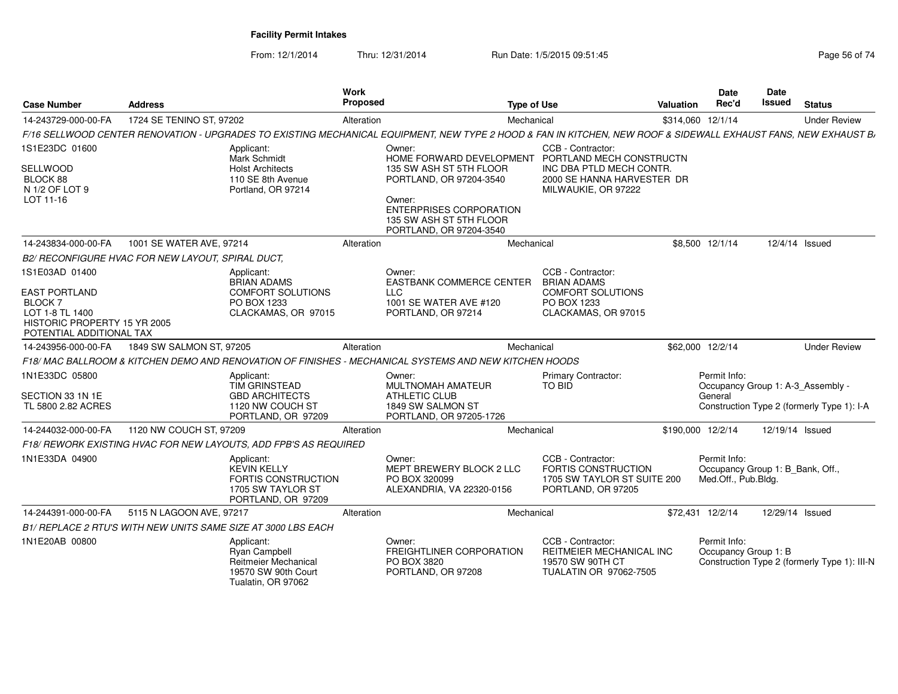| <b>Case Number</b>                                                                                         | <b>Address</b>                                    |                                                                                                    | <b>Work</b><br><b>Proposed</b> | <b>Type of Use</b>                                                                                                                                              |                                                                                                                                | Valuation         | Date<br>Rec'd                                                           | Date<br>Issued  | <b>Status</b>                                                                   |
|------------------------------------------------------------------------------------------------------------|---------------------------------------------------|----------------------------------------------------------------------------------------------------|--------------------------------|-----------------------------------------------------------------------------------------------------------------------------------------------------------------|--------------------------------------------------------------------------------------------------------------------------------|-------------------|-------------------------------------------------------------------------|-----------------|---------------------------------------------------------------------------------|
| 14-243729-000-00-FA                                                                                        | 1724 SE TENINO ST, 97202                          |                                                                                                    | Alteration                     | Mechanical                                                                                                                                                      |                                                                                                                                |                   | \$314,060 12/1/14                                                       |                 | <b>Under Review</b>                                                             |
|                                                                                                            |                                                   |                                                                                                    |                                | F/16 SELLWOOD CENTER RENOVATION - UPGRADES TO EXISTING MECHANICAL EQUIPMENT, NEW TYPE 2 HOOD & FAN IN KITCHEN, NEW ROOF & SIDEWALL EXHAUST FANS, NEW EXHAUST BJ |                                                                                                                                |                   |                                                                         |                 |                                                                                 |
| 1S1E23DC 01600<br>SELLWOOD<br>BLOCK 88<br>N 1/2 OF LOT 9<br>LOT 11-16                                      |                                                   | Applicant:<br>Mark Schmidt<br><b>Holst Architects</b><br>110 SE 8th Avenue<br>Portland, OR 97214   |                                | Owner:<br>HOME FORWARD DEVELOPMENT<br>135 SW ASH ST 5TH FLOOR<br>PORTLAND, OR 97204-3540<br>Owner:                                                              | CCB - Contractor:<br>PORTLAND MECH CONSTRUCTN<br>INC DBA PTLD MECH CONTR.<br>2000 SE HANNA HARVESTER DR<br>MILWAUKIE, OR 97222 |                   |                                                                         |                 |                                                                                 |
|                                                                                                            |                                                   |                                                                                                    |                                | <b>ENTERPRISES CORPORATION</b><br>135 SW ASH ST 5TH FLOOR<br>PORTLAND, OR 97204-3540                                                                            |                                                                                                                                |                   |                                                                         |                 |                                                                                 |
| 14-243834-000-00-FA                                                                                        | 1001 SE WATER AVE, 97214                          |                                                                                                    | Alteration                     | Mechanical                                                                                                                                                      |                                                                                                                                |                   | \$8,500 12/1/14                                                         |                 | 12/4/14 Issued                                                                  |
|                                                                                                            | B2/ RECONFIGURE HVAC FOR NEW LAYOUT, SPIRAL DUCT, |                                                                                                    |                                |                                                                                                                                                                 |                                                                                                                                |                   |                                                                         |                 |                                                                                 |
| 1S1E03AD 01400<br><b>EAST PORTLAND</b><br><b>BLOCK7</b><br>LOT 1-8 TL 1400<br>HISTORIC PROPERTY 15 YR 2005 |                                                   | Applicant:<br><b>BRIAN ADAMS</b><br>COMFORT SOLUTIONS<br>PO BOX 1233<br>CLACKAMAS, OR 97015        |                                | Owner:<br><b>EASTBANK COMMERCE CENTER</b><br><b>LLC</b><br>1001 SE WATER AVE #120<br>PORTLAND, OR 97214                                                         | CCB - Contractor:<br><b>BRIAN ADAMS</b><br><b>COMFORT SOLUTIONS</b><br>PO BOX 1233<br>CLACKAMAS, OR 97015                      |                   |                                                                         |                 |                                                                                 |
| POTENTIAL ADDITIONAL TAX                                                                                   |                                                   |                                                                                                    |                                |                                                                                                                                                                 |                                                                                                                                |                   |                                                                         |                 |                                                                                 |
| 14-243956-000-00-FA                                                                                        | 1849 SW SALMON ST, 97205                          |                                                                                                    | Alteration                     | Mechanical                                                                                                                                                      |                                                                                                                                |                   | \$62,000 12/2/14                                                        |                 | <b>Under Review</b>                                                             |
|                                                                                                            |                                                   |                                                                                                    |                                | F18/ MAC BALLROOM & KITCHEN DEMO AND RENOVATION OF FINISHES - MECHANICAL SYSTEMS AND NEW KITCHEN HOODS                                                          |                                                                                                                                |                   |                                                                         |                 |                                                                                 |
| 1N1E33DC 05800<br>SECTION 33 1N 1E<br>TL 5800 2.82 ACRES                                                   |                                                   | Applicant:<br><b>TIM GRINSTEAD</b><br><b>GBD ARCHITECTS</b><br>1120 NW COUCH ST                    |                                | Owner:<br><b>MULTNOMAH AMATEUR</b><br><b>ATHLETIC CLUB</b><br>1849 SW SALMON ST                                                                                 | Primary Contractor:<br>TO BID                                                                                                  |                   | Permit Info:<br>General                                                 |                 | Occupancy Group 1: A-3 Assembly -<br>Construction Type 2 (formerly Type 1): I-A |
|                                                                                                            |                                                   | PORTLAND, OR 97209                                                                                 |                                | PORTLAND, OR 97205-1726                                                                                                                                         |                                                                                                                                |                   |                                                                         |                 |                                                                                 |
| 14-244032-000-00-FA                                                                                        | 1120 NW COUCH ST, 97209                           |                                                                                                    | Alteration                     | Mechanical                                                                                                                                                      |                                                                                                                                | \$190,000 12/2/14 |                                                                         | 12/19/14 Issued |                                                                                 |
|                                                                                                            |                                                   | F18/ REWORK EXISTING HVAC FOR NEW LAYOUTS, ADD FPB'S AS REQUIRED                                   |                                |                                                                                                                                                                 |                                                                                                                                |                   |                                                                         |                 |                                                                                 |
| 1N1E33DA 04900                                                                                             |                                                   | Applicant:<br><b>KEVIN KELLY</b><br>FORTIS CONSTRUCTION<br>1705 SW TAYLOR ST<br>PORTLAND, OR 97209 |                                | Owner:<br>MEPT BREWERY BLOCK 2 LLC<br>PO BOX 320099<br>ALEXANDRIA, VA 22320-0156                                                                                | CCB - Contractor:<br>FORTIS CONSTRUCTION<br>1705 SW TAYLOR ST SUITE 200<br>PORTLAND, OR 97205                                  |                   | Permit Info:<br>Occupancy Group 1: B_Bank, Off.,<br>Med.Off., Pub.Bldg. |                 |                                                                                 |
| 14-244391-000-00-FA                                                                                        | 5115 N LAGOON AVE, 97217                          |                                                                                                    | Alteration                     | Mechanical                                                                                                                                                      |                                                                                                                                |                   | \$72,431 12/2/14                                                        | 12/29/14 Issued |                                                                                 |
|                                                                                                            |                                                   | B1/ REPLACE 2 RTU'S WITH NEW UNITS SAME SIZE AT 3000 LBS EACH                                      |                                |                                                                                                                                                                 |                                                                                                                                |                   |                                                                         |                 |                                                                                 |
| 1N1E20AB 00800                                                                                             |                                                   | Applicant:<br>Ryan Campbell<br>Reitmeier Mechanical<br>19570 SW 90th Court<br>Tualatin, OR 97062   |                                | Owner:<br><b>FREIGHTLINER CORPORATION</b><br>PO BOX 3820<br>PORTLAND, OR 97208                                                                                  | CCB - Contractor:<br>REITMEIER MECHANICAL INC<br>19570 SW 90TH CT<br>TUALATIN OR 97062-7505                                    |                   | Permit Info:<br>Occupancy Group 1: B                                    |                 | Construction Type 2 (formerly Type 1): III-N                                    |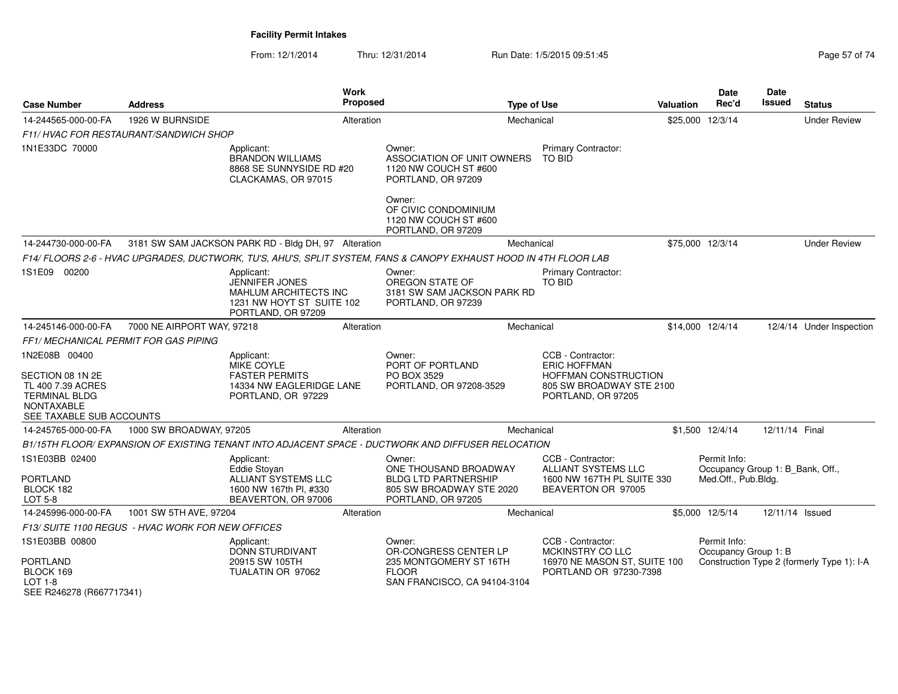| <b>Case Number</b>                                                                                                              | <b>Address</b>             |                                                                                                                 | Work<br><b>Proposed</b> |                                                                                                                   | <b>Type of Use</b> |                                                                                                                    | <b>Valuation</b> | <b>Date</b><br>Rec'd                 | Date<br>Issued                   | <b>Status</b>                              |
|---------------------------------------------------------------------------------------------------------------------------------|----------------------------|-----------------------------------------------------------------------------------------------------------------|-------------------------|-------------------------------------------------------------------------------------------------------------------|--------------------|--------------------------------------------------------------------------------------------------------------------|------------------|--------------------------------------|----------------------------------|--------------------------------------------|
| 14-244565-000-00-FA                                                                                                             | 1926 W BURNSIDE            |                                                                                                                 | Alteration              |                                                                                                                   | Mechanical         |                                                                                                                    | \$25,000         | 12/3/14                              |                                  | <b>Under Review</b>                        |
| F11/ HVAC FOR RESTAURANT/SANDWICH SHOP                                                                                          |                            |                                                                                                                 |                         |                                                                                                                   |                    |                                                                                                                    |                  |                                      |                                  |                                            |
| 1N1E33DC 70000                                                                                                                  |                            | Applicant:<br><b>BRANDON WILLIAMS</b><br>8868 SE SUNNYSIDE RD #20<br>CLACKAMAS, OR 97015                        |                         | Owner:<br>ASSOCIATION OF UNIT OWNERS<br>1120 NW COUCH ST #600<br>PORTLAND, OR 97209                               |                    | <b>Primary Contractor:</b><br><b>TO BID</b>                                                                        |                  |                                      |                                  |                                            |
|                                                                                                                                 |                            |                                                                                                                 |                         | Owner:<br>OF CIVIC CONDOMINIUM<br>1120 NW COUCH ST #600<br>PORTLAND, OR 97209                                     |                    |                                                                                                                    |                  |                                      |                                  |                                            |
| 14-244730-000-00-FA                                                                                                             |                            | 3181 SW SAM JACKSON PARK RD - Bldg DH, 97 Alteration                                                            |                         |                                                                                                                   | Mechanical         |                                                                                                                    |                  | \$75,000 12/3/14                     |                                  | <b>Under Review</b>                        |
|                                                                                                                                 |                            |                                                                                                                 |                         | F14/ FLOORS 2-6 - HVAC UPGRADES, DUCTWORK, TU'S, AHU'S, SPLIT SYSTEM, FANS & CANOPY EXHAUST HOOD IN 4TH FLOOR LAB |                    |                                                                                                                    |                  |                                      |                                  |                                            |
| 1S1E09 00200                                                                                                                    |                            | Applicant:<br>JENNIFER JONES<br><b>MAHLUM ARCHITECTS INC</b><br>1231 NW HOYT ST SUITE 102<br>PORTLAND, OR 97209 |                         | Owner:<br>OREGON STATE OF<br>3181 SW SAM JACKSON PARK RD<br>PORTLAND, OR 97239                                    |                    | Primary Contractor:<br><b>TO BID</b>                                                                               |                  |                                      |                                  |                                            |
| 14-245146-000-00-FA                                                                                                             | 7000 NE AIRPORT WAY, 97218 |                                                                                                                 | Alteration              |                                                                                                                   | Mechanical         |                                                                                                                    |                  | \$14,000 12/4/14                     |                                  | 12/4/14 Under Inspection                   |
| FF1/ MECHANICAL PERMIT FOR GAS PIPING                                                                                           |                            |                                                                                                                 |                         |                                                                                                                   |                    |                                                                                                                    |                  |                                      |                                  |                                            |
| 1N2E08B 00400<br>SECTION 08 1N 2E<br>TL 400 7.39 ACRES<br><b>TERMINAL BLDG</b><br><b>NONTAXABLE</b><br>SEE TAXABLE SUB ACCOUNTS |                            | Applicant:<br><b>MIKE COYLE</b><br><b>FASTER PERMITS</b><br>14334 NW EAGLERIDGE LANE<br>PORTLAND, OR 97229      |                         | Owner:<br>PORT OF PORTLAND<br>PO BOX 3529<br>PORTLAND, OR 97208-3529                                              |                    | CCB - Contractor:<br><b>ERIC HOFFMAN</b><br>HOFFMAN CONSTRUCTION<br>805 SW BROADWAY STE 2100<br>PORTLAND, OR 97205 |                  |                                      |                                  |                                            |
| 14-245765-000-00-FA                                                                                                             | 1000 SW BROADWAY, 97205    |                                                                                                                 | Alteration              |                                                                                                                   | Mechanical         |                                                                                                                    |                  | \$1,500 12/4/14                      | 12/11/14 Final                   |                                            |
|                                                                                                                                 |                            |                                                                                                                 |                         | B1/15TH FLOOR/ EXPANSION OF EXISTING TENANT INTO ADJACENT SPACE - DUCTWORK AND DIFFUSER RELOCATION                |                    |                                                                                                                    |                  |                                      |                                  |                                            |
| 1S1E03BB 02400<br>PORTLAND<br>BLOCK 182<br>LOT 5-8                                                                              |                            | Applicant:<br>Eddie Stovan<br>ALLIANT SYSTEMS LLC<br>1600 NW 167th Pl, #330<br>BEAVERTON, OR 97006              |                         | Owner:<br>ONE THOUSAND BROADWAY<br><b>BLDG LTD PARTNERSHIP</b><br>805 SW BROADWAY STE 2020<br>PORTLAND, OR 97205  |                    | CCB - Contractor:<br>ALLIANT SYSTEMS LLC<br>1600 NW 167TH PL SUITE 330<br>BEAVERTON OR 97005                       |                  | Permit Info:<br>Med.Off., Pub.Bldg.  | Occupancy Group 1: B_Bank, Off., |                                            |
| 14-245996-000-00-FA                                                                                                             | 1001 SW 5TH AVE, 97204     |                                                                                                                 | Alteration              |                                                                                                                   | Mechanical         |                                                                                                                    |                  | \$5,000 12/5/14                      | 12/11/14 Issued                  |                                            |
| F13/ SUITE 1100 REGUS - HVAC WORK FOR NEW OFFICES                                                                               |                            |                                                                                                                 |                         |                                                                                                                   |                    |                                                                                                                    |                  |                                      |                                  |                                            |
| 1S1E03BB 00800<br><b>PORTLAND</b><br>BLOCK 169<br><b>LOT 1-8</b><br>SEE R246278 (R667717341)                                    |                            | Applicant:<br><b>DONN STURDIVANT</b><br>20915 SW 105TH<br>TUALATIN OR 97062                                     |                         | Owner:<br>OR-CONGRESS CENTER LP<br>235 MONTGOMERY ST 16TH<br><b>FLOOR</b><br>SAN FRANCISCO, CA 94104-3104         |                    | CCB - Contractor:<br><b>MCKINSTRY CO LLC</b><br>16970 NE MASON ST, SUITE 100<br>PORTLAND OR 97230-7398             |                  | Permit Info:<br>Occupancy Group 1: B |                                  | Construction Type 2 (formerly Type 1): I-A |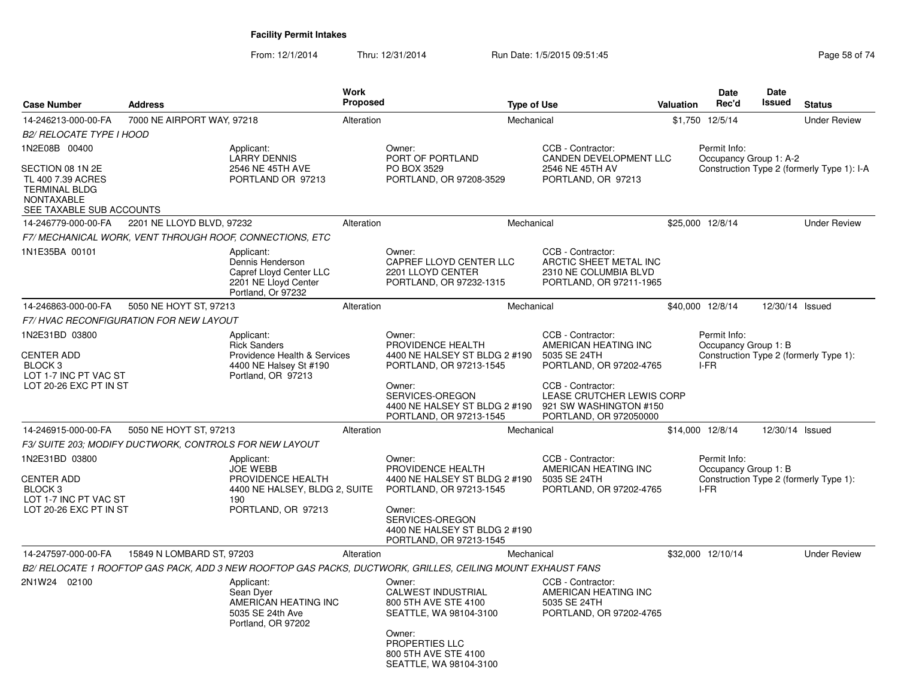| <b>Case Number</b>                                                                                             | <b>Address</b>             |                                                                                                                   | <b>Work</b><br>Proposed |                                                                                                             | <b>Type of Use</b> |                                                                                                           | Valuation | Date<br>Rec'd                                | <b>Date</b><br>Issued | <b>Status</b>                              |
|----------------------------------------------------------------------------------------------------------------|----------------------------|-------------------------------------------------------------------------------------------------------------------|-------------------------|-------------------------------------------------------------------------------------------------------------|--------------------|-----------------------------------------------------------------------------------------------------------|-----------|----------------------------------------------|-----------------------|--------------------------------------------|
| 14-246213-000-00-FA                                                                                            | 7000 NE AIRPORT WAY, 97218 |                                                                                                                   | Alteration              |                                                                                                             | Mechanical         |                                                                                                           |           | \$1,750 12/5/14                              |                       | <b>Under Review</b>                        |
| <b>B2/ RELOCATE TYPE I HOOD</b>                                                                                |                            |                                                                                                                   |                         |                                                                                                             |                    |                                                                                                           |           |                                              |                       |                                            |
| 1N2E08B 00400                                                                                                  |                            | Applicant:                                                                                                        |                         | Owner:                                                                                                      |                    | CCB - Contractor:                                                                                         |           | Permit Info:                                 |                       |                                            |
| SECTION 08 1N 2E<br>TL 400 7.39 ACRES<br><b>TERMINAL BLDG</b><br><b>NONTAXABLE</b><br>SEE TAXABLE SUB ACCOUNTS |                            | <b>LARRY DENNIS</b><br>2546 NE 45TH AVE<br>PORTLAND OR 97213                                                      |                         | PORT OF PORTLAND<br>PO BOX 3529<br>PORTLAND, OR 97208-3529                                                  |                    | CANDEN DEVELOPMENT LLC<br>2546 NE 45TH AV<br>PORTLAND, OR 97213                                           |           | Occupancy Group 1: A-2                       |                       | Construction Type 2 (formerly Type 1): I-A |
| 14-246779-000-00-FA                                                                                            | 2201 NE LLOYD BLVD, 97232  |                                                                                                                   | Alteration              |                                                                                                             | Mechanical         |                                                                                                           |           | \$25,000 12/8/14                             |                       | <b>Under Review</b>                        |
|                                                                                                                |                            | F7/ MECHANICAL WORK, VENT THROUGH ROOF, CONNECTIONS, ETC                                                          |                         |                                                                                                             |                    |                                                                                                           |           |                                              |                       |                                            |
| 1N1E35BA 00101                                                                                                 |                            | Applicant:<br>Dennis Henderson<br>Capref Lloyd Center LLC<br>2201 NE Lloyd Center<br>Portland, Or 97232           |                         | Owner:<br>CAPREF LLOYD CENTER LLC<br>2201 LLOYD CENTER<br>PORTLAND, OR 97232-1315                           |                    | CCB - Contractor:<br>ARCTIC SHEET METAL INC<br>2310 NE COLUMBIA BLVD<br>PORTLAND, OR 97211-1965           |           |                                              |                       |                                            |
| 14-246863-000-00-FA                                                                                            | 5050 NE HOYT ST, 97213     |                                                                                                                   | Alteration              |                                                                                                             | Mechanical         |                                                                                                           |           | \$40,000 12/8/14                             | 12/30/14 Issued       |                                            |
| <b>F7/ HVAC RECONFIGURATION FOR NEW LAYOUT</b>                                                                 |                            |                                                                                                                   |                         |                                                                                                             |                    |                                                                                                           |           |                                              |                       |                                            |
| 1N2E31BD 03800<br><b>CENTER ADD</b><br>BLOCK 3<br>LOT 1-7 INC PT VAC ST<br>LOT 20-26 EXC PT IN ST              |                            | Applicant:<br><b>Rick Sanders</b><br>Providence Health & Services<br>4400 NE Halsey St #190<br>Portland, OR 97213 |                         | Owner:<br>PROVIDENCE HEALTH<br>4400 NE HALSEY ST BLDG 2 #190<br>PORTLAND, OR 97213-1545<br>Owner:           |                    | CCB - Contractor:<br>AMERICAN HEATING INC<br>5035 SE 24TH<br>PORTLAND, OR 97202-4765<br>CCB - Contractor: |           | Permit Info:<br>Occupancy Group 1: B<br>I-FR |                       | Construction Type 2 (formerly Type 1):     |
|                                                                                                                |                            |                                                                                                                   |                         | SERVICES-OREGON<br>4400 NE HALSEY ST BLDG 2 #190<br>PORTLAND, OR 97213-1545                                 |                    | LEASE CRUTCHER LEWIS CORP<br>921 SW WASHINGTON #150<br>PORTLAND, OR 972050000                             |           |                                              |                       |                                            |
| 14-246915-000-00-FA                                                                                            | 5050 NE HOYT ST, 97213     |                                                                                                                   | Alteration              |                                                                                                             | Mechanical         |                                                                                                           |           | \$14,000 12/8/14                             | 12/30/14 Issued       |                                            |
| F3/ SUITE 203; MODIFY DUCTWORK, CONTROLS FOR NEW LAYOUT                                                        |                            |                                                                                                                   |                         |                                                                                                             |                    |                                                                                                           |           |                                              |                       |                                            |
| 1N2E31BD 03800<br><b>CENTER ADD</b><br>BLOCK <sub>3</sub><br>LOT 1-7 INC PT VAC ST                             |                            | Applicant:<br><b>JOE WEBB</b><br>PROVIDENCE HEALTH<br>4400 NE HALSEY, BLDG 2, SUITE<br>190                        |                         | Owner:<br>PROVIDENCE HEALTH<br>4400 NE HALSEY ST BLDG 2 #190<br>PORTLAND, OR 97213-1545                     |                    | CCB - Contractor:<br>AMERICAN HEATING INC<br>5035 SE 24TH<br>PORTLAND, OR 97202-4765                      |           | Permit Info:<br>Occupancy Group 1: B<br>I-FR |                       | Construction Type 2 (formerly Type 1):     |
| LOT 20-26 EXC PT IN ST                                                                                         |                            | PORTLAND, OR 97213                                                                                                |                         | Owner:<br>SERVICES-OREGON<br>4400 NE HALSEY ST BLDG 2 #190<br>PORTLAND, OR 97213-1545                       |                    |                                                                                                           |           |                                              |                       |                                            |
| 14-247597-000-00-FA                                                                                            | 15849 N LOMBARD ST, 97203  |                                                                                                                   | Alteration              |                                                                                                             | Mechanical         |                                                                                                           |           | \$32,000 12/10/14                            |                       | <b>Under Review</b>                        |
|                                                                                                                |                            |                                                                                                                   |                         | B2/ RELOCATE 1 ROOFTOP GAS PACK, ADD 3 NEW ROOFTOP GAS PACKS, DUCTWORK, GRILLES, CEILING MOUNT EXHAUST FANS |                    |                                                                                                           |           |                                              |                       |                                            |
| 2N1W24 02100                                                                                                   |                            | Applicant:<br>Sean Dyer<br>AMERICAN HEATING INC<br>5035 SE 24th Ave<br>Portland, OR 97202                         |                         | Owner:<br><b>CALWEST INDUSTRIAL</b><br>800 5TH AVE STE 4100<br>SEATTLE, WA 98104-3100<br>Owner:             |                    | CCB - Contractor:<br>AMERICAN HEATING INC<br>5035 SE 24TH<br>PORTLAND, OR 97202-4765                      |           |                                              |                       |                                            |
|                                                                                                                |                            |                                                                                                                   |                         | PROPERTIES LLC<br>800 5TH AVE STE 4100<br>SEATTLE, WA 98104-3100                                            |                    |                                                                                                           |           |                                              |                       |                                            |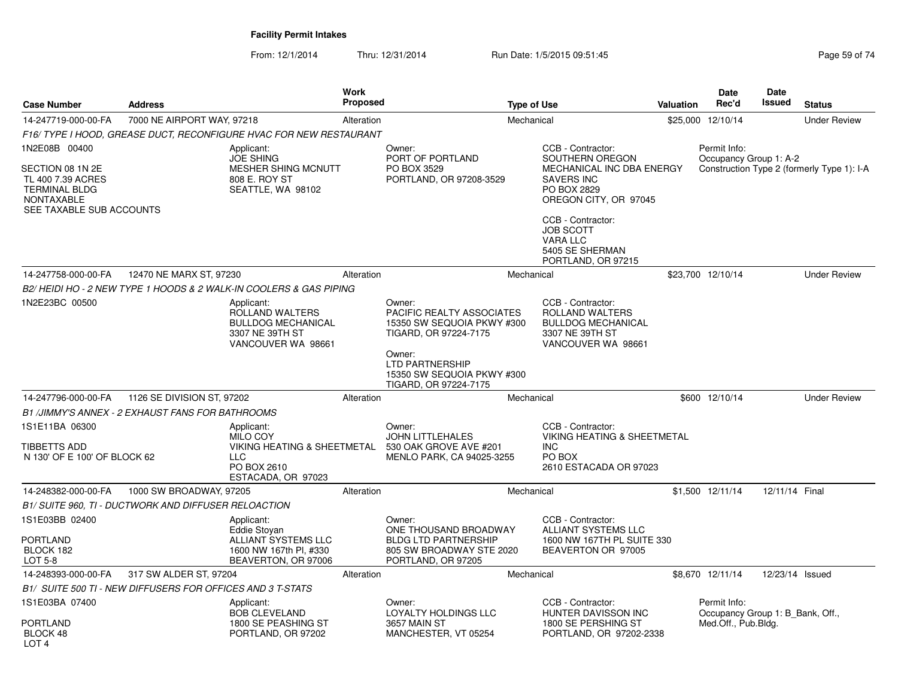| <b>Case Number</b>                                                                                      | <b>Address</b>                                             |                                                                                                                 | Work<br>Proposed |                                                                                                                                | <b>Type of Use</b> |                                                                                                            | <b>Valuation</b> | Date<br>Rec'd                                                           | Date<br>Issued  | <b>Status</b>                              |
|---------------------------------------------------------------------------------------------------------|------------------------------------------------------------|-----------------------------------------------------------------------------------------------------------------|------------------|--------------------------------------------------------------------------------------------------------------------------------|--------------------|------------------------------------------------------------------------------------------------------------|------------------|-------------------------------------------------------------------------|-----------------|--------------------------------------------|
| 14-247719-000-00-FA                                                                                     | 7000 NE AIRPORT WAY, 97218                                 |                                                                                                                 | Alteration       |                                                                                                                                | Mechanical         |                                                                                                            |                  | \$25,000 12/10/14                                                       |                 | <b>Under Review</b>                        |
|                                                                                                         |                                                            | F16/ TYPE I HOOD, GREASE DUCT, RECONFIGURE HVAC FOR NEW RESTAURANT                                              |                  |                                                                                                                                |                    |                                                                                                            |                  |                                                                         |                 |                                            |
| 1N2E08B 00400                                                                                           |                                                            | Applicant:<br><b>JOE SHING</b>                                                                                  |                  | Owner:<br>PORT OF PORTLAND                                                                                                     |                    | CCB - Contractor:<br>SOUTHERN OREGON                                                                       |                  | Permit Info:<br>Occupancy Group 1: A-2                                  |                 |                                            |
| SECTION 08 1N 2E<br>TL 400 7.39 ACRES<br><b>TERMINAL BLDG</b><br>NONTAXABLE<br>SEE TAXABLE SUB ACCOUNTS |                                                            | <b>MESHER SHING MCNUTT</b><br>808 E. ROY ST<br>SEATTLE, WA 98102                                                |                  | PO BOX 3529<br>PORTLAND, OR 97208-3529                                                                                         |                    | MECHANICAL INC DBA ENERGY<br><b>SAVERS INC</b><br>PO BOX 2829<br>OREGON CITY, OR 97045                     |                  |                                                                         |                 | Construction Type 2 (formerly Type 1): I-A |
|                                                                                                         |                                                            |                                                                                                                 |                  |                                                                                                                                |                    | CCB - Contractor:<br><b>JOB SCOTT</b><br><b>VARA LLC</b><br>5405 SE SHERMAN<br>PORTLAND, OR 97215          |                  |                                                                         |                 |                                            |
| 14-247758-000-00-FA                                                                                     | 12470 NE MARX ST, 97230                                    |                                                                                                                 | Alteration       |                                                                                                                                | Mechanical         |                                                                                                            |                  | \$23,700 12/10/14                                                       |                 | <b>Under Review</b>                        |
|                                                                                                         |                                                            | B2/HEIDI HO - 2 NEW TYPE 1 HOODS & 2 WALK-IN COOLERS & GAS PIPING                                               |                  |                                                                                                                                |                    |                                                                                                            |                  |                                                                         |                 |                                            |
| 1N2E23BC 00500                                                                                          |                                                            | Applicant:<br>ROLLAND WALTERS<br><b>BULLDOG MECHANICAL</b><br>3307 NE 39TH ST<br>VANCOUVER WA 98661             |                  | Owner:<br>PACIFIC REALTY ASSOCIATES<br>15350 SW SEQUOIA PKWY #300<br>TIGARD, OR 97224-7175<br>Owner:<br><b>LTD PARTNERSHIP</b> |                    | CCB - Contractor:<br>ROLLAND WALTERS<br><b>BULLDOG MECHANICAL</b><br>3307 NE 39TH ST<br>VANCOUVER WA 98661 |                  |                                                                         |                 |                                            |
|                                                                                                         |                                                            |                                                                                                                 |                  | 15350 SW SEQUOIA PKWY #300<br>TIGARD, OR 97224-7175                                                                            |                    |                                                                                                            |                  |                                                                         |                 |                                            |
| 14-247796-000-00-FA                                                                                     | 1126 SE DIVISION ST, 97202                                 |                                                                                                                 | Alteration       |                                                                                                                                | Mechanical         |                                                                                                            |                  | \$600 12/10/14                                                          |                 | <b>Under Review</b>                        |
|                                                                                                         | B1 /JIMMY'S ANNEX - 2 EXHAUST FANS FOR BATHROOMS           |                                                                                                                 |                  |                                                                                                                                |                    |                                                                                                            |                  |                                                                         |                 |                                            |
| 1S1E11BA 06300<br><b>TIBBETTS ADD</b><br>N 130' OF E 100' OF BLOCK 62                                   |                                                            | Applicant:<br><b>MILO COY</b><br>VIKING HEATING & SHEETMETAL<br><b>LLC</b><br>PO BOX 2610<br>ESTACADA, OR 97023 |                  | Owner:<br><b>JOHN LITTLEHALES</b><br>530 OAK GROVE AVE #201<br>MENLO PARK, CA 94025-3255                                       |                    | CCB - Contractor:<br><b>VIKING HEATING &amp; SHEETMETAL</b><br>INC<br>PO BOX<br>2610 ESTACADA OR 97023     |                  |                                                                         |                 |                                            |
| 14-248382-000-00-FA                                                                                     | 1000 SW BROADWAY, 97205                                    |                                                                                                                 | Alteration       |                                                                                                                                | Mechanical         |                                                                                                            |                  | \$1.500 12/11/14                                                        | 12/11/14 Final  |                                            |
|                                                                                                         | B1/ SUITE 960, TI - DUCTWORK AND DIFFUSER RELOACTION       |                                                                                                                 |                  |                                                                                                                                |                    |                                                                                                            |                  |                                                                         |                 |                                            |
| 1S1E03BB 02400<br><b>PORTLAND</b><br>BLOCK 182<br>LOT 5-8                                               |                                                            | Applicant:<br>Eddie Stovan<br>ALLIANT SYSTEMS LLC<br>1600 NW 167th PI, #330<br>BEAVERTON, OR 97006              |                  | Owner:<br>ONE THOUSAND BROADWAY<br><b>BLDG LTD PARTNERSHIP</b><br>805 SW BROADWAY STE 2020<br>PORTLAND, OR 97205               |                    | CCB - Contractor:<br><b>ALLIANT SYSTEMS LLC</b><br>1600 NW 167TH PL SUITE 330<br>BEAVERTON OR 97005        |                  |                                                                         |                 |                                            |
| 14-248393-000-00-FA                                                                                     | 317 SW ALDER ST, 97204                                     |                                                                                                                 | Alteration       |                                                                                                                                | Mechanical         |                                                                                                            |                  | \$8,670 12/11/14                                                        | 12/23/14 Issued |                                            |
|                                                                                                         | B1/ SUITE 500 TI - NEW DIFFUSERS FOR OFFICES AND 3 T-STATS |                                                                                                                 |                  |                                                                                                                                |                    |                                                                                                            |                  |                                                                         |                 |                                            |
| 1S1E03BA 07400<br><b>PORTLAND</b>                                                                       |                                                            | Applicant:<br><b>BOB CLEVELAND</b><br>1800 SE PEASHING ST                                                       |                  | Owner:<br>LOYALTY HOLDINGS LLC<br>3657 MAIN ST                                                                                 |                    | CCB - Contractor:<br>HUNTER DAVISSON INC<br>1800 SE PERSHING ST                                            |                  | Permit Info:<br>Occupancy Group 1: B_Bank, Off.,<br>Med.Off., Pub.Bldg. |                 |                                            |
| BLOCK 48<br>LOT 4                                                                                       |                                                            | PORTLAND, OR 97202                                                                                              |                  | MANCHESTER, VT 05254                                                                                                           |                    | PORTLAND, OR 97202-2338                                                                                    |                  |                                                                         |                 |                                            |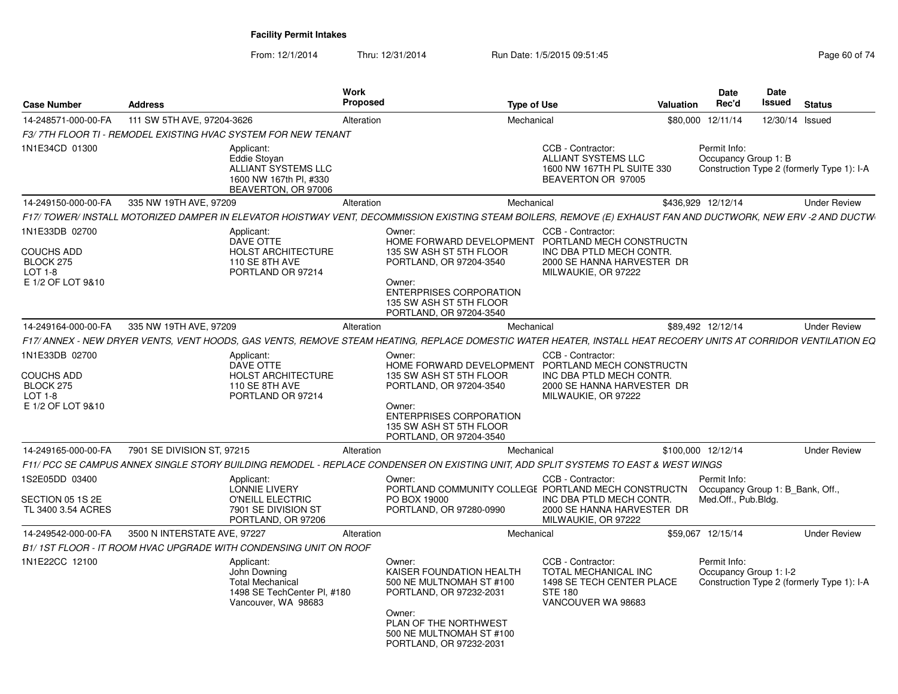| <b>Case Number</b>                                                                 | <b>Address</b>                                                                                                                                                  |                                                                      | Work<br>Proposed                                                                                                                                                                                                    | <b>Type of Use</b>                  | Valuation                                                                      | <b>Date</b><br>Rec'd                                                   | <b>Date</b><br>Issued | <b>Status</b>                              |
|------------------------------------------------------------------------------------|-----------------------------------------------------------------------------------------------------------------------------------------------------------------|----------------------------------------------------------------------|---------------------------------------------------------------------------------------------------------------------------------------------------------------------------------------------------------------------|-------------------------------------|--------------------------------------------------------------------------------|------------------------------------------------------------------------|-----------------------|--------------------------------------------|
| 14-248571-000-00-FA                                                                | 111 SW 5TH AVE, 97204-3626                                                                                                                                      |                                                                      | Alteration                                                                                                                                                                                                          | Mechanical                          | \$80,000                                                                       | 12/11/14                                                               |                       | 12/30/14 Issued                            |
|                                                                                    | F3/7TH FLOOR TI - REMODEL EXISTING HVAC SYSTEM FOR NEW TENANT                                                                                                   |                                                                      |                                                                                                                                                                                                                     |                                     |                                                                                |                                                                        |                       |                                            |
| 1N1E34CD 01300                                                                     | Applicant:<br>Eddie Stovan                                                                                                                                      | ALLIANT SYSTEMS LLC<br>1600 NW 167th PI, #330<br>BEAVERTON, OR 97006 |                                                                                                                                                                                                                     | CCB - Contractor:                   | <b>ALLIANT SYSTEMS LLC</b><br>1600 NW 167TH PL SUITE 330<br>BEAVERTON OR 97005 | Permit Info:<br>Occupancy Group 1: B                                   |                       | Construction Type 2 (formerly Type 1): I-A |
| 14-249150-000-00-FA                                                                | 335 NW 19TH AVE, 97209                                                                                                                                          |                                                                      | Alteration                                                                                                                                                                                                          | Mechanical                          |                                                                                | \$436,929 12/12/14                                                     |                       | <b>Under Review</b>                        |
|                                                                                    | F17/ TOWER/ INSTALL MOTORIZED DAMPER IN ELEVATOR HOISTWAY VENT, DECOMMISSION EXISTING STEAM BOILERS, REMOVE (E) EXHAUST FAN AND DUCTWORK, NEW ERV -2 AND DUCTW  |                                                                      |                                                                                                                                                                                                                     |                                     |                                                                                |                                                                        |                       |                                            |
| 1N1E33DB 02700<br><b>COUCHS ADD</b><br>BLOCK 275<br>$LOT 1-8$<br>E 1/2 OF LOT 9&10 | Applicant:<br>DAVE OTTE<br><b>110 SE 8TH AVE</b>                                                                                                                | <b>HOLST ARCHITECTURE</b><br>PORTLAND OR 97214                       | Owner:<br>HOME FORWARD DEVELOPMENT PORTLAND MECH CONSTRUCTN<br>135 SW ASH ST 5TH FLOOR<br>PORTLAND, OR 97204-3540<br>Owner:<br><b>ENTERPRISES CORPORATION</b><br>135 SW ASH ST 5TH FLOOR<br>PORTLAND, OR 97204-3540 | CCB - Contractor:                   | INC DBA PTLD MECH CONTR.<br>2000 SE HANNA HARVESTER DR<br>MILWAUKIE, OR 97222  |                                                                        |                       |                                            |
| 14-249164-000-00-FA                                                                | 335 NW 19TH AVE, 97209                                                                                                                                          |                                                                      | Alteration                                                                                                                                                                                                          | Mechanical                          |                                                                                | \$89,492 12/12/14                                                      |                       | <b>Under Review</b>                        |
|                                                                                    | F17/ ANNEX - NEW DRYER VENTS. VENT HOODS. GAS VENTS. REMOVE STEAM HEATING. REPLACE DOMESTIC WATER HEATER. INSTALL HEAT RECOERY UNITS AT CORRIDOR VENTILATION EQ |                                                                      |                                                                                                                                                                                                                     |                                     |                                                                                |                                                                        |                       |                                            |
| 1N1E33DB 02700<br>COUCHS ADD<br>BLOCK 275<br>$LOT 1-8$<br>E 1/2 OF LOT 9&10        | Applicant:<br>DAVE OTTE<br><b>110 SE 8TH AVE</b>                                                                                                                | <b>HOLST ARCHITECTURE</b><br>PORTLAND OR 97214                       | Owner:<br>HOME FORWARD DEVELOPMENT PORTLAND MECH CONSTRUCTN<br>135 SW ASH ST 5TH FLOOR<br>PORTLAND, OR 97204-3540<br>Owner:<br><b>ENTERPRISES CORPORATION</b><br>135 SW ASH ST 5TH FLOOR<br>PORTLAND, OR 97204-3540 | CCB - Contractor:                   | INC DBA PTLD MECH CONTR.<br>2000 SE HANNA HARVESTER DR<br>MILWAUKIE, OR 97222  |                                                                        |                       |                                            |
| 14-249165-000-00-FA                                                                | 7901 SE DIVISION ST, 97215                                                                                                                                      |                                                                      | Alteration                                                                                                                                                                                                          | Mechanical                          |                                                                                | \$100,000 12/12/14                                                     |                       | <b>Under Review</b>                        |
|                                                                                    | F11/ PCC SE CAMPUS ANNEX SINGLE STORY BUILDING REMODEL - REPLACE CONDENSER ON EXISTING UNIT, ADD SPLIT SYSTEMS TO EAST & WEST WINGS                             |                                                                      |                                                                                                                                                                                                                     |                                     |                                                                                |                                                                        |                       |                                            |
| 1S2E05DD 03400<br>SECTION 05 1S 2E<br>TL 3400 3.54 ACRES                           | Applicant:<br>LONNIE LIVERY                                                                                                                                     | O'NEILL ELECTRIC<br>7901 SE DIVISION ST<br>PORTLAND, OR 97206        | Owner:<br>PORTLAND COMMUNITY COLLEGE PORTLAND MECH CONSTRUCTN<br>PO BOX 19000<br>PORTLAND, OR 97280-0990                                                                                                            | CCB - Contractor:                   | INC DBA PTLD MECH CONTR.<br>2000 SE HANNA HARVESTER DR<br>MILWAUKIE, OR 97222  | Permit Info:<br>Occupancy Group 1: B Bank, Off.<br>Med.Off., Pub.Bldg. |                       |                                            |
| 14-249542-000-00-FA                                                                | 3500 N INTERSTATE AVE, 97227                                                                                                                                    |                                                                      | Alteration                                                                                                                                                                                                          | Mechanical                          |                                                                                | \$59,067 12/15/14                                                      |                       | <b>Under Review</b>                        |
|                                                                                    | B1/1ST FLOOR - IT ROOM HVAC UPGRADE WITH CONDENSING UNIT ON ROOF                                                                                                |                                                                      |                                                                                                                                                                                                                     |                                     |                                                                                |                                                                        |                       |                                            |
| 1N1E22CC 12100                                                                     | Applicant:<br>John Downing<br><b>Total Mechanical</b>                                                                                                           | 1498 SE TechCenter PI, #180<br>Vancouver, WA 98683                   | Owner:<br>KAISER FOUNDATION HEALTH<br>500 NE MULTNOMAH ST #100<br>PORTLAND, OR 97232-2031<br>Owner:<br>PLAN OF THE NORTHWEST<br>500 NE MULTNOMAH ST #100<br>PORTLAND, OR 97232-2031                                 | CCB - Contractor:<br><b>STE 180</b> | <b>TOTAL MECHANICAL INC</b><br>1498 SE TECH CENTER PLACE<br>VANCOUVER WA 98683 | Permit Info:<br>Occupancy Group 1: I-2                                 |                       | Construction Type 2 (formerly Type 1): I-A |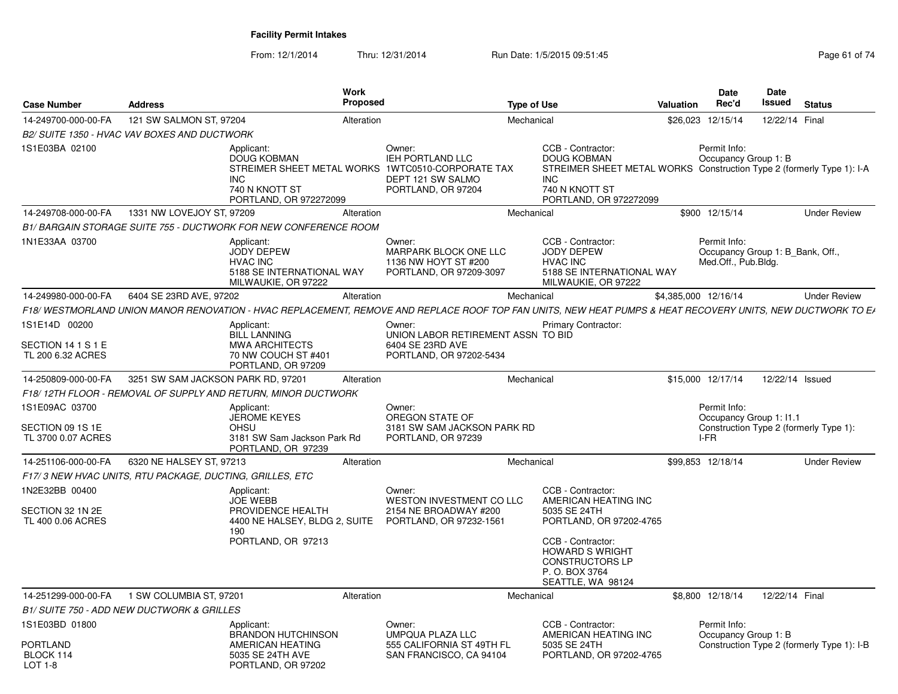|                                                          |                                                          | <b>Work</b><br>Proposed                                                                                                                                    |                                                                                    |                    |                                                                                                                                                              |                      | <b>Date</b><br>Rec'd                                                    | <b>Date</b><br><b>Issued</b> |                                            |
|----------------------------------------------------------|----------------------------------------------------------|------------------------------------------------------------------------------------------------------------------------------------------------------------|------------------------------------------------------------------------------------|--------------------|--------------------------------------------------------------------------------------------------------------------------------------------------------------|----------------------|-------------------------------------------------------------------------|------------------------------|--------------------------------------------|
| <b>Case Number</b>                                       | <b>Address</b>                                           |                                                                                                                                                            |                                                                                    | <b>Type of Use</b> |                                                                                                                                                              | <b>Valuation</b>     |                                                                         |                              | <b>Status</b>                              |
| 14-249700-000-00-FA                                      | 121 SW SALMON ST, 97204                                  | Alteration                                                                                                                                                 |                                                                                    | Mechanical         |                                                                                                                                                              | \$26,023             | 12/15/14                                                                | 12/22/14 Final               |                                            |
| 1S1E03BA 02100                                           | B2/ SUITE 1350 - HVAC VAV BOXES AND DUCTWORK             | Applicant:<br><b>DOUG KOBMAN</b><br>STREIMER SHEET METAL WORKS 1WTC0510-CORPORATE TAX<br><b>INC</b><br>740 N KNOTT ST<br>PORTLAND, OR 972272099            | Owner:<br><b>IEH PORTLAND LLC</b><br>DEPT 121 SW SALMO<br>PORTLAND, OR 97204       | <b>INC</b>         | CCB - Contractor:<br><b>DOUG KOBMAN</b><br>STREIMER SHEET METAL WORKS Construction Type 2 (formerly Type 1): I-A<br>740 N KNOTT ST<br>PORTLAND, OR 972272099 |                      | Permit Info:<br>Occupancy Group 1: B                                    |                              |                                            |
| 14-249708-000-00-FA                                      | 1331 NW LOVEJOY ST, 97209                                | Alteration                                                                                                                                                 |                                                                                    | Mechanical         |                                                                                                                                                              |                      | \$900 12/15/14                                                          |                              | <b>Under Review</b>                        |
|                                                          |                                                          | <b>B1/BARGAIN STORAGE SUITE 755 - DUCTWORK FOR NEW CONFERENCE ROOM</b>                                                                                     |                                                                                    |                    |                                                                                                                                                              |                      |                                                                         |                              |                                            |
| 1N1E33AA 03700                                           |                                                          | Applicant:<br><b>JODY DEPEW</b><br><b>HVAC INC</b><br>5188 SE INTERNATIONAL WAY<br>MILWAUKIE, OR 97222                                                     | Owner:<br>MARPARK BLOCK ONE LLC<br>1136 NW HOYT ST #200<br>PORTLAND, OR 97209-3097 |                    | CCB - Contractor:<br><b>JODY DEPEW</b><br><b>HVAC INC</b><br>5188 SE INTERNATIONAL WAY<br>MILWAUKIE, OR 97222                                                |                      | Permit Info:<br>Occupancy Group 1: B_Bank, Off.,<br>Med.Off., Pub.Bldg. |                              |                                            |
| 14-249980-000-00-FA                                      | 6404 SE 23RD AVE, 97202                                  | Alteration                                                                                                                                                 |                                                                                    | Mechanical         |                                                                                                                                                              | \$4,385,000 12/16/14 |                                                                         |                              | <b>Under Review</b>                        |
|                                                          |                                                          | F18/WESTMORLAND UNION MANOR RENOVATION - HVAC REPLACEMENT, REMOVE AND REPLACE ROOF TOP FAN UNITS, NEW HEAT PUMPS & HEAT RECOVERY UNITS, NEW DUCTWORK TO EA |                                                                                    |                    |                                                                                                                                                              |                      |                                                                         |                              |                                            |
| 1S1E14D 00200                                            |                                                          | Applicant:<br><b>BILL LANNING</b>                                                                                                                          | Owner:<br>UNION LABOR RETIREMENT ASSN TO BID                                       |                    | <b>Primary Contractor:</b>                                                                                                                                   |                      |                                                                         |                              |                                            |
| SECTION 14 1 S 1 E<br>TL 200 6.32 ACRES                  |                                                          | <b>MWA ARCHITECTS</b><br>70 NW COUCH ST #401<br>PORTLAND, OR 97209                                                                                         | 6404 SE 23RD AVE<br>PORTLAND, OR 97202-5434                                        |                    |                                                                                                                                                              |                      |                                                                         |                              |                                            |
| 14-250809-000-00-FA                                      | 3251 SW SAM JACKSON PARK RD, 97201                       | Alteration                                                                                                                                                 |                                                                                    | Mechanical         |                                                                                                                                                              |                      | \$15,000 12/17/14                                                       | 12/22/14 Issued              |                                            |
|                                                          |                                                          | F18/12TH FLOOR - REMOVAL OF SUPPLY AND RETURN, MINOR DUCTWORK                                                                                              |                                                                                    |                    |                                                                                                                                                              |                      |                                                                         |                              |                                            |
| 1S1E09AC 03700<br>SECTION 09 1S 1E<br>TL 3700 0.07 ACRES |                                                          | Applicant:<br><b>JEROME KEYES</b><br><b>OHSU</b><br>3181 SW Sam Jackson Park Rd<br>PORTLAND, OR 97239                                                      | Owner:<br>OREGON STATE OF<br>3181 SW SAM JACKSON PARK RD<br>PORTLAND, OR 97239     |                    |                                                                                                                                                              |                      | Permit Info:<br>Occupancy Group 1: I1.1<br>I-FR                         |                              | Construction Type 2 (formerly Type 1):     |
| 14-251106-000-00-FA                                      | 6320 NE HALSEY ST, 97213                                 | Alteration                                                                                                                                                 |                                                                                    | Mechanical         |                                                                                                                                                              |                      | \$99.853 12/18/14                                                       |                              | <b>Under Review</b>                        |
|                                                          | F17/3 NEW HVAC UNITS, RTU PACKAGE, DUCTING, GRILLES, ETC |                                                                                                                                                            |                                                                                    |                    |                                                                                                                                                              |                      |                                                                         |                              |                                            |
| 1N2E32BB 00400                                           |                                                          | Applicant:<br><b>JOE WEBB</b>                                                                                                                              | Owner:<br>WESTON INVESTMENT CO LLC                                                 |                    | CCB - Contractor:<br>AMERICAN HEATING INC                                                                                                                    |                      |                                                                         |                              |                                            |
| SECTION 32 1N 2E<br>TL 400 0.06 ACRES                    |                                                          | PROVIDENCE HEALTH<br>4400 NE HALSEY, BLDG 2, SUITE<br>190                                                                                                  | 2154 NE BROADWAY #200<br>PORTLAND, OR 97232-1561                                   |                    | 5035 SE 24TH<br>PORTLAND, OR 97202-4765                                                                                                                      |                      |                                                                         |                              |                                            |
|                                                          |                                                          | PORTLAND, OR 97213                                                                                                                                         |                                                                                    |                    | CCB - Contractor:<br><b>HOWARD S WRIGHT</b><br><b>CONSTRUCTORS LP</b><br>P. O. BOX 3764<br>SEATTLE, WA 98124                                                 |                      |                                                                         |                              |                                            |
| 14-251299-000-00-FA                                      | 1 SW COLUMBIA ST, 97201                                  | Alteration                                                                                                                                                 |                                                                                    | Mechanical         |                                                                                                                                                              |                      | \$8,800 12/18/14                                                        | 12/22/14 Final               |                                            |
|                                                          | B1/ SUITE 750 - ADD NEW DUCTWORK & GRILLES               |                                                                                                                                                            |                                                                                    |                    |                                                                                                                                                              |                      |                                                                         |                              |                                            |
| 1S1E03BD 01800                                           |                                                          | Applicant:<br><b>BRANDON HUTCHINSON</b>                                                                                                                    | Owner:<br>UMPQUA PLAZA LLC                                                         |                    | CCB - Contractor:<br>AMERICAN HEATING INC                                                                                                                    |                      | Permit Info:<br>Occupancy Group 1: B                                    |                              |                                            |
| PORTLAND<br>BLOCK 114<br>LOT 1-8                         |                                                          | AMERICAN HEATING<br>5035 SE 24TH AVE<br>PORTLAND, OR 97202                                                                                                 | 555 CALIFORNIA ST 49TH FL<br>SAN FRANCISCO, CA 94104                               |                    | 5035 SE 24TH<br>PORTLAND, OR 97202-4765                                                                                                                      |                      |                                                                         |                              | Construction Type 2 (formerly Type 1): I-B |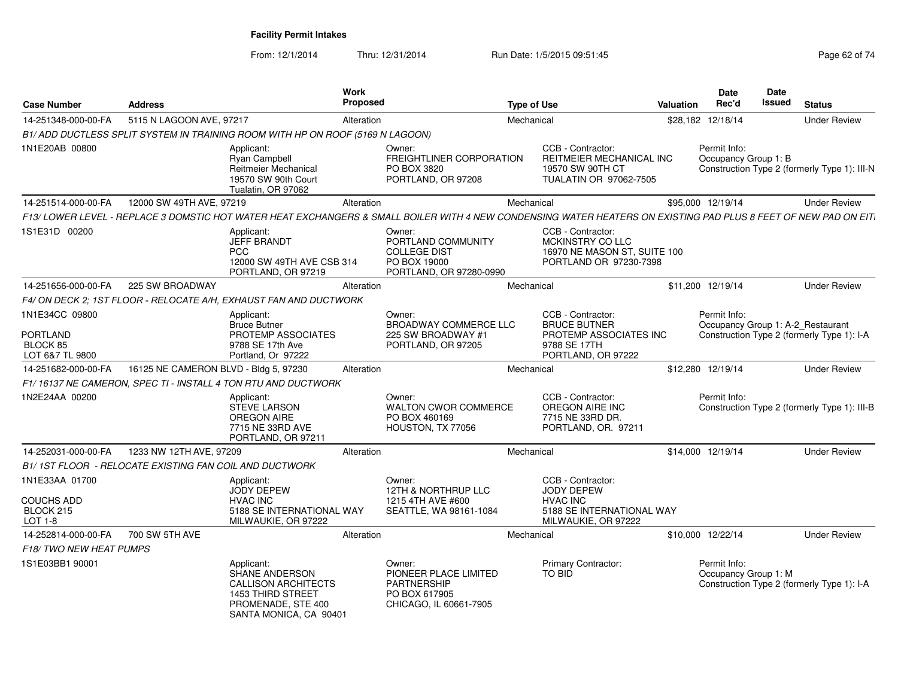| <b>Case Number</b>                        | <b>Address</b>                                         |                                                                                                                                        | <b>Work</b><br>Proposed |                                                                                                  | <b>Type of Use</b> |                                                                                                                                                                 | Valuation | <b>Date</b><br>Rec'd                              | Date<br><b>Issued</b> | <b>Status</b>                                |
|-------------------------------------------|--------------------------------------------------------|----------------------------------------------------------------------------------------------------------------------------------------|-------------------------|--------------------------------------------------------------------------------------------------|--------------------|-----------------------------------------------------------------------------------------------------------------------------------------------------------------|-----------|---------------------------------------------------|-----------------------|----------------------------------------------|
| 14-251348-000-00-FA                       | 5115 N LAGOON AVE, 97217                               |                                                                                                                                        | Alteration              |                                                                                                  | Mechanical         |                                                                                                                                                                 |           | \$28,182 12/18/14                                 |                       | <b>Under Review</b>                          |
|                                           |                                                        | B1/ADD DUCTLESS SPLIT SYSTEM IN TRAINING ROOM WITH HP ON ROOF (5169 N LAGOON)                                                          |                         |                                                                                                  |                    |                                                                                                                                                                 |           |                                                   |                       |                                              |
| 1N1E20AB 00800                            |                                                        | Applicant:<br><b>Ryan Campbell</b><br>Reitmeier Mechanical<br>19570 SW 90th Court<br>Tualatin, OR 97062                                |                         | Owner:<br>FREIGHTLINER CORPORATION<br>PO BOX 3820<br>PORTLAND, OR 97208                          |                    | CCB - Contractor:<br><b>REITMEIER MECHANICAL INC</b><br>19570 SW 90TH CT<br>TUALATIN OR 97062-7505                                                              |           | Permit Info:<br>Occupancy Group 1: B              |                       | Construction Type 2 (formerly Type 1): III-N |
| 14-251514-000-00-FA                       | 12000 SW 49TH AVE, 97219                               |                                                                                                                                        | Alteration              |                                                                                                  | Mechanical         |                                                                                                                                                                 |           | \$95,000 12/19/14                                 |                       | <b>Under Review</b>                          |
|                                           |                                                        |                                                                                                                                        |                         |                                                                                                  |                    | F13/ LOWER LEVEL - REPLACE 3 DOMSTIC HOT WATER HEAT EXCHANGERS & SMALL BOILER WITH 4 NEW CONDENSING WATER HEATERS ON EXISTING PAD PLUS 8 FEET OF NEW PAD ON EIT |           |                                                   |                       |                                              |
| 1S1E31D 00200                             |                                                        | Applicant:<br><b>JEFF BRANDT</b><br><b>PCC</b><br>12000 SW 49TH AVE CSB 314<br>PORTLAND, OR 97219                                      |                         | Owner:<br>PORTLAND COMMUNITY<br><b>COLLEGE DIST</b><br>PO BOX 19000<br>PORTLAND, OR 97280-0990   |                    | CCB - Contractor:<br>MCKINSTRY CO LLC<br>16970 NE MASON ST. SUITE 100<br>PORTLAND OR 97230-7398                                                                 |           |                                                   |                       |                                              |
| 14-251656-000-00-FA                       | 225 SW BROADWAY                                        |                                                                                                                                        | Alteration              |                                                                                                  | Mechanical         |                                                                                                                                                                 |           | \$11,200 12/19/14                                 |                       | <b>Under Review</b>                          |
|                                           |                                                        | F4/ ON DECK 2: 1ST FLOOR - RELOCATE A/H, EXHAUST FAN AND DUCTWORK                                                                      |                         |                                                                                                  |                    |                                                                                                                                                                 |           |                                                   |                       |                                              |
| 1N1E34CC 09800<br><b>PORTLAND</b>         |                                                        | Applicant:<br><b>Bruce Butner</b><br>PROTEMP ASSOCIATES                                                                                |                         | Owner:<br><b>BROADWAY COMMERCE LLC</b><br>225 SW BROADWAY #1                                     |                    | CCB - Contractor:<br><b>BRUCE BUTNER</b><br>PROTEMP ASSOCIATES INC                                                                                              |           | Permit Info:<br>Occupancy Group 1: A-2 Restaurant |                       | Construction Type 2 (formerly Type 1): I-A   |
| BLOCK 85<br>LOT 6&7 TL 9800               |                                                        | 9788 SE 17th Ave<br>Portland, Or 97222                                                                                                 |                         | PORTLAND, OR 97205                                                                               |                    | 9788 SE 17TH<br>PORTLAND, OR 97222                                                                                                                              |           |                                                   |                       |                                              |
| 14-251682-000-00-FA                       | 16125 NE CAMERON BLVD - Bldg 5, 97230                  |                                                                                                                                        | Alteration              |                                                                                                  | Mechanical         |                                                                                                                                                                 |           | \$12,280 12/19/14                                 |                       | <b>Under Review</b>                          |
|                                           |                                                        | F1/16137 NE CAMERON, SPEC TI - INSTALL 4 TON RTU AND DUCTWORK                                                                          |                         |                                                                                                  |                    |                                                                                                                                                                 |           |                                                   |                       |                                              |
| 1N2E24AA 00200                            |                                                        | Applicant:<br><b>STEVE LARSON</b><br>OREGON AIRE<br>7715 NE 33RD AVE<br>PORTLAND, OR 97211                                             |                         | Owner:<br><b>WALTON CWOR COMMERCE</b><br>PO BOX 460169<br>HOUSTON, TX 77056                      |                    | CCB - Contractor:<br>OREGON AIRE INC<br>7715 NE 33RD DR.<br>PORTLAND, OR. 97211                                                                                 |           | Permit Info:                                      |                       | Construction Type 2 (formerly Type 1): III-B |
| 14-252031-000-00-FA                       | 1233 NW 12TH AVE, 97209                                |                                                                                                                                        | Alteration              |                                                                                                  | Mechanical         |                                                                                                                                                                 |           | \$14,000 12/19/14                                 |                       | <b>Under Review</b>                          |
|                                           | B1/1ST FLOOR - RELOCATE EXISTING FAN COIL AND DUCTWORK |                                                                                                                                        |                         |                                                                                                  |                    |                                                                                                                                                                 |           |                                                   |                       |                                              |
| 1N1E33AA 01700                            |                                                        | Applicant:<br><b>JODY DEPEW</b>                                                                                                        |                         | Owner:<br>12TH & NORTHRUP LLC                                                                    |                    | CCB - Contractor:<br><b>JODY DEPEW</b>                                                                                                                          |           |                                                   |                       |                                              |
| <b>COUCHS ADD</b><br>BLOCK 215<br>LOT 1-8 |                                                        | <b>HVAC INC</b><br>5188 SE INTERNATIONAL WAY<br>MILWAUKIE, OR 97222                                                                    |                         | 1215 4TH AVE #600<br>SEATTLE, WA 98161-1084                                                      |                    | <b>HVAC INC</b><br>5188 SE INTERNATIONAL WAY<br>MILWAUKIE, OR 97222                                                                                             |           |                                                   |                       |                                              |
| 14-252814-000-00-FA                       | 700 SW 5TH AVE                                         |                                                                                                                                        | Alteration              |                                                                                                  | Mechanical         |                                                                                                                                                                 |           | \$10,000 12/22/14                                 |                       | <b>Under Review</b>                          |
| F18/TWO NEW HEAT PUMPS                    |                                                        |                                                                                                                                        |                         |                                                                                                  |                    |                                                                                                                                                                 |           |                                                   |                       |                                              |
| 1S1E03BB1 90001                           |                                                        | Applicant:<br>SHANE ANDERSON<br><b>CALLISON ARCHITECTS</b><br><b>1453 THIRD STREET</b><br>PROMENADE, STE 400<br>SANTA MONICA, CA 90401 |                         | Owner:<br>PIONEER PLACE LIMITED<br><b>PARTNERSHIP</b><br>PO BOX 617905<br>CHICAGO, IL 60661-7905 |                    | Primary Contractor:<br>TO BID                                                                                                                                   |           | Permit Info:<br>Occupancy Group 1: M              |                       | Construction Type 2 (formerly Type 1): I-A   |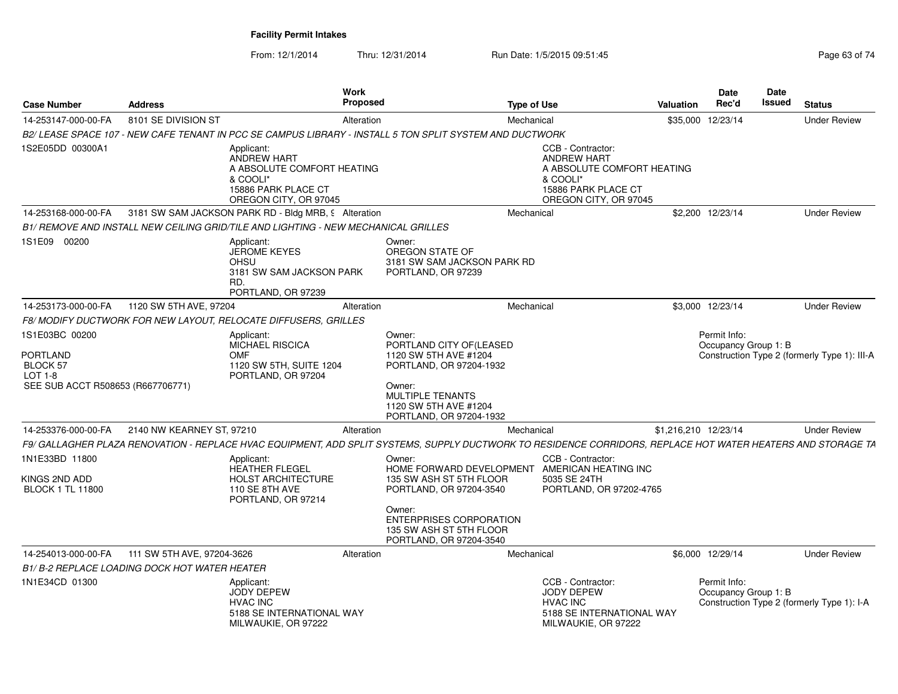*B2/ LEASE SPACE 107 - NEW CAFE TENANT IN PCC SE CAMPUS LIBRARY - INSTALL 5 TON SPLIT SYSTEM AND DUCTWORK*

**S** Proposed

Applicant:

**Work** 

**Case Number**

14-253147-000-00-FA

1S2E05DD 00300A1

**Address**

8101 SE DIVISION ST

From: 12/1/2014Thru: 12/31/2014 Run Date: 1/5/2015 09:51:45 Page 63 of 74

**Type of Use**

A 8101 SE DIVISION ST **Example 20 Telecom Alteration** Mechanical Mechanical COM 835,000 12/23/14 Under Review

T COMPOSITY Alteration Contract Contract Mechanical COMPOSITY 535,000 12/23/14

CCB - Contractor:

|                                              |                            | <b>ANDREW HART</b><br>A ABSOLUTE COMFORT HEATING<br>& COOLI*<br>15886 PARK PLACE CT<br>OREGON CITY, OR 97045 |            |                                                                                                                                                              |            | <b>ANDREW HART</b><br>A ABSOLUTE COMFORT HEATING<br>& COOLI*<br>15886 PARK PLACE CT<br>OREGON CITY, OR 97045  |                                      |                                              |
|----------------------------------------------|----------------------------|--------------------------------------------------------------------------------------------------------------|------------|--------------------------------------------------------------------------------------------------------------------------------------------------------------|------------|---------------------------------------------------------------------------------------------------------------|--------------------------------------|----------------------------------------------|
| 14-253168-000-00-FA                          |                            | 3181 SW SAM JACKSON PARK RD - Bldg MRB, 9 Alteration                                                         |            |                                                                                                                                                              | Mechanical |                                                                                                               | \$2.200 12/23/14                     | <b>Under Review</b>                          |
|                                              |                            | B1/ REMOVE AND INSTALL NEW CEILING GRID/TILE AND LIGHTING - NEW MECHANICAL GRILLES                           |            |                                                                                                                                                              |            |                                                                                                               |                                      |                                              |
| 1S1E09 00200                                 |                            | Applicant:<br><b>JEROME KEYES</b><br>OHSU<br>3181 SW SAM JACKSON PARK<br>RD.<br>PORTLAND, OR 97239           |            | Owner:<br>OREGON STATE OF<br>3181 SW SAM JACKSON PARK RD<br>PORTLAND, OR 97239                                                                               |            |                                                                                                               |                                      |                                              |
| 14-253173-000-00-FA                          | 1120 SW 5TH AVE, 97204     |                                                                                                              | Alteration |                                                                                                                                                              | Mechanical |                                                                                                               | \$3.000 12/23/14                     | <b>Under Review</b>                          |
|                                              |                            | F8/MODIFY DUCTWORK FOR NEW LAYOUT, RELOCATE DIFFUSERS, GRILLES                                               |            |                                                                                                                                                              |            |                                                                                                               |                                      |                                              |
| 1S1E03BC 00200<br><b>PORTLAND</b>            |                            | Applicant:<br><b>MICHAEL RISCICA</b><br><b>OMF</b>                                                           |            | Owner:<br>PORTLAND CITY OF (LEASED<br>1120 SW 5TH AVE #1204                                                                                                  |            |                                                                                                               | Permit Info:<br>Occupancy Group 1: B | Construction Type 2 (formerly Type 1): III-A |
| <b>BLOCK 57</b><br>LOT 1-8                   |                            | 1120 SW 5TH, SUITE 1204<br>PORTLAND, OR 97204                                                                |            | PORTLAND, OR 97204-1932                                                                                                                                      |            |                                                                                                               |                                      |                                              |
| SEE SUB ACCT R508653 (R667706771)            |                            |                                                                                                              |            | Owner:<br><b>MULTIPLE TENANTS</b><br>1120 SW 5TH AVE #1204<br>PORTLAND, OR 97204-1932                                                                        |            |                                                                                                               |                                      |                                              |
| 14-253376-000-00-FA                          | 2140 NW KEARNEY ST, 97210  |                                                                                                              | Alteration |                                                                                                                                                              | Mechanical |                                                                                                               | \$1,216,210 12/23/14                 | <b>Under Review</b>                          |
|                                              |                            |                                                                                                              |            | F9/ GALLAGHER PLAZA RENOVATION - REPLACE HVAC EQUIPMENT, ADD SPLIT SYSTEMS, SUPPLY DUCTWORK TO RESIDENCE CORRIDORS, REPLACE HOT WATER HEATERS AND STORAGE TA |            |                                                                                                               |                                      |                                              |
| 1N1E33BD 11800                               |                            | Applicant:<br>HEATHER FLEGEL                                                                                 |            | Owner:<br>HOME FORWARD DEVELOPMENT AMERICAN HEATING INC                                                                                                      |            | CCB - Contractor:                                                                                             |                                      |                                              |
| KINGS 2ND ADD<br><b>BLOCK 1 TL 11800</b>     |                            | <b>HOLST ARCHITECTURE</b><br>110 SE 8TH AVE<br>PORTLAND, OR 97214                                            |            | 135 SW ASH ST 5TH FLOOR<br>PORTLAND, OR 97204-3540                                                                                                           |            | 5035 SE 24TH<br>PORTLAND, OR 97202-4765                                                                       |                                      |                                              |
|                                              |                            |                                                                                                              |            | Owner:<br><b>ENTERPRISES CORPORATION</b><br>135 SW ASH ST 5TH FLOOR<br>PORTLAND, OR 97204-3540                                                               |            |                                                                                                               |                                      |                                              |
| 14-254013-000-00-FA                          | 111 SW 5TH AVE, 97204-3626 |                                                                                                              | Alteration |                                                                                                                                                              | Mechanical |                                                                                                               | \$6,000 12/29/14                     | <b>Under Review</b>                          |
| B1/B-2 REPLACE LOADING DOCK HOT WATER HEATER |                            |                                                                                                              |            |                                                                                                                                                              |            |                                                                                                               |                                      |                                              |
| 1N1E34CD 01300                               |                            | Applicant:<br><b>JODY DEPEW</b><br><b>HVAC INC</b><br>5188 SE INTERNATIONAL WAY<br>MILWAUKIE, OR 97222       |            |                                                                                                                                                              |            | CCB - Contractor:<br><b>JODY DEPEW</b><br><b>HVAC INC</b><br>5188 SE INTERNATIONAL WAY<br>MILWAUKIE, OR 97222 | Permit Info:<br>Occupancy Group 1: B | Construction Type 2 (formerly Type 1): I-A   |

**StatusUnder Review** 

**DateIssued** 

**DateRec'd Issued**

**Valuation**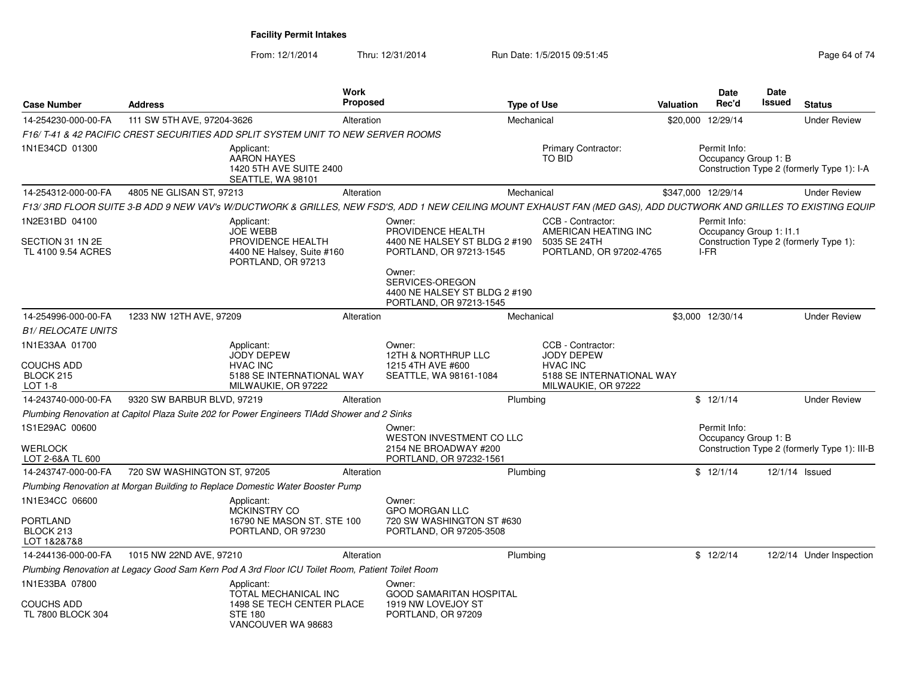| <b>Case Number</b>                                          | <b>Address</b>              |                                                                                                        | Work<br>Proposed |                                                                                                                                                                    | <b>Type of Use</b> |                                                                                                        | <b>Valuation</b> | <b>Date</b><br>Rec'd                 | Date<br><b>Issued</b> | <b>Status</b>                                |
|-------------------------------------------------------------|-----------------------------|--------------------------------------------------------------------------------------------------------|------------------|--------------------------------------------------------------------------------------------------------------------------------------------------------------------|--------------------|--------------------------------------------------------------------------------------------------------|------------------|--------------------------------------|-----------------------|----------------------------------------------|
| 14-254230-000-00-FA                                         | 111 SW 5TH AVE, 97204-3626  |                                                                                                        | Alteration       |                                                                                                                                                                    | Mechanical         |                                                                                                        |                  | \$20,000 12/29/14                    |                       | <b>Under Review</b>                          |
|                                                             |                             | F16/T-41 & 42 PACIFIC CREST SECURITIES ADD SPLIT SYSTEM UNIT TO NEW SERVER ROOMS                       |                  |                                                                                                                                                                    |                    |                                                                                                        |                  |                                      |                       |                                              |
| 1N1E34CD 01300                                              |                             | Applicant:<br><b>AARON HAYES</b><br>1420 5TH AVE SUITE 2400<br>SEATTLE, WA 98101                       |                  |                                                                                                                                                                    |                    | <b>Primary Contractor:</b><br>TO BID                                                                   |                  | Permit Info:<br>Occupancy Group 1: B |                       | Construction Type 2 (formerly Type 1): I-A   |
| 14-254312-000-00-FA                                         | 4805 NE GLISAN ST, 97213    |                                                                                                        | Alteration       |                                                                                                                                                                    | Mechanical         |                                                                                                        |                  | \$347,000 12/29/14                   |                       | <b>Under Review</b>                          |
|                                                             |                             |                                                                                                        |                  | F13/3RD FLOOR SUITE 3-B ADD 9 NEW VAV's W/DUCTWORK & GRILLES, NEW FSD'S, ADD 1 NEW CEILING MOUNT EXHAUST FAN (MED GAS), ADD DUCTWORK AND GRILLES TO EXISTING EQUIP |                    |                                                                                                        |                  |                                      |                       |                                              |
| 1N2E31BD 04100                                              |                             | Applicant:<br><b>JOE WEBB</b>                                                                          |                  | Owner:                                                                                                                                                             |                    | CCB - Contractor:                                                                                      |                  | Permit Info:                         |                       |                                              |
| SECTION 31 1N 2E<br>TL 4100 9.54 ACRES                      |                             | PROVIDENCE HEALTH<br>4400 NE Halsey, Suite #160<br>PORTLAND, OR 97213                                  |                  | PROVIDENCE HEALTH<br>4400 NE HALSEY ST BLDG 2 #190<br>PORTLAND, OR 97213-1545                                                                                      |                    | AMERICAN HEATING INC<br>5035 SE 24TH<br>PORTLAND, OR 97202-4765                                        |                  | Occupancy Group 1: 11.1<br>I-FR      |                       | Construction Type 2 (formerly Type 1):       |
|                                                             |                             |                                                                                                        |                  | Owner:<br>SERVICES-OREGON<br>4400 NE HALSEY ST BLDG 2 #190<br>PORTLAND, OR 97213-1545                                                                              |                    |                                                                                                        |                  |                                      |                       |                                              |
| 14-254996-000-00-FA                                         | 1233 NW 12TH AVE, 97209     |                                                                                                        | Alteration       |                                                                                                                                                                    | Mechanical         |                                                                                                        |                  | \$3,000 12/30/14                     |                       | <b>Under Review</b>                          |
| <b>B1/ RELOCATE UNITS</b>                                   |                             |                                                                                                        |                  |                                                                                                                                                                    |                    |                                                                                                        |                  |                                      |                       |                                              |
| 1N1E33AA 01700<br><b>COUCHS ADD</b><br>BLOCK 215<br>LOT 1-8 |                             | Applicant:<br><b>JODY DEPEW</b><br><b>HVAC INC</b><br>5188 SE INTERNATIONAL WAY<br>MILWAUKIE, OR 97222 |                  | Owner:<br>12TH & NORTHRUP LLC<br>1215 4TH AVE #600<br>SEATTLE, WA 98161-1084                                                                                       |                    | CCB - Contractor:<br>JODY DEPEW<br><b>HVAC INC</b><br>5188 SE INTERNATIONAL WAY<br>MILWAUKIE, OR 97222 |                  |                                      |                       |                                              |
| 14-243740-000-00-FA                                         | 9320 SW BARBUR BLVD, 97219  |                                                                                                        | Alteration       |                                                                                                                                                                    | Plumbing           |                                                                                                        |                  | \$12/1/14                            |                       | <b>Under Review</b>                          |
|                                                             |                             | Plumbing Renovation at Capitol Plaza Suite 202 for Power Engineers TIAdd Shower and 2 Sinks            |                  |                                                                                                                                                                    |                    |                                                                                                        |                  |                                      |                       |                                              |
| 1S1E29AC 00600<br><b>WERLOCK</b><br>LOT 2-6&A TL 600        |                             |                                                                                                        |                  | Owner:<br>WESTON INVESTMENT CO LLC<br>2154 NE BROADWAY #200<br>PORTLAND, OR 97232-1561                                                                             |                    |                                                                                                        |                  | Permit Info:<br>Occupancy Group 1: B |                       | Construction Type 2 (formerly Type 1): III-B |
| 14-243747-000-00-FA                                         | 720 SW WASHINGTON ST, 97205 |                                                                                                        | Alteration       |                                                                                                                                                                    | Plumbing           |                                                                                                        |                  | \$12/1/14                            |                       | 12/1/14 Issued                               |
|                                                             |                             | Plumbing Renovation at Morgan Building to Replace Domestic Water Booster Pump                          |                  |                                                                                                                                                                    |                    |                                                                                                        |                  |                                      |                       |                                              |
| 1N1E34CC 06600                                              |                             | Applicant:<br>MCKINSTRY CO                                                                             |                  | Owner:<br><b>GPO MORGAN LLC</b>                                                                                                                                    |                    |                                                                                                        |                  |                                      |                       |                                              |
| PORTLAND<br>BLOCK 213<br>LOT 1&2&7&8                        |                             | 16790 NE MASON ST, STE 100<br>PORTLAND, OR 97230                                                       |                  | 720 SW WASHINGTON ST #630<br>PORTLAND, OR 97205-3508                                                                                                               |                    |                                                                                                        |                  |                                      |                       |                                              |
| 14-244136-000-00-FA                                         | 1015 NW 22ND AVE, 97210     |                                                                                                        | Alteration       |                                                                                                                                                                    | Plumbing           |                                                                                                        |                  | \$12/2/14                            |                       | 12/2/14 Under Inspection                     |
|                                                             |                             | Plumbing Renovation at Legacy Good Sam Kern Pod A 3rd Floor ICU Toilet Room, Patient Toilet Room       |                  |                                                                                                                                                                    |                    |                                                                                                        |                  |                                      |                       |                                              |
| 1N1E33BA 07800                                              |                             | Applicant:<br>TOTAL MECHANICAL INC                                                                     |                  | Owner:<br><b>GOOD SAMARITAN HOSPITAL</b>                                                                                                                           |                    |                                                                                                        |                  |                                      |                       |                                              |
| <b>COUCHS ADD</b><br>TL 7800 BLOCK 304                      |                             | 1498 SE TECH CENTER PLACE<br><b>STE 180</b><br>VANCOUVER WA 98683                                      |                  | 1919 NW LOVEJOY ST<br>PORTLAND, OR 97209                                                                                                                           |                    |                                                                                                        |                  |                                      |                       |                                              |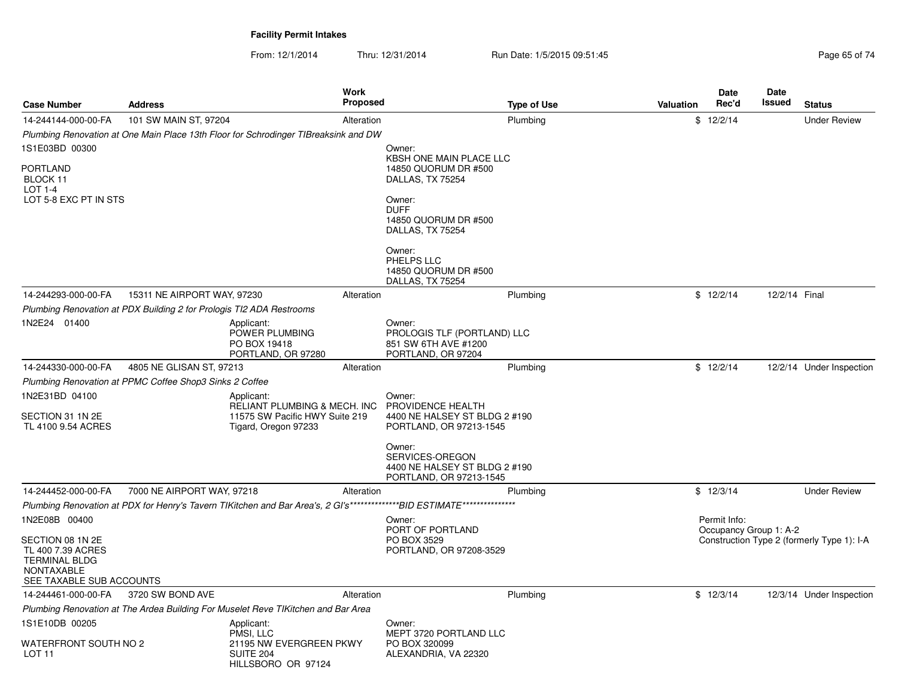| <b>Case Number</b>                                                                                             | <b>Address</b>                                                       |                                                                                                      | Work<br><b>Proposed</b> |                                                                                                                      | <b>Type of Use</b> | Valuation | <b>Date</b><br>Rec'd                   | <b>Date</b><br>Issued | <b>Status</b>                              |
|----------------------------------------------------------------------------------------------------------------|----------------------------------------------------------------------|------------------------------------------------------------------------------------------------------|-------------------------|----------------------------------------------------------------------------------------------------------------------|--------------------|-----------|----------------------------------------|-----------------------|--------------------------------------------|
| 14-244144-000-00-FA                                                                                            | 101 SW MAIN ST, 97204                                                |                                                                                                      | Alteration              |                                                                                                                      | Plumbing           |           | \$12/2/14                              |                       | <b>Under Review</b>                        |
|                                                                                                                |                                                                      | Plumbing Renovation at One Main Place 13th Floor for Schrodinger TIBreaksink and DW                  |                         |                                                                                                                      |                    |           |                                        |                       |                                            |
| 1S1E03BD 00300                                                                                                 |                                                                      |                                                                                                      |                         | Owner:                                                                                                               |                    |           |                                        |                       |                                            |
| PORTLAND<br>BLOCK 11<br><b>LOT 1-4</b>                                                                         |                                                                      |                                                                                                      |                         | KBSH ONE MAIN PLACE LLC<br>14850 QUORUM DR #500<br>DALLAS, TX 75254                                                  |                    |           |                                        |                       |                                            |
| LOT 5-8 EXC PT IN STS                                                                                          |                                                                      |                                                                                                      |                         | Owner:<br><b>DUFF</b><br>14850 QUORUM DR #500<br>DALLAS, TX 75254                                                    |                    |           |                                        |                       |                                            |
|                                                                                                                |                                                                      |                                                                                                      |                         | Owner:<br>PHELPS LLC<br>14850 QUORUM DR #500<br>DALLAS, TX 75254                                                     |                    |           |                                        |                       |                                            |
| 14-244293-000-00-FA                                                                                            | 15311 NE AIRPORT WAY, 97230                                          |                                                                                                      | Alteration              |                                                                                                                      | Plumbing           |           | \$12/2/14                              | 12/2/14 Final         |                                            |
|                                                                                                                | Plumbing Renovation at PDX Building 2 for Prologis TI2 ADA Restrooms |                                                                                                      |                         |                                                                                                                      |                    |           |                                        |                       |                                            |
| 1N2E24 01400                                                                                                   |                                                                      | Applicant:<br>POWER PLUMBING<br>PO BOX 19418<br>PORTLAND, OR 97280                                   |                         | Owner:<br>PROLOGIS TLF (PORTLAND) LLC<br>851 SW 6TH AVE #1200<br>PORTLAND, OR 97204                                  |                    |           |                                        |                       |                                            |
| 14-244330-000-00-FA                                                                                            | 4805 NE GLISAN ST, 97213                                             |                                                                                                      | Alteration              |                                                                                                                      | Plumbing           |           | \$12/2/14                              |                       | 12/2/14 Under Inspection                   |
|                                                                                                                | Plumbing Renovation at PPMC Coffee Shop3 Sinks 2 Coffee              |                                                                                                      |                         |                                                                                                                      |                    |           |                                        |                       |                                            |
| 1N2E31BD 04100<br>SECTION 31 1N 2E<br>TL 4100 9.54 ACRES                                                       |                                                                      | Applicant:<br>RELIANT PLUMBING & MECH. INC<br>11575 SW Pacific HWY Suite 219<br>Tigard, Oregon 97233 |                         | Owner:<br>PROVIDENCE HEALTH<br>4400 NE HALSEY ST BLDG 2 #190<br>PORTLAND, OR 97213-1545                              |                    |           |                                        |                       |                                            |
|                                                                                                                |                                                                      |                                                                                                      |                         | Owner:<br>SERVICES-OREGON<br>4400 NE HALSEY ST BLDG 2 #190<br>PORTLAND, OR 97213-1545                                |                    |           |                                        |                       |                                            |
| 14-244452-000-00-FA                                                                                            | 7000 NE AIRPORT WAY, 97218                                           |                                                                                                      | Alteration              |                                                                                                                      | Plumbing           |           | \$12/3/14                              |                       | <b>Under Review</b>                        |
|                                                                                                                |                                                                      |                                                                                                      |                         | Plumbing Renovation at PDX for Henry's Tavern TIKitchen and Bar Area's, 2 GI's************BID ESTIMATE************** |                    |           |                                        |                       |                                            |
| 1N2E08B 00400                                                                                                  |                                                                      |                                                                                                      |                         | Owner:<br>PORT OF PORTLAND                                                                                           |                    |           | Permit Info:<br>Occupancy Group 1: A-2 |                       |                                            |
| SECTION 08 1N 2E<br>TL 400 7.39 ACRES<br><b>TERMINAL BLDG</b><br><b>NONTAXABLE</b><br>SEE TAXABLE SUB ACCOUNTS |                                                                      |                                                                                                      |                         | PO BOX 3529<br>PORTLAND, OR 97208-3529                                                                               |                    |           |                                        |                       | Construction Type 2 (formerly Type 1): I-A |
| 14-244461-000-00-FA                                                                                            | 3720 SW BOND AVE                                                     |                                                                                                      | Alteration              |                                                                                                                      | Plumbing           |           | \$12/3/14                              |                       | 12/3/14 Under Inspection                   |
|                                                                                                                |                                                                      | Plumbing Renovation at The Ardea Building For Muselet Reve TIKitchen and Bar Area                    |                         |                                                                                                                      |                    |           |                                        |                       |                                            |
| 1S1E10DB 00205                                                                                                 |                                                                      | Applicant:<br>PMSI, LLC                                                                              |                         | Owner:<br>MEPT 3720 PORTLAND LLC                                                                                     |                    |           |                                        |                       |                                            |
| WATERFRONT SOUTH NO 2<br>LOT 11                                                                                |                                                                      | 21195 NW EVERGREEN PKWY<br><b>SUITE 204</b><br>HILLSBORO OR 97124                                    |                         | PO BOX 320099<br>ALEXANDRIA, VA 22320                                                                                |                    |           |                                        |                       |                                            |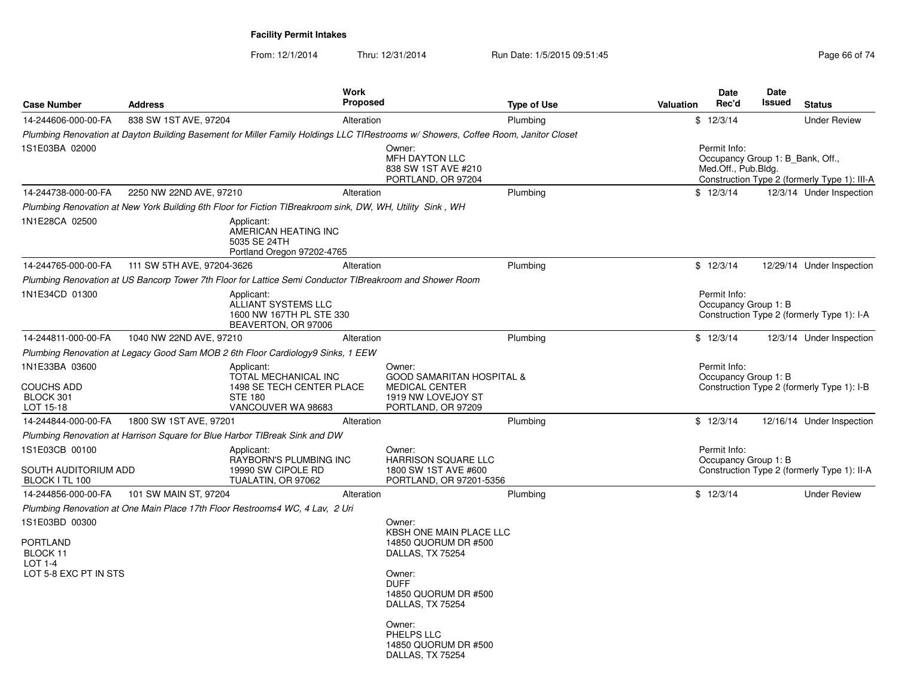|                       |                                                          | <b>Work</b>                                                                                                                                                                        |                                                                                                                                                                                                                                                                                                                                                                                                                              |                                                                                                                                                                                                                                                                                                   |                                                                                                                                                                                                                                                                    | <b>Date</b> | <b>Date</b><br>Issued                                                                                                                               | <b>Status</b>                                                                                                                                                                                                                                                                                                              |
|-----------------------|----------------------------------------------------------|------------------------------------------------------------------------------------------------------------------------------------------------------------------------------------|------------------------------------------------------------------------------------------------------------------------------------------------------------------------------------------------------------------------------------------------------------------------------------------------------------------------------------------------------------------------------------------------------------------------------|---------------------------------------------------------------------------------------------------------------------------------------------------------------------------------------------------------------------------------------------------------------------------------------------------|--------------------------------------------------------------------------------------------------------------------------------------------------------------------------------------------------------------------------------------------------------------------|-------------|-----------------------------------------------------------------------------------------------------------------------------------------------------|----------------------------------------------------------------------------------------------------------------------------------------------------------------------------------------------------------------------------------------------------------------------------------------------------------------------------|
|                       |                                                          |                                                                                                                                                                                    |                                                                                                                                                                                                                                                                                                                                                                                                                              |                                                                                                                                                                                                                                                                                                   |                                                                                                                                                                                                                                                                    |             |                                                                                                                                                     | <b>Under Review</b>                                                                                                                                                                                                                                                                                                        |
|                       |                                                          |                                                                                                                                                                                    |                                                                                                                                                                                                                                                                                                                                                                                                                              |                                                                                                                                                                                                                                                                                                   |                                                                                                                                                                                                                                                                    |             |                                                                                                                                                     |                                                                                                                                                                                                                                                                                                                            |
|                       |                                                          |                                                                                                                                                                                    | Owner:<br>MFH DAYTON LLC<br>838 SW 1ST AVE #210<br>PORTLAND, OR 97204                                                                                                                                                                                                                                                                                                                                                        |                                                                                                                                                                                                                                                                                                   |                                                                                                                                                                                                                                                                    |             |                                                                                                                                                     |                                                                                                                                                                                                                                                                                                                            |
|                       |                                                          | Alteration                                                                                                                                                                         |                                                                                                                                                                                                                                                                                                                                                                                                                              | Plumbing                                                                                                                                                                                                                                                                                          |                                                                                                                                                                                                                                                                    |             |                                                                                                                                                     | 12/3/14 Under Inspection                                                                                                                                                                                                                                                                                                   |
|                       |                                                          |                                                                                                                                                                                    |                                                                                                                                                                                                                                                                                                                                                                                                                              |                                                                                                                                                                                                                                                                                                   |                                                                                                                                                                                                                                                                    |             |                                                                                                                                                     |                                                                                                                                                                                                                                                                                                                            |
|                       | Applicant:<br>5035 SE 24TH                               |                                                                                                                                                                                    |                                                                                                                                                                                                                                                                                                                                                                                                                              |                                                                                                                                                                                                                                                                                                   |                                                                                                                                                                                                                                                                    |             |                                                                                                                                                     |                                                                                                                                                                                                                                                                                                                            |
|                       |                                                          |                                                                                                                                                                                    |                                                                                                                                                                                                                                                                                                                                                                                                                              | Plumbing                                                                                                                                                                                                                                                                                          |                                                                                                                                                                                                                                                                    |             |                                                                                                                                                     | 12/29/14 Under Inspection                                                                                                                                                                                                                                                                                                  |
|                       |                                                          |                                                                                                                                                                                    |                                                                                                                                                                                                                                                                                                                                                                                                                              |                                                                                                                                                                                                                                                                                                   |                                                                                                                                                                                                                                                                    |             |                                                                                                                                                     |                                                                                                                                                                                                                                                                                                                            |
|                       | Applicant:<br>ALLIANT SYSTEMS LLC<br>BEAVERTON, OR 97006 |                                                                                                                                                                                    |                                                                                                                                                                                                                                                                                                                                                                                                                              |                                                                                                                                                                                                                                                                                                   |                                                                                                                                                                                                                                                                    |             |                                                                                                                                                     |                                                                                                                                                                                                                                                                                                                            |
|                       |                                                          | Alteration                                                                                                                                                                         |                                                                                                                                                                                                                                                                                                                                                                                                                              | Plumbing                                                                                                                                                                                                                                                                                          |                                                                                                                                                                                                                                                                    |             |                                                                                                                                                     | 12/3/14 Under Inspection                                                                                                                                                                                                                                                                                                   |
|                       |                                                          |                                                                                                                                                                                    |                                                                                                                                                                                                                                                                                                                                                                                                                              |                                                                                                                                                                                                                                                                                                   |                                                                                                                                                                                                                                                                    |             |                                                                                                                                                     |                                                                                                                                                                                                                                                                                                                            |
|                       | Applicant:<br><b>STE 180</b><br>VANCOUVER WA 98683       |                                                                                                                                                                                    | Owner:<br><b>MEDICAL CENTER</b><br>1919 NW LOVEJOY ST                                                                                                                                                                                                                                                                                                                                                                        |                                                                                                                                                                                                                                                                                                   |                                                                                                                                                                                                                                                                    |             |                                                                                                                                                     |                                                                                                                                                                                                                                                                                                                            |
|                       |                                                          |                                                                                                                                                                                    |                                                                                                                                                                                                                                                                                                                                                                                                                              | Plumbing                                                                                                                                                                                                                                                                                          |                                                                                                                                                                                                                                                                    |             |                                                                                                                                                     | 12/16/14 Under Inspection                                                                                                                                                                                                                                                                                                  |
|                       |                                                          |                                                                                                                                                                                    |                                                                                                                                                                                                                                                                                                                                                                                                                              |                                                                                                                                                                                                                                                                                                   |                                                                                                                                                                                                                                                                    |             |                                                                                                                                                     |                                                                                                                                                                                                                                                                                                                            |
|                       | Applicant:<br>19990 SW CIPOLE RD                         |                                                                                                                                                                                    | Owner:<br>HARRISON SQUARE LLC<br>1800 SW 1ST AVE #600                                                                                                                                                                                                                                                                                                                                                                        |                                                                                                                                                                                                                                                                                                   |                                                                                                                                                                                                                                                                    |             |                                                                                                                                                     |                                                                                                                                                                                                                                                                                                                            |
|                       |                                                          |                                                                                                                                                                                    |                                                                                                                                                                                                                                                                                                                                                                                                                              | Plumbing                                                                                                                                                                                                                                                                                          |                                                                                                                                                                                                                                                                    |             |                                                                                                                                                     | <b>Under Review</b>                                                                                                                                                                                                                                                                                                        |
|                       |                                                          |                                                                                                                                                                                    |                                                                                                                                                                                                                                                                                                                                                                                                                              |                                                                                                                                                                                                                                                                                                   |                                                                                                                                                                                                                                                                    |             |                                                                                                                                                     |                                                                                                                                                                                                                                                                                                                            |
|                       |                                                          |                                                                                                                                                                                    | Owner:<br>14850 QUORUM DR #500<br>DALLAS, TX 75254<br>Owner:<br><b>DUFF</b><br>14850 QUORUM DR #500<br>DALLAS, TX 75254<br>Owner:<br>PHELPS LLC<br>14850 QUORUM DR #500<br>DALLAS, TX 75254                                                                                                                                                                                                                                  |                                                                                                                                                                                                                                                                                                   |                                                                                                                                                                                                                                                                    |             |                                                                                                                                                     |                                                                                                                                                                                                                                                                                                                            |
| LOT 5-8 EXC PT IN STS | <b>Address</b><br>SOUTH AUDITORIUM ADD                   | 838 SW 1ST AVE, 97204<br>2250 NW 22ND AVE, 97210<br>111 SW 5TH AVE, 97204-3626<br>1040 NW 22ND AVE, 97210<br>1800 SW 1ST AVE, 97201<br>TUALATIN, OR 97062<br>101 SW MAIN ST, 97204 | Alteration<br>AMERICAN HEATING INC<br>Portland Oregon 97202-4765<br>1600 NW 167TH PL STE 330<br>Plumbing Renovation at Legacy Good Sam MOB 2 6th Floor Cardiology9 Sinks, 1 EEW<br>TOTAL MECHANICAL INC<br>1498 SE TECH CENTER PLACE<br>Plumbing Renovation at Harrison Square for Blue Harbor TIBreak Sink and DW<br>RAYBORN'S PLUMBING INC<br>Plumbing Renovation at One Main Place 17th Floor Restrooms4 WC, 4 Lav, 2 Uri | Proposed<br>Plumbing Renovation at New York Building 6th Floor for Fiction TIBreakroom sink, DW, WH, Utility Sink, WH<br>Alteration<br>Plumbing Renovation at US Bancorp Tower 7th Floor for Lattice Semi Conductor TIBreakroom and Shower Room<br>PORTLAND, OR 97209<br>Alteration<br>Alteration | <b>Type of Use</b><br>Plumbing<br>Plumbing Renovation at Dayton Building Basement for Miller Family Holdings LLC TIRestrooms w/ Showers, Coffee Room, Janitor Closet<br><b>GOOD SAMARITAN HOSPITAL &amp;</b><br>PORTLAND, OR 97201-5356<br>KBSH ONE MAIN PLACE LLC | Valuation   | Rec'd<br>\$12/3/14<br>Permit Info:<br>\$12/3/14<br>\$12/3/14<br>Permit Info:<br>\$12/3/14<br>Permit Info:<br>\$12/3/14<br>Permit Info:<br>\$12/3/14 | Occupancy Group 1: B Bank, Off.,<br>Med.Off., Pub.Bldg.<br>Construction Type 2 (formerly Type 1): III-A<br>Occupancy Group 1: B<br>Construction Type 2 (formerly Type 1): I-A<br>Occupancy Group 1: B<br>Construction Type 2 (formerly Type 1): I-B<br>Occupancy Group 1: B<br>Construction Type 2 (formerly Type 1): II-A |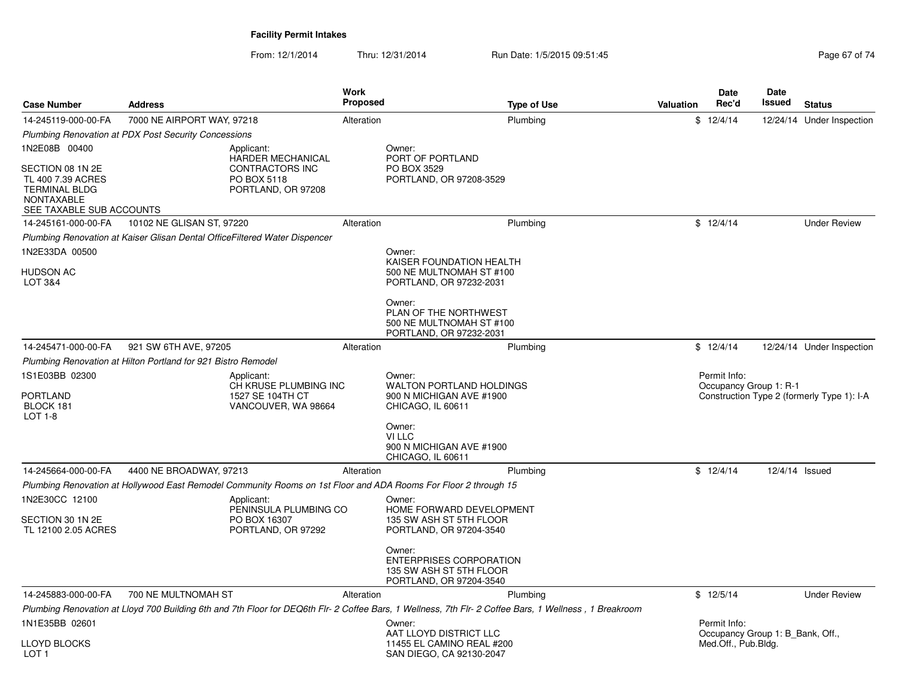From: 12/1/2014

Thru: 12/31/2014 Run Date: 1/5/2015 09:51:45

| <b>Case Number</b>                                                                                             | <b>Address</b>                                                |                                                                                | <b>Work</b><br><b>Proposed</b> |                                                                                                                                                                                                                                                   | <b>Type of Use</b> | <b>Valuation</b> | Date<br>Rec'd                                                           | Date<br>Issued | <b>Status</b>                              |
|----------------------------------------------------------------------------------------------------------------|---------------------------------------------------------------|--------------------------------------------------------------------------------|--------------------------------|---------------------------------------------------------------------------------------------------------------------------------------------------------------------------------------------------------------------------------------------------|--------------------|------------------|-------------------------------------------------------------------------|----------------|--------------------------------------------|
| 14-245119-000-00-FA                                                                                            | 7000 NE AIRPORT WAY, 97218                                    |                                                                                | Alteration                     |                                                                                                                                                                                                                                                   | Plumbing           |                  | \$12/4/14                                                               |                | 12/24/14 Under Inspection                  |
|                                                                                                                | <b>Plumbing Renovation at PDX Post Security Concessions</b>   |                                                                                |                                |                                                                                                                                                                                                                                                   |                    |                  |                                                                         |                |                                            |
| 1N2E08B 00400                                                                                                  |                                                               | Applicant:                                                                     |                                | Owner:                                                                                                                                                                                                                                            |                    |                  |                                                                         |                |                                            |
| SECTION 08 1N 2E<br>TL 400 7.39 ACRES<br><b>TERMINAL BLDG</b><br><b>NONTAXABLE</b><br>SEE TAXABLE SUB ACCOUNTS |                                                               | HARDER MECHANICAL<br>CONTRACTORS INC<br>PO BOX 5118<br>PORTLAND, OR 97208      |                                | PORT OF PORTLAND<br>PO BOX 3529<br>PORTLAND, OR 97208-3529                                                                                                                                                                                        |                    |                  |                                                                         |                |                                            |
| 14-245161-000-00-FA                                                                                            | 10102 NE GLISAN ST, 97220                                     |                                                                                | Alteration                     |                                                                                                                                                                                                                                                   | Plumbing           |                  | \$12/4/14                                                               |                | <b>Under Review</b>                        |
|                                                                                                                |                                                               | Plumbing Renovation at Kaiser Glisan Dental OfficeFiltered Water Dispencer     |                                |                                                                                                                                                                                                                                                   |                    |                  |                                                                         |                |                                            |
| 1N2E33DA 00500                                                                                                 |                                                               |                                                                                |                                | Owner:                                                                                                                                                                                                                                            |                    |                  |                                                                         |                |                                            |
| <b>HUDSON AC</b><br>LOT 3&4                                                                                    |                                                               |                                                                                |                                | KAISER FOUNDATION HEALTH<br>500 NE MULTNOMAH ST #100<br>PORTLAND, OR 97232-2031                                                                                                                                                                   |                    |                  |                                                                         |                |                                            |
|                                                                                                                |                                                               |                                                                                |                                | Owner:<br>PLAN OF THE NORTHWEST<br>500 NE MULTNOMAH ST #100<br>PORTLAND, OR 97232-2031                                                                                                                                                            |                    |                  |                                                                         |                |                                            |
| 14-245471-000-00-FA                                                                                            | 921 SW 6TH AVE, 97205                                         |                                                                                | Alteration                     |                                                                                                                                                                                                                                                   | Plumbing           |                  | \$12/4/14                                                               |                | 12/24/14 Under Inspection                  |
|                                                                                                                | Plumbing Renovation at Hilton Portland for 921 Bistro Remodel |                                                                                |                                |                                                                                                                                                                                                                                                   |                    |                  |                                                                         |                |                                            |
| 1S1E03BB 02300<br>PORTLAND<br>BLOCK 181<br>LOT 1-8                                                             |                                                               | Applicant:<br>CH KRUSE PLUMBING INC<br>1527 SE 104TH CT<br>VANCOUVER, WA 98664 |                                | Owner:<br><b>WALTON PORTLAND HOLDINGS</b><br>900 N MICHIGAN AVE #1900<br>CHICAGO, IL 60611<br>Owner:<br>VI LLC                                                                                                                                    |                    |                  | Permit Info:<br>Occupancy Group 1: R-1                                  |                | Construction Type 2 (formerly Type 1): I-A |
|                                                                                                                |                                                               |                                                                                |                                | 900 N MICHIGAN AVE #1900<br>CHICAGO, IL 60611                                                                                                                                                                                                     |                    |                  |                                                                         |                |                                            |
| 14-245664-000-00-FA                                                                                            | 4400 NE BROADWAY, 97213                                       |                                                                                | Alteration                     |                                                                                                                                                                                                                                                   | Plumbing           |                  | \$12/4/14                                                               | 12/4/14 Issued |                                            |
| 1N2E30CC 12100                                                                                                 |                                                               |                                                                                |                                | Plumbing Renovation at Hollywood East Remodel Community Rooms on 1st Floor and ADA Rooms For Floor 2 through 15                                                                                                                                   |                    |                  |                                                                         |                |                                            |
| SECTION 30 1N 2E<br>TL 12100 2.05 ACRES                                                                        |                                                               | Applicant:<br>PENINSULA PLUMBING CO<br>PO BOX 16307<br>PORTLAND, OR 97292      |                                | Owner:<br>HOME FORWARD DEVELOPMENT<br>135 SW ASH ST 5TH FLOOR<br>PORTLAND, OR 97204-3540                                                                                                                                                          |                    |                  |                                                                         |                |                                            |
|                                                                                                                |                                                               |                                                                                |                                | Owner:<br><b>ENTERPRISES CORPORATION</b><br>135 SW ASH ST 5TH FLOOR<br>PORTLAND, OR 97204-3540                                                                                                                                                    |                    |                  |                                                                         |                |                                            |
| 14-245883-000-00-FA                                                                                            | 700 NE MULTNOMAH ST                                           |                                                                                | Alteration                     |                                                                                                                                                                                                                                                   | Plumbing           |                  | \$12/5/14                                                               |                | <b>Under Review</b>                        |
| 1N1E35BB 02601<br><b>LLOYD BLOCKS</b><br>LOT <sub>1</sub>                                                      |                                                               |                                                                                |                                | Plumbing Renovation at Lloyd 700 Building 6th and 7th Floor for DEQ6th Flr-2 Coffee Bars, 1 Wellness, 7th Flr-2 Coffee Bars, 1 Wellness, 1 Breakroom<br>Owner:<br>AAT LLOYD DISTRICT LLC<br>11455 EL CAMINO REAL #200<br>SAN DIEGO, CA 92130-2047 |                    |                  | Permit Info:<br>Occupancy Group 1: B Bank, Off.,<br>Med.Off., Pub.Bldg. |                |                                            |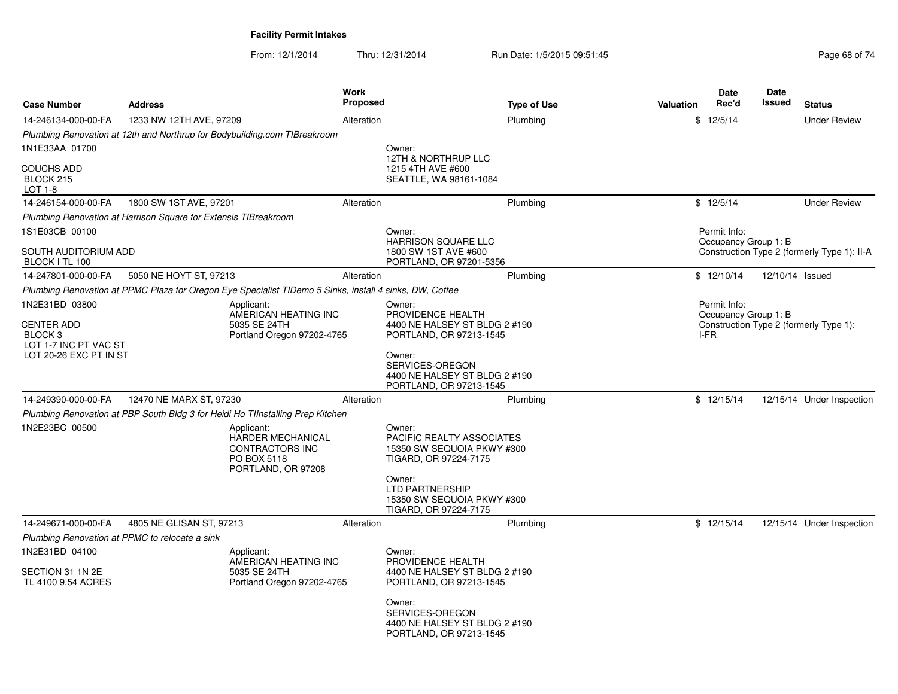| <b>Case Number</b>                                                                 | <b>Address</b>                                                                                                                                                                                                        |                                                                                                | <b>Work</b><br>Proposed |                                                                                                                      | <b>Type of Use</b> | <b>Valuation</b>                             | Date<br>Rec'd        | Date<br>Issued                         | <b>Status</b>                               |
|------------------------------------------------------------------------------------|-----------------------------------------------------------------------------------------------------------------------------------------------------------------------------------------------------------------------|------------------------------------------------------------------------------------------------|-------------------------|----------------------------------------------------------------------------------------------------------------------|--------------------|----------------------------------------------|----------------------|----------------------------------------|---------------------------------------------|
| 14-246134-000-00-FA                                                                | 1233 NW 12TH AVE, 97209                                                                                                                                                                                               |                                                                                                | Alteration              |                                                                                                                      | Plumbing           |                                              | \$12/5/14            |                                        | <b>Under Review</b>                         |
|                                                                                    | Plumbing Renovation at 12th and Northrup for Bodybuilding.com TIBreakroom                                                                                                                                             |                                                                                                |                         |                                                                                                                      |                    |                                              |                      |                                        |                                             |
| 1N1E33AA 01700                                                                     |                                                                                                                                                                                                                       |                                                                                                |                         | Owner:                                                                                                               |                    |                                              |                      |                                        |                                             |
| <b>COUCHS ADD</b><br>BLOCK 215<br>LOT 1-8                                          |                                                                                                                                                                                                                       |                                                                                                |                         | 12TH & NORTHRUP LLC<br>1215 4TH AVE #600<br>SEATTLE, WA 98161-1084                                                   |                    |                                              |                      |                                        |                                             |
| 14-246154-000-00-FA                                                                | 1800 SW 1ST AVE, 97201                                                                                                                                                                                                |                                                                                                | Alteration              |                                                                                                                      | Plumbing           |                                              | \$12/5/14            |                                        | <b>Under Review</b>                         |
|                                                                                    | Plumbing Renovation at Harrison Square for Extensis TIBreakroom                                                                                                                                                       |                                                                                                |                         |                                                                                                                      |                    |                                              |                      |                                        |                                             |
| 1S1E03CB 00100                                                                     |                                                                                                                                                                                                                       |                                                                                                |                         | Owner:                                                                                                               |                    |                                              | Permit Info:         |                                        |                                             |
| SOUTH AUDITORIUM ADD<br>BLOCK I TL 100                                             |                                                                                                                                                                                                                       |                                                                                                |                         | <b>HARRISON SQUARE LLC</b><br>1800 SW 1ST AVE #600<br>PORTLAND, OR 97201-5356                                        |                    |                                              | Occupancy Group 1: B |                                        | Construction Type 2 (formerly Type 1): II-A |
| 14-247801-000-00-FA                                                                | 5050 NE HOYT ST, 97213                                                                                                                                                                                                |                                                                                                | Alteration              |                                                                                                                      | Plumbing           |                                              | \$12/10/14           | 12/10/14 Issued                        |                                             |
|                                                                                    |                                                                                                                                                                                                                       |                                                                                                |                         |                                                                                                                      |                    |                                              |                      |                                        |                                             |
| 1N2E31BD 03800<br><b>CENTER ADD</b><br>BLOCK <sub>3</sub><br>LOT 1-7 INC PT VAC ST | Plumbing Renovation at PPMC Plaza for Oregon Eye Specialist TIDemo 5 Sinks, install 4 sinks, DW, Coffee<br>Applicant:<br>AMERICAN HEATING INC<br>5035 SE 24TH<br>Portland Oregon 97202-4765<br>LOT 20-26 EXC PT IN ST |                                                                                                |                         | Owner:<br>PROVIDENCE HEALTH<br>4400 NE HALSEY ST BLDG 2 #190<br>PORTLAND, OR 97213-1545<br>Owner:<br>SERVICES-OREGON |                    | Permit Info:<br>Occupancy Group 1: B<br>I-FR |                      | Construction Type 2 (formerly Type 1): |                                             |
|                                                                                    |                                                                                                                                                                                                                       |                                                                                                |                         | 4400 NE HALSEY ST BLDG 2 #190<br>PORTLAND, OR 97213-1545                                                             |                    |                                              |                      |                                        |                                             |
| 14-249390-000-00-FA                                                                | 12470 NE MARX ST, 97230                                                                                                                                                                                               |                                                                                                | Alteration              |                                                                                                                      | Plumbing           |                                              | \$12/15/14           |                                        | 12/15/14 Under Inspection                   |
|                                                                                    | Plumbing Renovation at PBP South Bldg 3 for Heidi Ho TIInstalling Prep Kitchen                                                                                                                                        |                                                                                                |                         |                                                                                                                      |                    |                                              |                      |                                        |                                             |
| 1N2E23BC 00500                                                                     |                                                                                                                                                                                                                       | Applicant:<br>HARDER MECHANICAL<br><b>CONTRACTORS INC</b><br>PO BOX 5118<br>PORTLAND, OR 97208 |                         | Owner:<br>PACIFIC REALTY ASSOCIATES<br>15350 SW SEQUOIA PKWY #300<br>TIGARD, OR 97224-7175<br>Owner:                 |                    |                                              |                      |                                        |                                             |
|                                                                                    |                                                                                                                                                                                                                       |                                                                                                |                         | LTD PARTNERSHIP<br>15350 SW SEQUOIA PKWY #300<br>TIGARD, OR 97224-7175                                               |                    |                                              |                      |                                        |                                             |
| 14-249671-000-00-FA                                                                | 4805 NE GLISAN ST, 97213                                                                                                                                                                                              |                                                                                                | Alteration              |                                                                                                                      | Plumbing           |                                              | \$12/15/14           |                                        | 12/15/14 Under Inspection                   |
|                                                                                    | Plumbing Renovation at PPMC to relocate a sink                                                                                                                                                                        |                                                                                                |                         |                                                                                                                      |                    |                                              |                      |                                        |                                             |
| 1N2E31BD 04100                                                                     |                                                                                                                                                                                                                       | Applicant:                                                                                     |                         | Owner:                                                                                                               |                    |                                              |                      |                                        |                                             |
| SECTION 31 1N 2E<br>TL 4100 9.54 ACRES                                             |                                                                                                                                                                                                                       | AMERICAN HEATING INC<br>5035 SE 24TH<br>Portland Oregon 97202-4765                             |                         | PROVIDENCE HEALTH<br>4400 NE HALSEY ST BLDG 2 #190<br>PORTLAND, OR 97213-1545                                        |                    |                                              |                      |                                        |                                             |
|                                                                                    |                                                                                                                                                                                                                       |                                                                                                |                         | Owner:<br>SERVICES-OREGON<br>4400 NE HALSEY ST BLDG 2 #190<br>PORTLAND, OR 97213-1545                                |                    |                                              |                      |                                        |                                             |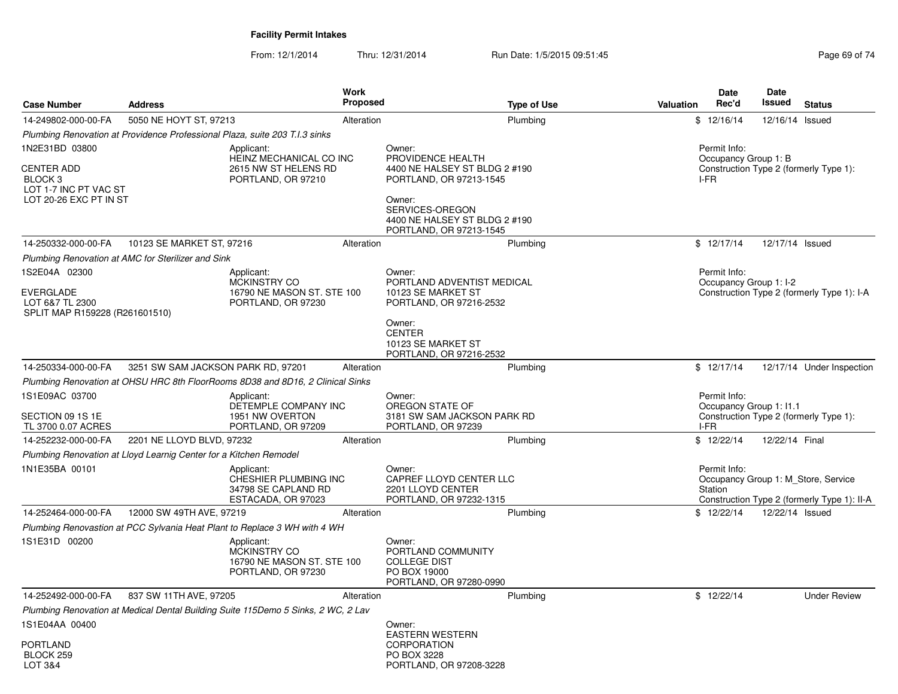| <b>Case Number</b>                                                    | <b>Address</b>                                                                    | Work<br>Proposed                              | <b>Type of Use</b>                                       | <b>Date</b><br>Rec'd<br><b>Valuation</b> | <b>Date</b><br>Issued<br><b>Status</b>                                             |  |  |
|-----------------------------------------------------------------------|-----------------------------------------------------------------------------------|-----------------------------------------------|----------------------------------------------------------|------------------------------------------|------------------------------------------------------------------------------------|--|--|
| 14-249802-000-00-FA                                                   | 5050 NE HOYT ST, 97213                                                            | Alteration                                    | Plumbing                                                 | \$12/16/14                               | 12/16/14 Issued                                                                    |  |  |
|                                                                       | Plumbing Renovation at Providence Professional Plaza, suite 203 T.I.3 sinks       |                                               |                                                          |                                          |                                                                                    |  |  |
| 1N2E31BD 03800                                                        | Applicant:<br>HEINZ MECHANICAL CO INC                                             | Owner:<br>PROVIDENCE HEALTH                   |                                                          | Permit Info:<br>Occupancy Group 1: B     |                                                                                    |  |  |
| <b>CENTER ADD</b><br>BLOCK <sub>3</sub><br>LOT 1-7 INC PT VAC ST      | 2615 NW ST HELENS RD<br>PORTLAND, OR 97210                                        |                                               | 4400 NE HALSEY ST BLDG 2 #190<br>PORTLAND, OR 97213-1545 | I-FR                                     | Construction Type 2 (formerly Type 1):                                             |  |  |
| LOT 20-26 EXC PT IN ST                                                |                                                                                   | Owner:<br>SERVICES-OREGON                     | 4400 NE HALSEY ST BLDG 2 #190<br>PORTLAND, OR 97213-1545 |                                          |                                                                                    |  |  |
| 14-250332-000-00-FA                                                   | 10123 SE MARKET ST, 97216                                                         | Alteration                                    | Plumbing                                                 | \$12/17/14                               | 12/17/14 Issued                                                                    |  |  |
|                                                                       | Plumbing Renovation at AMC for Sterilizer and Sink                                |                                               |                                                          |                                          |                                                                                    |  |  |
| 1S2E04A 02300                                                         | Applicant:                                                                        | Owner:                                        |                                                          | Permit Info:                             |                                                                                    |  |  |
| <b>EVERGLADE</b><br>LOT 6&7 TL 2300<br>SPLIT MAP R159228 (R261601510) | MCKINSTRY CO<br>16790 NE MASON ST. STE 100<br>PORTLAND, OR 97230                  | 10123 SE MARKET ST                            | PORTLAND ADVENTIST MEDICAL<br>PORTLAND, OR 97216-2532    | Occupancy Group 1: I-2                   | Construction Type 2 (formerly Type 1): I-A                                         |  |  |
|                                                                       |                                                                                   | Owner:<br><b>CENTER</b><br>10123 SE MARKET ST | PORTLAND, OR 97216-2532                                  |                                          |                                                                                    |  |  |
| 14-250334-000-00-FA                                                   | 3251 SW SAM JACKSON PARK RD, 97201                                                | Alteration                                    | Plumbing                                                 | \$12/17/14                               | 12/17/14 Under Inspection                                                          |  |  |
|                                                                       | Plumbing Renovation at OHSU HRC 8th FloorRooms 8D38 and 8D16, 2 Clinical Sinks    |                                               |                                                          |                                          |                                                                                    |  |  |
| 1S1E09AC 03700                                                        | Applicant:                                                                        | Owner:                                        |                                                          | Permit Info:                             |                                                                                    |  |  |
| SECTION 09 1S 1E<br>TL 3700 0.07 ACRES                                | DETEMPLE COMPANY INC<br>1951 NW OVERTON<br>PORTLAND, OR 97209                     | OREGON STATE OF<br>PORTLAND, OR 97239         | 3181 SW SAM JACKSON PARK RD                              | Occupancy Group 1: I1.1<br>I-FR          | Construction Type 2 (formerly Type 1):                                             |  |  |
| 14-252232-000-00-FA                                                   | 2201 NE LLOYD BLVD, 97232                                                         | Alteration                                    | Plumbing                                                 | \$12/22/14                               | 12/22/14 Final                                                                     |  |  |
|                                                                       | Plumbing Renovation at Lloyd Learnig Center for a Kitchen Remodel                 |                                               |                                                          |                                          |                                                                                    |  |  |
| 1N1E35BA 00101                                                        | Applicant:<br>CHESHIER PLUMBING INC<br>34798 SE CAPLAND RD<br>ESTACADA, OR 97023  | Owner:<br>2201 LLOYD CENTER                   | CAPREF LLOYD CENTER LLC<br>PORTLAND, OR 97232-1315       | Permit Info:<br>Station                  | Occupancy Group 1: M_Store, Service<br>Construction Type 2 (formerly Type 1): II-A |  |  |
| 14-252464-000-00-FA                                                   | 12000 SW 49TH AVE, 97219                                                          | Alteration                                    | Plumbing                                                 | \$12/22/14                               | 12/22/14 Issued                                                                    |  |  |
|                                                                       | Plumbing Renovastion at PCC Sylvania Heat Plant to Replace 3 WH with 4 WH         |                                               |                                                          |                                          |                                                                                    |  |  |
| 1S1E31D 00200                                                         | Applicant:<br>MCKINSTRY CO<br>16790 NE MASON ST. STE 100<br>PORTLAND, OR 97230    | Owner:<br><b>COLLEGE DIST</b><br>PO BOX 19000 | PORTLAND COMMUNITY<br>PORTLAND, OR 97280-0990            |                                          |                                                                                    |  |  |
| 14-252492-000-00-FA                                                   | 837 SW 11TH AVE, 97205                                                            | Alteration                                    | Plumbing                                                 | \$12/22/14                               | <b>Under Review</b>                                                                |  |  |
|                                                                       | Plumbing Renovation at Medical Dental Building Suite 115Demo 5 Sinks, 2 WC, 2 Lav |                                               |                                                          |                                          |                                                                                    |  |  |
| 1S1E04AA 00400                                                        |                                                                                   | Owner:<br><b>EASTERN WESTERN</b>              |                                                          |                                          |                                                                                    |  |  |
| <b>PORTLAND</b><br>BLOCK 259<br>LOT 3&4                               |                                                                                   | <b>CORPORATION</b><br>PO BOX 3228             | PORTLAND, OR 97208-3228                                  |                                          |                                                                                    |  |  |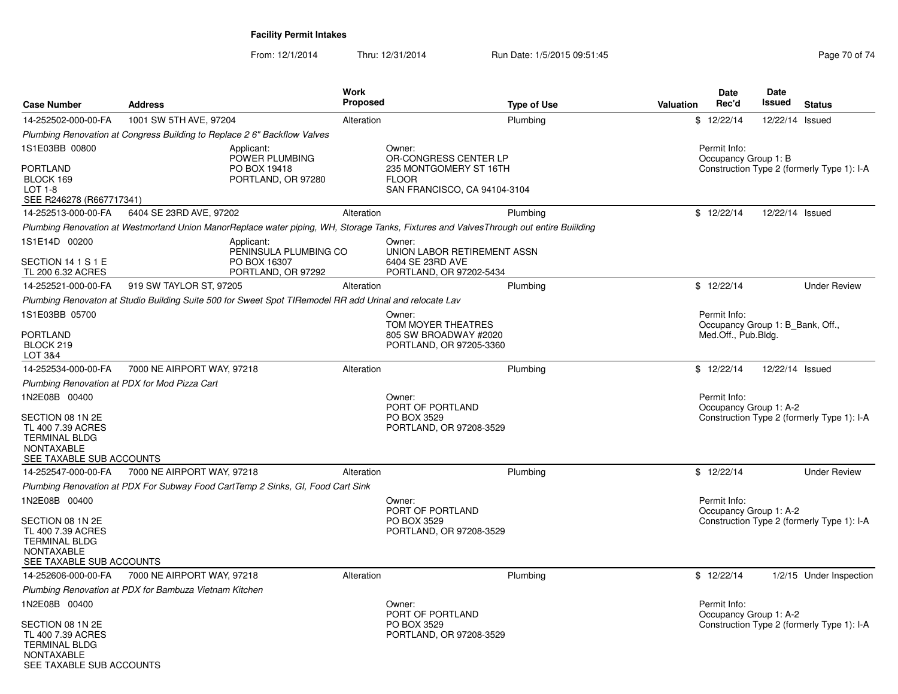From: 12/1/2014Thru: 12/31/2014 Run Date: 1/5/2015 09:51:45

| <b>Case Number</b>                                                                                                              | <b>Address</b>                                                                                                                         | <b>Work</b><br>Proposed                   | <b>Type of Use</b>                                                              | <b>Valuation</b> | Date<br>Rec'd                                                           | <b>Date</b><br>Issued | <b>Status</b>                              |
|---------------------------------------------------------------------------------------------------------------------------------|----------------------------------------------------------------------------------------------------------------------------------------|-------------------------------------------|---------------------------------------------------------------------------------|------------------|-------------------------------------------------------------------------|-----------------------|--------------------------------------------|
| 14-252502-000-00-FA                                                                                                             | 1001 SW 5TH AVE, 97204                                                                                                                 | Alteration                                | Plumbing                                                                        | \$12/22/14       |                                                                         | 12/22/14 Issued       |                                            |
|                                                                                                                                 | Plumbing Renovation at Congress Building to Replace 2 6" Backflow Valves                                                               |                                           |                                                                                 |                  |                                                                         |                       |                                            |
| 1S1E03BB 00800<br>PORTLAND<br>BLOCK 169<br>$LOT 1-8$<br>SEE R246278 (R667717341)                                                | Applicant:<br><b>POWER PLUMBING</b><br>PO BOX 19418<br>PORTLAND, OR 97280                                                              | Owner:<br><b>FLOOR</b>                    | OR-CONGRESS CENTER LP<br>235 MONTGOMERY ST 16TH<br>SAN FRANCISCO, CA 94104-3104 |                  | Permit Info:<br>Occupancy Group 1: B                                    |                       | Construction Type 2 (formerly Type 1): I-A |
| 14-252513-000-00-FA                                                                                                             | 6404 SE 23RD AVE, 97202                                                                                                                | Alteration                                | Plumbing                                                                        | \$12/22/14       |                                                                         | 12/22/14 Issued       |                                            |
|                                                                                                                                 | Plumbing Renovation at Westmorland Union ManorReplace water piping, WH, Storage Tanks, Fixtures and ValvesThrough out entire Buiilding |                                           |                                                                                 |                  |                                                                         |                       |                                            |
| 1S1E14D 00200<br>SECTION 14 1 S 1 E<br>TL 200 6.32 ACRES                                                                        | Applicant:<br>PENINSULA PLUMBING CO<br>PO BOX 16307<br>PORTLAND, OR 97292                                                              | Owner:<br>6404 SE 23RD AVE                | UNION LABOR RETIREMENT ASSN<br>PORTLAND, OR 97202-5434                          |                  |                                                                         |                       |                                            |
| 14-252521-000-00-FA                                                                                                             | 919 SW TAYLOR ST, 97205                                                                                                                | Alteration                                | Plumbing                                                                        | \$12/22/14       |                                                                         |                       | <b>Under Review</b>                        |
|                                                                                                                                 | Plumbing Renovaton at Studio Building Suite 500 for Sweet Spot TIRemodel RR add Urinal and relocate Lav                                |                                           |                                                                                 |                  |                                                                         |                       |                                            |
| 1S1E03BB 05700<br>PORTLAND                                                                                                      |                                                                                                                                        | Owner:                                    | TOM MOYER THEATRES<br>805 SW BROADWAY #2020                                     |                  | Permit Info:<br>Occupancy Group 1: B_Bank, Off.,<br>Med.Off., Pub.Bldg. |                       |                                            |
| BLOCK 219<br><b>LOT 3&amp;4</b>                                                                                                 |                                                                                                                                        |                                           | PORTLAND, OR 97205-3360                                                         |                  |                                                                         |                       |                                            |
| 14-252534-000-00-FA                                                                                                             | 7000 NE AIRPORT WAY, 97218                                                                                                             | Alteration                                | Plumbing                                                                        | \$12/22/14       |                                                                         | 12/22/14 Issued       |                                            |
|                                                                                                                                 | Plumbing Renovation at PDX for Mod Pizza Cart                                                                                          |                                           |                                                                                 |                  |                                                                         |                       |                                            |
| 1N2E08B 00400<br>SECTION 08 1N 2E<br>TL 400 7.39 ACRES<br><b>TERMINAL BLDG</b><br><b>NONTAXABLE</b><br>SEE TAXABLE SUB ACCOUNTS |                                                                                                                                        | Owner:<br>PORT OF PORTLAND<br>PO BOX 3529 | PORTLAND, OR 97208-3529                                                         |                  | Permit Info:<br>Occupancy Group 1: A-2                                  |                       | Construction Type 2 (formerly Type 1): I-A |
| 14-252547-000-00-FA                                                                                                             | 7000 NE AIRPORT WAY, 97218                                                                                                             | Alteration                                | Plumbing                                                                        | \$12/22/14       |                                                                         |                       | <b>Under Review</b>                        |
|                                                                                                                                 | Plumbing Renovation at PDX For Subway Food CartTemp 2 Sinks, GI, Food Cart Sink                                                        |                                           |                                                                                 |                  |                                                                         |                       |                                            |
| 1N2E08B 00400<br>SECTION 08 1N 2E<br>TL 400 7.39 ACRES<br><b>TERMINAL BLDG</b><br><b>NONTAXABLE</b><br>SEE TAXABLE SUB ACCOUNTS |                                                                                                                                        | Owner:<br>PORT OF PORTLAND<br>PO BOX 3529 | PORTLAND, OR 97208-3529                                                         |                  | Permit Info:<br>Occupancy Group 1: A-2                                  |                       | Construction Type 2 (formerly Type 1): I-A |
| 14-252606-000-00-FA                                                                                                             | 7000 NE AIRPORT WAY, 97218                                                                                                             | Alteration                                | Plumbing                                                                        | \$12/22/14       |                                                                         |                       | 1/2/15 Under Inspection                    |
|                                                                                                                                 | Plumbing Renovation at PDX for Bambuza Vietnam Kitchen                                                                                 |                                           |                                                                                 |                  |                                                                         |                       |                                            |
| 1N2E08B 00400                                                                                                                   |                                                                                                                                        | Owner:<br>PORT OF PORTLAND                |                                                                                 |                  | Permit Info:<br>Occupancy Group 1: A-2                                  |                       |                                            |
| SECTION 08 1N 2E<br>TL 400 7.39 ACRES<br><b>TERMINAL BLDG</b><br>NONTAVARLE                                                     |                                                                                                                                        | PO BOX 3529                               | PORTLAND, OR 97208-3529                                                         |                  |                                                                         |                       | Construction Type 2 (formerly Type 1): I-A |

NONTAXABLE SEE TAXABLE SUB ACCOUNTS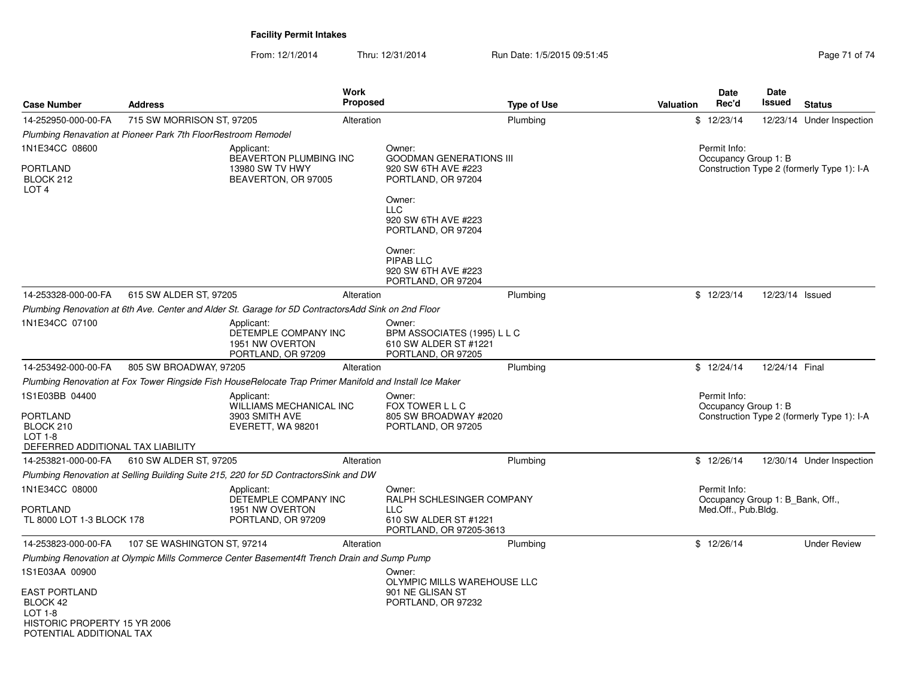| <b>Case Number</b>                                                                                      | <b>Address</b>                                                |                                                                                                         | Work<br>Proposed |                                                                                      | <b>Type of Use</b> | <b>Valuation</b> | Date<br>Rec'd                                                           | Date<br><b>Issued</b> | <b>Status</b>                              |
|---------------------------------------------------------------------------------------------------------|---------------------------------------------------------------|---------------------------------------------------------------------------------------------------------|------------------|--------------------------------------------------------------------------------------|--------------------|------------------|-------------------------------------------------------------------------|-----------------------|--------------------------------------------|
| 14-252950-000-00-FA                                                                                     | 715 SW MORRISON ST, 97205                                     |                                                                                                         | Alteration       |                                                                                      | Plumbing           |                  | \$12/23/14                                                              |                       | 12/23/14 Under Inspection                  |
|                                                                                                         | Plumbing Renavation at Pioneer Park 7th FloorRestroom Remodel |                                                                                                         |                  |                                                                                      |                    |                  |                                                                         |                       |                                            |
| 1N1E34CC 08600<br><b>PORTLAND</b>                                                                       |                                                               | Applicant:<br><b>BEAVERTON PLUMBING INC</b><br>13980 SW TV HWY                                          |                  | Owner:<br><b>GOODMAN GENERATIONS III</b><br>920 SW 6TH AVE #223                      |                    |                  | Permit Info:<br>Occupancy Group 1: B                                    |                       | Construction Type 2 (formerly Type 1): I-A |
| BLOCK 212<br>LOT <sub>4</sub>                                                                           |                                                               | BEAVERTON, OR 97005                                                                                     |                  | PORTLAND, OR 97204                                                                   |                    |                  |                                                                         |                       |                                            |
|                                                                                                         |                                                               |                                                                                                         |                  | Owner:<br><b>LLC</b><br>920 SW 6TH AVE #223<br>PORTLAND, OR 97204                    |                    |                  |                                                                         |                       |                                            |
|                                                                                                         |                                                               |                                                                                                         |                  | Owner:<br>PIPAB LLC<br>920 SW 6TH AVE #223<br>PORTLAND, OR 97204                     |                    |                  |                                                                         |                       |                                            |
| 14-253328-000-00-FA                                                                                     | 615 SW ALDER ST, 97205                                        |                                                                                                         | Alteration       |                                                                                      | Plumbing           |                  | \$12/23/14                                                              | 12/23/14 Issued       |                                            |
|                                                                                                         |                                                               | Plumbing Renovation at 6th Ave. Center and Alder St. Garage for 5D ContractorsAdd Sink on 2nd Floor     |                  |                                                                                      |                    |                  |                                                                         |                       |                                            |
| 1N1E34CC 07100                                                                                          |                                                               | Applicant:<br>DETEMPLE COMPANY INC<br>1951 NW OVERTON<br>PORTLAND, OR 97209                             |                  | Owner:<br>BPM ASSOCIATES (1995) L L C<br>610 SW ALDER ST #1221<br>PORTLAND, OR 97205 |                    |                  |                                                                         |                       |                                            |
| 14-253492-000-00-FA                                                                                     | 805 SW BROADWAY, 97205                                        |                                                                                                         | Alteration       |                                                                                      | Plumbing           |                  | \$12/24/14                                                              | 12/24/14 Final        |                                            |
|                                                                                                         |                                                               | Plumbing Renovation at Fox Tower Ringside Fish HouseRelocate Trap Primer Manifold and Install Ice Maker |                  |                                                                                      |                    |                  |                                                                         |                       |                                            |
| 1S1E03BB 04400<br><b>PORTLAND</b><br>BLOCK 210<br>LOT 1-8<br>DEFERRED ADDITIONAL TAX LIABILITY          |                                                               | Applicant:<br><b>WILLIAMS MECHANICAL INC</b><br>3903 SMITH AVE<br>EVERETT, WA 98201                     |                  | Owner:<br>FOX TOWER L L C<br>805 SW BROADWAY #2020<br>PORTLAND, OR 97205             |                    |                  | Permit Info:<br>Occupancy Group 1: B                                    |                       | Construction Type 2 (formerly Type 1): I-A |
| 14-253821-000-00-FA                                                                                     | 610 SW ALDER ST, 97205                                        |                                                                                                         | Alteration       |                                                                                      | Plumbing           |                  | \$12/26/14                                                              |                       | 12/30/14 Under Inspection                  |
|                                                                                                         |                                                               | Plumbing Renovation at Selling Building Suite 215, 220 for 5D ContractorsSink and DW                    |                  |                                                                                      |                    |                  |                                                                         |                       |                                            |
| 1N1E34CC 08000<br>PORTLAND                                                                              |                                                               | Applicant:<br>DETEMPLE COMPANY INC<br>1951 NW OVERTON                                                   |                  | Owner:<br>RALPH SCHLESINGER COMPANY<br><b>LLC</b>                                    |                    |                  | Permit Info:<br>Occupancy Group 1: B Bank, Off.,<br>Med.Off., Pub.Bldg. |                       |                                            |
| TL 8000 LOT 1-3 BLOCK 178                                                                               |                                                               | PORTLAND, OR 97209                                                                                      |                  | 610 SW ALDER ST #1221<br>PORTLAND, OR 97205-3613                                     |                    |                  |                                                                         |                       |                                            |
| 14-253823-000-00-FA                                                                                     | 107 SE WASHINGTON ST, 97214                                   |                                                                                                         | Alteration       |                                                                                      | Plumbing           |                  | \$12/26/14                                                              |                       | <b>Under Review</b>                        |
|                                                                                                         |                                                               | Plumbing Renovation at Olympic Mills Commerce Center Basement4ft Trench Drain and Sump Pump             |                  |                                                                                      |                    |                  |                                                                         |                       |                                            |
| 1S1E03AA 00900                                                                                          |                                                               |                                                                                                         |                  | Owner:<br>OLYMPIC MILLS WAREHOUSE LLC                                                |                    |                  |                                                                         |                       |                                            |
| <b>EAST PORTLAND</b><br>BLOCK 42<br>LOT 1-8<br>HISTORIC PROPERTY 15 YR 2006<br>POTENTIAL ADDITIONAL TAX |                                                               |                                                                                                         |                  | 901 NE GLISAN ST<br>PORTLAND, OR 97232                                               |                    |                  |                                                                         |                       |                                            |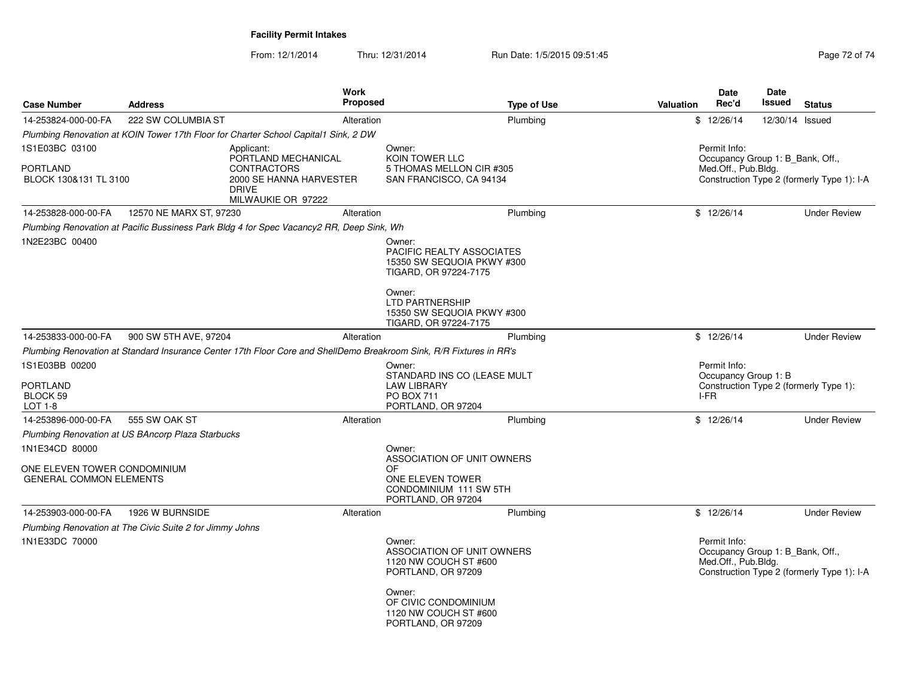| <b>Case Number</b>                                                               | <b>Address</b>                                           | <b>Work</b><br><b>Proposed</b>                                                                                      |                                                                                                                                                                                              | <b>Type of Use</b> | Valuation | <b>Date</b><br>Rec'd                                                    | <b>Date</b><br>Issued | <b>Status</b>                              |
|----------------------------------------------------------------------------------|----------------------------------------------------------|---------------------------------------------------------------------------------------------------------------------|----------------------------------------------------------------------------------------------------------------------------------------------------------------------------------------------|--------------------|-----------|-------------------------------------------------------------------------|-----------------------|--------------------------------------------|
| 14-253824-000-00-FA                                                              | 222 SW COLUMBIA ST                                       | Alteration                                                                                                          |                                                                                                                                                                                              | Plumbing           |           | \$12/26/14                                                              | 12/30/14 Issued       |                                            |
|                                                                                  |                                                          | Plumbing Renovation at KOIN Tower 17th Floor for Charter School Capital1 Sink, 2 DW                                 |                                                                                                                                                                                              |                    |           |                                                                         |                       |                                            |
| 1S1E03BC 03100                                                                   |                                                          | Applicant:                                                                                                          | Owner:                                                                                                                                                                                       |                    |           | Permit Info:                                                            |                       |                                            |
| <b>PORTLAND</b><br>BLOCK 130&131 TL 3100                                         |                                                          | PORTLAND MECHANICAL<br><b>CONTRACTORS</b><br>2000 SE HANNA HARVESTER<br><b>DRIVE</b><br>MILWAUKIE OR 97222          | KOIN TOWER LLC<br>5 THOMAS MELLON CIR #305<br>SAN FRANCISCO, CA 94134                                                                                                                        |                    |           | Occupancy Group 1: B Bank, Off.,<br>Med.Off., Pub.Bldg.                 |                       | Construction Type 2 (formerly Type 1): I-A |
| 14-253828-000-00-FA                                                              | 12570 NE MARX ST, 97230                                  | Alteration                                                                                                          | Plumbing                                                                                                                                                                                     |                    |           | \$12/26/14                                                              |                       | <b>Under Review</b>                        |
|                                                                                  |                                                          | Plumbing Renovation at Pacific Bussiness Park Bldg 4 for Spec Vacancy2 RR, Deep Sink, Wh                            |                                                                                                                                                                                              |                    |           |                                                                         |                       |                                            |
| 1N2E23BC 00400                                                                   |                                                          |                                                                                                                     | Owner:<br><b>PACIFIC REALTY ASSOCIATES</b><br>15350 SW SEQUOIA PKWY #300<br>TIGARD, OR 97224-7175<br>Owner:<br><b>LTD PARTNERSHIP</b><br>15350 SW SEQUOIA PKWY #300<br>TIGARD, OR 97224-7175 |                    |           |                                                                         |                       |                                            |
| 14-253833-000-00-FA                                                              | 900 SW 5TH AVE, 97204                                    | Alteration                                                                                                          |                                                                                                                                                                                              | Plumbing           |           | \$12/26/14                                                              |                       | <b>Under Review</b>                        |
|                                                                                  |                                                          | Plumbing Renovation at Standard Insurance Center 17th Floor Core and ShellDemo Breakroom Sink, R/R Fixtures in RR's |                                                                                                                                                                                              |                    |           |                                                                         |                       |                                            |
| 1S1E03BB 00200<br><b>PORTLAND</b><br>BLOCK 59<br>LOT 1-8                         |                                                          |                                                                                                                     | Owner:<br>STANDARD INS CO (LEASE MULT<br><b>LAW LIBRARY</b><br>PO BOX 711<br>PORTLAND, OR 97204                                                                                              |                    |           | Permit Info:<br>Occupancy Group 1: B<br>I-FR                            |                       | Construction Type 2 (formerly Type 1):     |
| 14-253896-000-00-FA                                                              | 555 SW OAK ST                                            | Alteration                                                                                                          |                                                                                                                                                                                              | Plumbing           |           | \$12/26/14                                                              |                       | <b>Under Review</b>                        |
|                                                                                  | Plumbing Renovation at US BAncorp Plaza Starbucks        |                                                                                                                     |                                                                                                                                                                                              |                    |           |                                                                         |                       |                                            |
| 1N1E34CD 80000<br>ONE ELEVEN TOWER CONDOMINIUM<br><b>GENERAL COMMON ELEMENTS</b> |                                                          |                                                                                                                     | Owner:<br>ASSOCIATION OF UNIT OWNERS<br>OF<br>ONE ELEVEN TOWER<br>CONDOMINIUM 111 SW 5TH<br>PORTLAND, OR 97204                                                                               |                    |           |                                                                         |                       |                                            |
| 14-253903-000-00-FA                                                              | 1926 W BURNSIDE                                          | Alteration                                                                                                          | Plumbing                                                                                                                                                                                     |                    |           | \$12/26/14                                                              |                       | <b>Under Review</b>                        |
|                                                                                  | Plumbing Renovation at The Civic Suite 2 for Jimmy Johns |                                                                                                                     |                                                                                                                                                                                              |                    |           |                                                                         |                       |                                            |
| 1N1E33DC 70000                                                                   |                                                          |                                                                                                                     | Owner:<br>ASSOCIATION OF UNIT OWNERS<br>1120 NW COUCH ST #600<br>PORTLAND, OR 97209                                                                                                          |                    |           | Permit Info:<br>Occupancy Group 1: B_Bank, Off.,<br>Med.Off., Pub.Bldg. |                       | Construction Type 2 (formerly Type 1): I-A |
|                                                                                  |                                                          |                                                                                                                     | Owner:<br>OF CIVIC CONDOMINIUM<br>1120 NW COUCH ST #600<br>PORTLAND, OR 97209                                                                                                                |                    |           |                                                                         |                       |                                            |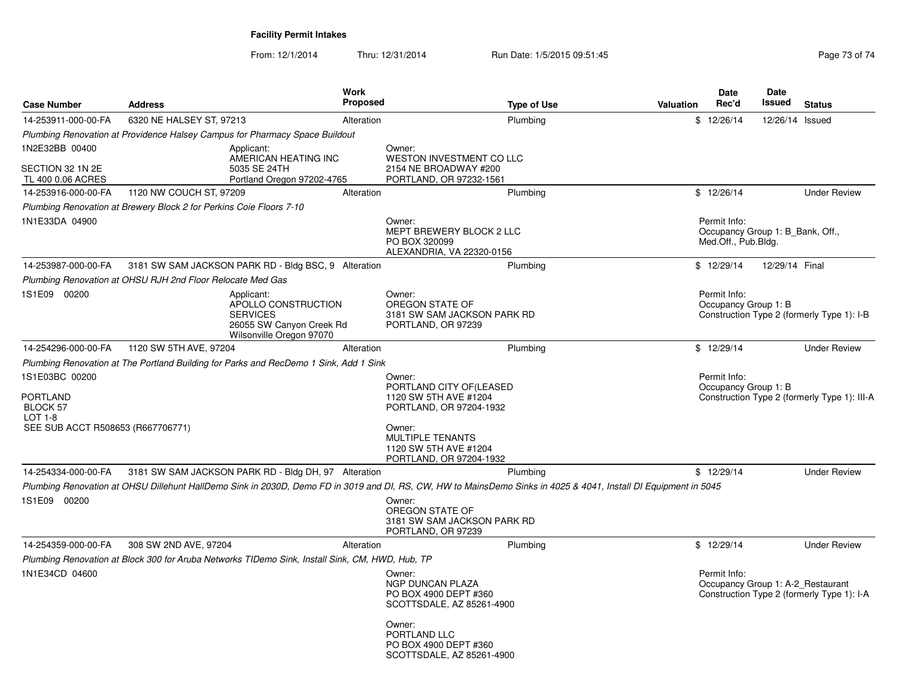# **Facility Permit Intakes**

| <b>Case Number</b>                                                                            | <b>Address</b>                                                                                                                                                   | Work<br><b>Proposed</b> |                                                                                                                                                                                 | <b>Type of Use</b> | <b>Valuation</b> | Date<br>Rec'd                                                           | Date<br>Issued | <b>Status</b>                                |
|-----------------------------------------------------------------------------------------------|------------------------------------------------------------------------------------------------------------------------------------------------------------------|-------------------------|---------------------------------------------------------------------------------------------------------------------------------------------------------------------------------|--------------------|------------------|-------------------------------------------------------------------------|----------------|----------------------------------------------|
| 14-253911-000-00-FA                                                                           | 6320 NE HALSEY ST, 97213                                                                                                                                         | Alteration              |                                                                                                                                                                                 | Plumbing           |                  | \$12/26/14                                                              | 12/26/14       | Issued                                       |
|                                                                                               | Plumbing Renovation at Providence Halsey Campus for Pharmacy Space Buildout                                                                                      |                         |                                                                                                                                                                                 |                    |                  |                                                                         |                |                                              |
| 1N2E32BB 00400<br>SECTION 32 1N 2E<br>TL 400 0.06 ACRES                                       | Applicant:<br>AMERICAN HEATING INC<br>5035 SE 24TH<br>Portland Oregon 97202-4765                                                                                 |                         | Owner:<br>WESTON INVESTMENT CO LLC<br>2154 NE BROADWAY #200<br>PORTLAND, OR 97232-1561                                                                                          |                    |                  |                                                                         |                |                                              |
| 14-253916-000-00-FA                                                                           | 1120 NW COUCH ST, 97209                                                                                                                                          | Alteration              |                                                                                                                                                                                 | Plumbing           |                  | \$12/26/14                                                              |                | <b>Under Review</b>                          |
|                                                                                               | Plumbing Renovation at Brewery Block 2 for Perkins Coie Floors 7-10                                                                                              |                         |                                                                                                                                                                                 |                    |                  |                                                                         |                |                                              |
| 1N1E33DA 04900                                                                                |                                                                                                                                                                  |                         | Owner:<br>MEPT BREWERY BLOCK 2 LLC<br>PO BOX 320099<br>ALEXANDRIA, VA 22320-0156                                                                                                |                    |                  | Permit Info:<br>Occupancy Group 1: B_Bank, Off.,<br>Med.Off., Pub.Bldg. |                |                                              |
| 14-253987-000-00-FA                                                                           | 3181 SW SAM JACKSON PARK RD - Bldg BSC, 9 Alteration                                                                                                             |                         |                                                                                                                                                                                 | Plumbing           |                  | \$12/29/14                                                              | 12/29/14 Final |                                              |
|                                                                                               | Plumbing Renovation at OHSU RJH 2nd Floor Relocate Med Gas                                                                                                       |                         |                                                                                                                                                                                 |                    |                  |                                                                         |                |                                              |
| 1S1E09 00200                                                                                  | Applicant:<br>APOLLO CONSTRUCTION<br><b>SERVICES</b><br>26055 SW Canyon Creek Rd<br>Wilsonville Oregon 97070                                                     |                         | Owner:<br>OREGON STATE OF<br>3181 SW SAM JACKSON PARK RD<br>PORTLAND, OR 97239                                                                                                  |                    |                  | Permit Info:<br>Occupancy Group 1: B                                    |                | Construction Type 2 (formerly Type 1): I-B   |
| 14-254296-000-00-FA                                                                           | 1120 SW 5TH AVE, 97204                                                                                                                                           | Alteration              |                                                                                                                                                                                 | Plumbing           |                  | \$12/29/14                                                              |                | <b>Under Review</b>                          |
| 1S1E03BC 00200<br>PORTLAND<br>BLOCK 57<br><b>LOT 1-8</b><br>SEE SUB ACCT R508653 (R667706771) | Plumbing Renovation at The Portland Building for Parks and RecDemo 1 Sink, Add 1 Sink                                                                            |                         | Owner:<br>PORTLAND CITY OF (LEASED<br>1120 SW 5TH AVE #1204<br>PORTLAND, OR 97204-1932<br>Owner:<br><b>MULTIPLE TENANTS</b><br>1120 SW 5TH AVE #1204<br>PORTLAND, OR 97204-1932 |                    |                  | Permit Info:<br>Occupancy Group 1: B                                    |                | Construction Type 2 (formerly Type 1): III-A |
| 14-254334-000-00-FA                                                                           | 3181 SW SAM JACKSON PARK RD - Bldg DH, 97 Alteration                                                                                                             |                         |                                                                                                                                                                                 | Plumbing           |                  | \$12/29/14                                                              |                | <b>Under Review</b>                          |
| 1S1E09 00200                                                                                  | Plumbing Renovation at OHSU Dillehunt HallDemo Sink in 2030D, Demo FD in 3019 and DI, RS, CW, HW to MainsDemo Sinks in 4025 & 4041, Install DI Equipment in 5045 |                         | Owner:<br>OREGON STATE OF<br>3181 SW SAM JACKSON PARK RD<br>PORTLAND, OR 97239                                                                                                  |                    |                  |                                                                         |                |                                              |
| 14-254359-000-00-FA                                                                           | 308 SW 2ND AVE, 97204                                                                                                                                            | Alteration              |                                                                                                                                                                                 | Plumbing           |                  | \$12/29/14                                                              |                | <b>Under Review</b>                          |
| 1N1E34CD 04600                                                                                | Plumbing Renovation at Block 300 for Aruba Networks TIDemo Sink, Install Sink, CM, HWD, Hub, TP                                                                  |                         | Owner:<br><b>NGP DUNCAN PLAZA</b><br>PO BOX 4900 DEPT #360<br>SCOTTSDALE, AZ 85261-4900<br>Owner:<br>PORTLAND LLC<br>PO BOX 4900 DEPT #360<br>SCOTTSDALE, AZ 85261-4900         |                    |                  | Permit Info:<br>Occupancy Group 1: A-2 Restaurant                       |                | Construction Type 2 (formerly Type 1): I-A   |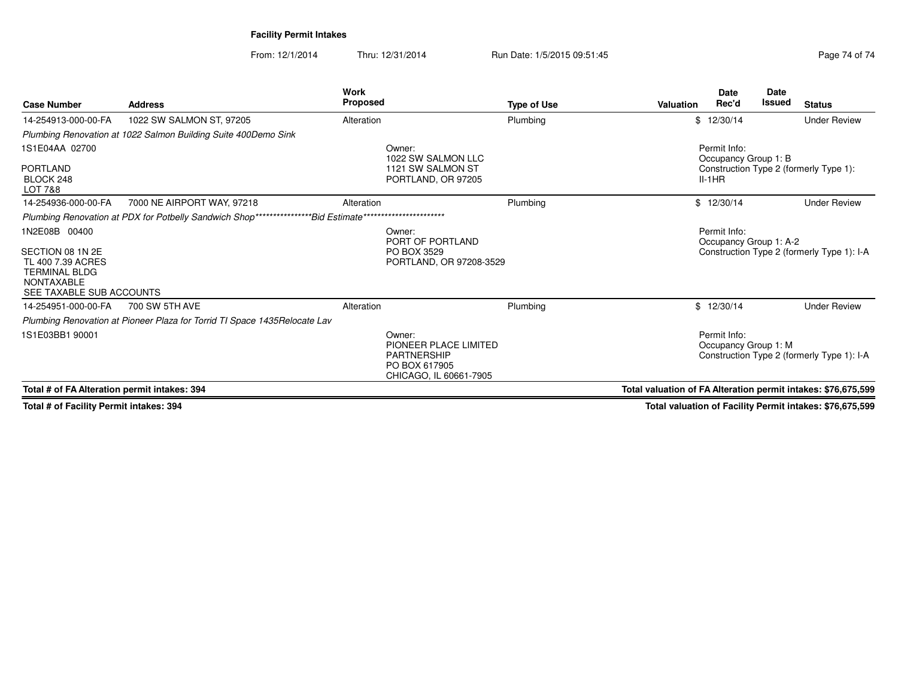**Facility Permit Intakes**

From: 12/1/2014Thru: 12/31/2014 Run Date: 1/5/2015 09:51:45

| <b>Case Number</b>                                                                                                              | <b>Address</b>                                                            | Work<br><b>Proposed</b>                                                                          | <b>Type of Use</b>      | <b>Valuation</b>                                              | <b>Date</b><br>Rec'd                 | <b>Date</b><br><b>Issued</b> | <b>Status</b>                              |
|---------------------------------------------------------------------------------------------------------------------------------|---------------------------------------------------------------------------|--------------------------------------------------------------------------------------------------|-------------------------|---------------------------------------------------------------|--------------------------------------|------------------------------|--------------------------------------------|
| 14-254913-000-00-FA                                                                                                             | 1022 SW SALMON ST, 97205                                                  | Alteration                                                                                       | Plumbing                |                                                               | \$12/30/14                           |                              | <b>Under Review</b>                        |
|                                                                                                                                 | Plumbing Renovation at 1022 Salmon Building Suite 400Demo Sink            |                                                                                                  |                         |                                                               |                                      |                              |                                            |
| 1S1E04AA 02700                                                                                                                  |                                                                           | Owner:<br>1022 SW SALMON LLC                                                                     |                         |                                                               | Permit Info:<br>Occupancy Group 1: B |                              |                                            |
| <b>PORTLAND</b><br>BLOCK 248<br>LOT 7&8                                                                                         |                                                                           | 1121 SW SALMON ST<br>PORTLAND, OR 97205                                                          |                         |                                                               | $II-1HR$                             |                              | Construction Type 2 (formerly Type 1):     |
| 14-254936-000-00-FA                                                                                                             | 7000 NE AIRPORT WAY, 97218                                                | Alteration                                                                                       | Plumbing                |                                                               | \$12/30/14                           |                              | <b>Under Review</b>                        |
|                                                                                                                                 | Plumbing Renovation at PDX for Potbelly Sandwich Shop***                  | ******************<br><i>*Bid Estimate*</i>                                                      |                         |                                                               |                                      |                              |                                            |
| 1N2E08B 00400<br>SECTION 08 1N 2E<br>TL 400 7.39 ACRES<br><b>TERMINAL BLDG</b><br><b>NONTAXABLE</b><br>SEE TAXABLE SUB ACCOUNTS |                                                                           | Owner:<br>PORT OF PORTLAND<br>PO BOX 3529                                                        | PORTLAND, OR 97208-3529 |                                                               | Permit Info:                         | Occupancy Group 1: A-2       | Construction Type 2 (formerly Type 1): I-A |
| 14-254951-000-00-FA                                                                                                             | 700 SW 5TH AVE                                                            | Alteration                                                                                       | Plumbing                |                                                               | \$12/30/14                           |                              | <b>Under Review</b>                        |
|                                                                                                                                 | Plumbing Renovation at Pioneer Plaza for Torrid TI Space 1435Relocate Lav |                                                                                                  |                         |                                                               |                                      |                              |                                            |
| 1S1E03BB1 90001                                                                                                                 |                                                                           | Owner:<br>PIONEER PLACE LIMITED<br><b>PARTNERSHIP</b><br>PO BOX 617905<br>CHICAGO, IL 60661-7905 |                         |                                                               | Permit Info:<br>Occupancy Group 1: M |                              | Construction Type 2 (formerly Type 1): I-A |
| Total # of FA Alteration permit intakes: 394                                                                                    |                                                                           |                                                                                                  |                         | Total valuation of FA Alteration permit intakes: \$76,675,599 |                                      |                              |                                            |

**Total # of Facility Permit intakes: 394**

**Total valuation of Facility Permit intakes: \$76,675,599**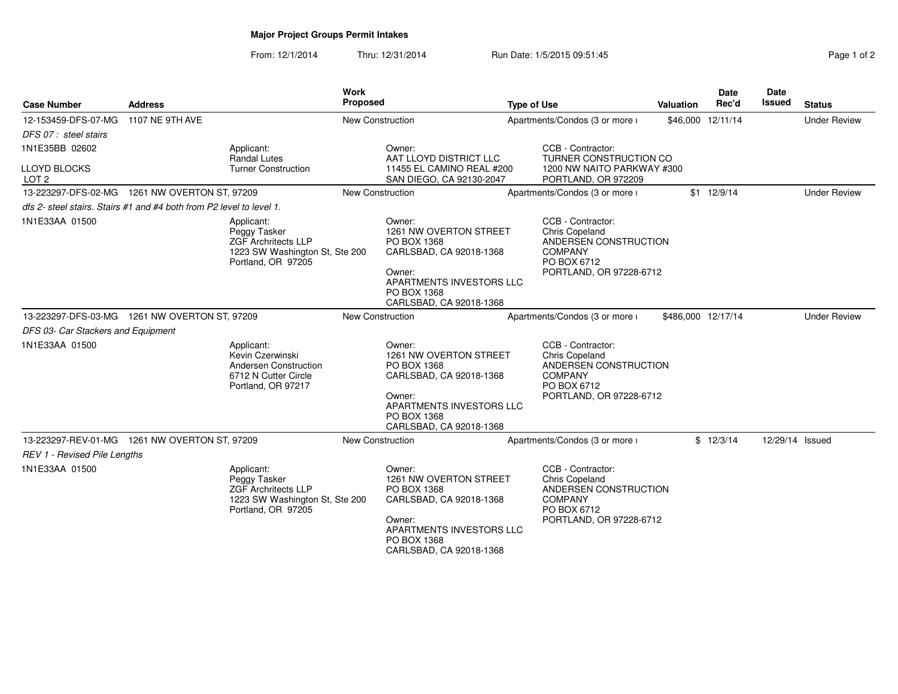# **Major Project Groups Permit Intakes**

| Page 1 of 2 |  |  |
|-------------|--|--|
|-------------|--|--|

| <b>Case Number</b>                                        | <b>Address</b>                                                       |                                                                                                                  | <b>Work</b><br><b>Proposed</b> |                                                                                                                                                            | <b>Type of Use</b>             |                                                                                                                                 | <b>Valuation</b>   | <b>Date</b><br>Rec'd | <b>Date</b><br>Issued | <b>Status</b>       |
|-----------------------------------------------------------|----------------------------------------------------------------------|------------------------------------------------------------------------------------------------------------------|--------------------------------|------------------------------------------------------------------------------------------------------------------------------------------------------------|--------------------------------|---------------------------------------------------------------------------------------------------------------------------------|--------------------|----------------------|-----------------------|---------------------|
| 12-153459-DFS-07-MG                                       | 1107 NE 9TH AVE                                                      |                                                                                                                  | New Construction               |                                                                                                                                                            | Apartments/Condos (3 or more i |                                                                                                                                 |                    | \$46,000 12/11/14    |                       | <b>Under Review</b> |
| DFS 07 : steel stairs                                     |                                                                      |                                                                                                                  |                                |                                                                                                                                                            |                                |                                                                                                                                 |                    |                      |                       |                     |
| 1N1E35BB 02602<br><b>LLOYD BLOCKS</b><br>LOT <sub>2</sub> |                                                                      | Applicant:<br>Randal Lutes<br><b>Turner Construction</b>                                                         |                                | Owner:<br>AAT LLOYD DISTRICT LLC<br>11455 EL CAMINO REAL #200<br>SAN DIEGO, CA 92130-2047                                                                  |                                | CCB - Contractor:<br>TURNER CONSTRUCTION CO<br>1200 NW NAITO PARKWAY #300<br>PORTLAND, OR 972209                                |                    |                      |                       |                     |
|                                                           | 13-223297-DFS-02-MG  1261 NW OVERTON ST, 97209                       |                                                                                                                  | New Construction               |                                                                                                                                                            |                                | Apartments/Condos (3 or more i                                                                                                  |                    | \$1 12/9/14          |                       | <b>Under Review</b> |
|                                                           | dfs 2- steel stairs. Stairs #1 and #4 both from P2 level to level 1. |                                                                                                                  |                                |                                                                                                                                                            |                                |                                                                                                                                 |                    |                      |                       |                     |
| 1N1E33AA 01500                                            |                                                                      | Applicant:<br>Peggy Tasker<br><b>ZGF Archritects LLP</b><br>1223 SW Washington St, Ste 200<br>Portland, OR 97205 |                                | Owner:<br>1261 NW OVERTON STREET<br>PO BOX 1368<br>CARLSBAD, CA 92018-1368<br>Owner:<br>APARTMENTS INVESTORS LLC<br>PO BOX 1368<br>CARLSBAD, CA 92018-1368 |                                | CCB - Contractor:<br>Chris Copeland<br>ANDERSEN CONSTRUCTION<br><b>COMPANY</b><br>PO BOX 6712<br>PORTLAND, OR 97228-6712        |                    |                      |                       |                     |
|                                                           | 13-223297-DFS-03-MG  1261 NW OVERTON ST, 97209                       |                                                                                                                  | <b>New Construction</b>        |                                                                                                                                                            |                                | Apartments/Condos (3 or more i                                                                                                  | \$486,000 12/17/14 |                      |                       | <b>Under Review</b> |
| DFS 03- Car Stackers and Equipment                        |                                                                      |                                                                                                                  |                                |                                                                                                                                                            |                                |                                                                                                                                 |                    |                      |                       |                     |
| 1N1E33AA 01500                                            |                                                                      | Applicant:<br>Kevin Czerwinski<br>Andersen Construction<br>6712 N Cutter Circle<br>Portland, OR 97217            |                                | Owner:<br>1261 NW OVERTON STREET<br>PO BOX 1368<br>CARLSBAD, CA 92018-1368<br>Owner:<br>APARTMENTS INVESTORS LLC<br>PO BOX 1368<br>CARLSBAD, CA 92018-1368 |                                | CCB - Contractor:<br><b>Chris Copeland</b><br>ANDERSEN CONSTRUCTION<br><b>COMPANY</b><br>PO BOX 6712<br>PORTLAND, OR 97228-6712 |                    |                      |                       |                     |
|                                                           | 13-223297-REV-01-MG  1261 NW OVERTON ST, 97209                       |                                                                                                                  | <b>New Construction</b>        |                                                                                                                                                            |                                | Apartments/Condos (3 or more i                                                                                                  |                    | \$12/3/14            | 12/29/14 Issued       |                     |
| <b>REV 1 - Revised Pile Lengths</b>                       |                                                                      |                                                                                                                  |                                |                                                                                                                                                            |                                |                                                                                                                                 |                    |                      |                       |                     |
| 1N1E33AA 01500                                            |                                                                      | Applicant:<br>Peggy Tasker<br><b>ZGF Archritects LLP</b><br>1223 SW Washington St, Ste 200<br>Portland, OR 97205 |                                | Owner:<br>1261 NW OVERTON STREET<br>PO BOX 1368<br>CARLSBAD, CA 92018-1368<br>Owner:<br>APARTMENTS INVESTORS LLC<br>PO BOX 1368<br>CARLSBAD, CA 92018-1368 |                                | CCB - Contractor:<br><b>Chris Copeland</b><br>ANDERSEN CONSTRUCTION<br><b>COMPANY</b><br>PO BOX 6712<br>PORTLAND, OR 97228-6712 |                    |                      |                       |                     |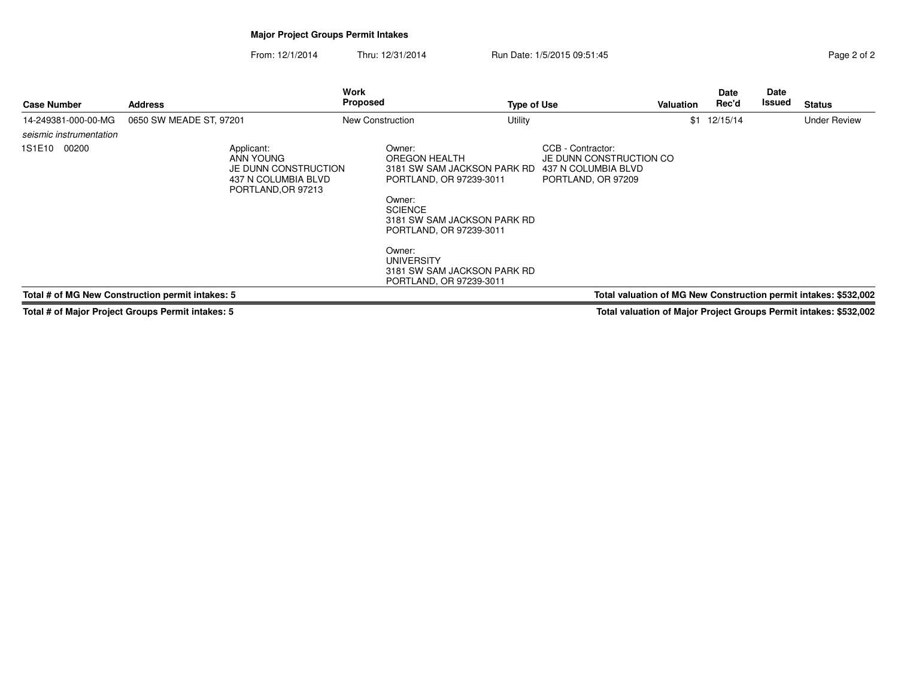## **Major Project Groups Permit Intakes**

From: 12/1/2014Thru: 12/31/2014 Run Date: 1/5/2015 09:51:45

|  | Page 2 of 2 |  |  |
|--|-------------|--|--|
|  |             |  |  |

| <b>Case Number</b>      | <b>Address</b>                                                                               | Work<br>Proposed                                                                                                                                                                                                                                                 | <b>Type of Use</b>                                                                        | <b>Valuation</b> | <b>Date</b><br>Rec'd | <b>Date</b><br>Issued | <b>Status</b>                                                    |
|-------------------------|----------------------------------------------------------------------------------------------|------------------------------------------------------------------------------------------------------------------------------------------------------------------------------------------------------------------------------------------------------------------|-------------------------------------------------------------------------------------------|------------------|----------------------|-----------------------|------------------------------------------------------------------|
| 14-249381-000-00-MG     | 0650 SW MEADE ST, 97201                                                                      | New Construction                                                                                                                                                                                                                                                 | Utility                                                                                   | \$1              | 12/15/14             |                       | <b>Under Review</b>                                              |
| seismic instrumentation |                                                                                              |                                                                                                                                                                                                                                                                  |                                                                                           |                  |                      |                       |                                                                  |
| 1S1E10<br>00200         | Applicant:<br>ANN YOUNG<br>JE DUNN CONSTRUCTION<br>437 N COLUMBIA BLVD<br>PORTLAND, OR 97213 | Owner:<br>OREGON HEALTH<br>3181 SW SAM JACKSON PARK RD<br>PORTLAND, OR 97239-3011<br>Owner:<br><b>SCIENCE</b><br>3181 SW SAM JACKSON PARK RD<br>PORTLAND, OR 97239-3011<br>Owner:<br><b>UNIVERSITY</b><br>3181 SW SAM JACKSON PARK RD<br>PORTLAND, OR 97239-3011 | CCB - Contractor:<br>JE DUNN CONSTRUCTION CO<br>437 N COLUMBIA BLVD<br>PORTLAND, OR 97209 |                  |                      |                       |                                                                  |
|                         | Total # of MG New Construction permit intakes: 5                                             |                                                                                                                                                                                                                                                                  |                                                                                           |                  |                      |                       | Total valuation of MG New Construction permit intakes: \$532,002 |

**Total # of Major Project Groups Permit intakes: 5**

**Total valuation of Major Project Groups Permit intakes: \$532,002**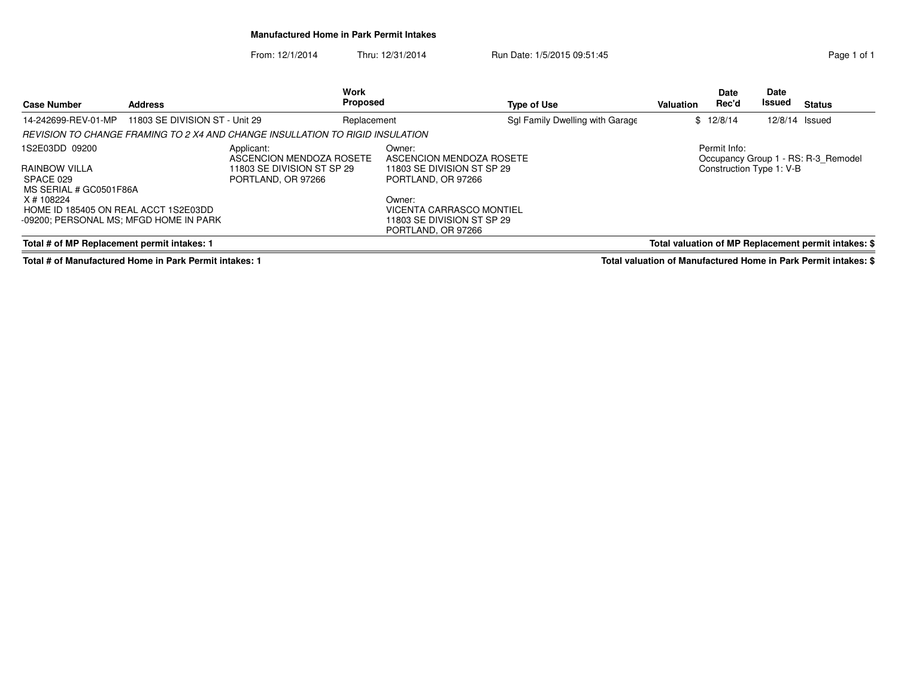### **Manufactured Home in Park Permit Intakes**

From: 12/1/2014Thru: 12/31/2014 Run Date: 1/5/2015 09:51:45

| <b>Case Number</b>                                                                           | <b>Address</b>                 |                                                                               | <b>Work</b><br><b>Proposed</b> |                                                                                        | <b>Type of Use</b>              | <b>Valuation</b> | <b>Date</b><br>Rec'd     | <b>Date</b><br>Issued | <b>Status</b>                                        |
|----------------------------------------------------------------------------------------------|--------------------------------|-------------------------------------------------------------------------------|--------------------------------|----------------------------------------------------------------------------------------|---------------------------------|------------------|--------------------------|-----------------------|------------------------------------------------------|
| 14-242699-REV-01-MP                                                                          | 11803 SE DIVISION ST - Unit 29 |                                                                               | Replacement                    |                                                                                        | Sgl Family Dwelling with Garage |                  | \$12/8/14                | 12/8/14 Issued        |                                                      |
|                                                                                              |                                | REVISION TO CHANGE FRAMING TO 2 X4 AND CHANGE INSULLATION TO RIGID INSULATION |                                |                                                                                        |                                 |                  |                          |                       |                                                      |
| 1S2E03DD 09200                                                                               |                                | Applicant:<br>ASCENCION MENDOZA ROSETE                                        |                                | Owner:<br>ASCENCION MENDOZA ROSETE                                                     |                                 |                  | Permit Info:             |                       | Occupancy Group 1 - RS: R-3 Remodel                  |
| RAINBOW VILLA<br>SPACE 029<br>MS SERIAL # GC0501F86A                                         |                                | 11803 SE DIVISION ST SP 29<br>PORTLAND, OR 97266                              |                                | 11803 SE DIVISION ST SP 29<br>PORTLAND, OR 97266                                       |                                 |                  | Construction Type 1: V-B |                       |                                                      |
| X # 108224<br>HOME ID 185405 ON REAL ACCT 1S2E03DD<br>-09200: PERSONAL MS: MFGD HOME IN PARK |                                |                                                                               |                                | Owner:<br>VICENTA CARRASCO MONTIEL<br>11803 SE DIVISION ST SP 29<br>PORTLAND, OR 97266 |                                 |                  |                          |                       |                                                      |
| Total # of MP Replacement permit intakes: 1                                                  |                                |                                                                               |                                |                                                                                        |                                 |                  |                          |                       | Total valuation of MP Replacement permit intakes: \$ |

**Total # of Manufactured Home in Park Permit intakes: 1**

**Total valuation of Manufactured Home in Park Permit intakes: \$**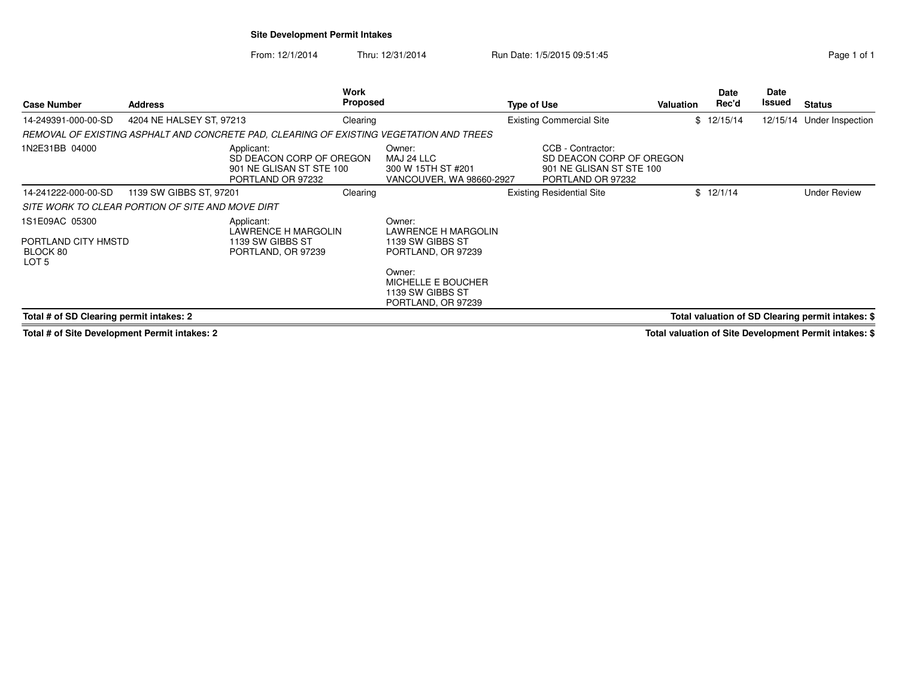## **Site Development Permit Intakes**

From: 12/1/2014Thru: 12/31/2014 Run Date: 1/5/2015 09:51:45

| <b>Case Number</b>                               | <b>Address</b>           |                                                                                         | Work<br><b>Proposed</b> |                                                                               | Type of Use |                                                                                                | <b>Valuation</b> | Date<br>Rec'd | Date<br>Issued | <b>Status</b>                                     |
|--------------------------------------------------|--------------------------|-----------------------------------------------------------------------------------------|-------------------------|-------------------------------------------------------------------------------|-------------|------------------------------------------------------------------------------------------------|------------------|---------------|----------------|---------------------------------------------------|
| 14-249391-000-00-SD                              | 4204 NE HALSEY ST, 97213 |                                                                                         | Clearing                |                                                                               |             | <b>Existing Commercial Site</b>                                                                |                  | \$12/15/14    | 12/15/14       | Under Inspection                                  |
|                                                  |                          | REMOVAL OF EXISTING ASPHALT AND CONCRETE PAD. CLEARING OF EXISTING VEGETATION AND TREES |                         |                                                                               |             |                                                                                                |                  |               |                |                                                   |
| 1N2E31BB 04000                                   |                          | Applicant:<br>SD DEACON CORP OF OREGON<br>901 NE GLISAN ST STE 100<br>PORTLAND OR 97232 |                         | Owner:<br>MAJ 24 LLC<br>300 W 15TH ST #201<br>VANCOUVER, WA 98660-2927        |             | CCB - Contractor:<br>SD DEACON CORP OF OREGON<br>901 NE GLISAN ST STE 100<br>PORTLAND OR 97232 |                  |               |                |                                                   |
| 14-241222-000-00-SD                              | 1139 SW GIBBS ST, 97201  |                                                                                         | Clearing                |                                                                               |             | <b>Existing Residential Site</b>                                                               |                  | \$12/1/14     |                | <b>Under Review</b>                               |
| SITE WORK TO CLEAR PORTION OF SITE AND MOVE DIRT |                          |                                                                                         |                         |                                                                               |             |                                                                                                |                  |               |                |                                                   |
| 1S1E09AC 05300                                   |                          | Applicant:<br>LAWRENCE H MARGOLIN                                                       |                         | Owner:<br>LAWRENCE H MARGOLIN                                                 |             |                                                                                                |                  |               |                |                                                   |
| PORTLAND CITY HMSTD<br>BLOCK 80<br>LOT 5         |                          | 1139 SW GIBBS ST<br>PORTLAND, OR 97239                                                  |                         | 1139 SW GIBBS ST<br>PORTLAND, OR 97239                                        |             |                                                                                                |                  |               |                |                                                   |
|                                                  |                          |                                                                                         |                         | Owner:<br><b>MICHELLE E BOUCHER</b><br>1139 SW GIBBS ST<br>PORTLAND, OR 97239 |             |                                                                                                |                  |               |                |                                                   |
| Total # of SD Clearing permit intakes: 2         |                          |                                                                                         |                         |                                                                               |             |                                                                                                |                  |               |                | Total valuation of SD Clearing permit intakes: \$ |

**Total # of Site Development Permit intakes: 2**

**Total valuation of Site Development Permit intakes: \$**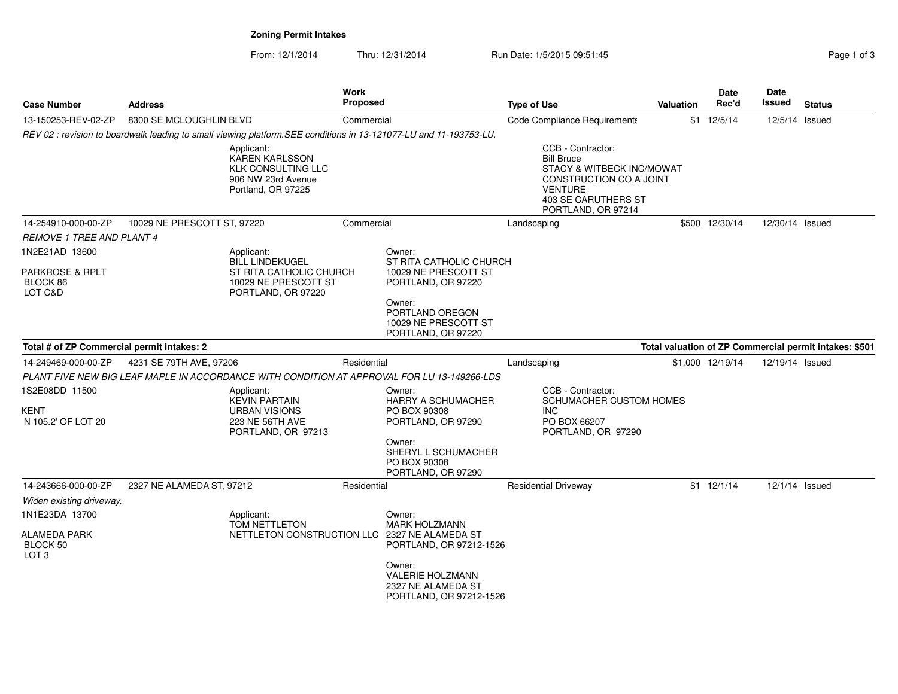**Zoning Permit Intakes**

| Page 1 of |  |
|-----------|--|

| <b>Case Number</b>                                                  | <b>Address</b>              |                                                                                                               | Work<br>Proposed |                                                                                                                            | <b>Type of Use</b>                                                                                                                                                   | <b>Valuation</b> | Date<br>Rec'd    | Date<br>Issued  | <b>Status</b>                                          |
|---------------------------------------------------------------------|-----------------------------|---------------------------------------------------------------------------------------------------------------|------------------|----------------------------------------------------------------------------------------------------------------------------|----------------------------------------------------------------------------------------------------------------------------------------------------------------------|------------------|------------------|-----------------|--------------------------------------------------------|
| 13-150253-REV-02-ZP                                                 | 8300 SE MCLOUGHLIN BLVD     |                                                                                                               | Commercial       |                                                                                                                            | <b>Code Compliance Requirements</b>                                                                                                                                  |                  | $$1 \t12/5/14$   | 12/5/14 Issued  |                                                        |
|                                                                     |                             |                                                                                                               |                  | REV 02 : revision to boardwalk leading to small viewing platform. SEE conditions in 13-121077-LU and 11-193753-LU.         |                                                                                                                                                                      |                  |                  |                 |                                                        |
|                                                                     |                             | Applicant:<br><b>KAREN KARLSSON</b><br><b>KLK CONSULTING LLC</b><br>906 NW 23rd Avenue<br>Portland, OR 97225  |                  |                                                                                                                            | CCB - Contractor:<br><b>Bill Bruce</b><br>STACY & WITBECK INC/MOWAT<br>CONSTRUCTION CO A JOINT<br><b>VENTURE</b><br><b>403 SE CARUTHERS ST</b><br>PORTLAND, OR 97214 |                  |                  |                 |                                                        |
| 14-254910-000-00-ZP                                                 | 10029 NE PRESCOTT ST, 97220 |                                                                                                               | Commercial       |                                                                                                                            | Landscaping                                                                                                                                                          |                  | \$500 12/30/14   | 12/30/14 Issued |                                                        |
| <b>REMOVE 1 TREE AND PLANT 4</b>                                    |                             |                                                                                                               |                  |                                                                                                                            |                                                                                                                                                                      |                  |                  |                 |                                                        |
| 1N2E21AD 13600<br><b>PARKROSE &amp; RPLT</b><br>BLOCK 86<br>LOT C&D |                             | Applicant:<br><b>BILL LINDEKUGEL</b><br>ST RITA CATHOLIC CHURCH<br>10029 NE PRESCOTT ST<br>PORTLAND, OR 97220 |                  | Owner:<br>ST RITA CATHOLIC CHURCH<br>10029 NE PRESCOTT ST<br>PORTLAND, OR 97220                                            |                                                                                                                                                                      |                  |                  |                 |                                                        |
|                                                                     |                             |                                                                                                               |                  | Owner:<br>PORTLAND OREGON<br>10029 NE PRESCOTT ST<br>PORTLAND, OR 97220                                                    |                                                                                                                                                                      |                  |                  |                 |                                                        |
| Total # of ZP Commercial permit intakes: 2                          |                             |                                                                                                               |                  |                                                                                                                            |                                                                                                                                                                      |                  |                  |                 | Total valuation of ZP Commercial permit intakes: \$501 |
| 14-249469-000-00-ZP                                                 | 4231 SE 79TH AVE, 97206     |                                                                                                               | Residential      |                                                                                                                            | Landscaping                                                                                                                                                          |                  | \$1,000 12/19/14 | 12/19/14 Issued |                                                        |
|                                                                     |                             |                                                                                                               |                  | PLANT FIVE NEW BIG LEAF MAPLE IN ACCORDANCE WITH CONDITION AT APPROVAL FOR LU 13-149266-LDS                                |                                                                                                                                                                      |                  |                  |                 |                                                        |
| 1S2E08DD 11500<br>KENT<br>N 105.2' OF LOT 20                        |                             | Applicant:<br><b>KEVIN PARTAIN</b><br><b>URBAN VISIONS</b><br>223 NE 56TH AVE<br>PORTLAND, OR 97213           |                  | Owner:<br><b>HARRY A SCHUMACHER</b><br>PO BOX 90308<br>PORTLAND, OR 97290<br>Owner:<br>SHERYL L SCHUMACHER<br>PO BOX 90308 | CCB - Contractor:<br>SCHUMACHER CUSTOM HOMES<br><b>INC</b><br>PO BOX 66207<br>PORTLAND, OR 97290                                                                     |                  |                  |                 |                                                        |
|                                                                     |                             |                                                                                                               |                  | PORTLAND, OR 97290                                                                                                         |                                                                                                                                                                      |                  |                  |                 |                                                        |
| 14-243666-000-00-ZP                                                 | 2327 NE ALAMEDA ST, 97212   |                                                                                                               | Residential      |                                                                                                                            | <b>Residential Driveway</b>                                                                                                                                          |                  | \$1 12/1/14      | 12/1/14 Issued  |                                                        |
| Widen existing driveway.                                            |                             |                                                                                                               |                  |                                                                                                                            |                                                                                                                                                                      |                  |                  |                 |                                                        |
| 1N1E23DA 13700                                                      |                             | Applicant:                                                                                                    |                  | Owner:                                                                                                                     |                                                                                                                                                                      |                  |                  |                 |                                                        |
| <b>ALAMEDA PARK</b><br>BLOCK 50<br>LOT <sub>3</sub>                 |                             | TOM NETTLETON<br>NETTLETON CONSTRUCTION LLC                                                                   |                  | <b>MARK HOLZMANN</b><br>2327 NE ALAMEDA ST<br>PORTLAND, OR 97212-1526                                                      |                                                                                                                                                                      |                  |                  |                 |                                                        |
|                                                                     |                             |                                                                                                               |                  | Owner:<br><b>VALERIE HOLZMANN</b><br>2327 NE ALAMEDA ST<br>PORTLAND, OR 97212-1526                                         |                                                                                                                                                                      |                  |                  |                 |                                                        |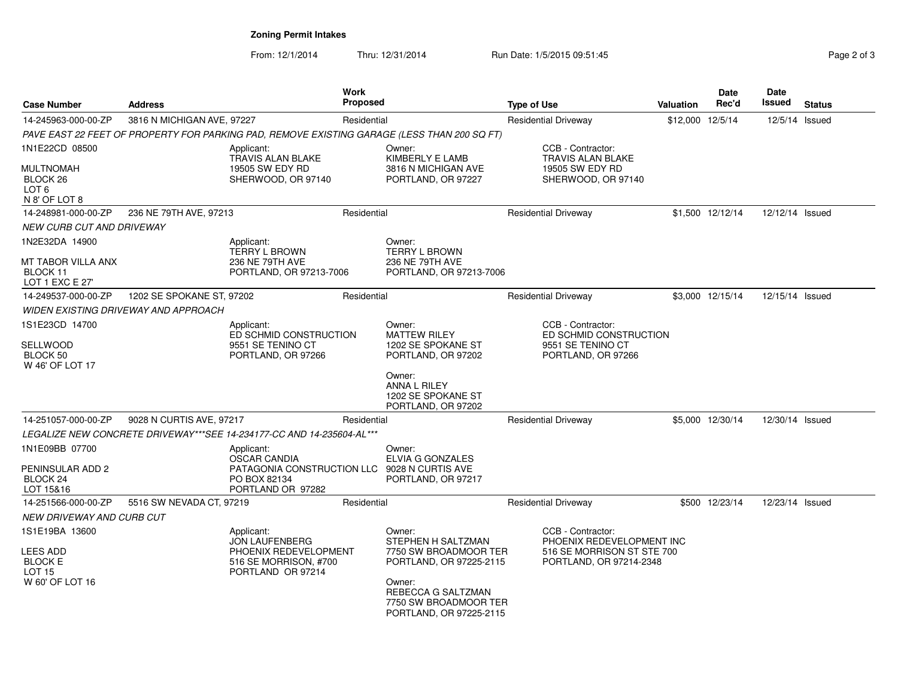**Zoning Permit Intakes**

| <b>Case Number</b>                                                           | <b>Address</b>                       |                                                                        | <b>Work</b><br>Proposed |                                                                                             | <b>Type of Use</b>          |                                                       | <b>Valuation</b> | Date<br>Rec'd    | Date<br><b>Issued</b> | <b>Status</b> |
|------------------------------------------------------------------------------|--------------------------------------|------------------------------------------------------------------------|-------------------------|---------------------------------------------------------------------------------------------|-----------------------------|-------------------------------------------------------|------------------|------------------|-----------------------|---------------|
| 14-245963-000-00-ZP                                                          | 3816 N MICHIGAN AVE, 97227           |                                                                        | Residential             |                                                                                             | <b>Residential Driveway</b> |                                                       | \$12,000 12/5/14 |                  | 12/5/14 Issued        |               |
|                                                                              |                                      |                                                                        |                         | PAVE EAST 22 FEET OF PROPERTY FOR PARKING PAD, REMOVE EXISTING GARAGE (LESS THAN 200 SQ FT) |                             |                                                       |                  |                  |                       |               |
| 1N1E22CD 08500                                                               |                                      | Applicant:<br><b>TRAVIS ALAN BLAKE</b>                                 |                         | Owner:<br><b>KIMBERLY E LAMB</b>                                                            |                             | CCB - Contractor:<br><b>TRAVIS ALAN BLAKE</b>         |                  |                  |                       |               |
| <b>MULTNOMAH</b><br>BLOCK <sub>26</sub><br>LOT <sub>6</sub><br>N 8' OF LOT 8 |                                      | 19505 SW EDY RD<br>SHERWOOD, OR 97140                                  |                         | 3816 N MICHIGAN AVE<br>PORTLAND, OR 97227                                                   |                             | 19505 SW EDY RD<br>SHERWOOD, OR 97140                 |                  |                  |                       |               |
| 14-248981-000-00-ZP                                                          | 236 NE 79TH AVE, 97213               |                                                                        | Residential             |                                                                                             |                             | <b>Residential Driveway</b>                           |                  | \$1,500 12/12/14 | 12/12/14 Issued       |               |
| <b>NEW CURB CUT AND DRIVEWAY</b>                                             |                                      |                                                                        |                         |                                                                                             |                             |                                                       |                  |                  |                       |               |
| 1N2E32DA 14900                                                               |                                      | Applicant:<br><b>TERRY L BROWN</b>                                     |                         | Owner:<br><b>TERRY L BROWN</b>                                                              |                             |                                                       |                  |                  |                       |               |
| MT TABOR VILLA ANX<br>BLOCK 11<br>LOT 1 EXC E 27'                            |                                      | 236 NE 79TH AVE<br>PORTLAND, OR 97213-7006                             |                         | 236 NE 79TH AVE<br>PORTLAND, OR 97213-7006                                                  |                             |                                                       |                  |                  |                       |               |
| 14-249537-000-00-ZP                                                          | 1202 SE SPOKANE ST, 97202            |                                                                        | Residential             |                                                                                             |                             | <b>Residential Driveway</b>                           |                  | \$3,000 12/15/14 | 12/15/14 Issued       |               |
|                                                                              | WIDEN EXISTING DRIVEWAY AND APPROACH |                                                                        |                         |                                                                                             |                             |                                                       |                  |                  |                       |               |
| 1S1E23CD 14700                                                               |                                      | Applicant:                                                             |                         | Owner:                                                                                      |                             | CCB - Contractor:                                     |                  |                  |                       |               |
| SELLWOOD                                                                     |                                      | ED SCHMID CONSTRUCTION<br>9551 SE TENINO CT                            |                         | <b>MATTEW RILEY</b><br>1202 SE SPOKANE ST                                                   |                             | ED SCHMID CONSTRUCTION<br>9551 SE TENINO CT           |                  |                  |                       |               |
| BLOCK 50<br>W 46' OF LOT 17                                                  |                                      | PORTLAND, OR 97266                                                     |                         | PORTLAND, OR 97202                                                                          |                             | PORTLAND, OR 97266                                    |                  |                  |                       |               |
|                                                                              |                                      |                                                                        |                         | Owner:<br><b>ANNA L RILEY</b><br>1202 SE SPOKANE ST<br>PORTLAND, OR 97202                   |                             |                                                       |                  |                  |                       |               |
| 14-251057-000-00-ZP                                                          | 9028 N CURTIS AVE, 97217             |                                                                        | Residential             |                                                                                             |                             | <b>Residential Driveway</b>                           |                  | \$5,000 12/30/14 | 12/30/14 Issued       |               |
|                                                                              |                                      | LEGALIZE NEW CONCRETE DRIVEWAY***SEE 14-234177-CC AND 14-235604-AL *** |                         |                                                                                             |                             |                                                       |                  |                  |                       |               |
| 1N1E09BB 07700                                                               |                                      | Applicant:<br><b>OSCAR CANDIA</b>                                      |                         | Owner:<br><b>ELVIA G GONZALES</b>                                                           |                             |                                                       |                  |                  |                       |               |
| PENINSULAR ADD 2<br>BLOCK 24<br>LOT 15&16                                    |                                      | PATAGONIA CONSTRUCTION LLC<br>PO BOX 82134<br>PORTLAND OR 97282        |                         | 9028 N CURTIS AVE<br>PORTLAND, OR 97217                                                     |                             |                                                       |                  |                  |                       |               |
| 14-251566-000-00-ZP                                                          | 5516 SW NEVADA CT, 97219             |                                                                        | Residential             |                                                                                             |                             | <b>Residential Driveway</b>                           |                  | \$500 12/23/14   | 12/23/14 Issued       |               |
| <b>NEW DRIVEWAY AND CURB CUT</b>                                             |                                      |                                                                        |                         |                                                                                             |                             |                                                       |                  |                  |                       |               |
| 1S1E19BA 13600                                                               |                                      | Applicant:<br><b>JON LAUFENBERG</b>                                    |                         | Owner:<br>STEPHEN H SALTZMAN                                                                |                             | CCB - Contractor:<br>PHOENIX REDEVELOPMENT INC        |                  |                  |                       |               |
| <b>LEES ADD</b><br><b>BLOCK E</b><br><b>LOT 15</b>                           |                                      | PHOENIX REDEVELOPMENT<br>516 SE MORRISON, #700<br>PORTLAND OR 97214    |                         | 7750 SW BROADMOOR TER<br>PORTLAND, OR 97225-2115                                            |                             | 516 SE MORRISON ST STE 700<br>PORTLAND, OR 97214-2348 |                  |                  |                       |               |
| W 60' OF LOT 16                                                              |                                      |                                                                        |                         | Owner:<br>REBECCA G SALTZMAN<br>7750 SW BROADMOOR TER<br>PORTLAND, OR 97225-2115            |                             |                                                       |                  |                  |                       |               |